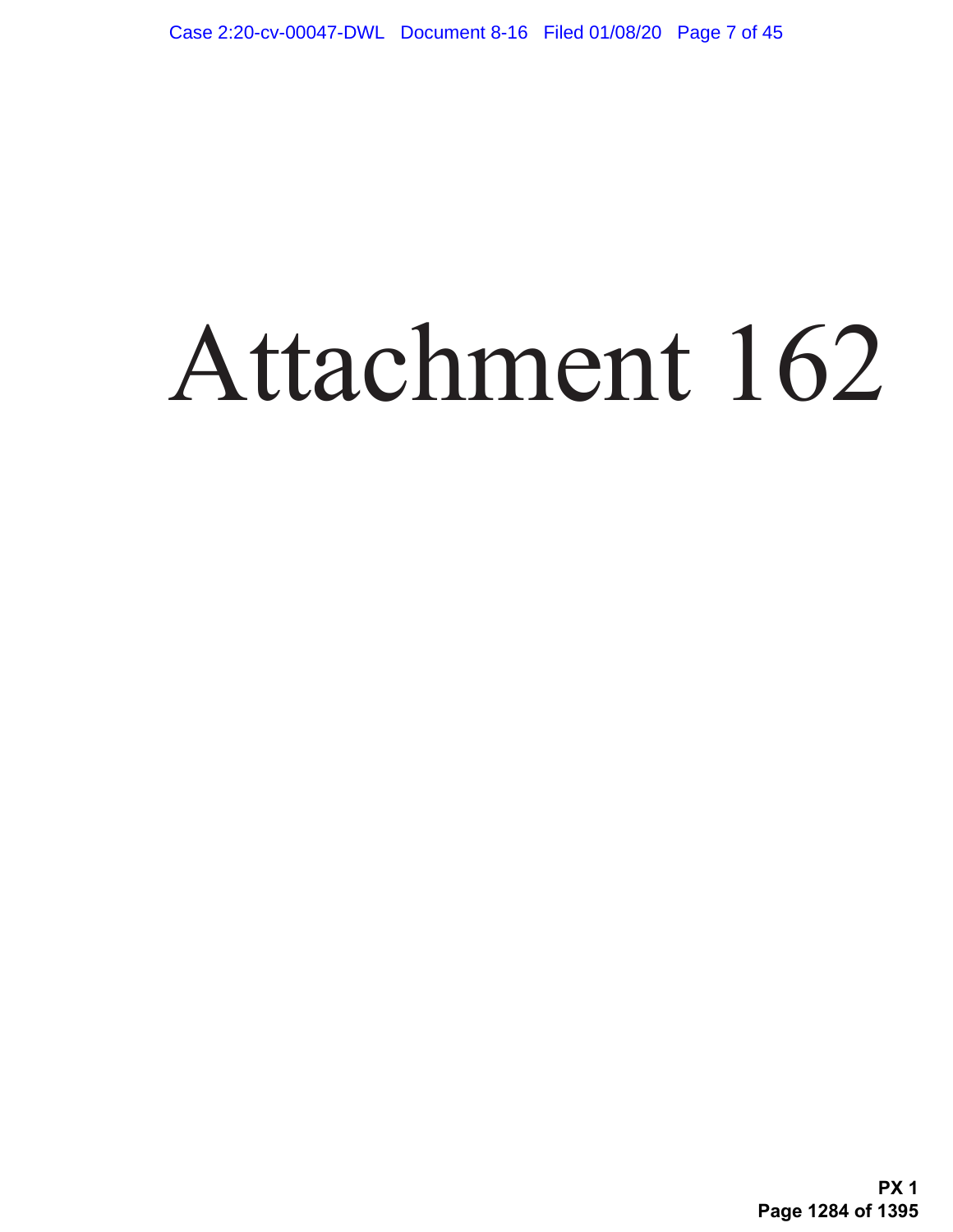# Attachment 162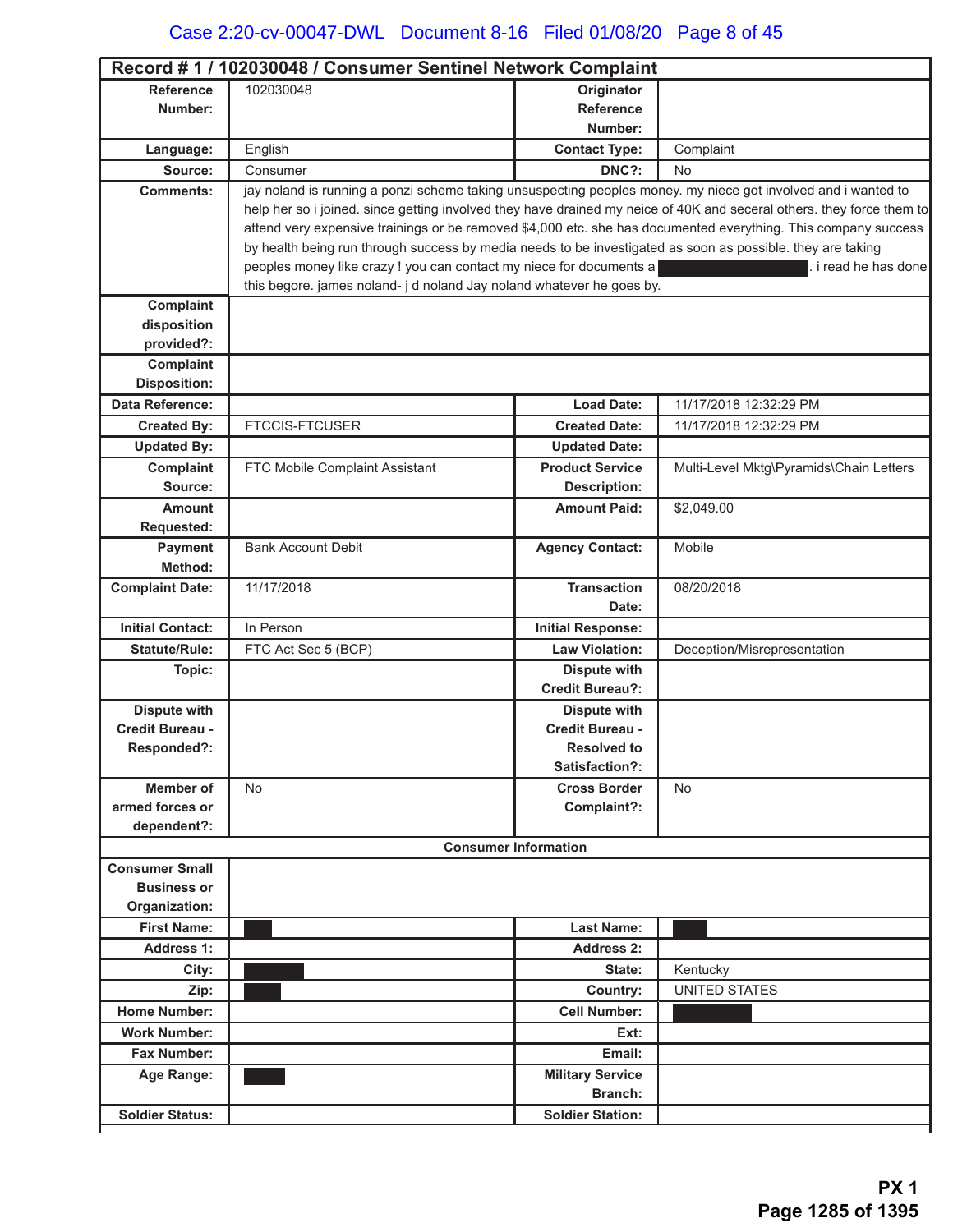| Record #1 / 102030048 / Consumer Sentinel Network Complaint |                                                                                                                                              |                                           |                                                                                                                       |
|-------------------------------------------------------------|----------------------------------------------------------------------------------------------------------------------------------------------|-------------------------------------------|-----------------------------------------------------------------------------------------------------------------------|
| <b>Reference</b>                                            | 102030048                                                                                                                                    | Originator                                |                                                                                                                       |
| Number:                                                     |                                                                                                                                              | <b>Reference</b>                          |                                                                                                                       |
|                                                             |                                                                                                                                              | Number:                                   |                                                                                                                       |
| Language:                                                   | English                                                                                                                                      | <b>Contact Type:</b>                      | Complaint                                                                                                             |
| Source:                                                     | Consumer                                                                                                                                     | DNC?:                                     | No                                                                                                                    |
| <b>Comments:</b>                                            | jay noland is running a ponzi scheme taking unsuspecting peoples money. my niece got involved and i wanted to                                |                                           |                                                                                                                       |
|                                                             |                                                                                                                                              |                                           | help her so i joined. since getting involved they have drained my neice of 40K and seceral others. they force them to |
|                                                             | attend very expensive trainings or be removed \$4,000 etc. she has documented everything. This company success                               |                                           |                                                                                                                       |
|                                                             | by health being run through success by media needs to be investigated as soon as possible. they are taking                                   |                                           |                                                                                                                       |
|                                                             | peoples money like crazy ! you can contact my niece for documents a<br>this begore. james noland- j d noland Jay noland whatever he goes by. |                                           | i read he has done                                                                                                    |
| Complaint                                                   |                                                                                                                                              |                                           |                                                                                                                       |
| disposition                                                 |                                                                                                                                              |                                           |                                                                                                                       |
| provided?:                                                  |                                                                                                                                              |                                           |                                                                                                                       |
| Complaint                                                   |                                                                                                                                              |                                           |                                                                                                                       |
| <b>Disposition:</b>                                         |                                                                                                                                              |                                           |                                                                                                                       |
| <b>Data Reference:</b>                                      |                                                                                                                                              | <b>Load Date:</b>                         | 11/17/2018 12:32:29 PM                                                                                                |
| <b>Created By:</b>                                          | <b>FTCCIS-FTCUSER</b>                                                                                                                        | <b>Created Date:</b>                      | 11/17/2018 12:32:29 PM                                                                                                |
| <b>Updated By:</b>                                          |                                                                                                                                              | <b>Updated Date:</b>                      |                                                                                                                       |
| Complaint                                                   | FTC Mobile Complaint Assistant                                                                                                               | <b>Product Service</b>                    | Multi-Level Mktg\Pyramids\Chain Letters                                                                               |
| Source:                                                     |                                                                                                                                              | <b>Description:</b>                       |                                                                                                                       |
| <b>Amount</b>                                               |                                                                                                                                              | <b>Amount Paid:</b>                       | \$2,049.00                                                                                                            |
| <b>Requested:</b>                                           |                                                                                                                                              |                                           |                                                                                                                       |
| Payment                                                     | <b>Bank Account Debit</b>                                                                                                                    | <b>Agency Contact:</b>                    | Mobile                                                                                                                |
| Method:                                                     |                                                                                                                                              |                                           |                                                                                                                       |
| <b>Complaint Date:</b>                                      | 11/17/2018                                                                                                                                   | <b>Transaction</b>                        | 08/20/2018                                                                                                            |
|                                                             |                                                                                                                                              | Date:                                     |                                                                                                                       |
| <b>Initial Contact:</b>                                     | In Person                                                                                                                                    | <b>Initial Response:</b>                  |                                                                                                                       |
| <b>Statute/Rule:</b>                                        | FTC Act Sec 5 (BCP)                                                                                                                          | <b>Law Violation:</b>                     | Deception/Misrepresentation                                                                                           |
| Topic:                                                      |                                                                                                                                              | <b>Dispute with</b>                       |                                                                                                                       |
|                                                             |                                                                                                                                              | <b>Credit Bureau?:</b>                    |                                                                                                                       |
| <b>Dispute with</b>                                         |                                                                                                                                              | <b>Dispute with</b>                       |                                                                                                                       |
| Credit Bureau -                                             |                                                                                                                                              | Credit Bureau -                           |                                                                                                                       |
| Responded?:                                                 |                                                                                                                                              | <b>Resolved to</b>                        |                                                                                                                       |
|                                                             |                                                                                                                                              | Satisfaction?:                            |                                                                                                                       |
| <b>Member of</b>                                            | <b>No</b>                                                                                                                                    | <b>Cross Border</b>                       | <b>No</b>                                                                                                             |
| armed forces or                                             |                                                                                                                                              | Complaint?:                               |                                                                                                                       |
| dependent?:                                                 |                                                                                                                                              |                                           |                                                                                                                       |
|                                                             |                                                                                                                                              | <b>Consumer Information</b>               |                                                                                                                       |
| <b>Consumer Small</b><br><b>Business or</b>                 |                                                                                                                                              |                                           |                                                                                                                       |
| Organization:                                               |                                                                                                                                              |                                           |                                                                                                                       |
| <b>First Name:</b>                                          |                                                                                                                                              | <b>Last Name:</b>                         |                                                                                                                       |
| <b>Address 1:</b>                                           |                                                                                                                                              | <b>Address 2:</b>                         |                                                                                                                       |
| City:                                                       |                                                                                                                                              | State:                                    | Kentucky                                                                                                              |
| Zip:                                                        |                                                                                                                                              | Country:                                  | <b>UNITED STATES</b>                                                                                                  |
| <b>Home Number:</b>                                         |                                                                                                                                              | <b>Cell Number:</b>                       |                                                                                                                       |
| <b>Work Number:</b>                                         |                                                                                                                                              | Ext:                                      |                                                                                                                       |
| <b>Fax Number:</b>                                          |                                                                                                                                              | Email:                                    |                                                                                                                       |
|                                                             |                                                                                                                                              |                                           |                                                                                                                       |
| Age Range:                                                  |                                                                                                                                              | <b>Military Service</b><br><b>Branch:</b> |                                                                                                                       |
| <b>Soldier Status:</b>                                      |                                                                                                                                              | <b>Soldier Station:</b>                   |                                                                                                                       |
|                                                             |                                                                                                                                              |                                           |                                                                                                                       |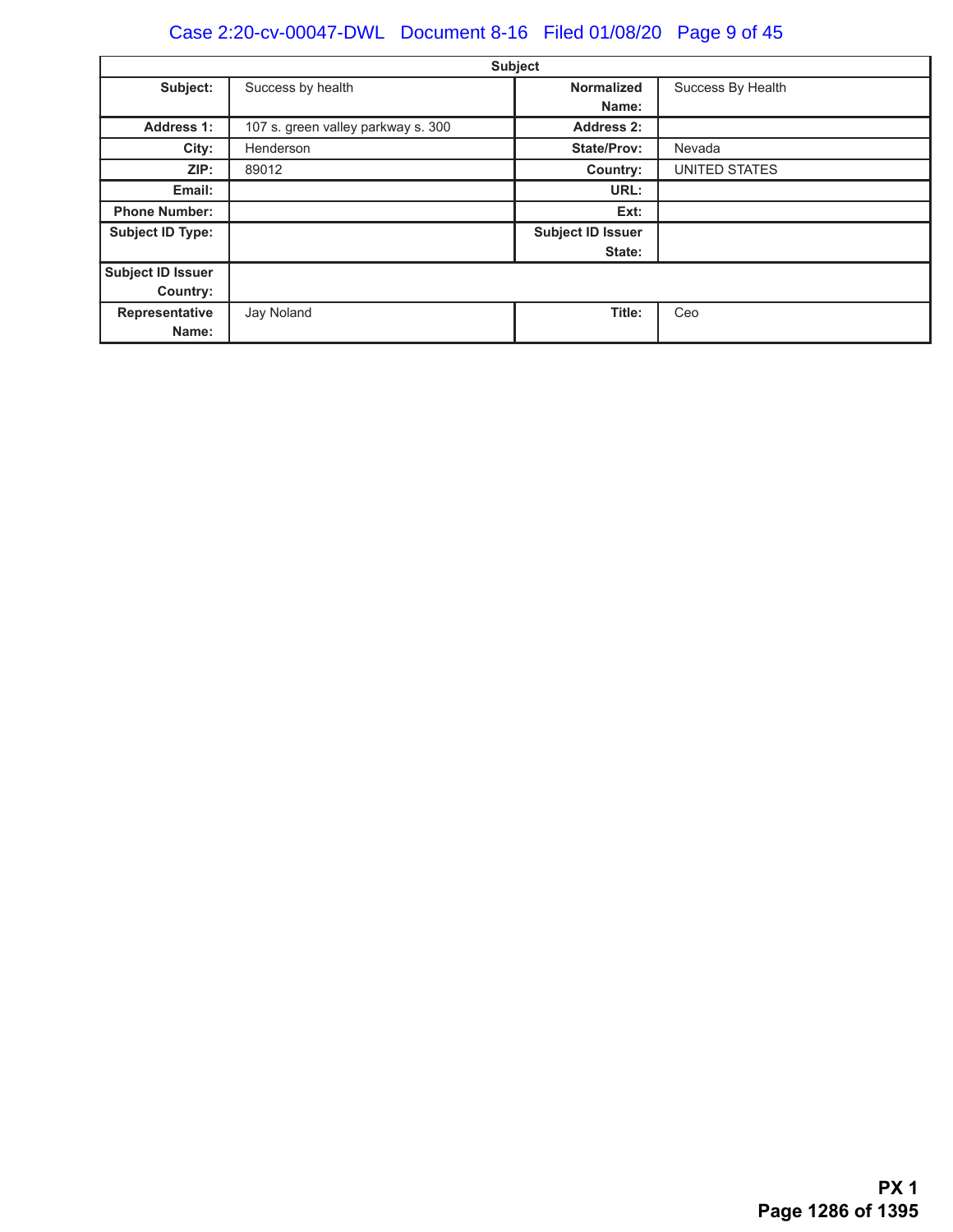# Case 2:20-cv-00047-DWL Document 8-16 Filed 01/08/20 Page 9 of 45

|                          |                                    | <b>Subject</b>           |                   |
|--------------------------|------------------------------------|--------------------------|-------------------|
| Subject:                 | Success by health                  | <b>Normalized</b>        | Success By Health |
|                          |                                    | Name:                    |                   |
| <b>Address 1:</b>        | 107 s. green valley parkway s. 300 | <b>Address 2:</b>        |                   |
| City:                    | Henderson                          | <b>State/Prov:</b>       | Nevada            |
| ZIP:                     | 89012                              | Country:                 | UNITED STATES     |
| Email:                   |                                    | URL:                     |                   |
| <b>Phone Number:</b>     |                                    | Ext:                     |                   |
| <b>Subject ID Type:</b>  |                                    | <b>Subject ID Issuer</b> |                   |
|                          |                                    | State:                   |                   |
| <b>Subject ID Issuer</b> |                                    |                          |                   |
| Country:                 |                                    |                          |                   |
| Representative           | Jay Noland                         | Title:                   | Ceo               |
| Name:                    |                                    |                          |                   |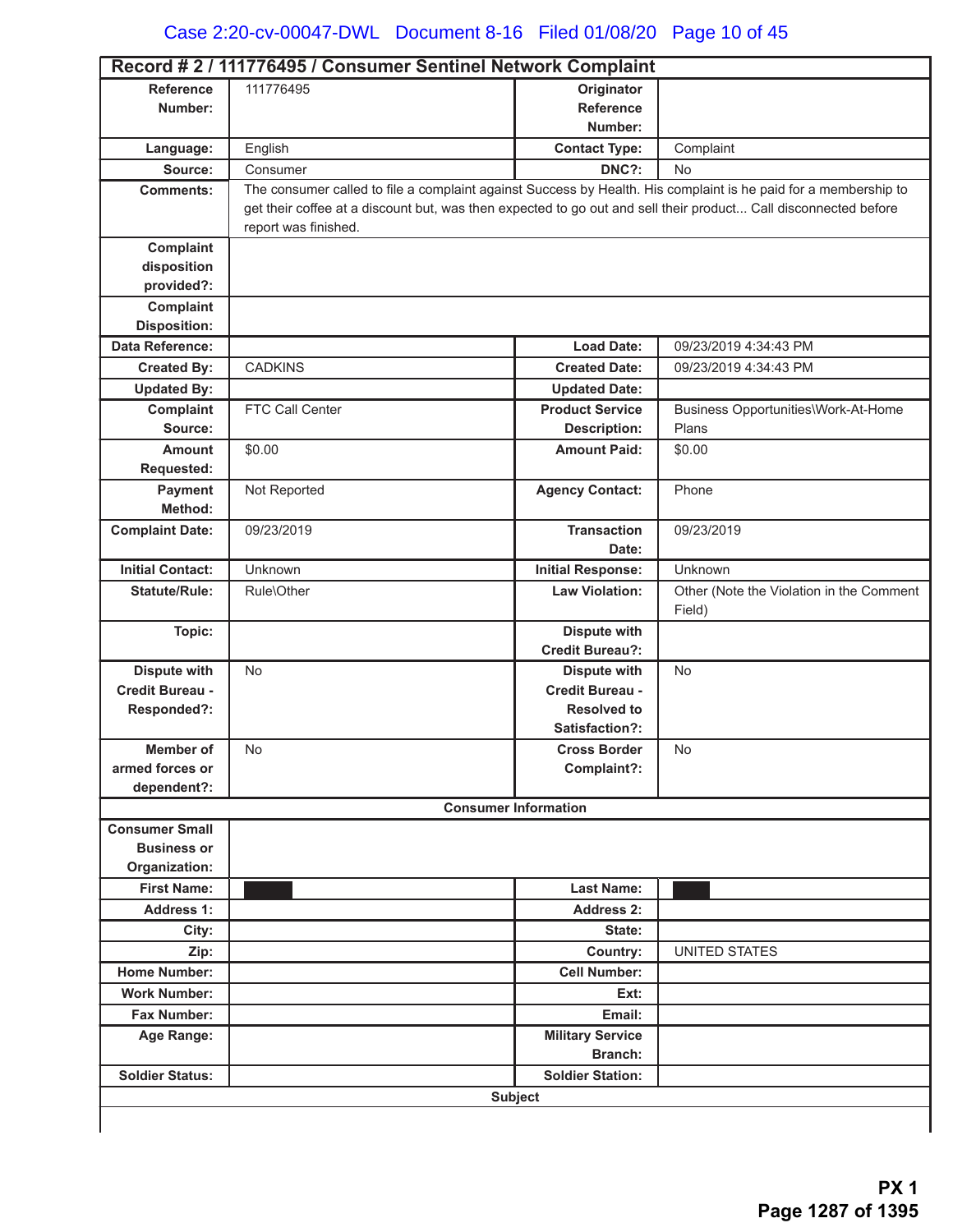|                                             | Record # 2 / 111776495 / Consumer Sentinel Network Complaint                                                    |                                                |                                          |
|---------------------------------------------|-----------------------------------------------------------------------------------------------------------------|------------------------------------------------|------------------------------------------|
| <b>Reference</b>                            | 111776495                                                                                                       | Originator                                     |                                          |
| Number:                                     |                                                                                                                 | <b>Reference</b>                               |                                          |
|                                             |                                                                                                                 | Number:                                        |                                          |
| Language:                                   | English                                                                                                         | <b>Contact Type:</b>                           | Complaint                                |
| Source:                                     | Consumer                                                                                                        | DNC?:                                          | <b>No</b>                                |
| <b>Comments:</b>                            | The consumer called to file a complaint against Success by Health. His complaint is he paid for a membership to |                                                |                                          |
|                                             | get their coffee at a discount but, was then expected to go out and sell their product Call disconnected before |                                                |                                          |
|                                             | report was finished.                                                                                            |                                                |                                          |
| Complaint                                   |                                                                                                                 |                                                |                                          |
| disposition                                 |                                                                                                                 |                                                |                                          |
| provided?:<br>Complaint                     |                                                                                                                 |                                                |                                          |
| <b>Disposition:</b>                         |                                                                                                                 |                                                |                                          |
| <b>Data Reference:</b>                      |                                                                                                                 | <b>Load Date:</b>                              | 09/23/2019 4:34:43 PM                    |
| <b>Created By:</b>                          | <b>CADKINS</b>                                                                                                  | <b>Created Date:</b>                           | 09/23/2019 4:34:43 PM                    |
| <b>Updated By:</b>                          |                                                                                                                 |                                                |                                          |
| Complaint                                   | FTC Call Center                                                                                                 | <b>Updated Date:</b><br><b>Product Service</b> | Business Opportunities\Work-At-Home      |
| Source:                                     |                                                                                                                 | <b>Description:</b>                            | Plans                                    |
| <b>Amount</b>                               | \$0.00                                                                                                          | <b>Amount Paid:</b>                            | \$0.00                                   |
| Requested:                                  |                                                                                                                 |                                                |                                          |
| Payment                                     | Not Reported                                                                                                    | <b>Agency Contact:</b>                         | Phone                                    |
| Method:                                     |                                                                                                                 |                                                |                                          |
| <b>Complaint Date:</b>                      | 09/23/2019                                                                                                      | <b>Transaction</b>                             | 09/23/2019                               |
|                                             |                                                                                                                 | Date:                                          |                                          |
| <b>Initial Contact:</b>                     | Unknown                                                                                                         | <b>Initial Response:</b>                       | Unknown                                  |
| <b>Statute/Rule:</b>                        | Rule\Other                                                                                                      | <b>Law Violation:</b>                          | Other (Note the Violation in the Comment |
|                                             |                                                                                                                 |                                                | Field)                                   |
| Topic:                                      |                                                                                                                 | <b>Dispute with</b>                            |                                          |
|                                             |                                                                                                                 | <b>Credit Bureau?:</b>                         |                                          |
| <b>Dispute with</b>                         | <b>No</b>                                                                                                       | <b>Dispute with</b>                            | <b>No</b>                                |
| Credit Bureau -                             |                                                                                                                 | Credit Bureau -                                |                                          |
| Responded?:                                 |                                                                                                                 | <b>Resolved to</b>                             |                                          |
|                                             |                                                                                                                 | Satisfaction?:                                 |                                          |
| Member of                                   | No                                                                                                              | <b>Cross Border</b>                            | No                                       |
| armed forces or                             |                                                                                                                 | Complaint?:                                    |                                          |
| dependent?:                                 |                                                                                                                 |                                                |                                          |
|                                             |                                                                                                                 | <b>Consumer Information</b>                    |                                          |
| <b>Consumer Small</b><br><b>Business or</b> |                                                                                                                 |                                                |                                          |
| Organization:                               |                                                                                                                 |                                                |                                          |
| <b>First Name:</b>                          |                                                                                                                 | <b>Last Name:</b>                              |                                          |
| <b>Address 1:</b>                           |                                                                                                                 | Address 2:                                     |                                          |
| City:                                       |                                                                                                                 | State:                                         |                                          |
| Zip:                                        |                                                                                                                 | Country:                                       | <b>UNITED STATES</b>                     |
| <b>Home Number:</b>                         |                                                                                                                 | <b>Cell Number:</b>                            |                                          |
| <b>Work Number:</b>                         |                                                                                                                 | Ext:                                           |                                          |
| Fax Number:                                 |                                                                                                                 | Email:                                         |                                          |
| Age Range:                                  |                                                                                                                 | <b>Military Service</b>                        |                                          |
|                                             |                                                                                                                 | Branch:                                        |                                          |
| <b>Soldier Status:</b>                      |                                                                                                                 | <b>Soldier Station:</b>                        |                                          |
|                                             |                                                                                                                 |                                                |                                          |
|                                             |                                                                                                                 | <b>Subject</b>                                 |                                          |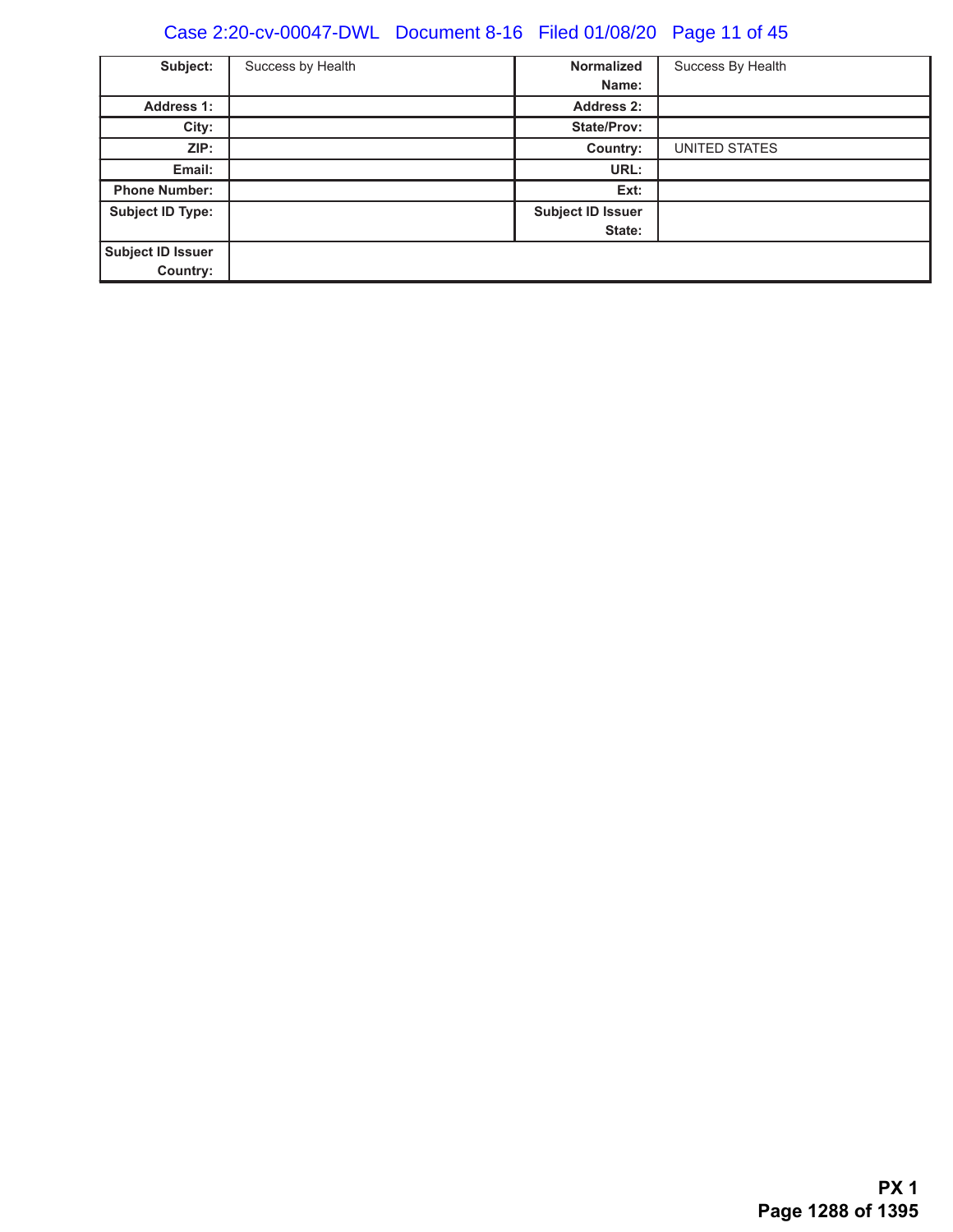# Case 2:20-cv-00047-DWL Document 8-16 Filed 01/08/20 Page 11 of 45

| Subject:                | Success by Health | <b>Normalized</b><br>Name: | Success By Health |
|-------------------------|-------------------|----------------------------|-------------------|
| <b>Address 1:</b>       |                   | <b>Address 2:</b>          |                   |
| City:                   |                   | <b>State/Prov:</b>         |                   |
| ZIP:                    |                   | Country:                   | UNITED STATES     |
| Email:                  |                   | URL:                       |                   |
| <b>Phone Number:</b>    |                   | Ext:                       |                   |
| <b>Subject ID Type:</b> |                   | <b>Subject ID Issuer</b>   |                   |
|                         |                   | State:                     |                   |
| Subject ID Issuer       |                   |                            |                   |
| Country:                |                   |                            |                   |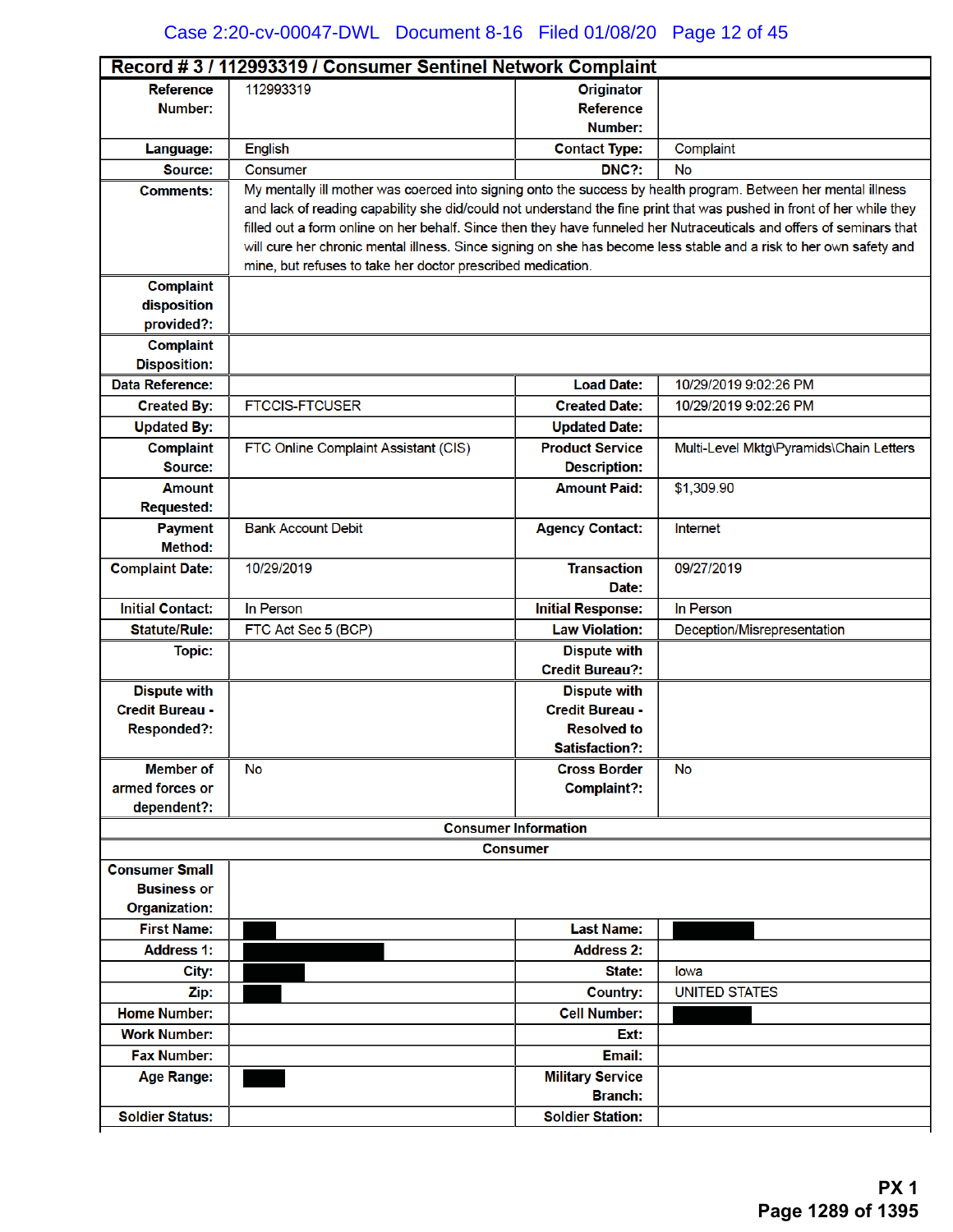| 112993319<br><b>Reference</b><br><b>Originator</b><br><b>Reference</b><br>Number:<br>Number:<br>English<br>Complaint<br><b>Contact Type:</b><br>Language:<br>DNC?:<br>Source:<br>Consumer<br>No<br>My mentally ill mother was coerced into signing onto the success by health program. Between her mental illness<br><b>Comments:</b><br>and lack of reading capability she did/could not understand the fine print that was pushed in front of her while they<br>filled out a form online on her behalf. Since then they have funneled her Nutraceuticals and offers of seminars that<br>will cure her chronic mental illness. Since signing on she has become less stable and a risk to her own safety and<br>mine, but refuses to take her doctor prescribed medication.<br><b>Complaint</b><br>disposition<br>provided?:<br><b>Complaint</b><br><b>Disposition:</b><br><b>Data Reference:</b><br><b>Load Date:</b><br>10/29/2019 9:02:26 PM<br><b>FTCCIS-FTCUSER</b><br><b>Created Date:</b><br>10/29/2019 9:02:26 PM<br><b>Created By:</b><br><b>Updated By:</b><br><b>Updated Date:</b><br>Multi-Level Mktg\Pyramids\Chain Letters<br><b>Complaint</b><br>FTC Online Complaint Assistant (CIS)<br><b>Product Service</b><br>Source:<br><b>Description:</b><br><b>Amount Paid:</b><br>\$1,309.90<br><b>Amount</b><br><b>Requested:</b><br><b>Bank Account Debit</b><br><b>Agency Contact:</b><br>Internet<br><b>Payment</b><br>Method:<br>10/29/2019<br><b>Transaction</b><br><b>Complaint Date:</b><br>09/27/2019<br>Date:<br><b>Initial Contact:</b><br>In Person<br><b>Initial Response:</b><br>In Person<br><b>Law Violation:</b><br>Deception/Misrepresentation<br><b>Statute/Rule:</b><br>FTC Act Sec 5 (BCP)<br><b>Dispute with</b><br><b>Topic:</b><br><b>Credit Bureau?:</b><br><b>Dispute with</b><br><b>Dispute with</b><br><b>Credit Bureau -</b><br><b>Credit Bureau -</b><br><b>Responded?:</b><br><b>Resolved to</b><br>Satisfaction?:<br><b>Cross Border</b><br><b>Member of</b><br><b>No</b><br>No |  |  |  |  |
|--------------------------------------------------------------------------------------------------------------------------------------------------------------------------------------------------------------------------------------------------------------------------------------------------------------------------------------------------------------------------------------------------------------------------------------------------------------------------------------------------------------------------------------------------------------------------------------------------------------------------------------------------------------------------------------------------------------------------------------------------------------------------------------------------------------------------------------------------------------------------------------------------------------------------------------------------------------------------------------------------------------------------------------------------------------------------------------------------------------------------------------------------------------------------------------------------------------------------------------------------------------------------------------------------------------------------------------------------------------------------------------------------------------------------------------------------------------------------------------------------------------------------------------------------------------------------------------------------------------------------------------------------------------------------------------------------------------------------------------------------------------------------------------------------------------------------------------------------------------------------------------------------------------------------------------------------------------------------------------------------------------------------|--|--|--|--|
|                                                                                                                                                                                                                                                                                                                                                                                                                                                                                                                                                                                                                                                                                                                                                                                                                                                                                                                                                                                                                                                                                                                                                                                                                                                                                                                                                                                                                                                                                                                                                                                                                                                                                                                                                                                                                                                                                                                                                                                                                          |  |  |  |  |
|                                                                                                                                                                                                                                                                                                                                                                                                                                                                                                                                                                                                                                                                                                                                                                                                                                                                                                                                                                                                                                                                                                                                                                                                                                                                                                                                                                                                                                                                                                                                                                                                                                                                                                                                                                                                                                                                                                                                                                                                                          |  |  |  |  |
|                                                                                                                                                                                                                                                                                                                                                                                                                                                                                                                                                                                                                                                                                                                                                                                                                                                                                                                                                                                                                                                                                                                                                                                                                                                                                                                                                                                                                                                                                                                                                                                                                                                                                                                                                                                                                                                                                                                                                                                                                          |  |  |  |  |
|                                                                                                                                                                                                                                                                                                                                                                                                                                                                                                                                                                                                                                                                                                                                                                                                                                                                                                                                                                                                                                                                                                                                                                                                                                                                                                                                                                                                                                                                                                                                                                                                                                                                                                                                                                                                                                                                                                                                                                                                                          |  |  |  |  |
|                                                                                                                                                                                                                                                                                                                                                                                                                                                                                                                                                                                                                                                                                                                                                                                                                                                                                                                                                                                                                                                                                                                                                                                                                                                                                                                                                                                                                                                                                                                                                                                                                                                                                                                                                                                                                                                                                                                                                                                                                          |  |  |  |  |
|                                                                                                                                                                                                                                                                                                                                                                                                                                                                                                                                                                                                                                                                                                                                                                                                                                                                                                                                                                                                                                                                                                                                                                                                                                                                                                                                                                                                                                                                                                                                                                                                                                                                                                                                                                                                                                                                                                                                                                                                                          |  |  |  |  |
|                                                                                                                                                                                                                                                                                                                                                                                                                                                                                                                                                                                                                                                                                                                                                                                                                                                                                                                                                                                                                                                                                                                                                                                                                                                                                                                                                                                                                                                                                                                                                                                                                                                                                                                                                                                                                                                                                                                                                                                                                          |  |  |  |  |
|                                                                                                                                                                                                                                                                                                                                                                                                                                                                                                                                                                                                                                                                                                                                                                                                                                                                                                                                                                                                                                                                                                                                                                                                                                                                                                                                                                                                                                                                                                                                                                                                                                                                                                                                                                                                                                                                                                                                                                                                                          |  |  |  |  |
|                                                                                                                                                                                                                                                                                                                                                                                                                                                                                                                                                                                                                                                                                                                                                                                                                                                                                                                                                                                                                                                                                                                                                                                                                                                                                                                                                                                                                                                                                                                                                                                                                                                                                                                                                                                                                                                                                                                                                                                                                          |  |  |  |  |
|                                                                                                                                                                                                                                                                                                                                                                                                                                                                                                                                                                                                                                                                                                                                                                                                                                                                                                                                                                                                                                                                                                                                                                                                                                                                                                                                                                                                                                                                                                                                                                                                                                                                                                                                                                                                                                                                                                                                                                                                                          |  |  |  |  |
|                                                                                                                                                                                                                                                                                                                                                                                                                                                                                                                                                                                                                                                                                                                                                                                                                                                                                                                                                                                                                                                                                                                                                                                                                                                                                                                                                                                                                                                                                                                                                                                                                                                                                                                                                                                                                                                                                                                                                                                                                          |  |  |  |  |
|                                                                                                                                                                                                                                                                                                                                                                                                                                                                                                                                                                                                                                                                                                                                                                                                                                                                                                                                                                                                                                                                                                                                                                                                                                                                                                                                                                                                                                                                                                                                                                                                                                                                                                                                                                                                                                                                                                                                                                                                                          |  |  |  |  |
|                                                                                                                                                                                                                                                                                                                                                                                                                                                                                                                                                                                                                                                                                                                                                                                                                                                                                                                                                                                                                                                                                                                                                                                                                                                                                                                                                                                                                                                                                                                                                                                                                                                                                                                                                                                                                                                                                                                                                                                                                          |  |  |  |  |
|                                                                                                                                                                                                                                                                                                                                                                                                                                                                                                                                                                                                                                                                                                                                                                                                                                                                                                                                                                                                                                                                                                                                                                                                                                                                                                                                                                                                                                                                                                                                                                                                                                                                                                                                                                                                                                                                                                                                                                                                                          |  |  |  |  |
|                                                                                                                                                                                                                                                                                                                                                                                                                                                                                                                                                                                                                                                                                                                                                                                                                                                                                                                                                                                                                                                                                                                                                                                                                                                                                                                                                                                                                                                                                                                                                                                                                                                                                                                                                                                                                                                                                                                                                                                                                          |  |  |  |  |
|                                                                                                                                                                                                                                                                                                                                                                                                                                                                                                                                                                                                                                                                                                                                                                                                                                                                                                                                                                                                                                                                                                                                                                                                                                                                                                                                                                                                                                                                                                                                                                                                                                                                                                                                                                                                                                                                                                                                                                                                                          |  |  |  |  |
|                                                                                                                                                                                                                                                                                                                                                                                                                                                                                                                                                                                                                                                                                                                                                                                                                                                                                                                                                                                                                                                                                                                                                                                                                                                                                                                                                                                                                                                                                                                                                                                                                                                                                                                                                                                                                                                                                                                                                                                                                          |  |  |  |  |
|                                                                                                                                                                                                                                                                                                                                                                                                                                                                                                                                                                                                                                                                                                                                                                                                                                                                                                                                                                                                                                                                                                                                                                                                                                                                                                                                                                                                                                                                                                                                                                                                                                                                                                                                                                                                                                                                                                                                                                                                                          |  |  |  |  |
|                                                                                                                                                                                                                                                                                                                                                                                                                                                                                                                                                                                                                                                                                                                                                                                                                                                                                                                                                                                                                                                                                                                                                                                                                                                                                                                                                                                                                                                                                                                                                                                                                                                                                                                                                                                                                                                                                                                                                                                                                          |  |  |  |  |
|                                                                                                                                                                                                                                                                                                                                                                                                                                                                                                                                                                                                                                                                                                                                                                                                                                                                                                                                                                                                                                                                                                                                                                                                                                                                                                                                                                                                                                                                                                                                                                                                                                                                                                                                                                                                                                                                                                                                                                                                                          |  |  |  |  |
|                                                                                                                                                                                                                                                                                                                                                                                                                                                                                                                                                                                                                                                                                                                                                                                                                                                                                                                                                                                                                                                                                                                                                                                                                                                                                                                                                                                                                                                                                                                                                                                                                                                                                                                                                                                                                                                                                                                                                                                                                          |  |  |  |  |
|                                                                                                                                                                                                                                                                                                                                                                                                                                                                                                                                                                                                                                                                                                                                                                                                                                                                                                                                                                                                                                                                                                                                                                                                                                                                                                                                                                                                                                                                                                                                                                                                                                                                                                                                                                                                                                                                                                                                                                                                                          |  |  |  |  |
|                                                                                                                                                                                                                                                                                                                                                                                                                                                                                                                                                                                                                                                                                                                                                                                                                                                                                                                                                                                                                                                                                                                                                                                                                                                                                                                                                                                                                                                                                                                                                                                                                                                                                                                                                                                                                                                                                                                                                                                                                          |  |  |  |  |
|                                                                                                                                                                                                                                                                                                                                                                                                                                                                                                                                                                                                                                                                                                                                                                                                                                                                                                                                                                                                                                                                                                                                                                                                                                                                                                                                                                                                                                                                                                                                                                                                                                                                                                                                                                                                                                                                                                                                                                                                                          |  |  |  |  |
|                                                                                                                                                                                                                                                                                                                                                                                                                                                                                                                                                                                                                                                                                                                                                                                                                                                                                                                                                                                                                                                                                                                                                                                                                                                                                                                                                                                                                                                                                                                                                                                                                                                                                                                                                                                                                                                                                                                                                                                                                          |  |  |  |  |
|                                                                                                                                                                                                                                                                                                                                                                                                                                                                                                                                                                                                                                                                                                                                                                                                                                                                                                                                                                                                                                                                                                                                                                                                                                                                                                                                                                                                                                                                                                                                                                                                                                                                                                                                                                                                                                                                                                                                                                                                                          |  |  |  |  |
|                                                                                                                                                                                                                                                                                                                                                                                                                                                                                                                                                                                                                                                                                                                                                                                                                                                                                                                                                                                                                                                                                                                                                                                                                                                                                                                                                                                                                                                                                                                                                                                                                                                                                                                                                                                                                                                                                                                                                                                                                          |  |  |  |  |
|                                                                                                                                                                                                                                                                                                                                                                                                                                                                                                                                                                                                                                                                                                                                                                                                                                                                                                                                                                                                                                                                                                                                                                                                                                                                                                                                                                                                                                                                                                                                                                                                                                                                                                                                                                                                                                                                                                                                                                                                                          |  |  |  |  |
|                                                                                                                                                                                                                                                                                                                                                                                                                                                                                                                                                                                                                                                                                                                                                                                                                                                                                                                                                                                                                                                                                                                                                                                                                                                                                                                                                                                                                                                                                                                                                                                                                                                                                                                                                                                                                                                                                                                                                                                                                          |  |  |  |  |
|                                                                                                                                                                                                                                                                                                                                                                                                                                                                                                                                                                                                                                                                                                                                                                                                                                                                                                                                                                                                                                                                                                                                                                                                                                                                                                                                                                                                                                                                                                                                                                                                                                                                                                                                                                                                                                                                                                                                                                                                                          |  |  |  |  |
|                                                                                                                                                                                                                                                                                                                                                                                                                                                                                                                                                                                                                                                                                                                                                                                                                                                                                                                                                                                                                                                                                                                                                                                                                                                                                                                                                                                                                                                                                                                                                                                                                                                                                                                                                                                                                                                                                                                                                                                                                          |  |  |  |  |
|                                                                                                                                                                                                                                                                                                                                                                                                                                                                                                                                                                                                                                                                                                                                                                                                                                                                                                                                                                                                                                                                                                                                                                                                                                                                                                                                                                                                                                                                                                                                                                                                                                                                                                                                                                                                                                                                                                                                                                                                                          |  |  |  |  |
|                                                                                                                                                                                                                                                                                                                                                                                                                                                                                                                                                                                                                                                                                                                                                                                                                                                                                                                                                                                                                                                                                                                                                                                                                                                                                                                                                                                                                                                                                                                                                                                                                                                                                                                                                                                                                                                                                                                                                                                                                          |  |  |  |  |
| armed forces or<br>Complaint?:                                                                                                                                                                                                                                                                                                                                                                                                                                                                                                                                                                                                                                                                                                                                                                                                                                                                                                                                                                                                                                                                                                                                                                                                                                                                                                                                                                                                                                                                                                                                                                                                                                                                                                                                                                                                                                                                                                                                                                                           |  |  |  |  |
| dependent?:                                                                                                                                                                                                                                                                                                                                                                                                                                                                                                                                                                                                                                                                                                                                                                                                                                                                                                                                                                                                                                                                                                                                                                                                                                                                                                                                                                                                                                                                                                                                                                                                                                                                                                                                                                                                                                                                                                                                                                                                              |  |  |  |  |
| <b>Consumer Information</b>                                                                                                                                                                                                                                                                                                                                                                                                                                                                                                                                                                                                                                                                                                                                                                                                                                                                                                                                                                                                                                                                                                                                                                                                                                                                                                                                                                                                                                                                                                                                                                                                                                                                                                                                                                                                                                                                                                                                                                                              |  |  |  |  |
| <b>Consumer</b>                                                                                                                                                                                                                                                                                                                                                                                                                                                                                                                                                                                                                                                                                                                                                                                                                                                                                                                                                                                                                                                                                                                                                                                                                                                                                                                                                                                                                                                                                                                                                                                                                                                                                                                                                                                                                                                                                                                                                                                                          |  |  |  |  |
| <b>Consumer Small</b>                                                                                                                                                                                                                                                                                                                                                                                                                                                                                                                                                                                                                                                                                                                                                                                                                                                                                                                                                                                                                                                                                                                                                                                                                                                                                                                                                                                                                                                                                                                                                                                                                                                                                                                                                                                                                                                                                                                                                                                                    |  |  |  |  |
| <b>Business or</b>                                                                                                                                                                                                                                                                                                                                                                                                                                                                                                                                                                                                                                                                                                                                                                                                                                                                                                                                                                                                                                                                                                                                                                                                                                                                                                                                                                                                                                                                                                                                                                                                                                                                                                                                                                                                                                                                                                                                                                                                       |  |  |  |  |
| <b>Organization:</b>                                                                                                                                                                                                                                                                                                                                                                                                                                                                                                                                                                                                                                                                                                                                                                                                                                                                                                                                                                                                                                                                                                                                                                                                                                                                                                                                                                                                                                                                                                                                                                                                                                                                                                                                                                                                                                                                                                                                                                                                     |  |  |  |  |
| <b>First Name:</b><br><b>Last Name:</b>                                                                                                                                                                                                                                                                                                                                                                                                                                                                                                                                                                                                                                                                                                                                                                                                                                                                                                                                                                                                                                                                                                                                                                                                                                                                                                                                                                                                                                                                                                                                                                                                                                                                                                                                                                                                                                                                                                                                                                                  |  |  |  |  |
| <b>Address 1:</b><br><b>Address 2:</b>                                                                                                                                                                                                                                                                                                                                                                                                                                                                                                                                                                                                                                                                                                                                                                                                                                                                                                                                                                                                                                                                                                                                                                                                                                                                                                                                                                                                                                                                                                                                                                                                                                                                                                                                                                                                                                                                                                                                                                                   |  |  |  |  |
| State:<br>City:<br>lowa                                                                                                                                                                                                                                                                                                                                                                                                                                                                                                                                                                                                                                                                                                                                                                                                                                                                                                                                                                                                                                                                                                                                                                                                                                                                                                                                                                                                                                                                                                                                                                                                                                                                                                                                                                                                                                                                                                                                                                                                  |  |  |  |  |
| <b>Country:</b><br><b>UNITED STATES</b><br>Zip:                                                                                                                                                                                                                                                                                                                                                                                                                                                                                                                                                                                                                                                                                                                                                                                                                                                                                                                                                                                                                                                                                                                                                                                                                                                                                                                                                                                                                                                                                                                                                                                                                                                                                                                                                                                                                                                                                                                                                                          |  |  |  |  |
| <b>Home Number:</b><br><b>Cell Number:</b>                                                                                                                                                                                                                                                                                                                                                                                                                                                                                                                                                                                                                                                                                                                                                                                                                                                                                                                                                                                                                                                                                                                                                                                                                                                                                                                                                                                                                                                                                                                                                                                                                                                                                                                                                                                                                                                                                                                                                                               |  |  |  |  |
|                                                                                                                                                                                                                                                                                                                                                                                                                                                                                                                                                                                                                                                                                                                                                                                                                                                                                                                                                                                                                                                                                                                                                                                                                                                                                                                                                                                                                                                                                                                                                                                                                                                                                                                                                                                                                                                                                                                                                                                                                          |  |  |  |  |
| <b>Work Number:</b><br>Ext:                                                                                                                                                                                                                                                                                                                                                                                                                                                                                                                                                                                                                                                                                                                                                                                                                                                                                                                                                                                                                                                                                                                                                                                                                                                                                                                                                                                                                                                                                                                                                                                                                                                                                                                                                                                                                                                                                                                                                                                              |  |  |  |  |
| Email:<br><b>Fax Number:</b>                                                                                                                                                                                                                                                                                                                                                                                                                                                                                                                                                                                                                                                                                                                                                                                                                                                                                                                                                                                                                                                                                                                                                                                                                                                                                                                                                                                                                                                                                                                                                                                                                                                                                                                                                                                                                                                                                                                                                                                             |  |  |  |  |
| <b>Military Service</b><br><b>Age Range:</b><br><b>Branch:</b>                                                                                                                                                                                                                                                                                                                                                                                                                                                                                                                                                                                                                                                                                                                                                                                                                                                                                                                                                                                                                                                                                                                                                                                                                                                                                                                                                                                                                                                                                                                                                                                                                                                                                                                                                                                                                                                                                                                                                           |  |  |  |  |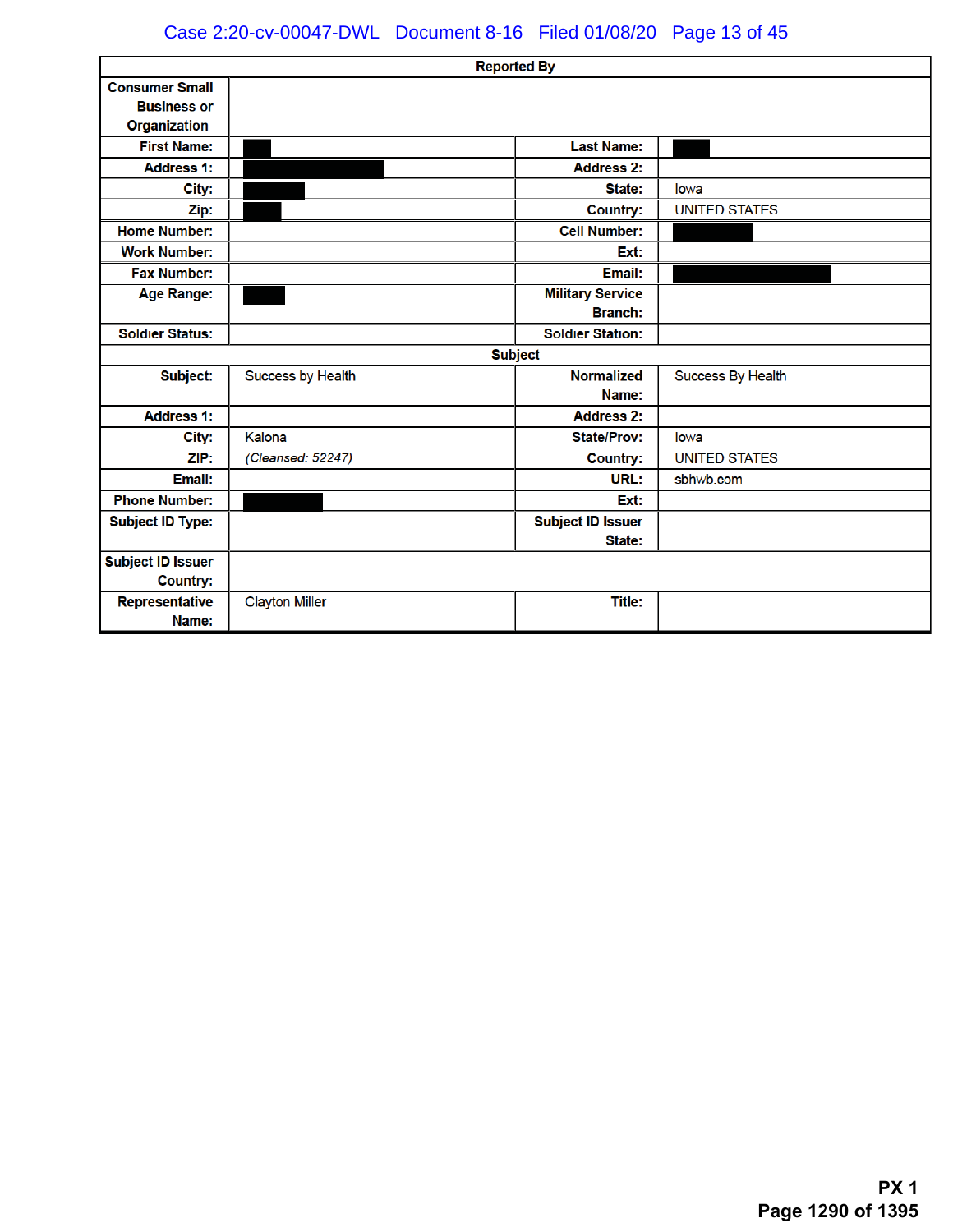### Case 2:20-cv-00047-DWL Document 8-16 Filed 01/08/20 Page 13 of 45

|                                                                    |                       | <b>Reported By</b>                        |                      |
|--------------------------------------------------------------------|-----------------------|-------------------------------------------|----------------------|
| <b>Consumer Small</b><br><b>Business or</b><br><b>Organization</b> |                       |                                           |                      |
| <b>First Name:</b>                                                 |                       | <b>Last Name:</b>                         |                      |
| <b>Address 1:</b>                                                  |                       | <b>Address 2:</b>                         |                      |
| City:                                                              |                       | State:                                    | lowa                 |
| Zip:                                                               |                       | <b>Country:</b>                           | <b>UNITED STATES</b> |
| <b>Home Number:</b>                                                |                       | <b>Cell Number:</b>                       |                      |
| <b>Work Number:</b>                                                |                       | Ext:                                      |                      |
| <b>Fax Number:</b>                                                 |                       | Email:                                    |                      |
| <b>Age Range:</b>                                                  |                       | <b>Military Service</b><br><b>Branch:</b> |                      |
| <b>Soldier Status:</b>                                             |                       | <b>Soldier Station:</b>                   |                      |
|                                                                    |                       | <b>Subject</b>                            |                      |
| <b>Subject:</b>                                                    | Success by Health     | <b>Normalized</b><br>Name:                | Success By Health    |
| <b>Address 1:</b>                                                  |                       | <b>Address 2:</b>                         |                      |
| City:                                                              | Kalona                | <b>State/Prov:</b>                        | lowa                 |
| ZIP:                                                               | (Cleansed: 52247)     | <b>Country:</b>                           | <b>UNITED STATES</b> |
| Email:                                                             |                       | URL:                                      | sbhwb.com            |
| <b>Phone Number:</b>                                               |                       | Ext:                                      |                      |
| <b>Subject ID Type:</b>                                            |                       | <b>Subject ID Issuer</b><br>State:        |                      |
| <b>Subject ID Issuer</b><br><b>Country:</b>                        |                       |                                           |                      |
| Representative<br>Name:                                            | <b>Clayton Miller</b> | <b>Title:</b>                             |                      |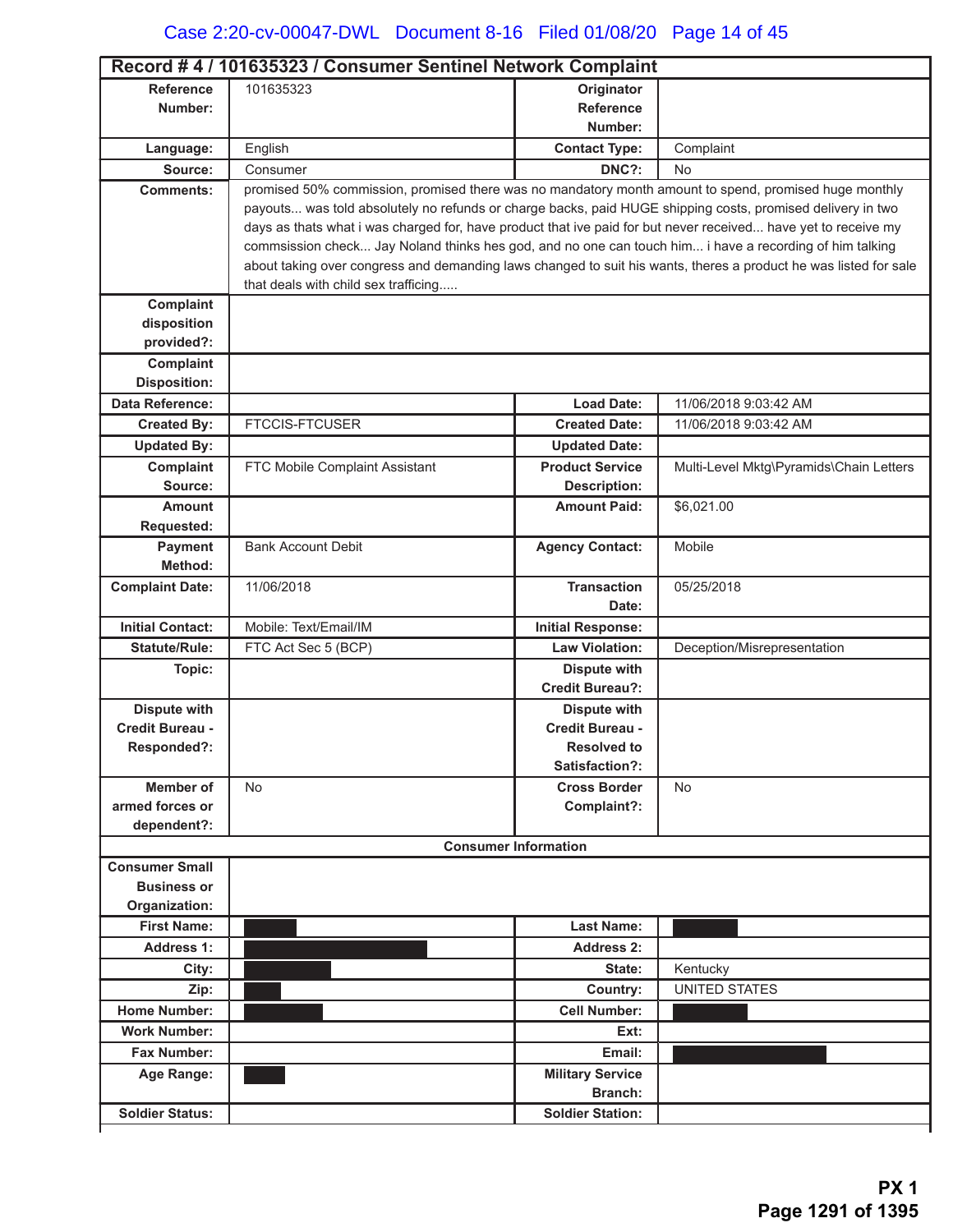| Record #4 / 101635323 / Consumer Sentinel Network Complaint |                                                                                                                                                                                                                             |                             |                                         |
|-------------------------------------------------------------|-----------------------------------------------------------------------------------------------------------------------------------------------------------------------------------------------------------------------------|-----------------------------|-----------------------------------------|
| <b>Reference</b>                                            | 101635323                                                                                                                                                                                                                   | Originator                  |                                         |
| Number:                                                     |                                                                                                                                                                                                                             | <b>Reference</b>            |                                         |
|                                                             |                                                                                                                                                                                                                             | Number:                     |                                         |
| Language:                                                   | English                                                                                                                                                                                                                     | <b>Contact Type:</b>        | Complaint                               |
| Source:                                                     | Consumer                                                                                                                                                                                                                    | DNC?:                       | No.                                     |
| <b>Comments:</b>                                            | promised 50% commission, promised there was no mandatory month amount to spend, promised huge monthly                                                                                                                       |                             |                                         |
|                                                             | payouts was told absolutely no refunds or charge backs, paid HUGE shipping costs, promised delivery in two                                                                                                                  |                             |                                         |
|                                                             | days as thats what i was charged for, have product that ive paid for but never received have yet to receive my                                                                                                              |                             |                                         |
|                                                             | commsission check Jay Noland thinks hes god, and no one can touch him i have a recording of him talking<br>about taking over congress and demanding laws changed to suit his wants, theres a product he was listed for sale |                             |                                         |
|                                                             | that deals with child sex trafficing                                                                                                                                                                                        |                             |                                         |
| Complaint                                                   |                                                                                                                                                                                                                             |                             |                                         |
| disposition                                                 |                                                                                                                                                                                                                             |                             |                                         |
| provided?:                                                  |                                                                                                                                                                                                                             |                             |                                         |
| Complaint                                                   |                                                                                                                                                                                                                             |                             |                                         |
| <b>Disposition:</b>                                         |                                                                                                                                                                                                                             |                             |                                         |
| Data Reference:                                             |                                                                                                                                                                                                                             | <b>Load Date:</b>           | 11/06/2018 9:03:42 AM                   |
| <b>Created By:</b>                                          | <b>FTCCIS-FTCUSER</b>                                                                                                                                                                                                       | <b>Created Date:</b>        | 11/06/2018 9:03:42 AM                   |
| <b>Updated By:</b>                                          |                                                                                                                                                                                                                             | <b>Updated Date:</b>        |                                         |
| Complaint                                                   | FTC Mobile Complaint Assistant                                                                                                                                                                                              | <b>Product Service</b>      | Multi-Level Mktg\Pyramids\Chain Letters |
| Source:                                                     |                                                                                                                                                                                                                             | <b>Description:</b>         |                                         |
| <b>Amount</b>                                               |                                                                                                                                                                                                                             | <b>Amount Paid:</b>         | \$6,021.00                              |
| <b>Requested:</b>                                           |                                                                                                                                                                                                                             |                             |                                         |
| <b>Payment</b>                                              | <b>Bank Account Debit</b>                                                                                                                                                                                                   | <b>Agency Contact:</b>      | Mobile                                  |
| Method:                                                     |                                                                                                                                                                                                                             |                             |                                         |
| <b>Complaint Date:</b>                                      | 11/06/2018                                                                                                                                                                                                                  | <b>Transaction</b>          | 05/25/2018                              |
|                                                             |                                                                                                                                                                                                                             | Date:                       |                                         |
| <b>Initial Contact:</b>                                     | Mobile: Text/Email/IM                                                                                                                                                                                                       | <b>Initial Response:</b>    |                                         |
| <b>Statute/Rule:</b>                                        | FTC Act Sec 5 (BCP)                                                                                                                                                                                                         | <b>Law Violation:</b>       | Deception/Misrepresentation             |
| Topic:                                                      |                                                                                                                                                                                                                             | <b>Dispute with</b>         |                                         |
|                                                             |                                                                                                                                                                                                                             | <b>Credit Bureau?:</b>      |                                         |
| <b>Dispute with</b>                                         |                                                                                                                                                                                                                             | <b>Dispute with</b>         |                                         |
| Credit Bureau -                                             |                                                                                                                                                                                                                             | Credit Bureau -             |                                         |
| Responded?:                                                 |                                                                                                                                                                                                                             | <b>Resolved to</b>          |                                         |
|                                                             |                                                                                                                                                                                                                             | Satisfaction?:              |                                         |
| Member of<br>armed forces or                                | <b>No</b>                                                                                                                                                                                                                   | <b>Cross Border</b>         | No                                      |
| dependent?:                                                 |                                                                                                                                                                                                                             | Complaint?:                 |                                         |
|                                                             |                                                                                                                                                                                                                             | <b>Consumer Information</b> |                                         |
| <b>Consumer Small</b>                                       |                                                                                                                                                                                                                             |                             |                                         |
| <b>Business or</b>                                          |                                                                                                                                                                                                                             |                             |                                         |
| Organization:                                               |                                                                                                                                                                                                                             |                             |                                         |
| <b>First Name:</b>                                          |                                                                                                                                                                                                                             | <b>Last Name:</b>           |                                         |
| <b>Address 1:</b>                                           |                                                                                                                                                                                                                             | <b>Address 2:</b>           |                                         |
| City:                                                       |                                                                                                                                                                                                                             | State:                      | Kentucky                                |
| Zip:                                                        |                                                                                                                                                                                                                             | Country:                    | <b>UNITED STATES</b>                    |
| <b>Home Number:</b>                                         |                                                                                                                                                                                                                             | <b>Cell Number:</b>         |                                         |
| <b>Work Number:</b>                                         |                                                                                                                                                                                                                             | Ext:                        |                                         |
| Fax Number:                                                 |                                                                                                                                                                                                                             | Email:                      |                                         |
| Age Range:                                                  |                                                                                                                                                                                                                             | <b>Military Service</b>     |                                         |
|                                                             |                                                                                                                                                                                                                             | <b>Branch:</b>              |                                         |
| <b>Soldier Status:</b>                                      |                                                                                                                                                                                                                             | <b>Soldier Station:</b>     |                                         |
|                                                             |                                                                                                                                                                                                                             |                             |                                         |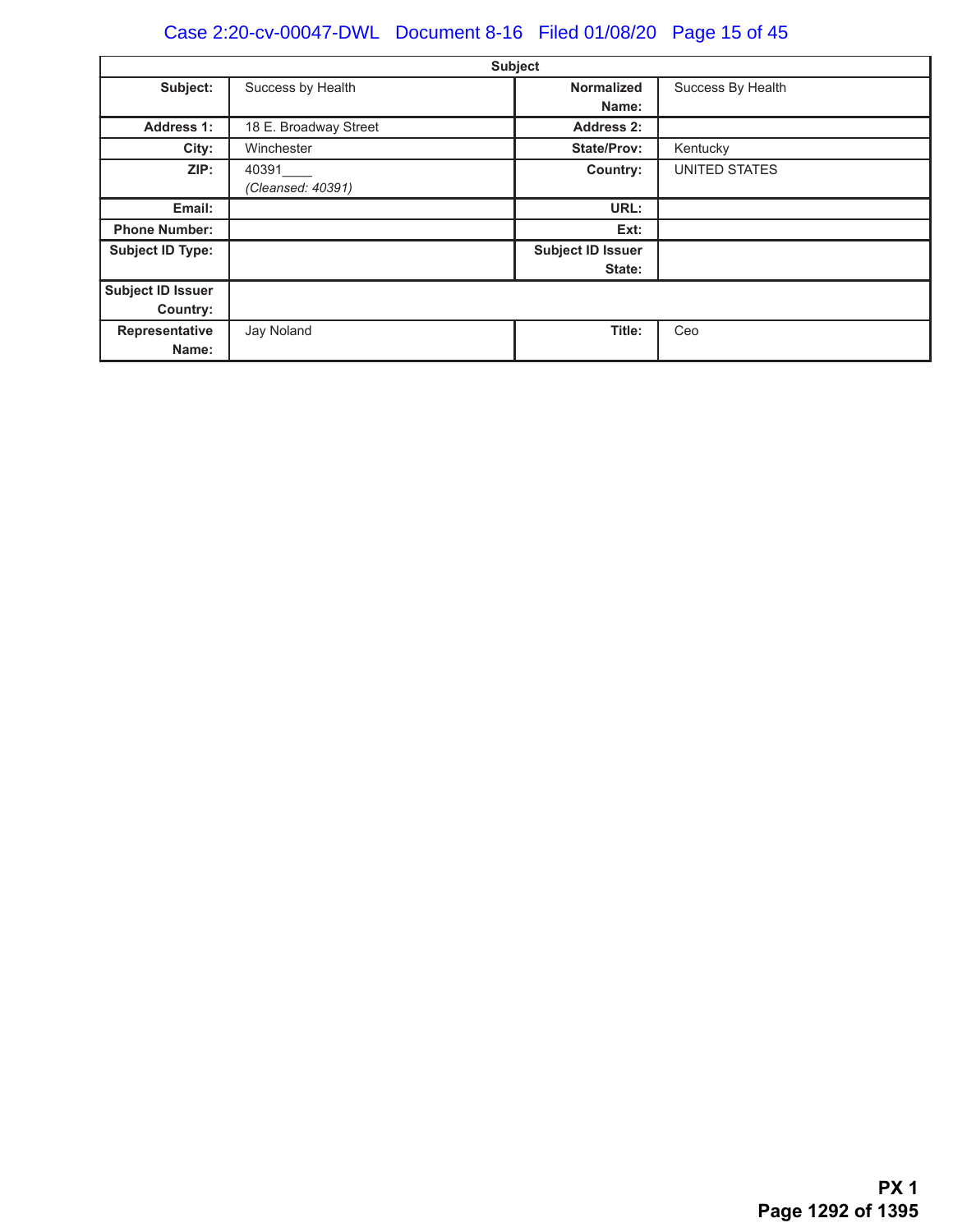# Case 2:20-cv-00047-DWL Document 8-16 Filed 01/08/20 Page 15 of 45

|                          |                       | <b>Subject</b>           |                      |
|--------------------------|-----------------------|--------------------------|----------------------|
| Subject:                 | Success by Health     | <b>Normalized</b>        | Success By Health    |
|                          |                       | Name:                    |                      |
| <b>Address 1:</b>        | 18 E. Broadway Street | <b>Address 2:</b>        |                      |
| City:                    | Winchester            | <b>State/Prov:</b>       | Kentucky             |
| ZIP:                     | 40391                 | Country:                 | <b>UNITED STATES</b> |
|                          | (Cleansed: 40391)     |                          |                      |
| Email:                   |                       | URL:                     |                      |
| <b>Phone Number:</b>     |                       | Ext:                     |                      |
| <b>Subject ID Type:</b>  |                       | <b>Subject ID Issuer</b> |                      |
|                          |                       | State:                   |                      |
| <b>Subject ID Issuer</b> |                       |                          |                      |
| Country:                 |                       |                          |                      |
| Representative           | Jay Noland            | Title:                   | Ceo                  |
| Name:                    |                       |                          |                      |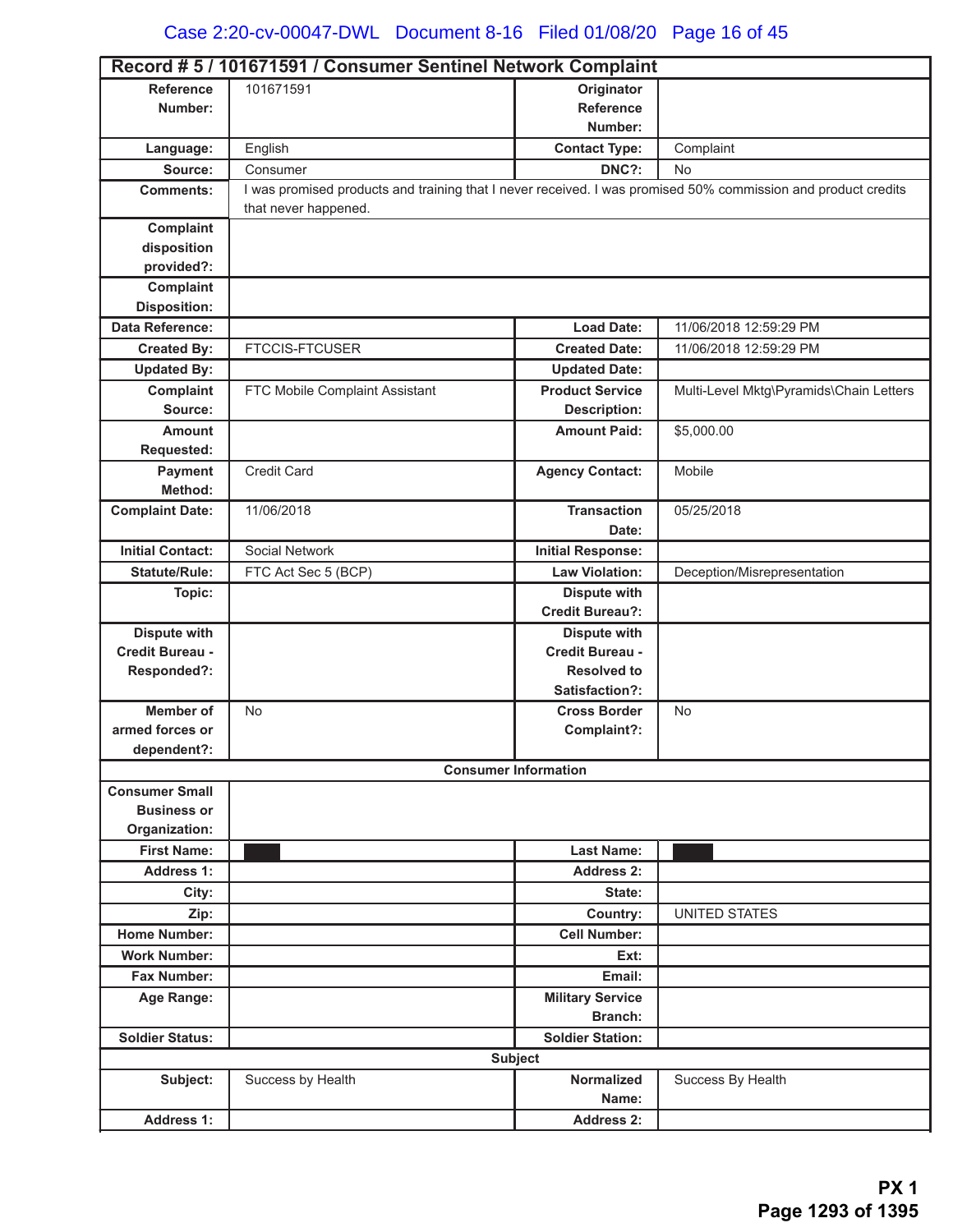|                         | Record # 5 / 101671591 / Consumer Sentinel Network Complaint                                                  |                                    |                                         |
|-------------------------|---------------------------------------------------------------------------------------------------------------|------------------------------------|-----------------------------------------|
| <b>Reference</b>        | 101671591                                                                                                     | Originator                         |                                         |
| Number:                 |                                                                                                               | <b>Reference</b>                   |                                         |
|                         |                                                                                                               | Number:                            |                                         |
| Language:               | English                                                                                                       | <b>Contact Type:</b>               | Complaint                               |
| Source:                 | Consumer                                                                                                      | DNC?:                              | No                                      |
| <b>Comments:</b>        | I was promised products and training that I never received. I was promised 50% commission and product credits |                                    |                                         |
|                         | that never happened.                                                                                          |                                    |                                         |
| Complaint               |                                                                                                               |                                    |                                         |
| disposition             |                                                                                                               |                                    |                                         |
| provided?:              |                                                                                                               |                                    |                                         |
| Complaint               |                                                                                                               |                                    |                                         |
| <b>Disposition:</b>     |                                                                                                               |                                    |                                         |
| <b>Data Reference:</b>  |                                                                                                               | <b>Load Date:</b>                  | 11/06/2018 12:59:29 PM                  |
| <b>Created By:</b>      | <b>FTCCIS-FTCUSER</b>                                                                                         | <b>Created Date:</b>               | 11/06/2018 12:59:29 PM                  |
| <b>Updated By:</b>      |                                                                                                               | <b>Updated Date:</b>               |                                         |
| Complaint               | FTC Mobile Complaint Assistant                                                                                | <b>Product Service</b>             | Multi-Level Mktg\Pyramids\Chain Letters |
| Source:                 |                                                                                                               | <b>Description:</b>                |                                         |
| <b>Amount</b>           |                                                                                                               | <b>Amount Paid:</b>                | \$5,000.00                              |
| Requested:              |                                                                                                               |                                    |                                         |
| Payment                 | <b>Credit Card</b>                                                                                            | <b>Agency Contact:</b>             | Mobile                                  |
| Method:                 |                                                                                                               |                                    |                                         |
| <b>Complaint Date:</b>  | 11/06/2018                                                                                                    | <b>Transaction</b>                 | 05/25/2018                              |
|                         |                                                                                                               | Date:                              |                                         |
| <b>Initial Contact:</b> | <b>Social Network</b>                                                                                         | <b>Initial Response:</b>           |                                         |
| <b>Statute/Rule:</b>    | FTC Act Sec 5 (BCP)                                                                                           | <b>Law Violation:</b>              | Deception/Misrepresentation             |
| Topic:                  |                                                                                                               | <b>Dispute with</b>                |                                         |
|                         |                                                                                                               | <b>Credit Bureau?:</b>             |                                         |
| <b>Dispute with</b>     |                                                                                                               | <b>Dispute with</b>                |                                         |
| Credit Bureau -         |                                                                                                               | <b>Credit Bureau -</b>             |                                         |
| Responded?:             |                                                                                                               | <b>Resolved to</b>                 |                                         |
|                         |                                                                                                               | Satisfaction?:                     |                                         |
| <b>Member of</b>        | <b>No</b>                                                                                                     | <b>Cross Border</b>                | No                                      |
| armed forces or         |                                                                                                               | Complaint?:                        |                                         |
| dependent?:             |                                                                                                               | <b>Consumer Information</b>        |                                         |
| <b>Consumer Small</b>   |                                                                                                               |                                    |                                         |
| <b>Business or</b>      |                                                                                                               |                                    |                                         |
| Organization:           |                                                                                                               |                                    |                                         |
| <b>First Name:</b>      |                                                                                                               | <b>Last Name:</b>                  |                                         |
| <b>Address 1:</b>       |                                                                                                               | <b>Address 2:</b>                  |                                         |
| City:                   |                                                                                                               | State:                             |                                         |
| Zip:                    |                                                                                                               | Country:                           | <b>UNITED STATES</b>                    |
| <b>Home Number:</b>     |                                                                                                               | <b>Cell Number:</b>                |                                         |
| <b>Work Number:</b>     |                                                                                                               | Ext:                               |                                         |
|                         |                                                                                                               | Email:                             |                                         |
| Fax Number:             |                                                                                                               |                                    |                                         |
| Age Range:              |                                                                                                               | <b>Military Service</b><br>Branch: |                                         |
| <b>Soldier Status:</b>  |                                                                                                               | <b>Soldier Station:</b>            |                                         |
|                         |                                                                                                               | <b>Subject</b>                     |                                         |
|                         |                                                                                                               |                                    |                                         |
| Subject:                | Success by Health                                                                                             | <b>Normalized</b><br>Name:         | Success By Health                       |
|                         |                                                                                                               |                                    |                                         |
| <b>Address 1:</b>       |                                                                                                               | <b>Address 2:</b>                  |                                         |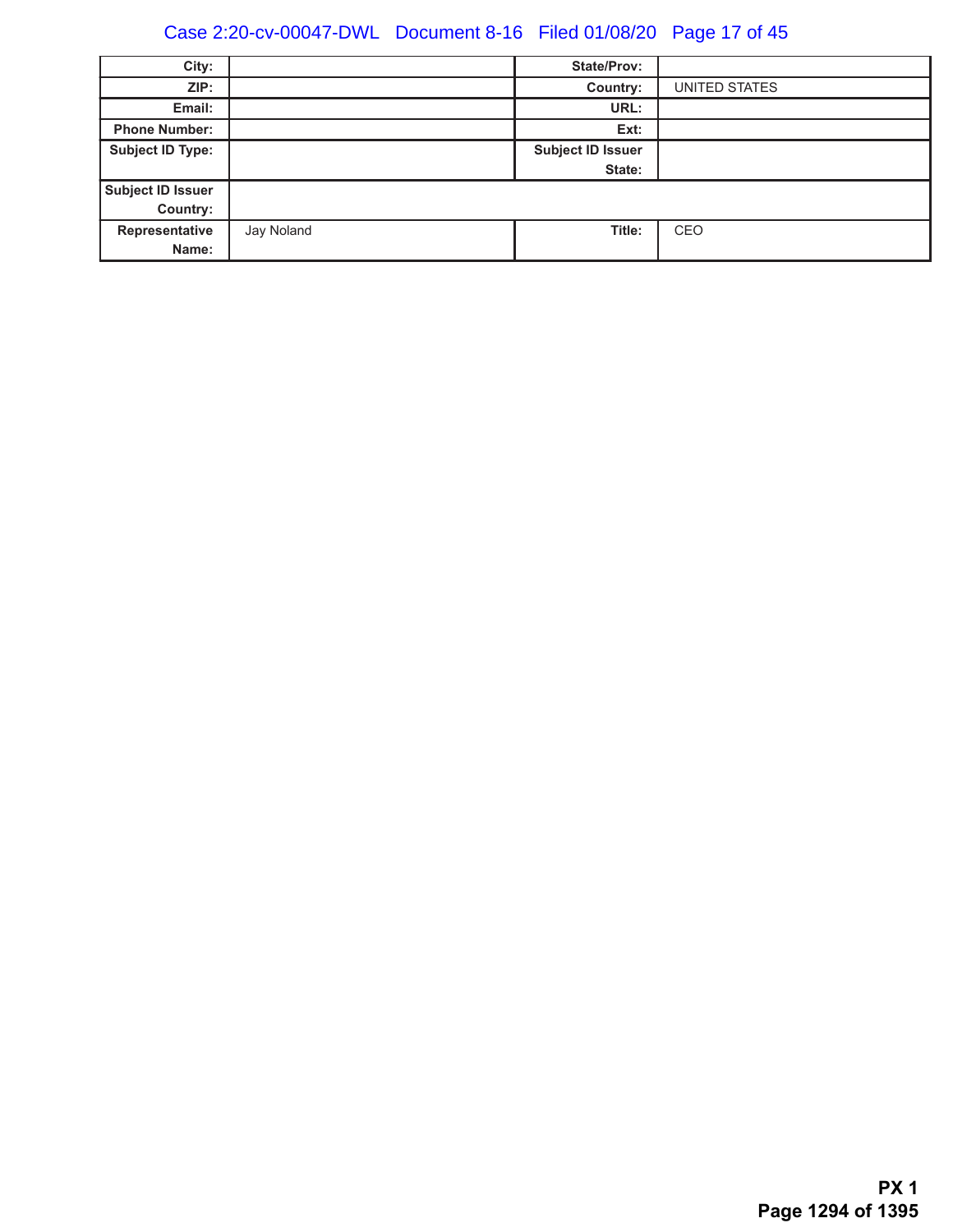# Case 2:20-cv-00047-DWL Document 8-16 Filed 01/08/20 Page 17 of 45

| City:                   |            | <b>State/Prov:</b>       |               |
|-------------------------|------------|--------------------------|---------------|
| ZIP:                    |            | Country:                 | UNITED STATES |
| Email:                  |            | URL:                     |               |
| <b>Phone Number:</b>    |            | Ext:                     |               |
| <b>Subject ID Type:</b> |            | <b>Subject ID Issuer</b> |               |
|                         |            | State:                   |               |
| Subject ID Issuer       |            |                          |               |
| Country:                |            |                          |               |
| Representative          | Jay Noland | Title:                   | CEO           |
| Name:                   |            |                          |               |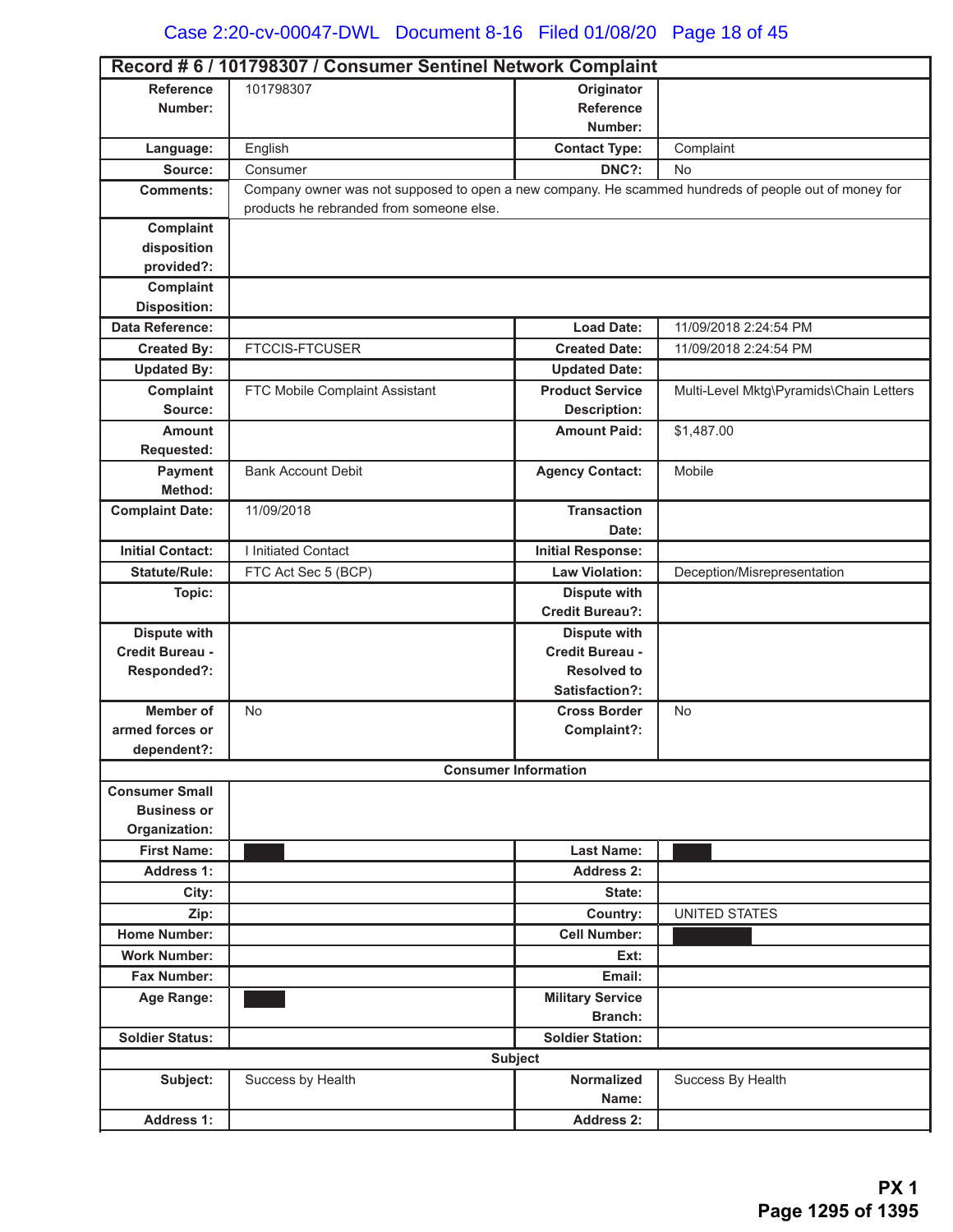# Case 2:20-cv-00047-DWL Document 8-16 Filed 01/08/20 Page 18 of 45

|                         | Record # 6 / 101798307 / Consumer Sentinel Network Complaint                                         |                                      |                                         |
|-------------------------|------------------------------------------------------------------------------------------------------|--------------------------------------|-----------------------------------------|
| <b>Reference</b>        | 101798307                                                                                            | Originator                           |                                         |
| Number:                 |                                                                                                      | <b>Reference</b>                     |                                         |
|                         |                                                                                                      | Number:                              |                                         |
| Language:               | English                                                                                              | <b>Contact Type:</b>                 | Complaint                               |
| Source:                 | Consumer                                                                                             | DNC?:                                | <b>No</b>                               |
| <b>Comments:</b>        | Company owner was not supposed to open a new company. He scammed hundreds of people out of money for |                                      |                                         |
|                         | products he rebranded from someone else.                                                             |                                      |                                         |
| Complaint               |                                                                                                      |                                      |                                         |
| disposition             |                                                                                                      |                                      |                                         |
| provided?:              |                                                                                                      |                                      |                                         |
| Complaint               |                                                                                                      |                                      |                                         |
| <b>Disposition:</b>     |                                                                                                      |                                      |                                         |
| Data Reference:         |                                                                                                      | <b>Load Date:</b>                    | 11/09/2018 2:24:54 PM                   |
| <b>Created By:</b>      | <b>FTCCIS-FTCUSER</b>                                                                                | <b>Created Date:</b>                 | 11/09/2018 2:24:54 PM                   |
| <b>Updated By:</b>      |                                                                                                      | <b>Updated Date:</b>                 |                                         |
| Complaint               | FTC Mobile Complaint Assistant                                                                       | <b>Product Service</b>               | Multi-Level Mktg\Pyramids\Chain Letters |
| Source:                 |                                                                                                      | <b>Description:</b>                  |                                         |
| <b>Amount</b>           |                                                                                                      | <b>Amount Paid:</b>                  | \$1,487.00                              |
| <b>Requested:</b>       |                                                                                                      |                                      |                                         |
| Payment                 | <b>Bank Account Debit</b>                                                                            | <b>Agency Contact:</b>               | Mobile                                  |
| Method:                 |                                                                                                      |                                      |                                         |
| <b>Complaint Date:</b>  | 11/09/2018                                                                                           | <b>Transaction</b>                   |                                         |
|                         |                                                                                                      | Date:                                |                                         |
| <b>Initial Contact:</b> | I Initiated Contact                                                                                  | <b>Initial Response:</b>             |                                         |
| <b>Statute/Rule:</b>    | FTC Act Sec 5 (BCP)                                                                                  | <b>Law Violation:</b>                | Deception/Misrepresentation             |
| Topic:                  |                                                                                                      | <b>Dispute with</b>                  |                                         |
|                         |                                                                                                      | <b>Credit Bureau?:</b>               |                                         |
| <b>Dispute with</b>     |                                                                                                      | <b>Dispute with</b>                  |                                         |
| Credit Bureau -         |                                                                                                      | Credit Bureau -                      |                                         |
| Responded?:             |                                                                                                      | <b>Resolved to</b><br>Satisfaction?: |                                         |
| <b>Member of</b>        | <b>No</b>                                                                                            | <b>Cross Border</b>                  | <b>No</b>                               |
| armed forces or         |                                                                                                      | Complaint?:                          |                                         |
| dependent?:             |                                                                                                      |                                      |                                         |
|                         |                                                                                                      | <b>Consumer Information</b>          |                                         |
| <b>Consumer Small</b>   |                                                                                                      |                                      |                                         |
| <b>Business or</b>      |                                                                                                      |                                      |                                         |
| Organization:           |                                                                                                      |                                      |                                         |
| <b>First Name:</b>      |                                                                                                      | <b>Last Name:</b>                    |                                         |
| <b>Address 1:</b>       |                                                                                                      | <b>Address 2:</b>                    |                                         |
| City:                   |                                                                                                      | State:                               |                                         |
| Zip:                    |                                                                                                      | Country:                             | <b>UNITED STATES</b>                    |
| <b>Home Number:</b>     |                                                                                                      | <b>Cell Number:</b>                  |                                         |
| <b>Work Number:</b>     |                                                                                                      | Ext:                                 |                                         |
| Fax Number:             |                                                                                                      | Email:                               |                                         |
| Age Range:              |                                                                                                      | <b>Military Service</b>              |                                         |
|                         |                                                                                                      | Branch:                              |                                         |
| <b>Soldier Status:</b>  |                                                                                                      | <b>Soldier Station:</b>              |                                         |
|                         |                                                                                                      | <b>Subject</b>                       |                                         |
| Subject:                | Success by Health                                                                                    | <b>Normalized</b>                    | Success By Health                       |
|                         |                                                                                                      | Name:                                |                                         |
| <b>Address 1:</b>       |                                                                                                      | <b>Address 2:</b>                    |                                         |
|                         |                                                                                                      |                                      |                                         |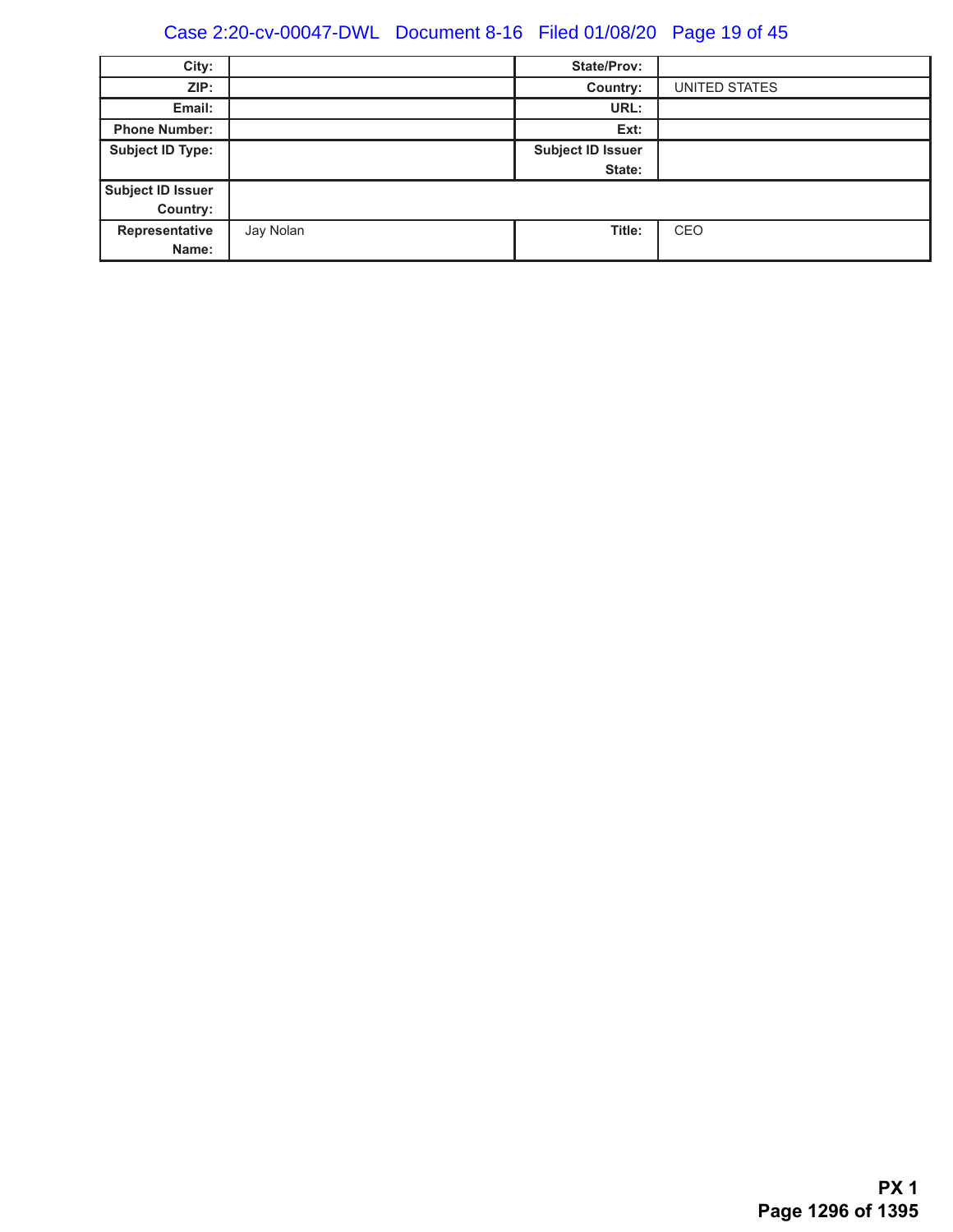# Case 2:20-cv-00047-DWL Document 8-16 Filed 01/08/20 Page 19 of 45

| City:                   |           | <b>State/Prov:</b>       |               |
|-------------------------|-----------|--------------------------|---------------|
| ZIP:                    |           | Country:                 | UNITED STATES |
| Email:                  |           | URL:                     |               |
| <b>Phone Number:</b>    |           | Ext:                     |               |
| <b>Subject ID Type:</b> |           | <b>Subject ID Issuer</b> |               |
|                         |           | State:                   |               |
| Subject ID Issuer       |           |                          |               |
| Country:                |           |                          |               |
| Representative          | Jay Nolan | Title:                   | CEO           |
| Name:                   |           |                          |               |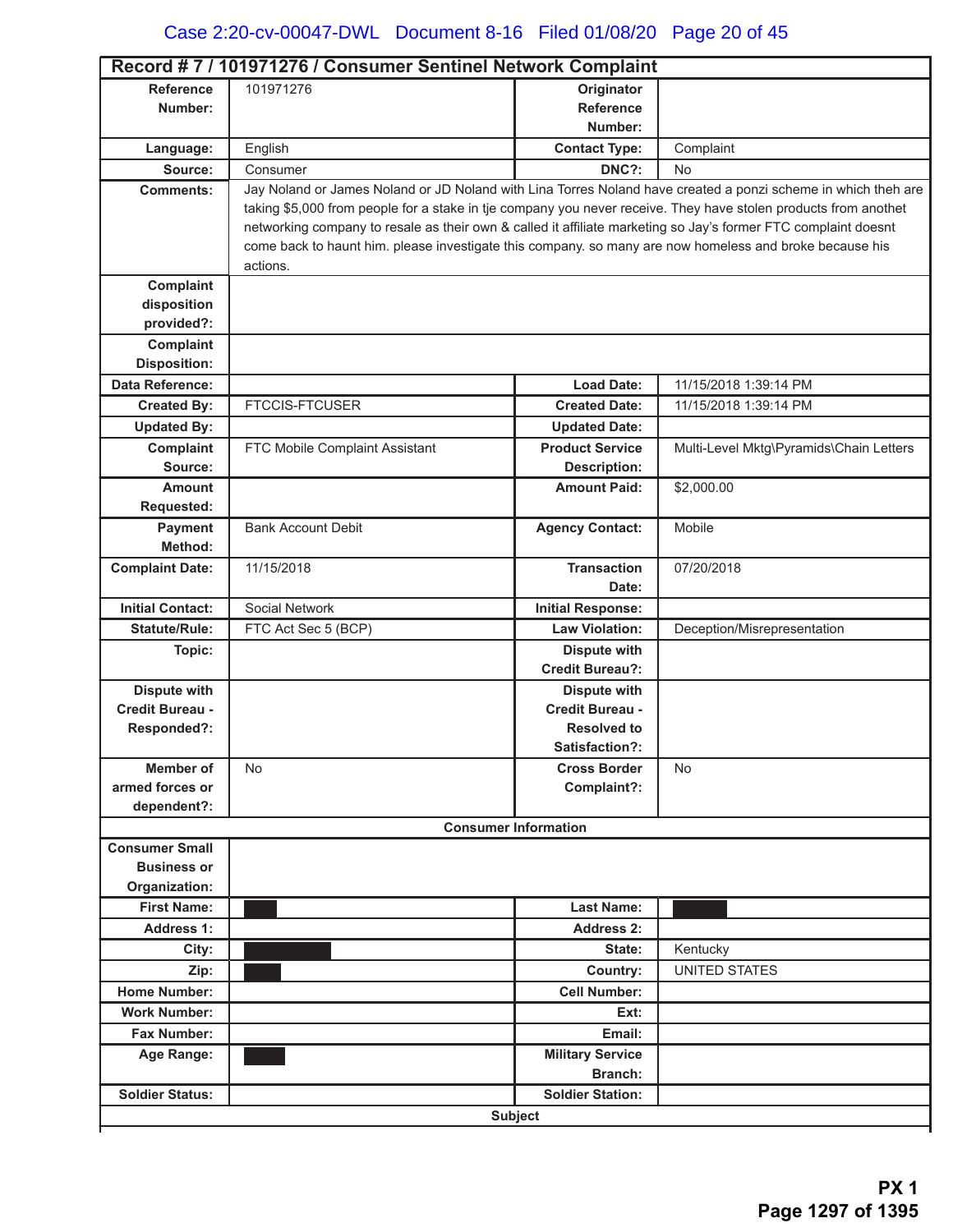| Record #7 / 101971276 / Consumer Sentinel Network Complaint |                                                                                                                 |                             |                                                                                                               |  |
|-------------------------------------------------------------|-----------------------------------------------------------------------------------------------------------------|-----------------------------|---------------------------------------------------------------------------------------------------------------|--|
| <b>Reference</b>                                            | 101971276                                                                                                       | Originator                  |                                                                                                               |  |
| Number:                                                     |                                                                                                                 | <b>Reference</b>            |                                                                                                               |  |
|                                                             |                                                                                                                 | Number:                     |                                                                                                               |  |
| Language:                                                   | English                                                                                                         | <b>Contact Type:</b>        | Complaint                                                                                                     |  |
| Source:                                                     | Consumer                                                                                                        | DNC?:                       | No                                                                                                            |  |
| <b>Comments:</b>                                            |                                                                                                                 |                             | Jay Noland or James Noland or JD Noland with Lina Torres Noland have created a ponzi scheme in which theh are |  |
|                                                             | taking \$5,000 from people for a stake in tje company you never receive. They have stolen products from anothet |                             |                                                                                                               |  |
|                                                             | networking company to resale as their own & called it affiliate marketing so Jay's former FTC complaint doesnt  |                             |                                                                                                               |  |
|                                                             | come back to haunt him. please investigate this company. so many are now homeless and broke because his         |                             |                                                                                                               |  |
|                                                             | actions.                                                                                                        |                             |                                                                                                               |  |
| Complaint<br>disposition                                    |                                                                                                                 |                             |                                                                                                               |  |
| provided?:                                                  |                                                                                                                 |                             |                                                                                                               |  |
| Complaint                                                   |                                                                                                                 |                             |                                                                                                               |  |
| <b>Disposition:</b>                                         |                                                                                                                 |                             |                                                                                                               |  |
| Data Reference:                                             |                                                                                                                 | <b>Load Date:</b>           | 11/15/2018 1:39:14 PM                                                                                         |  |
| <b>Created By:</b>                                          | <b>FTCCIS-FTCUSER</b>                                                                                           | <b>Created Date:</b>        | 11/15/2018 1:39:14 PM                                                                                         |  |
| <b>Updated By:</b>                                          |                                                                                                                 | <b>Updated Date:</b>        |                                                                                                               |  |
| Complaint                                                   | FTC Mobile Complaint Assistant                                                                                  | <b>Product Service</b>      | Multi-Level Mktg\Pyramids\Chain Letters                                                                       |  |
| Source:                                                     |                                                                                                                 | <b>Description:</b>         |                                                                                                               |  |
| <b>Amount</b>                                               |                                                                                                                 | <b>Amount Paid:</b>         | \$2,000.00                                                                                                    |  |
| <b>Requested:</b>                                           |                                                                                                                 |                             |                                                                                                               |  |
| <b>Payment</b>                                              | <b>Bank Account Debit</b>                                                                                       | <b>Agency Contact:</b>      | Mobile                                                                                                        |  |
| Method:                                                     |                                                                                                                 |                             |                                                                                                               |  |
| <b>Complaint Date:</b>                                      | 11/15/2018                                                                                                      | <b>Transaction</b>          | 07/20/2018                                                                                                    |  |
|                                                             |                                                                                                                 | Date:                       |                                                                                                               |  |
| <b>Initial Contact:</b>                                     | Social Network                                                                                                  | <b>Initial Response:</b>    |                                                                                                               |  |
| <b>Statute/Rule:</b>                                        | FTC Act Sec 5 (BCP)                                                                                             | <b>Law Violation:</b>       | Deception/Misrepresentation                                                                                   |  |
| Topic:                                                      |                                                                                                                 | <b>Dispute with</b>         |                                                                                                               |  |
|                                                             |                                                                                                                 | <b>Credit Bureau?:</b>      |                                                                                                               |  |
| Dispute with                                                |                                                                                                                 | <b>Dispute with</b>         |                                                                                                               |  |
| Credit Bureau -                                             |                                                                                                                 | Credit Bureau -             |                                                                                                               |  |
| Responded?:                                                 |                                                                                                                 | <b>Resolved to</b>          |                                                                                                               |  |
|                                                             |                                                                                                                 | Satisfaction?:              |                                                                                                               |  |
| <b>Member of</b>                                            | No                                                                                                              | <b>Cross Border</b>         | <b>No</b>                                                                                                     |  |
| armed forces or                                             |                                                                                                                 | Complaint?:                 |                                                                                                               |  |
| dependent?:                                                 |                                                                                                                 |                             |                                                                                                               |  |
|                                                             |                                                                                                                 | <b>Consumer Information</b> |                                                                                                               |  |
| <b>Consumer Small</b>                                       |                                                                                                                 |                             |                                                                                                               |  |
| <b>Business or</b>                                          |                                                                                                                 |                             |                                                                                                               |  |
| Organization:                                               |                                                                                                                 |                             |                                                                                                               |  |
| <b>First Name:</b>                                          |                                                                                                                 | <b>Last Name:</b>           |                                                                                                               |  |
| <b>Address 1:</b>                                           |                                                                                                                 | Address 2:                  |                                                                                                               |  |
| City:                                                       |                                                                                                                 | State:                      | Kentucky                                                                                                      |  |
| Zip:                                                        |                                                                                                                 | Country:                    | <b>UNITED STATES</b>                                                                                          |  |
| <b>Home Number:</b>                                         |                                                                                                                 | <b>Cell Number:</b>         |                                                                                                               |  |
| <b>Work Number:</b>                                         |                                                                                                                 | Ext:                        |                                                                                                               |  |
| <b>Fax Number:</b>                                          |                                                                                                                 | Email:                      |                                                                                                               |  |
| Age Range:                                                  |                                                                                                                 | <b>Military Service</b>     |                                                                                                               |  |
|                                                             |                                                                                                                 | Branch:                     |                                                                                                               |  |
| <b>Soldier Status:</b>                                      |                                                                                                                 | <b>Soldier Station:</b>     |                                                                                                               |  |
| <b>Subject</b>                                              |                                                                                                                 |                             |                                                                                                               |  |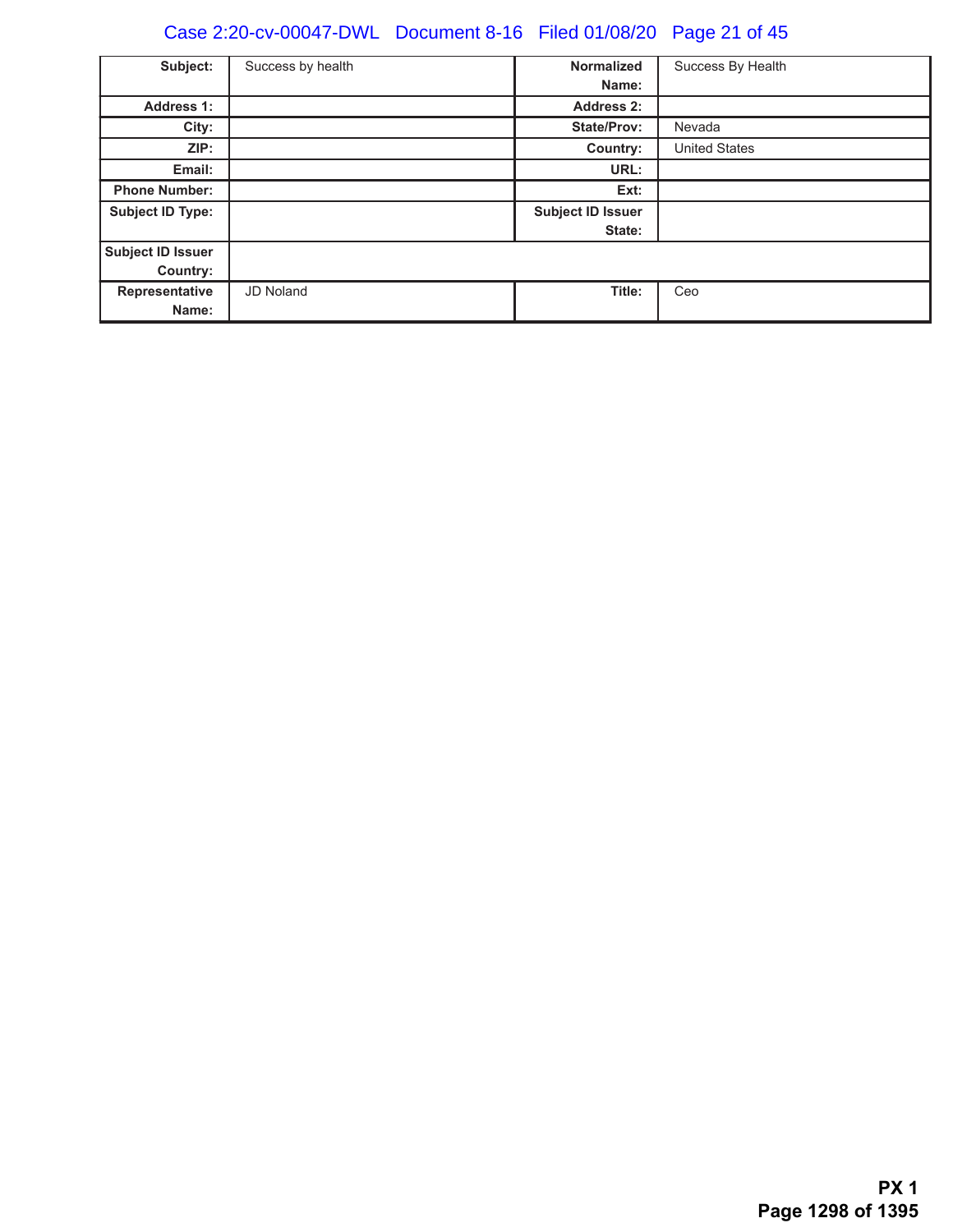# Case 2:20-cv-00047-DWL Document 8-16 Filed 01/08/20 Page 21 of 45

| Subject:                | Success by health | <b>Normalized</b>        | Success By Health    |
|-------------------------|-------------------|--------------------------|----------------------|
|                         |                   | Name:                    |                      |
| <b>Address 1:</b>       |                   | Address 2:               |                      |
| City:                   |                   | <b>State/Prov:</b>       | Nevada               |
| ZIP:                    |                   | Country:                 | <b>United States</b> |
| Email:                  |                   | URL:                     |                      |
| <b>Phone Number:</b>    |                   | Ext:                     |                      |
| <b>Subject ID Type:</b> |                   | <b>Subject ID Issuer</b> |                      |
|                         |                   | State:                   |                      |
| Subject ID Issuer       |                   |                          |                      |
| <b>Country:</b>         |                   |                          |                      |
| Representative          | <b>JD Noland</b>  | Title:                   | Ceo                  |
| Name:                   |                   |                          |                      |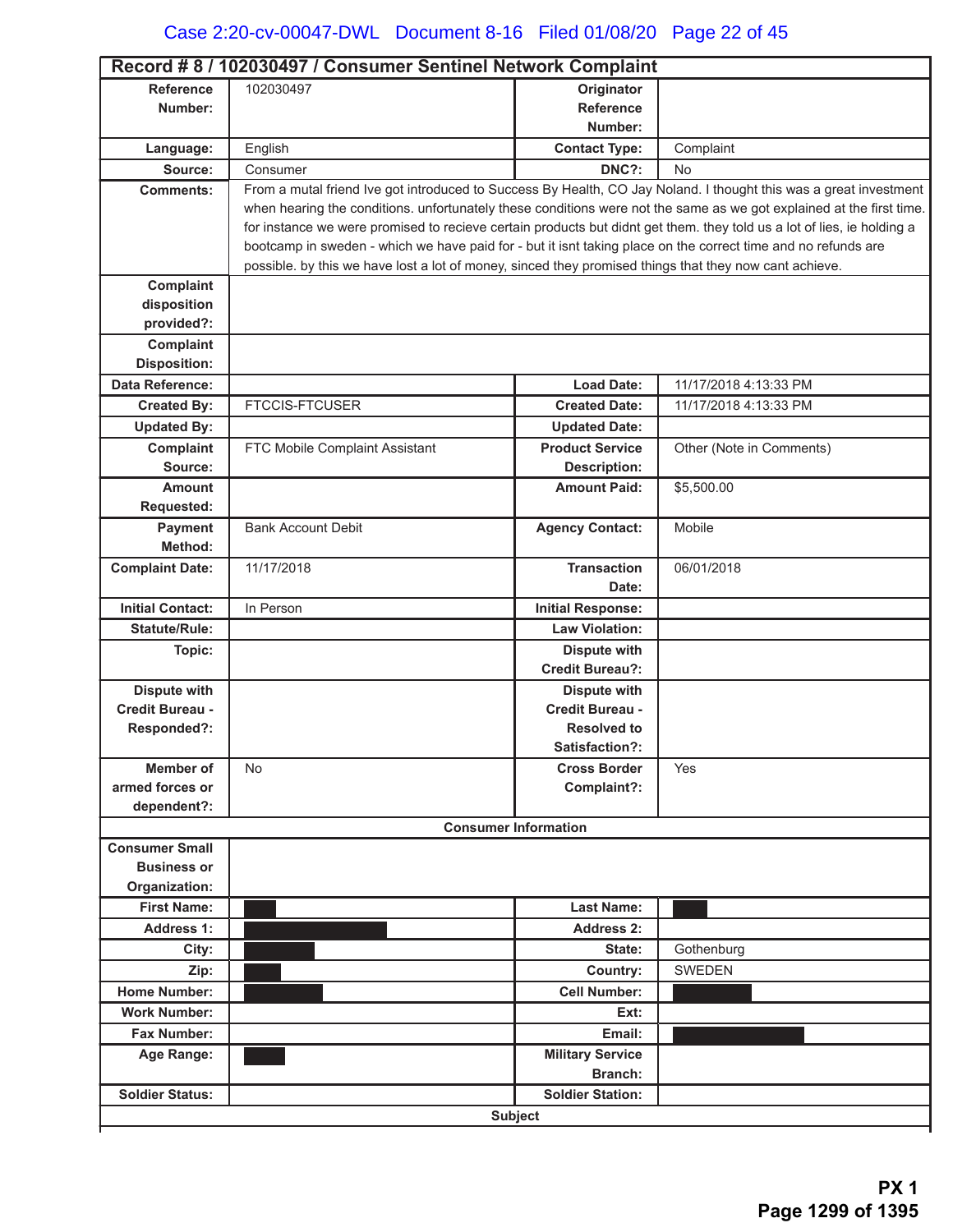| Record #8 / 102030497 / Consumer Sentinel Network Complaint |                                                                                                                        |                             |                          |  |  |
|-------------------------------------------------------------|------------------------------------------------------------------------------------------------------------------------|-----------------------------|--------------------------|--|--|
| <b>Reference</b>                                            | 102030497                                                                                                              | Originator                  |                          |  |  |
| Number:                                                     |                                                                                                                        | <b>Reference</b>            |                          |  |  |
|                                                             |                                                                                                                        | Number:                     |                          |  |  |
| Language:                                                   | English                                                                                                                | <b>Contact Type:</b>        | Complaint                |  |  |
| Source:                                                     | Consumer                                                                                                               | DNC?:                       | No                       |  |  |
| <b>Comments:</b>                                            | From a mutal friend Ive got introduced to Success By Health, CO Jay Noland. I thought this was a great investment      |                             |                          |  |  |
|                                                             | when hearing the conditions. unfortunately these conditions were not the same as we got explained at the first time.   |                             |                          |  |  |
|                                                             | for instance we were promised to recieve certain products but didnt get them. they told us a lot of lies, ie holding a |                             |                          |  |  |
|                                                             | bootcamp in sweden - which we have paid for - but it isnt taking place on the correct time and no refunds are          |                             |                          |  |  |
|                                                             | possible. by this we have lost a lot of money, sinced they promised things that they now cant achieve.                 |                             |                          |  |  |
| Complaint                                                   |                                                                                                                        |                             |                          |  |  |
| disposition                                                 |                                                                                                                        |                             |                          |  |  |
| provided?:                                                  |                                                                                                                        |                             |                          |  |  |
| Complaint                                                   |                                                                                                                        |                             |                          |  |  |
| <b>Disposition:</b>                                         |                                                                                                                        |                             |                          |  |  |
| Data Reference:                                             |                                                                                                                        | <b>Load Date:</b>           | 11/17/2018 4:13:33 PM    |  |  |
| <b>Created By:</b>                                          | <b>FTCCIS-FTCUSER</b>                                                                                                  | <b>Created Date:</b>        | 11/17/2018 4:13:33 PM    |  |  |
| <b>Updated By:</b>                                          |                                                                                                                        | <b>Updated Date:</b>        |                          |  |  |
| Complaint                                                   | FTC Mobile Complaint Assistant                                                                                         | <b>Product Service</b>      | Other (Note in Comments) |  |  |
| Source:                                                     |                                                                                                                        | <b>Description:</b>         |                          |  |  |
| <b>Amount</b>                                               |                                                                                                                        | <b>Amount Paid:</b>         | \$5,500.00               |  |  |
| Requested:                                                  |                                                                                                                        |                             |                          |  |  |
| Payment                                                     | <b>Bank Account Debit</b>                                                                                              | <b>Agency Contact:</b>      | Mobile                   |  |  |
| Method:                                                     |                                                                                                                        |                             |                          |  |  |
| <b>Complaint Date:</b>                                      | 11/17/2018                                                                                                             | <b>Transaction</b>          | 06/01/2018               |  |  |
|                                                             |                                                                                                                        | Date:                       |                          |  |  |
| <b>Initial Contact:</b>                                     | In Person                                                                                                              | <b>Initial Response:</b>    |                          |  |  |
| <b>Statute/Rule:</b>                                        |                                                                                                                        | <b>Law Violation:</b>       |                          |  |  |
| Topic:                                                      |                                                                                                                        | <b>Dispute with</b>         |                          |  |  |
|                                                             |                                                                                                                        | <b>Credit Bureau?:</b>      |                          |  |  |
| <b>Dispute with</b>                                         |                                                                                                                        | <b>Dispute with</b>         |                          |  |  |
| Credit Bureau -                                             |                                                                                                                        | Credit Bureau -             |                          |  |  |
| Responded?:                                                 |                                                                                                                        | <b>Resolved to</b>          |                          |  |  |
|                                                             |                                                                                                                        | Satisfaction?:              |                          |  |  |
| <b>Member of</b>                                            | No                                                                                                                     | <b>Cross Border</b>         | Yes                      |  |  |
| armed forces or                                             |                                                                                                                        | Complaint?:                 |                          |  |  |
| dependent?:                                                 |                                                                                                                        |                             |                          |  |  |
|                                                             |                                                                                                                        | <b>Consumer Information</b> |                          |  |  |
| <b>Consumer Small</b>                                       |                                                                                                                        |                             |                          |  |  |
| <b>Business or</b>                                          |                                                                                                                        |                             |                          |  |  |
| Organization:                                               |                                                                                                                        |                             |                          |  |  |
| <b>First Name:</b>                                          |                                                                                                                        | <b>Last Name:</b>           |                          |  |  |
| <b>Address 1:</b>                                           |                                                                                                                        | <b>Address 2:</b>           |                          |  |  |
| City:                                                       |                                                                                                                        | State:                      | Gothenburg               |  |  |
| Zip:                                                        |                                                                                                                        | Country:                    | <b>SWEDEN</b>            |  |  |
| <b>Home Number:</b>                                         |                                                                                                                        | <b>Cell Number:</b>         |                          |  |  |
| <b>Work Number:</b>                                         |                                                                                                                        | Ext:                        |                          |  |  |
| <b>Fax Number:</b>                                          |                                                                                                                        | Email:                      |                          |  |  |
| Age Range:                                                  |                                                                                                                        | <b>Military Service</b>     |                          |  |  |
|                                                             |                                                                                                                        | Branch:                     |                          |  |  |
| <b>Soldier Status:</b>                                      |                                                                                                                        | <b>Soldier Station:</b>     |                          |  |  |
|                                                             |                                                                                                                        | <b>Subject</b>              |                          |  |  |
|                                                             |                                                                                                                        |                             |                          |  |  |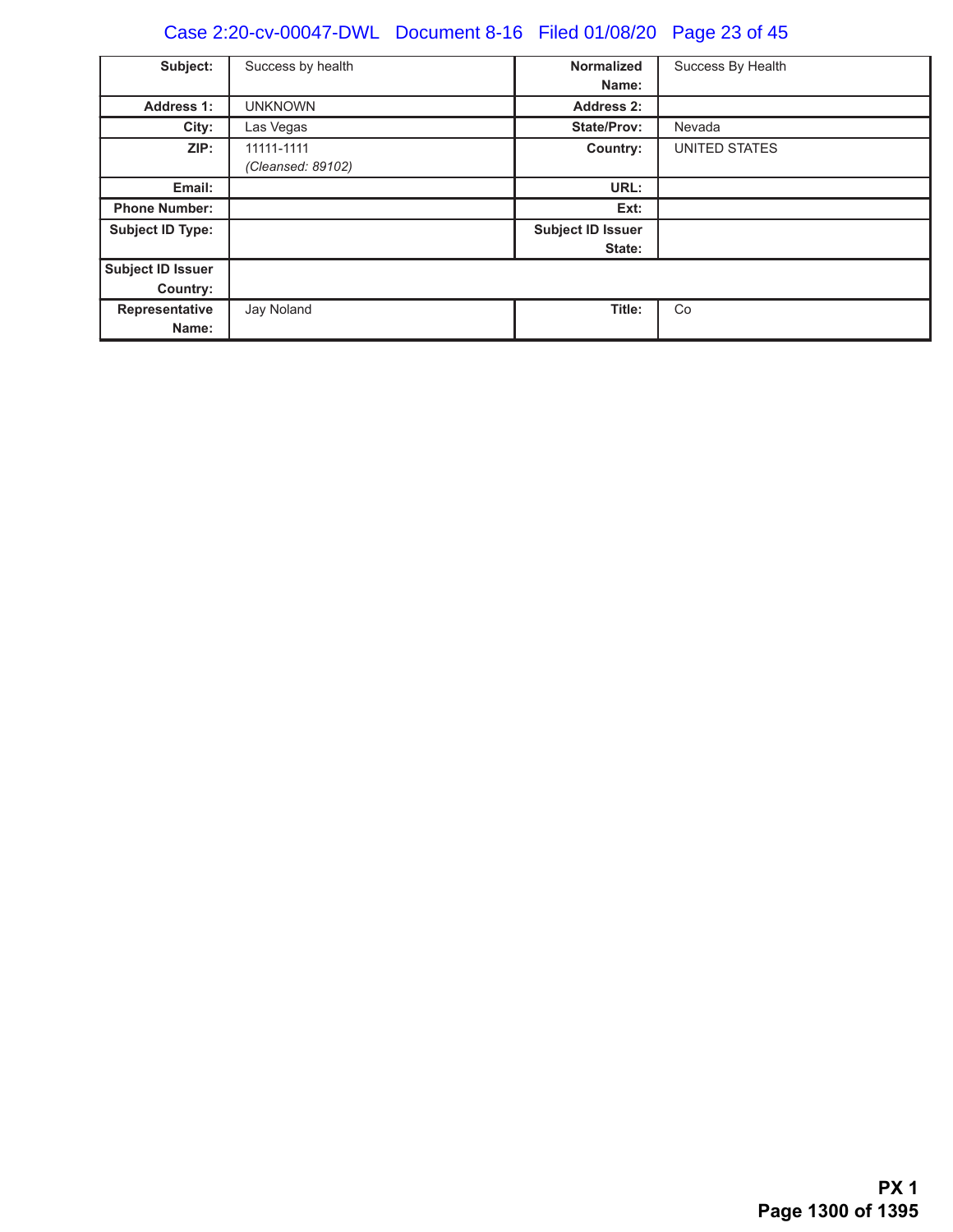# Case 2:20-cv-00047-DWL Document 8-16 Filed 01/08/20 Page 23 of 45

| Subject:                      | Success by health               | <b>Normalized</b>                  | Success By Health    |
|-------------------------------|---------------------------------|------------------------------------|----------------------|
|                               |                                 | Name:                              |                      |
| <b>Address 1:</b>             | <b>UNKNOWN</b>                  | <b>Address 2:</b>                  |                      |
| City:                         | Las Vegas                       | <b>State/Prov:</b>                 | Nevada               |
| ZIP:                          | 11111-1111<br>(Cleansed: 89102) | Country:                           | <b>UNITED STATES</b> |
| Email:                        |                                 | URL:                               |                      |
| <b>Phone Number:</b>          |                                 | Ext:                               |                      |
| <b>Subject ID Type:</b>       |                                 | <b>Subject ID Issuer</b><br>State: |                      |
| Subject ID Issuer<br>Country: |                                 |                                    |                      |
| Representative<br>Name:       | Jay Noland                      | Title:                             | Co                   |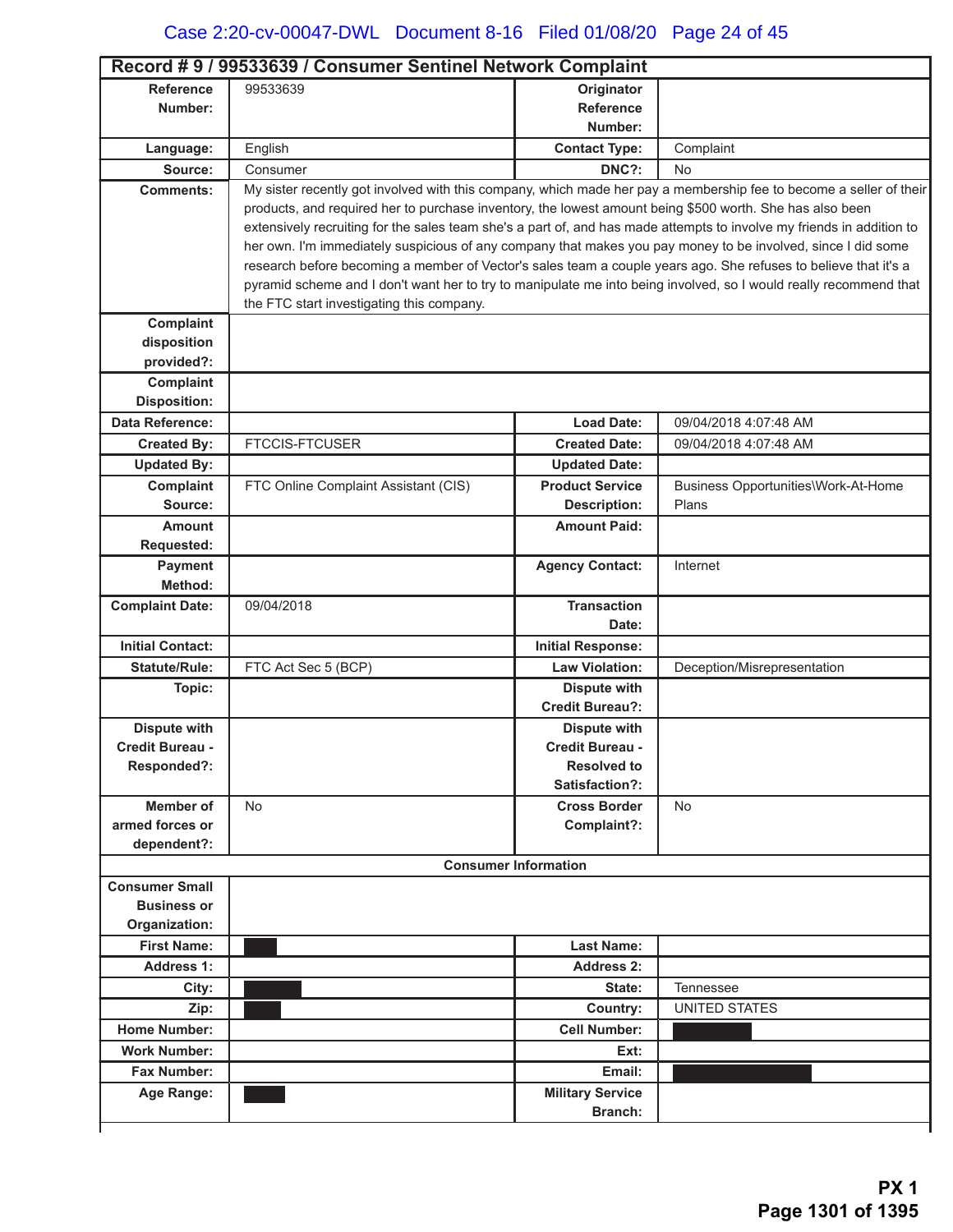|                                | Record #9 / 99533639 / Consumer Sentinel Network Complaint                                                                                                                                                                           |                             |                                                                                                                    |  |  |
|--------------------------------|--------------------------------------------------------------------------------------------------------------------------------------------------------------------------------------------------------------------------------------|-----------------------------|--------------------------------------------------------------------------------------------------------------------|--|--|
| <b>Reference</b>               | 99533639                                                                                                                                                                                                                             | Originator                  |                                                                                                                    |  |  |
| Number:                        |                                                                                                                                                                                                                                      | <b>Reference</b>            |                                                                                                                    |  |  |
|                                |                                                                                                                                                                                                                                      | Number:                     |                                                                                                                    |  |  |
| Language:                      | English                                                                                                                                                                                                                              | <b>Contact Type:</b>        | Complaint                                                                                                          |  |  |
| Source:                        | Consumer                                                                                                                                                                                                                             | DNC?:                       | No                                                                                                                 |  |  |
| <b>Comments:</b>               |                                                                                                                                                                                                                                      |                             | My sister recently got involved with this company, which made her pay a membership fee to become a seller of their |  |  |
|                                | products, and required her to purchase inventory, the lowest amount being \$500 worth. She has also been                                                                                                                             |                             |                                                                                                                    |  |  |
|                                | extensively recruiting for the sales team she's a part of, and has made attempts to involve my friends in addition to                                                                                                                |                             |                                                                                                                    |  |  |
|                                | her own. I'm immediately suspicious of any company that makes you pay money to be involved, since I did some                                                                                                                         |                             |                                                                                                                    |  |  |
|                                | research before becoming a member of Vector's sales team a couple years ago. She refuses to believe that it's a<br>pyramid scheme and I don't want her to try to manipulate me into being involved, so I would really recommend that |                             |                                                                                                                    |  |  |
|                                | the FTC start investigating this company.                                                                                                                                                                                            |                             |                                                                                                                    |  |  |
| Complaint                      |                                                                                                                                                                                                                                      |                             |                                                                                                                    |  |  |
| disposition                    |                                                                                                                                                                                                                                      |                             |                                                                                                                    |  |  |
| provided?:                     |                                                                                                                                                                                                                                      |                             |                                                                                                                    |  |  |
| Complaint                      |                                                                                                                                                                                                                                      |                             |                                                                                                                    |  |  |
| <b>Disposition:</b>            |                                                                                                                                                                                                                                      |                             |                                                                                                                    |  |  |
| <b>Data Reference:</b>         |                                                                                                                                                                                                                                      | <b>Load Date:</b>           | 09/04/2018 4:07:48 AM                                                                                              |  |  |
| <b>Created By:</b>             | <b>FTCCIS-FTCUSER</b>                                                                                                                                                                                                                | <b>Created Date:</b>        | 09/04/2018 4:07:48 AM                                                                                              |  |  |
| <b>Updated By:</b>             |                                                                                                                                                                                                                                      | <b>Updated Date:</b>        |                                                                                                                    |  |  |
| Complaint                      | FTC Online Complaint Assistant (CIS)                                                                                                                                                                                                 | <b>Product Service</b>      | Business Opportunities\Work-At-Home                                                                                |  |  |
| Source:                        |                                                                                                                                                                                                                                      | <b>Description:</b>         | Plans                                                                                                              |  |  |
| <b>Amount</b>                  |                                                                                                                                                                                                                                      | <b>Amount Paid:</b>         |                                                                                                                    |  |  |
| Requested:                     |                                                                                                                                                                                                                                      |                             |                                                                                                                    |  |  |
| <b>Payment</b>                 |                                                                                                                                                                                                                                      | <b>Agency Contact:</b>      | Internet                                                                                                           |  |  |
| Method:                        |                                                                                                                                                                                                                                      |                             |                                                                                                                    |  |  |
| <b>Complaint Date:</b>         | 09/04/2018                                                                                                                                                                                                                           | <b>Transaction</b>          |                                                                                                                    |  |  |
|                                |                                                                                                                                                                                                                                      | Date:                       |                                                                                                                    |  |  |
| <b>Initial Contact:</b>        |                                                                                                                                                                                                                                      | <b>Initial Response:</b>    |                                                                                                                    |  |  |
| <b>Statute/Rule:</b>           | FTC Act Sec 5 (BCP)                                                                                                                                                                                                                  | <b>Law Violation:</b>       | Deception/Misrepresentation                                                                                        |  |  |
| Topic:                         |                                                                                                                                                                                                                                      | <b>Dispute with</b>         |                                                                                                                    |  |  |
|                                |                                                                                                                                                                                                                                      | <b>Credit Bureau?:</b>      |                                                                                                                    |  |  |
| <b>Dispute with</b>            |                                                                                                                                                                                                                                      | <b>Dispute with</b>         |                                                                                                                    |  |  |
| Credit Bureau -                |                                                                                                                                                                                                                                      | Credit Bureau -             |                                                                                                                    |  |  |
| Responded?:                    |                                                                                                                                                                                                                                      | <b>Resolved to</b>          |                                                                                                                    |  |  |
|                                |                                                                                                                                                                                                                                      | Satisfaction?:              |                                                                                                                    |  |  |
| Member of                      | No                                                                                                                                                                                                                                   | <b>Cross Border</b>         | <b>No</b>                                                                                                          |  |  |
| armed forces or<br>dependent?: |                                                                                                                                                                                                                                      | Complaint?:                 |                                                                                                                    |  |  |
|                                |                                                                                                                                                                                                                                      | <b>Consumer Information</b> |                                                                                                                    |  |  |
| <b>Consumer Small</b>          |                                                                                                                                                                                                                                      |                             |                                                                                                                    |  |  |
| <b>Business or</b>             |                                                                                                                                                                                                                                      |                             |                                                                                                                    |  |  |
| Organization:                  |                                                                                                                                                                                                                                      |                             |                                                                                                                    |  |  |
| <b>First Name:</b>             |                                                                                                                                                                                                                                      | <b>Last Name:</b>           |                                                                                                                    |  |  |
| <b>Address 1:</b>              |                                                                                                                                                                                                                                      | <b>Address 2:</b>           |                                                                                                                    |  |  |
| City:                          |                                                                                                                                                                                                                                      | State:                      | Tennessee                                                                                                          |  |  |
| Zip:                           |                                                                                                                                                                                                                                      | Country:                    | <b>UNITED STATES</b>                                                                                               |  |  |
| <b>Home Number:</b>            |                                                                                                                                                                                                                                      | <b>Cell Number:</b>         |                                                                                                                    |  |  |
| <b>Work Number:</b>            |                                                                                                                                                                                                                                      | Ext:                        |                                                                                                                    |  |  |
| <b>Fax Number:</b>             |                                                                                                                                                                                                                                      | Email:                      |                                                                                                                    |  |  |
| Age Range:                     |                                                                                                                                                                                                                                      | <b>Military Service</b>     |                                                                                                                    |  |  |
|                                |                                                                                                                                                                                                                                      | <b>Branch:</b>              |                                                                                                                    |  |  |
|                                |                                                                                                                                                                                                                                      |                             |                                                                                                                    |  |  |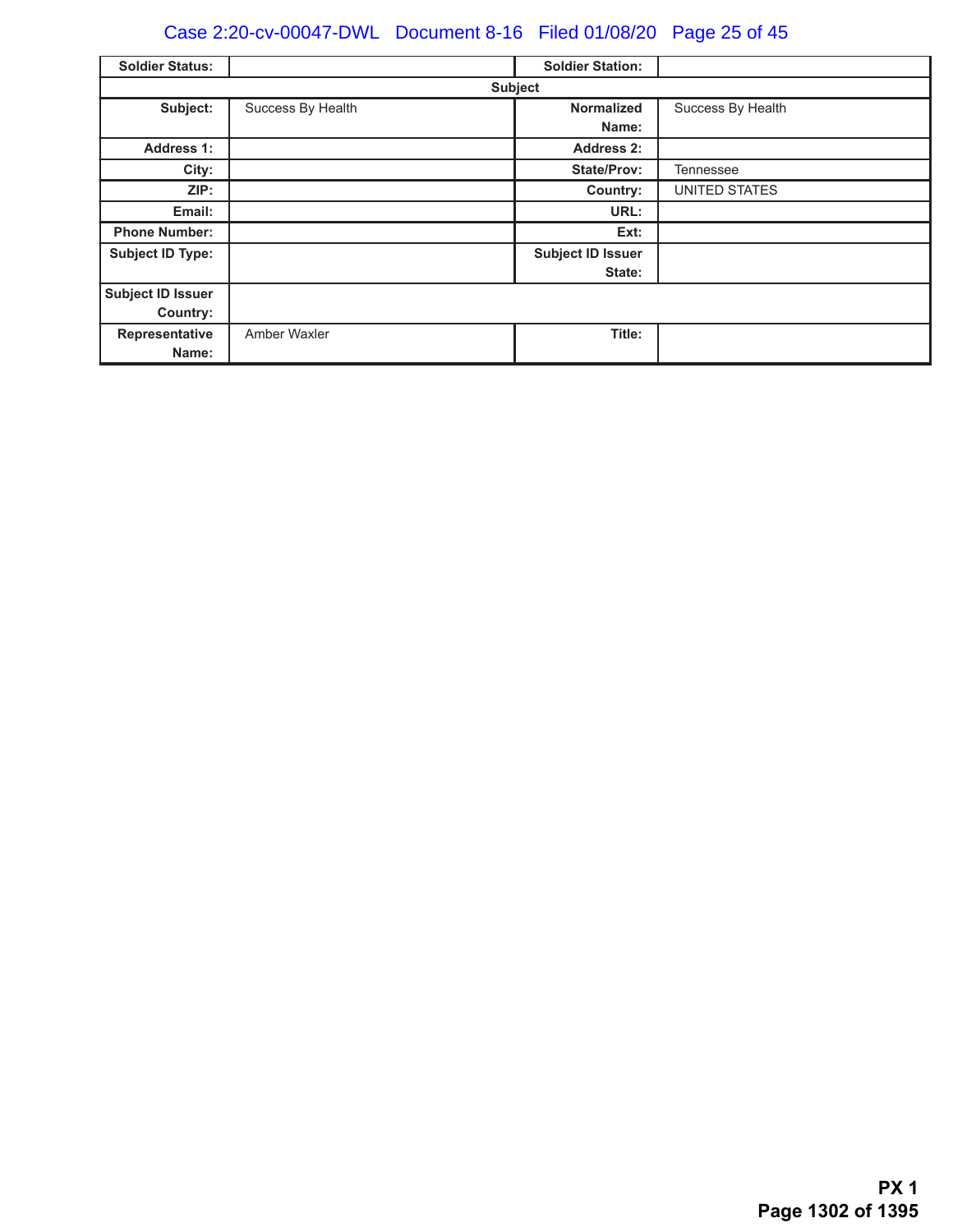# Case 2:20-cv-00047-DWL Document 8-16 Filed 01/08/20 Page 25 of 45

| <b>Soldier Status:</b>   |                   | <b>Soldier Station:</b>  |                      |  |  |
|--------------------------|-------------------|--------------------------|----------------------|--|--|
|                          | <b>Subject</b>    |                          |                      |  |  |
| Subject:                 | Success By Health | <b>Normalized</b>        | Success By Health    |  |  |
|                          |                   | Name:                    |                      |  |  |
| <b>Address 1:</b>        |                   | Address 2:               |                      |  |  |
| City:                    |                   | <b>State/Prov:</b>       | <b>Tennessee</b>     |  |  |
| ZIP:                     |                   | Country:                 | <b>UNITED STATES</b> |  |  |
| Email:                   |                   | URL:                     |                      |  |  |
| <b>Phone Number:</b>     |                   | Ext:                     |                      |  |  |
| <b>Subject ID Type:</b>  |                   | <b>Subject ID Issuer</b> |                      |  |  |
|                          |                   | State:                   |                      |  |  |
| <b>Subject ID Issuer</b> |                   |                          |                      |  |  |
| Country:                 |                   |                          |                      |  |  |
| Representative           | Amber Waxler      | Title:                   |                      |  |  |
| Name:                    |                   |                          |                      |  |  |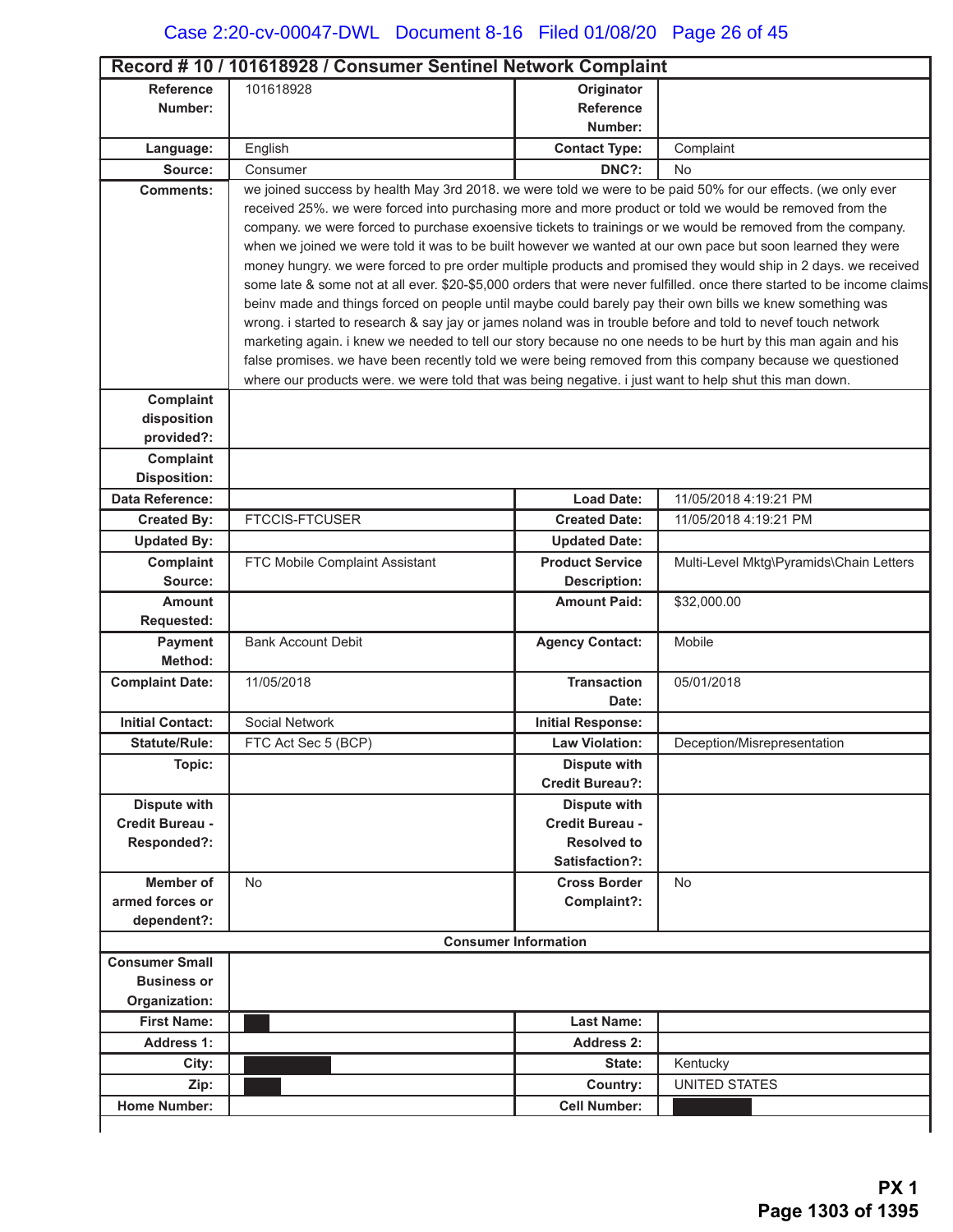|                                  | Record #10 / 101618928 / Consumer Sentinel Network Complaint                                                            |                             |                                         |  |  |
|----------------------------------|-------------------------------------------------------------------------------------------------------------------------|-----------------------------|-----------------------------------------|--|--|
| <b>Reference</b>                 | 101618928                                                                                                               | Originator                  |                                         |  |  |
| Number:                          |                                                                                                                         | <b>Reference</b>            |                                         |  |  |
|                                  |                                                                                                                         | Number:                     |                                         |  |  |
| Language:                        | English                                                                                                                 | <b>Contact Type:</b>        | Complaint                               |  |  |
| Source:                          | Consumer                                                                                                                | DNC?:                       | <b>No</b>                               |  |  |
| <b>Comments:</b>                 | we joined success by health May 3rd 2018. we were told we were to be paid 50% for our effects. (we only ever            |                             |                                         |  |  |
|                                  | received 25%. we were forced into purchasing more and more product or told we would be removed from the                 |                             |                                         |  |  |
|                                  | company. we were forced to purchase exoensive tickets to trainings or we would be removed from the company.             |                             |                                         |  |  |
|                                  | when we joined we were told it was to be built however we wanted at our own pace but soon learned they were             |                             |                                         |  |  |
|                                  | money hungry. we were forced to pre order multiple products and promised they would ship in 2 days. we received         |                             |                                         |  |  |
|                                  | some late & some not at all ever. \$20-\$5,000 orders that were never fulfilled. once there started to be income claims |                             |                                         |  |  |
|                                  | beinv made and things forced on people until maybe could barely pay their own bills we knew something was               |                             |                                         |  |  |
|                                  | wrong. i started to research & say jay or james noland was in trouble before and told to nevef touch network            |                             |                                         |  |  |
|                                  | marketing again. i knew we needed to tell our story because no one needs to be hurt by this man again and his           |                             |                                         |  |  |
|                                  | false promises. we have been recently told we were being removed from this company because we questioned                |                             |                                         |  |  |
|                                  | where our products were. we were told that was being negative. i just want to help shut this man down.                  |                             |                                         |  |  |
| Complaint                        |                                                                                                                         |                             |                                         |  |  |
| disposition<br>provided?:        |                                                                                                                         |                             |                                         |  |  |
|                                  |                                                                                                                         |                             |                                         |  |  |
| Complaint<br><b>Disposition:</b> |                                                                                                                         |                             |                                         |  |  |
| Data Reference:                  |                                                                                                                         | <b>Load Date:</b>           | 11/05/2018 4:19:21 PM                   |  |  |
|                                  | <b>FTCCIS-FTCUSER</b>                                                                                                   | <b>Created Date:</b>        | 11/05/2018 4:19:21 PM                   |  |  |
| <b>Created By:</b>               |                                                                                                                         |                             |                                         |  |  |
| <b>Updated By:</b>               |                                                                                                                         | <b>Updated Date:</b>        |                                         |  |  |
| Complaint                        | FTC Mobile Complaint Assistant                                                                                          | <b>Product Service</b>      | Multi-Level Mktg\Pyramids\Chain Letters |  |  |
| Source:                          |                                                                                                                         | <b>Description:</b>         |                                         |  |  |
| <b>Amount</b>                    |                                                                                                                         | <b>Amount Paid:</b>         | \$32,000.00                             |  |  |
| <b>Requested:</b>                |                                                                                                                         |                             | Mobile                                  |  |  |
| Payment<br>Method:               | <b>Bank Account Debit</b>                                                                                               | <b>Agency Contact:</b>      |                                         |  |  |
| <b>Complaint Date:</b>           | 11/05/2018                                                                                                              | <b>Transaction</b>          | 05/01/2018                              |  |  |
|                                  |                                                                                                                         | Date:                       |                                         |  |  |
| <b>Initial Contact:</b>          | Social Network                                                                                                          | <b>Initial Response:</b>    |                                         |  |  |
| <b>Statute/Rule:</b>             | FTC Act Sec 5 (BCP)                                                                                                     | <b>Law Violation:</b>       | Deception/Misrepresentation             |  |  |
| Topic:                           |                                                                                                                         | <b>Dispute with</b>         |                                         |  |  |
|                                  |                                                                                                                         | <b>Credit Bureau?:</b>      |                                         |  |  |
| <b>Dispute with</b>              |                                                                                                                         | <b>Dispute with</b>         |                                         |  |  |
| Credit Bureau -                  |                                                                                                                         | Credit Bureau -             |                                         |  |  |
| Responded?:                      |                                                                                                                         | <b>Resolved to</b>          |                                         |  |  |
|                                  |                                                                                                                         | Satisfaction?:              |                                         |  |  |
| <b>Member of</b>                 | No                                                                                                                      | <b>Cross Border</b>         | <b>No</b>                               |  |  |
| armed forces or                  |                                                                                                                         | Complaint?:                 |                                         |  |  |
| dependent?:                      |                                                                                                                         |                             |                                         |  |  |
|                                  |                                                                                                                         | <b>Consumer Information</b> |                                         |  |  |
| <b>Consumer Small</b>            |                                                                                                                         |                             |                                         |  |  |
| <b>Business or</b>               |                                                                                                                         |                             |                                         |  |  |
| Organization:                    |                                                                                                                         |                             |                                         |  |  |
| <b>First Name:</b>               |                                                                                                                         | <b>Last Name:</b>           |                                         |  |  |
| Address 1:                       |                                                                                                                         | Address 2:                  |                                         |  |  |
| City:                            |                                                                                                                         | State:                      | Kentucky                                |  |  |
| Zip:                             |                                                                                                                         | Country:                    | <b>UNITED STATES</b>                    |  |  |
| <b>Home Number:</b>              |                                                                                                                         | <b>Cell Number:</b>         |                                         |  |  |
|                                  |                                                                                                                         |                             |                                         |  |  |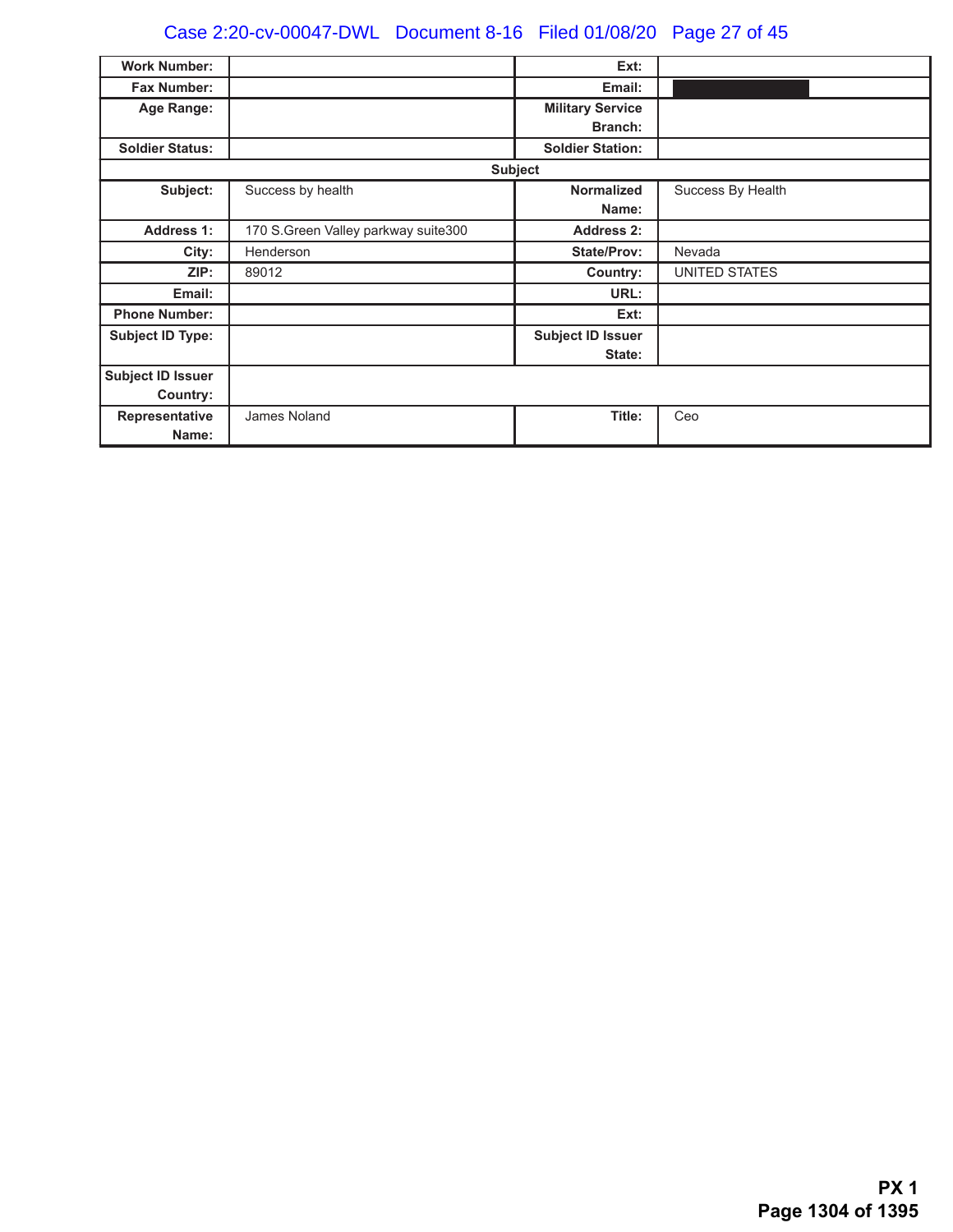# Case 2:20-cv-00047-DWL Document 8-16 Filed 01/08/20 Page 27 of 45

| <b>Work Number:</b>      |                                     | Ext:                     |                   |
|--------------------------|-------------------------------------|--------------------------|-------------------|
| <b>Fax Number:</b>       |                                     | Email:                   |                   |
| Age Range:               |                                     | <b>Military Service</b>  |                   |
|                          |                                     | <b>Branch:</b>           |                   |
| <b>Soldier Status:</b>   |                                     | <b>Soldier Station:</b>  |                   |
|                          |                                     | <b>Subject</b>           |                   |
| Subject:                 | Success by health                   | <b>Normalized</b>        | Success By Health |
|                          |                                     | Name:                    |                   |
| <b>Address 1:</b>        | 170 S.Green Valley parkway suite300 | <b>Address 2:</b>        |                   |
| City:                    | Henderson                           | <b>State/Prov:</b>       | Nevada            |
| ZIP:                     | 89012                               | Country:                 | UNITED STATES     |
| Email:                   |                                     | URL:                     |                   |
| <b>Phone Number:</b>     |                                     | Ext:                     |                   |
| <b>Subject ID Type:</b>  |                                     | <b>Subject ID Issuer</b> |                   |
|                          |                                     | State:                   |                   |
| <b>Subject ID Issuer</b> |                                     |                          |                   |
| Country:                 |                                     |                          |                   |
| Representative           | James Noland                        | Title:                   | Ceo               |
| Name:                    |                                     |                          |                   |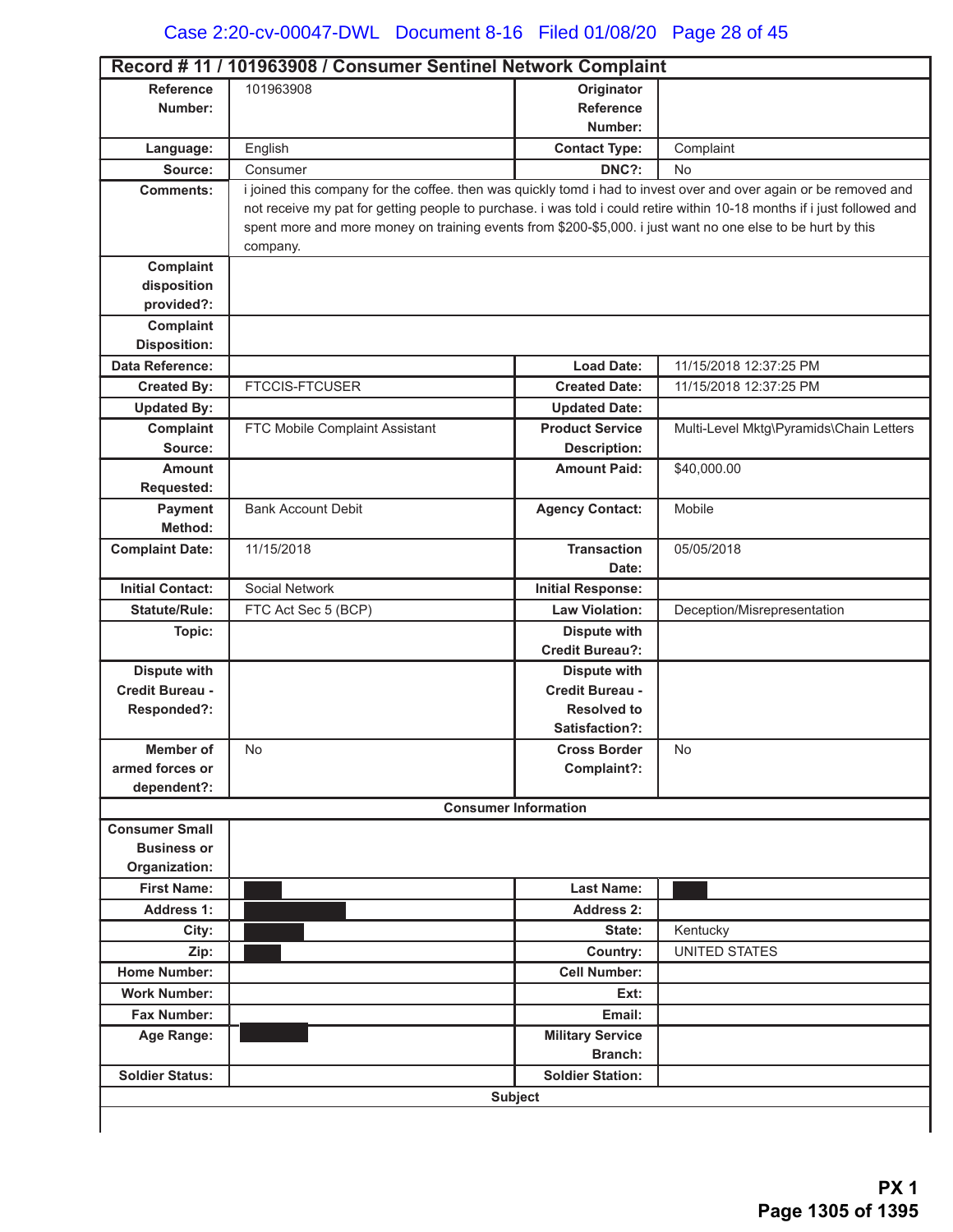| <b>Reference</b>                       | Record #11 / 101963908 / Consumer Sentinel Network Complaint<br>101963908                                               | Originator                                    |                                         |
|----------------------------------------|-------------------------------------------------------------------------------------------------------------------------|-----------------------------------------------|-----------------------------------------|
| Number:                                |                                                                                                                         | <b>Reference</b>                              |                                         |
|                                        |                                                                                                                         | Number:                                       |                                         |
| Language:                              | English                                                                                                                 | <b>Contact Type:</b>                          | Complaint                               |
| Source:                                | Consumer                                                                                                                | DNC?:                                         | No                                      |
| <b>Comments:</b>                       | i joined this company for the coffee. then was quickly tomd i had to invest over and over again or be removed and       |                                               |                                         |
|                                        | not receive my pat for getting people to purchase. i was told i could retire within 10-18 months if i just followed and |                                               |                                         |
|                                        | spent more and more money on training events from \$200-\$5,000. i just want no one else to be hurt by this             |                                               |                                         |
|                                        | company.                                                                                                                |                                               |                                         |
| Complaint                              |                                                                                                                         |                                               |                                         |
| disposition                            |                                                                                                                         |                                               |                                         |
| provided?:                             |                                                                                                                         |                                               |                                         |
| Complaint                              |                                                                                                                         |                                               |                                         |
| <b>Disposition:</b>                    |                                                                                                                         |                                               |                                         |
| Data Reference:                        |                                                                                                                         | <b>Load Date:</b>                             | 11/15/2018 12:37:25 PM                  |
| <b>Created By:</b>                     | <b>FTCCIS-FTCUSER</b>                                                                                                   | <b>Created Date:</b>                          | 11/15/2018 12:37:25 PM                  |
| <b>Updated By:</b>                     |                                                                                                                         | <b>Updated Date:</b>                          |                                         |
| Complaint                              | FTC Mobile Complaint Assistant                                                                                          | <b>Product Service</b>                        | Multi-Level Mktg\Pyramids\Chain Letters |
| Source:                                |                                                                                                                         | <b>Description:</b>                           |                                         |
| <b>Amount</b>                          |                                                                                                                         | <b>Amount Paid:</b>                           | \$40,000.00                             |
| <b>Requested:</b>                      |                                                                                                                         |                                               |                                         |
| <b>Payment</b>                         | <b>Bank Account Debit</b>                                                                                               | <b>Agency Contact:</b>                        | Mobile                                  |
| Method:                                |                                                                                                                         |                                               |                                         |
| <b>Complaint Date:</b>                 | 11/15/2018                                                                                                              | <b>Transaction</b><br>Date:                   | 05/05/2018                              |
|                                        |                                                                                                                         |                                               |                                         |
| <b>Initial Contact:</b>                | Social Network                                                                                                          | <b>Initial Response:</b>                      |                                         |
| <b>Statute/Rule:</b>                   | FTC Act Sec 5 (BCP)                                                                                                     | <b>Law Violation:</b>                         | Deception/Misrepresentation             |
| Topic:                                 |                                                                                                                         | <b>Dispute with</b><br><b>Credit Bureau?:</b> |                                         |
|                                        |                                                                                                                         |                                               |                                         |
| <b>Dispute with</b><br>Credit Bureau - |                                                                                                                         | <b>Dispute with</b><br>Credit Bureau -        |                                         |
| Responded?:                            |                                                                                                                         | <b>Resolved to</b>                            |                                         |
|                                        |                                                                                                                         | Satisfaction?:                                |                                         |
| Member of                              | No                                                                                                                      | <b>Cross Border</b>                           | No                                      |
| armed forces or                        |                                                                                                                         | Complaint?:                                   |                                         |
| dependent?:                            |                                                                                                                         |                                               |                                         |
|                                        |                                                                                                                         | <b>Consumer Information</b>                   |                                         |
| <b>Consumer Small</b>                  |                                                                                                                         |                                               |                                         |
| <b>Business or</b>                     |                                                                                                                         |                                               |                                         |
| Organization:                          |                                                                                                                         |                                               |                                         |
| <b>First Name:</b>                     |                                                                                                                         | <b>Last Name:</b>                             |                                         |
| <b>Address 1:</b>                      |                                                                                                                         | <b>Address 2:</b>                             |                                         |
| City:                                  |                                                                                                                         | State:                                        | Kentucky                                |
| Zip:                                   |                                                                                                                         | Country:                                      | <b>UNITED STATES</b>                    |
| <b>Home Number:</b>                    |                                                                                                                         | <b>Cell Number:</b>                           |                                         |
| <b>Work Number:</b>                    |                                                                                                                         | Ext:                                          |                                         |
| <b>Fax Number:</b>                     |                                                                                                                         | Email:                                        |                                         |
| Age Range:                             |                                                                                                                         | <b>Military Service</b>                       |                                         |
|                                        |                                                                                                                         | <b>Branch:</b>                                |                                         |
| <b>Soldier Status:</b>                 |                                                                                                                         | <b>Soldier Station:</b>                       |                                         |
|                                        |                                                                                                                         |                                               |                                         |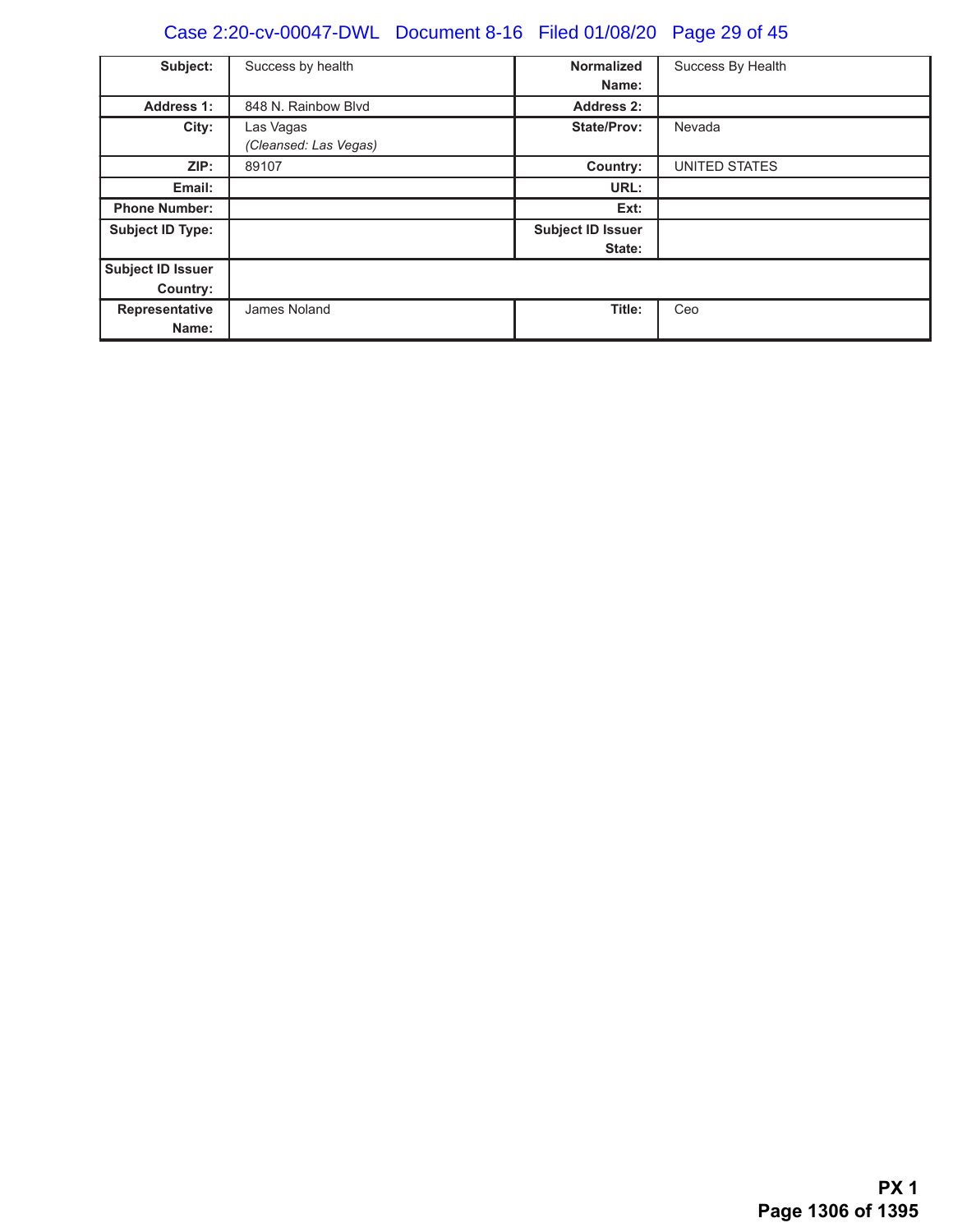# Case 2:20-cv-00047-DWL Document 8-16 Filed 01/08/20 Page 29 of 45

| Subject:                | Success by health     | <b>Normalized</b>        | Success By Health |
|-------------------------|-----------------------|--------------------------|-------------------|
|                         |                       |                          |                   |
|                         |                       | Name:                    |                   |
| <b>Address 1:</b>       | 848 N. Rainbow Blvd   | <b>Address 2:</b>        |                   |
| City:                   | Las Vagas             | State/Prov:              | Nevada            |
|                         | (Cleansed: Las Vegas) |                          |                   |
| ZIP:                    | 89107                 | Country:                 | UNITED STATES     |
| Email:                  |                       | URL:                     |                   |
| <b>Phone Number:</b>    |                       | Ext:                     |                   |
| <b>Subject ID Type:</b> |                       | <b>Subject ID Issuer</b> |                   |
|                         |                       | State:                   |                   |
| Subject ID Issuer       |                       |                          |                   |
| Country:                |                       |                          |                   |
| Representative          | James Noland          | Title:                   | Ceo               |
| Name:                   |                       |                          |                   |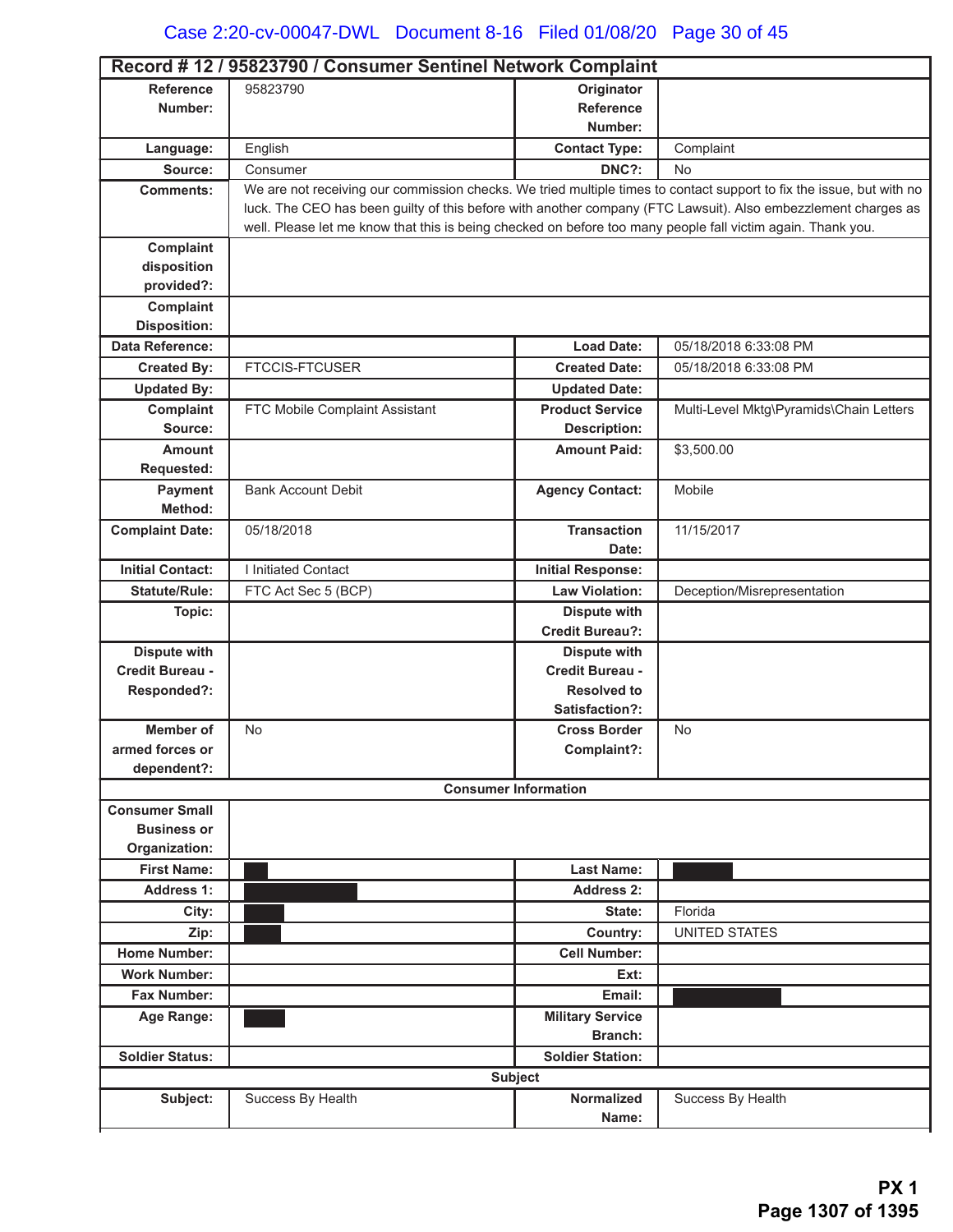|                                     | Record #12 / 95823790 / Consumer Sentinel Network Complaint                                                          |                                                   |                                         |
|-------------------------------------|----------------------------------------------------------------------------------------------------------------------|---------------------------------------------------|-----------------------------------------|
| <b>Reference</b>                    | 95823790                                                                                                             | Originator                                        |                                         |
| Number:                             |                                                                                                                      | <b>Reference</b>                                  |                                         |
|                                     |                                                                                                                      | Number:                                           |                                         |
| Language:                           | English                                                                                                              | <b>Contact Type:</b>                              | Complaint                               |
| Source:                             | Consumer                                                                                                             | DNC?:                                             | No                                      |
| <b>Comments:</b>                    | We are not receiving our commission checks. We tried multiple times to contact support to fix the issue, but with no |                                                   |                                         |
|                                     | luck. The CEO has been guilty of this before with another company (FTC Lawsuit). Also embezzlement charges as        |                                                   |                                         |
|                                     | well. Please let me know that this is being checked on before too many people fall victim again. Thank you.          |                                                   |                                         |
| Complaint<br>disposition            |                                                                                                                      |                                                   |                                         |
| provided?:                          |                                                                                                                      |                                                   |                                         |
| Complaint                           |                                                                                                                      |                                                   |                                         |
| <b>Disposition:</b>                 |                                                                                                                      |                                                   |                                         |
| Data Reference:                     |                                                                                                                      | <b>Load Date:</b>                                 | 05/18/2018 6:33:08 PM                   |
| <b>Created By:</b>                  | <b>FTCCIS-FTCUSER</b>                                                                                                | <b>Created Date:</b>                              | 05/18/2018 6:33:08 PM                   |
| <b>Updated By:</b>                  |                                                                                                                      | <b>Updated Date:</b>                              |                                         |
| <b>Complaint</b>                    | FTC Mobile Complaint Assistant                                                                                       | <b>Product Service</b>                            | Multi-Level Mktg\Pyramids\Chain Letters |
| Source:                             |                                                                                                                      | <b>Description:</b>                               |                                         |
| <b>Amount</b>                       |                                                                                                                      | <b>Amount Paid:</b>                               | \$3,500.00                              |
| Requested:                          |                                                                                                                      |                                                   |                                         |
| Payment                             | <b>Bank Account Debit</b>                                                                                            | <b>Agency Contact:</b>                            | Mobile                                  |
| Method:                             |                                                                                                                      |                                                   |                                         |
| <b>Complaint Date:</b>              | 05/18/2018                                                                                                           | <b>Transaction</b>                                | 11/15/2017                              |
|                                     |                                                                                                                      | Date:                                             |                                         |
| <b>Initial Contact:</b>             | I Initiated Contact                                                                                                  | <b>Initial Response:</b><br><b>Law Violation:</b> |                                         |
| <b>Statute/Rule:</b>                | FTC Act Sec 5 (BCP)                                                                                                  | <b>Dispute with</b>                               | Deception/Misrepresentation             |
| Topic:                              |                                                                                                                      | <b>Credit Bureau?:</b>                            |                                         |
| <b>Dispute with</b>                 |                                                                                                                      | <b>Dispute with</b>                               |                                         |
| Credit Bureau -                     |                                                                                                                      | Credit Bureau -                                   |                                         |
| Responded?:                         |                                                                                                                      | <b>Resolved to</b>                                |                                         |
|                                     |                                                                                                                      | Satisfaction?:                                    |                                         |
| <b>Member of</b>                    | No                                                                                                                   | <b>Cross Border</b>                               | No                                      |
| armed forces or                     |                                                                                                                      | Complaint?:                                       |                                         |
| dependent?:                         |                                                                                                                      |                                                   |                                         |
|                                     |                                                                                                                      | <b>Consumer Information</b>                       |                                         |
| <b>Consumer Small</b>               |                                                                                                                      |                                                   |                                         |
| <b>Business or</b>                  |                                                                                                                      |                                                   |                                         |
| Organization:<br><b>First Name:</b> |                                                                                                                      | <b>Last Name:</b>                                 |                                         |
| <b>Address 1:</b>                   |                                                                                                                      | <b>Address 2:</b>                                 |                                         |
| City:                               |                                                                                                                      | State:                                            | Florida                                 |
| Zip:                                |                                                                                                                      | Country:                                          | <b>UNITED STATES</b>                    |
| <b>Home Number:</b>                 |                                                                                                                      | <b>Cell Number:</b>                               |                                         |
| <b>Work Number:</b>                 |                                                                                                                      | Ext:                                              |                                         |
| Fax Number:                         |                                                                                                                      | Email:                                            |                                         |
| Age Range:                          |                                                                                                                      | <b>Military Service</b>                           |                                         |
|                                     |                                                                                                                      | <b>Branch:</b>                                    |                                         |
| <b>Soldier Status:</b>              |                                                                                                                      | <b>Soldier Station:</b>                           |                                         |
|                                     |                                                                                                                      | <b>Subject</b>                                    |                                         |
| Subject:                            | Success By Health                                                                                                    | <b>Normalized</b>                                 | Success By Health                       |
|                                     |                                                                                                                      | Name:                                             |                                         |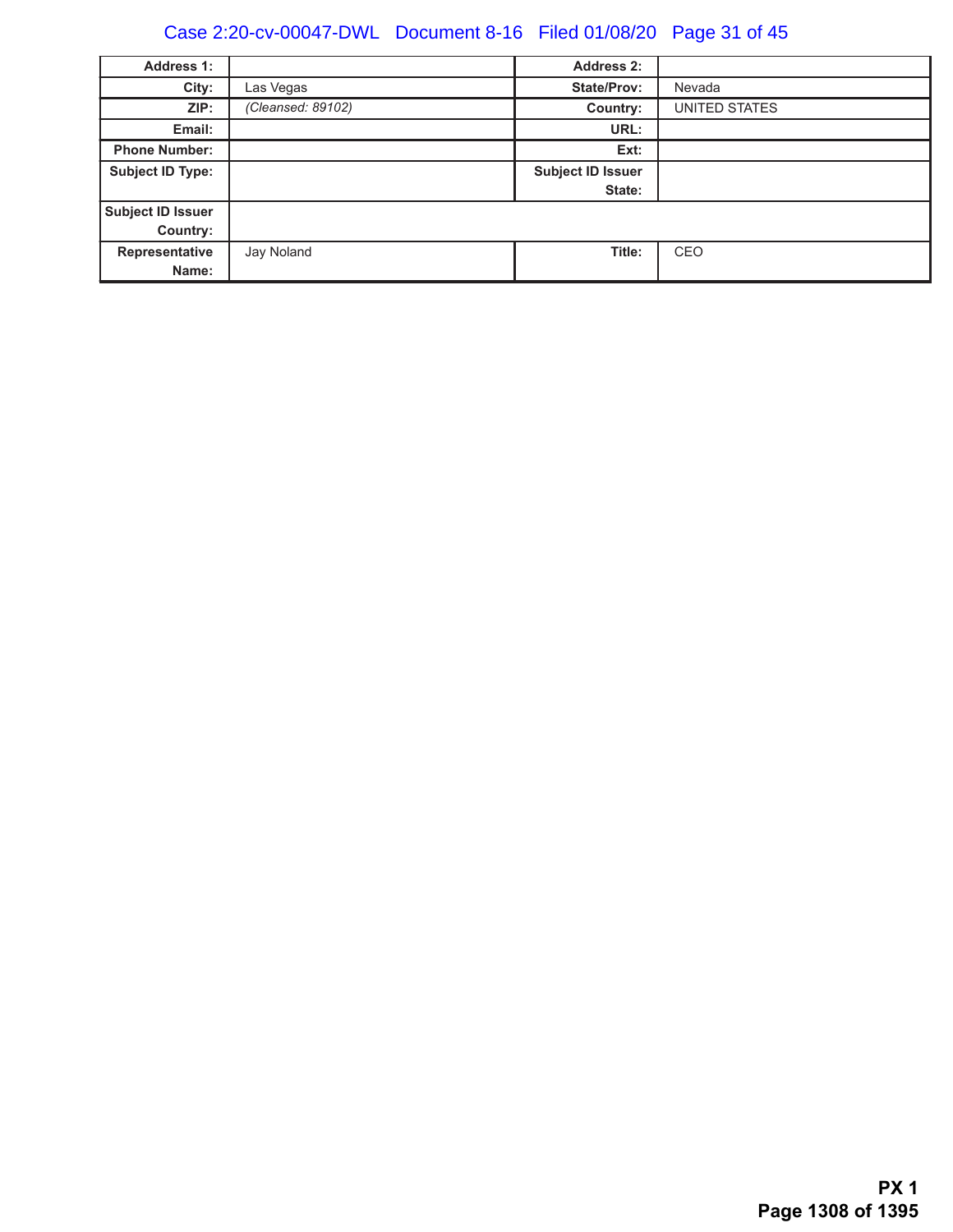# Case 2:20-cv-00047-DWL Document 8-16 Filed 01/08/20 Page 31 of 45

| <b>Address 1:</b>       |                   | <b>Address 2:</b>        |               |
|-------------------------|-------------------|--------------------------|---------------|
| City:                   | Las Vegas         | <b>State/Prov:</b>       | Nevada        |
| ZIP:                    | (Cleansed: 89102) | Country:                 | UNITED STATES |
| Email:                  |                   | URL:                     |               |
| <b>Phone Number:</b>    |                   | Ext:                     |               |
| <b>Subject ID Type:</b> |                   | <b>Subject ID Issuer</b> |               |
|                         |                   | State:                   |               |
| Subject ID Issuer       |                   |                          |               |
| Country:                |                   |                          |               |
| Representative          | Jay Noland        | Title:                   | CEO           |
| Name:                   |                   |                          |               |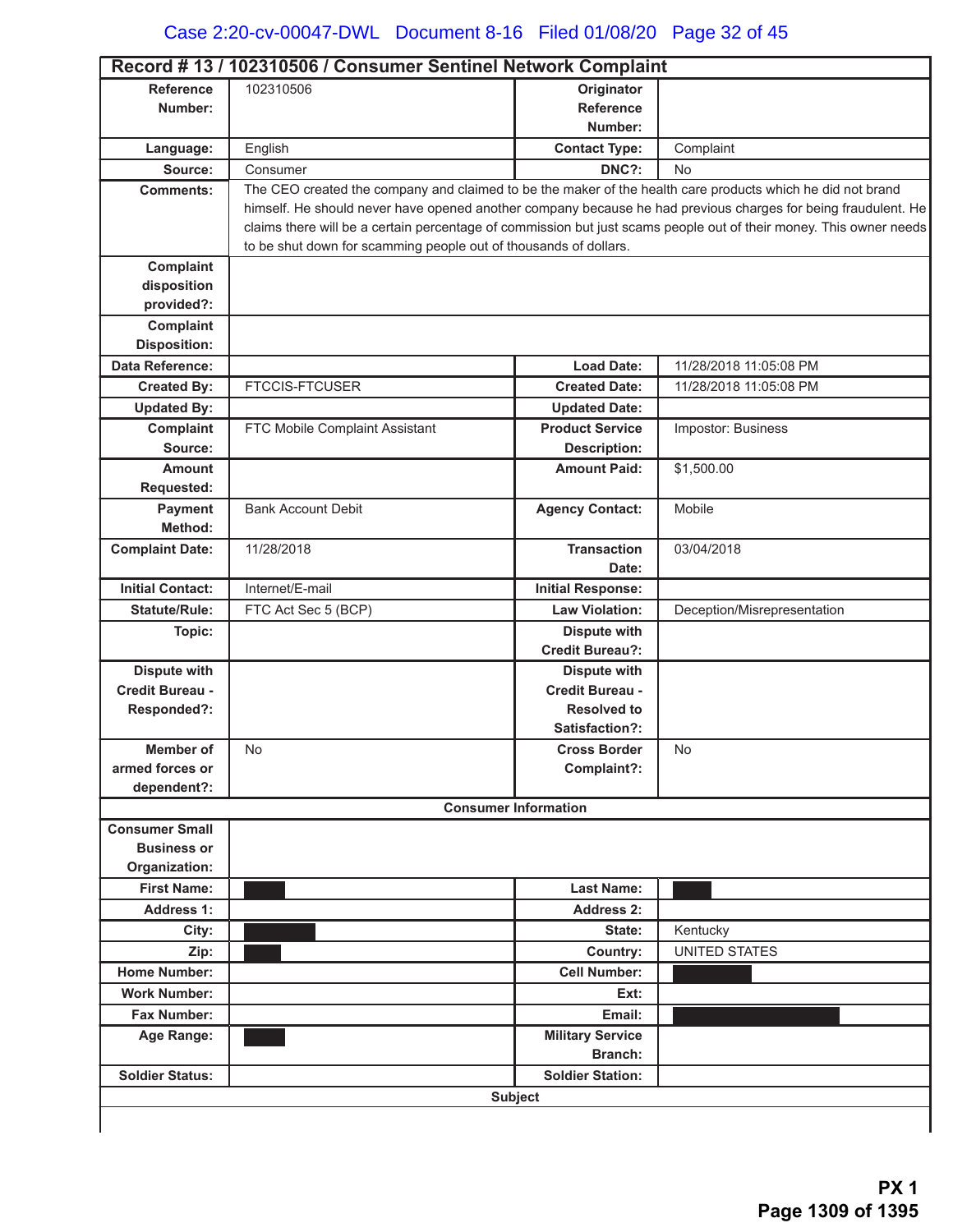|                                             | Record #13 / 102310506 / Consumer Sentinel Network Complaint                                               |                                |                                                                                                                    |
|---------------------------------------------|------------------------------------------------------------------------------------------------------------|--------------------------------|--------------------------------------------------------------------------------------------------------------------|
| <b>Reference</b><br>Number:                 | 102310506                                                                                                  | Originator<br><b>Reference</b> |                                                                                                                    |
|                                             |                                                                                                            | Number:                        |                                                                                                                    |
| Language:                                   | English                                                                                                    | <b>Contact Type:</b>           | Complaint                                                                                                          |
| Source:                                     | Consumer                                                                                                   | DNC?:                          | <b>No</b>                                                                                                          |
| <b>Comments:</b>                            | The CEO created the company and claimed to be the maker of the health care products which he did not brand |                                |                                                                                                                    |
|                                             |                                                                                                            |                                | himself. He should never have opened another company because he had previous charges for being fraudulent. He      |
|                                             |                                                                                                            |                                | claims there will be a certain percentage of commission but just scams people out of their money. This owner needs |
|                                             | to be shut down for scamming people out of thousands of dollars.                                           |                                |                                                                                                                    |
| Complaint                                   |                                                                                                            |                                |                                                                                                                    |
| disposition                                 |                                                                                                            |                                |                                                                                                                    |
| provided?:                                  |                                                                                                            |                                |                                                                                                                    |
| Complaint                                   |                                                                                                            |                                |                                                                                                                    |
| <b>Disposition:</b>                         |                                                                                                            |                                |                                                                                                                    |
| Data Reference:                             |                                                                                                            | <b>Load Date:</b>              | 11/28/2018 11:05:08 PM                                                                                             |
| <b>Created By:</b>                          | <b>FTCCIS-FTCUSER</b>                                                                                      | <b>Created Date:</b>           | 11/28/2018 11:05:08 PM                                                                                             |
| <b>Updated By:</b>                          |                                                                                                            | <b>Updated Date:</b>           |                                                                                                                    |
| Complaint                                   | FTC Mobile Complaint Assistant                                                                             | <b>Product Service</b>         | Impostor: Business                                                                                                 |
| Source:                                     |                                                                                                            | <b>Description:</b>            |                                                                                                                    |
| <b>Amount</b>                               |                                                                                                            | <b>Amount Paid:</b>            | \$1,500.00                                                                                                         |
| Requested:                                  |                                                                                                            |                                |                                                                                                                    |
| Payment                                     | <b>Bank Account Debit</b>                                                                                  | <b>Agency Contact:</b>         | Mobile                                                                                                             |
| Method:                                     |                                                                                                            |                                |                                                                                                                    |
| <b>Complaint Date:</b>                      | 11/28/2018                                                                                                 | <b>Transaction</b>             | 03/04/2018                                                                                                         |
|                                             |                                                                                                            | Date:                          |                                                                                                                    |
| <b>Initial Contact:</b>                     | Internet/E-mail                                                                                            | <b>Initial Response:</b>       |                                                                                                                    |
| <b>Statute/Rule:</b>                        | FTC Act Sec 5 (BCP)                                                                                        | <b>Law Violation:</b>          | Deception/Misrepresentation                                                                                        |
| Topic:                                      |                                                                                                            | <b>Dispute with</b>            |                                                                                                                    |
|                                             |                                                                                                            | <b>Credit Bureau?:</b>         |                                                                                                                    |
| <b>Dispute with</b>                         |                                                                                                            | <b>Dispute with</b>            |                                                                                                                    |
| Credit Bureau -                             |                                                                                                            | <b>Credit Bureau -</b>         |                                                                                                                    |
| Responded?:                                 |                                                                                                            | <b>Resolved to</b>             |                                                                                                                    |
|                                             |                                                                                                            | Satisfaction?:                 |                                                                                                                    |
| Member of                                   | No.                                                                                                        | <b>Cross Border</b>            | No                                                                                                                 |
| armed forces or                             |                                                                                                            | Complaint?:                    |                                                                                                                    |
| dependent?:                                 |                                                                                                            |                                |                                                                                                                    |
|                                             |                                                                                                            | <b>Consumer Information</b>    |                                                                                                                    |
| <b>Consumer Small</b><br><b>Business or</b> |                                                                                                            |                                |                                                                                                                    |
| Organization:                               |                                                                                                            |                                |                                                                                                                    |
| <b>First Name:</b>                          |                                                                                                            | <b>Last Name:</b>              |                                                                                                                    |
|                                             |                                                                                                            |                                |                                                                                                                    |
| <b>Address 1:</b>                           |                                                                                                            | <b>Address 2:</b>              |                                                                                                                    |
| City:                                       |                                                                                                            | State:                         | Kentucky                                                                                                           |
| Zip:                                        |                                                                                                            | <b>Country:</b>                | <b>UNITED STATES</b>                                                                                               |
| <b>Home Number:</b>                         |                                                                                                            | <b>Cell Number:</b>            |                                                                                                                    |
| <b>Work Number:</b>                         |                                                                                                            | Ext:                           |                                                                                                                    |
| Fax Number:                                 |                                                                                                            | Email:                         |                                                                                                                    |
| Age Range:                                  |                                                                                                            | <b>Military Service</b>        |                                                                                                                    |
|                                             |                                                                                                            | Branch:                        |                                                                                                                    |
| <b>Soldier Status:</b>                      |                                                                                                            | <b>Soldier Station:</b>        |                                                                                                                    |
|                                             |                                                                                                            | <b>Subject</b>                 |                                                                                                                    |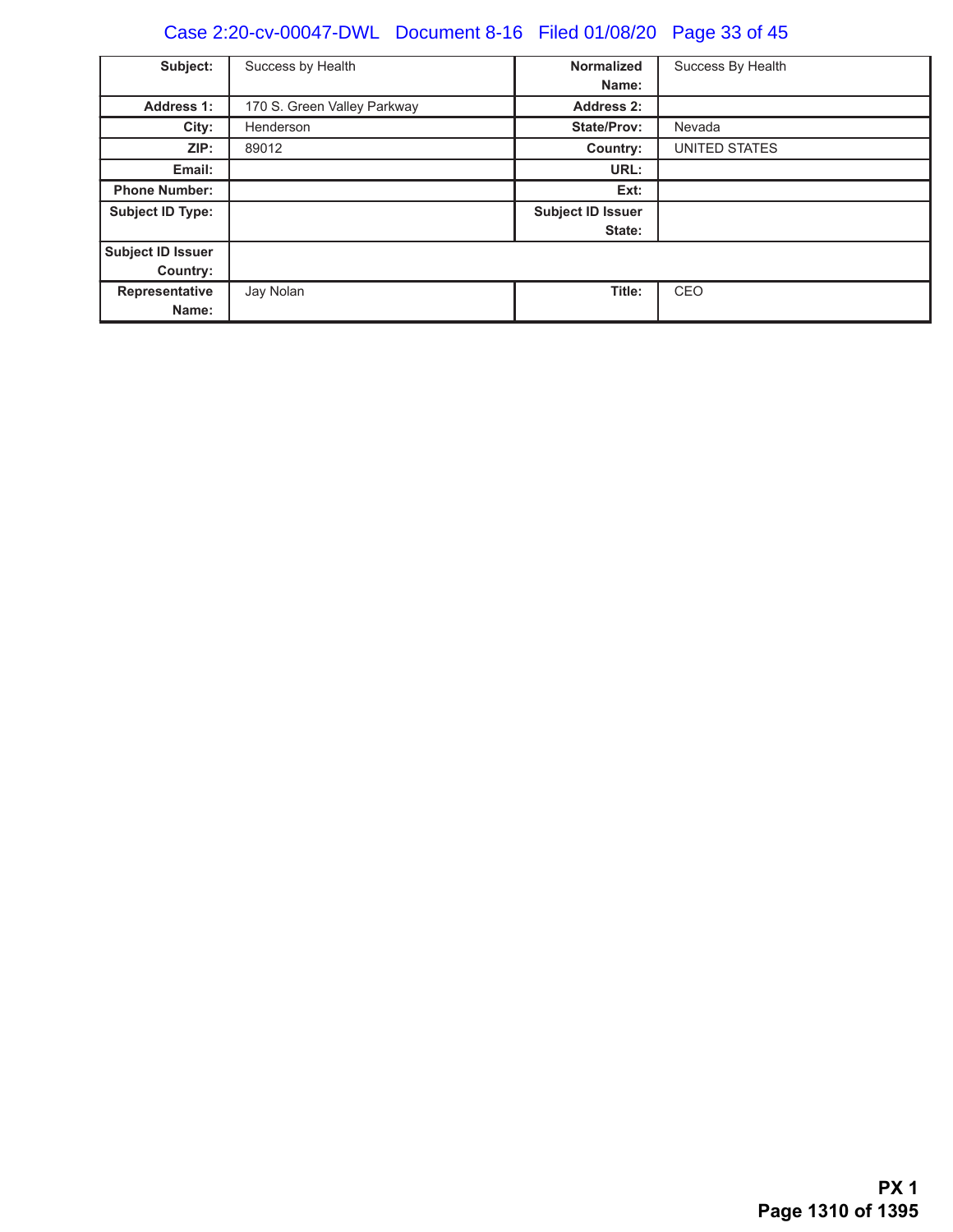# Case 2:20-cv-00047-DWL Document 8-16 Filed 01/08/20 Page 33 of 45

| Subject:                      | Success by Health           | <b>Normalized</b><br>Name:         | Success By Health |
|-------------------------------|-----------------------------|------------------------------------|-------------------|
| <b>Address 1:</b>             | 170 S. Green Valley Parkway | <b>Address 2:</b>                  |                   |
| City:                         | Henderson                   | <b>State/Prov:</b>                 | Nevada            |
| ZIP:                          | 89012                       | Country:                           | UNITED STATES     |
| Email:                        |                             | URL:                               |                   |
| <b>Phone Number:</b>          |                             | Ext:                               |                   |
| <b>Subject ID Type:</b>       |                             | <b>Subject ID Issuer</b><br>State: |                   |
| Subject ID Issuer<br>Country: |                             |                                    |                   |
| Representative<br>Name:       | Jay Nolan                   | Title:                             | CEO               |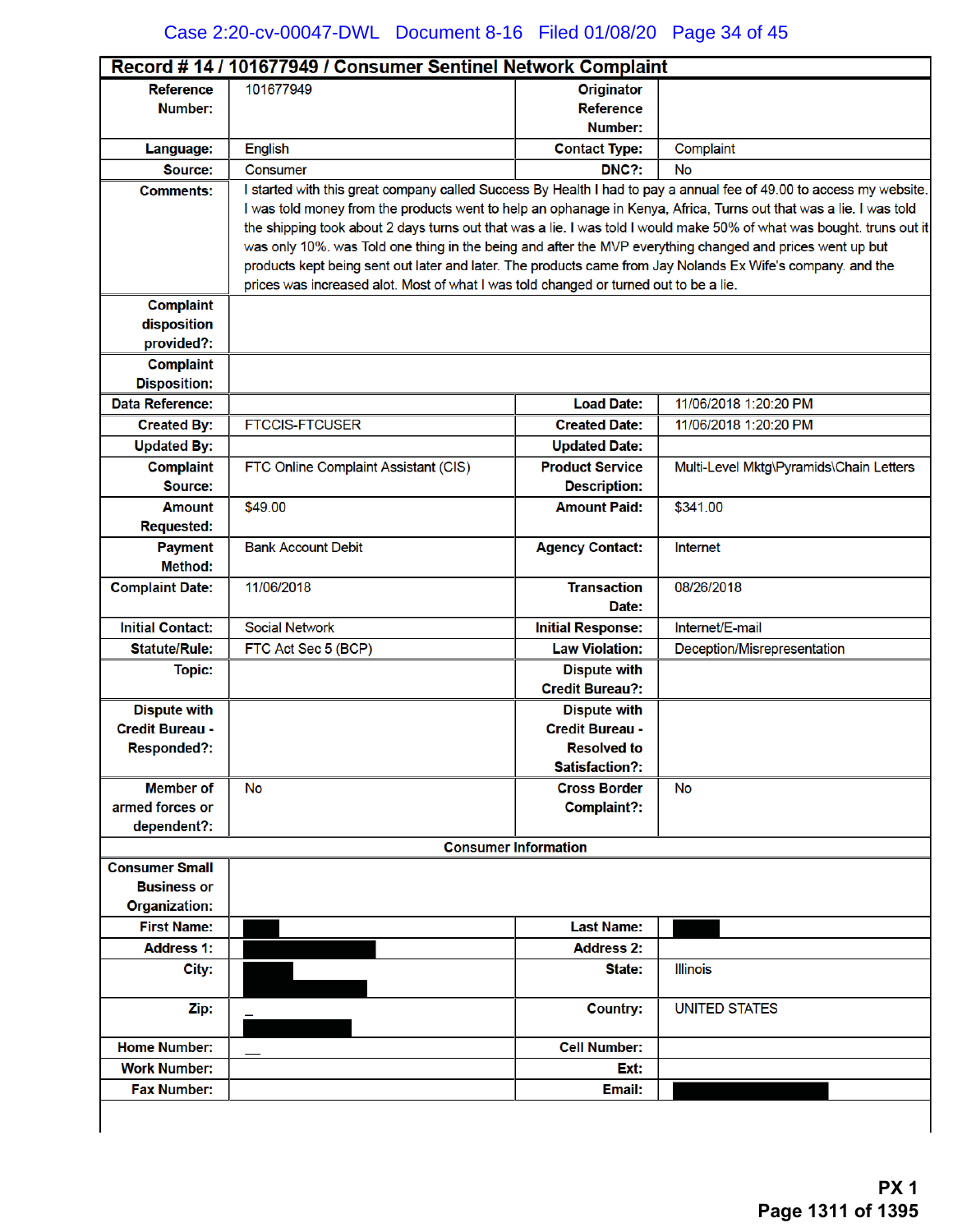| Record #14 / 101677949 / Consumer Sentinel Network Complaint |                                                                                                                                                                                                      |                             |                                                                                                                       |  |
|--------------------------------------------------------------|------------------------------------------------------------------------------------------------------------------------------------------------------------------------------------------------------|-----------------------------|-----------------------------------------------------------------------------------------------------------------------|--|
| <b>Reference</b>                                             | 101677949                                                                                                                                                                                            | <b>Originator</b>           |                                                                                                                       |  |
| Number:                                                      |                                                                                                                                                                                                      | <b>Reference</b>            |                                                                                                                       |  |
|                                                              |                                                                                                                                                                                                      | Number:                     |                                                                                                                       |  |
| Language:                                                    | <b>English</b>                                                                                                                                                                                       | <b>Contact Type:</b>        | Complaint                                                                                                             |  |
| Source:                                                      | Consumer                                                                                                                                                                                             | DNC?:                       | No                                                                                                                    |  |
| <b>Comments:</b>                                             |                                                                                                                                                                                                      |                             | I started with this great company called Success By Health I had to pay a annual fee of 49.00 to access my website.   |  |
|                                                              | I was told money from the products went to help an ophanage in Kenya, Africa, Turns out that was a lie. I was told                                                                                   |                             |                                                                                                                       |  |
|                                                              |                                                                                                                                                                                                      |                             | the shipping took about 2 days turns out that was a lie. I was told I would make 50% of what was bought. truns out it |  |
|                                                              | was only 10%. was Told one thing in the being and after the MVP everything changed and prices went up but                                                                                            |                             |                                                                                                                       |  |
|                                                              | products kept being sent out later and later. The products came from Jay Nolands Ex Wife's company. and the<br>prices was increased alot. Most of what I was told changed or turned out to be a lie. |                             |                                                                                                                       |  |
| <b>Complaint</b>                                             |                                                                                                                                                                                                      |                             |                                                                                                                       |  |
| disposition                                                  |                                                                                                                                                                                                      |                             |                                                                                                                       |  |
| provided?:                                                   |                                                                                                                                                                                                      |                             |                                                                                                                       |  |
| <b>Complaint</b>                                             |                                                                                                                                                                                                      |                             |                                                                                                                       |  |
| <b>Disposition:</b>                                          |                                                                                                                                                                                                      |                             |                                                                                                                       |  |
| <b>Data Reference:</b>                                       |                                                                                                                                                                                                      | <b>Load Date:</b>           | 11/06/2018 1:20:20 PM                                                                                                 |  |
| <b>Created By:</b>                                           | <b>FTCCIS-FTCUSER</b>                                                                                                                                                                                | <b>Created Date:</b>        | 11/06/2018 1:20:20 PM                                                                                                 |  |
| <b>Updated By:</b>                                           |                                                                                                                                                                                                      | <b>Updated Date:</b>        |                                                                                                                       |  |
| <b>Complaint</b>                                             | FTC Online Complaint Assistant (CIS)                                                                                                                                                                 | <b>Product Service</b>      | Multi-Level Mktg\Pyramids\Chain Letters                                                                               |  |
| Source:                                                      |                                                                                                                                                                                                      | <b>Description:</b>         |                                                                                                                       |  |
| <b>Amount</b>                                                | \$49.00                                                                                                                                                                                              | <b>Amount Paid:</b>         | \$341.00                                                                                                              |  |
| <b>Requested:</b>                                            |                                                                                                                                                                                                      |                             |                                                                                                                       |  |
| <b>Payment</b>                                               | <b>Bank Account Debit</b>                                                                                                                                                                            | <b>Agency Contact:</b>      | Internet                                                                                                              |  |
| Method:                                                      |                                                                                                                                                                                                      |                             |                                                                                                                       |  |
| <b>Complaint Date:</b>                                       | 11/06/2018                                                                                                                                                                                           | <b>Transaction</b>          | 08/26/2018                                                                                                            |  |
|                                                              |                                                                                                                                                                                                      | Date:                       |                                                                                                                       |  |
| <b>Initial Contact:</b>                                      | <b>Social Network</b>                                                                                                                                                                                | <b>Initial Response:</b>    | Internet/E-mail                                                                                                       |  |
| <b>Statute/Rule:</b>                                         | FTC Act Sec 5 (BCP)                                                                                                                                                                                  | <b>Law Violation:</b>       | Deception/Misrepresentation                                                                                           |  |
| <b>Topic:</b>                                                |                                                                                                                                                                                                      | <b>Dispute with</b>         |                                                                                                                       |  |
|                                                              |                                                                                                                                                                                                      | <b>Credit Bureau?:</b>      |                                                                                                                       |  |
| <b>Dispute with</b>                                          |                                                                                                                                                                                                      | <b>Dispute with</b>         |                                                                                                                       |  |
| <b>Credit Bureau -</b>                                       |                                                                                                                                                                                                      | <b>Credit Bureau -</b>      |                                                                                                                       |  |
| <b>Responded?:</b>                                           |                                                                                                                                                                                                      | <b>Resolved to</b>          |                                                                                                                       |  |
|                                                              |                                                                                                                                                                                                      | <b>Satisfaction?:</b>       |                                                                                                                       |  |
| <b>Member of</b><br>armed forces or                          | <b>No</b>                                                                                                                                                                                            | <b>Cross Border</b>         | <b>No</b>                                                                                                             |  |
| dependent?:                                                  |                                                                                                                                                                                                      | Complaint?:                 |                                                                                                                       |  |
|                                                              |                                                                                                                                                                                                      | <b>Consumer Information</b> |                                                                                                                       |  |
| <b>Consumer Small</b>                                        |                                                                                                                                                                                                      |                             |                                                                                                                       |  |
| <b>Business or</b>                                           |                                                                                                                                                                                                      |                             |                                                                                                                       |  |
| <b>Organization:</b>                                         |                                                                                                                                                                                                      |                             |                                                                                                                       |  |
| <b>First Name:</b>                                           |                                                                                                                                                                                                      | <b>Last Name:</b>           |                                                                                                                       |  |
| <b>Address 1:</b>                                            |                                                                                                                                                                                                      | <b>Address 2:</b>           |                                                                                                                       |  |
| City:                                                        |                                                                                                                                                                                                      | State:                      | <b>Illinois</b>                                                                                                       |  |
|                                                              |                                                                                                                                                                                                      |                             |                                                                                                                       |  |
| Zip:                                                         |                                                                                                                                                                                                      | <b>Country:</b>             | <b>UNITED STATES</b>                                                                                                  |  |
|                                                              |                                                                                                                                                                                                      |                             |                                                                                                                       |  |
| <b>Home Number:</b>                                          |                                                                                                                                                                                                      | <b>Cell Number:</b>         |                                                                                                                       |  |
| <b>Work Number:</b>                                          |                                                                                                                                                                                                      | Ext:                        |                                                                                                                       |  |
| <b>Fax Number:</b>                                           |                                                                                                                                                                                                      | Email:                      |                                                                                                                       |  |
|                                                              |                                                                                                                                                                                                      |                             |                                                                                                                       |  |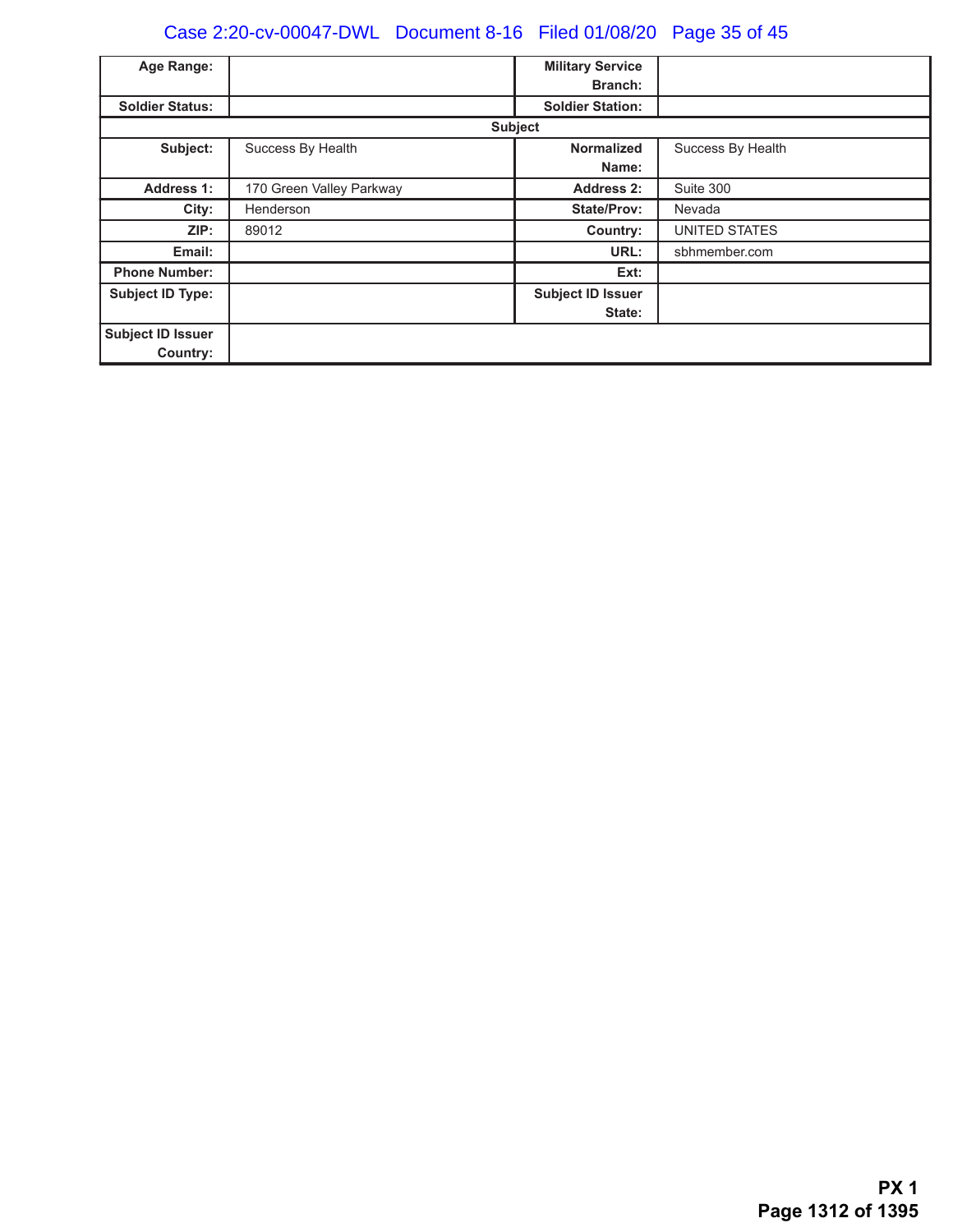# Case 2:20-cv-00047-DWL Document 8-16 Filed 01/08/20 Page 35 of 45

| Age Range:              |                          | <b>Military Service</b>  |                   |
|-------------------------|--------------------------|--------------------------|-------------------|
|                         |                          | <b>Branch:</b>           |                   |
| <b>Soldier Status:</b>  |                          | <b>Soldier Station:</b>  |                   |
|                         |                          | <b>Subject</b>           |                   |
| Subject:                | Success By Health        | <b>Normalized</b>        | Success By Health |
|                         |                          | Name:                    |                   |
| <b>Address 1:</b>       | 170 Green Valley Parkway | <b>Address 2:</b>        | Suite 300         |
| City:                   | Henderson                | <b>State/Prov:</b>       | Nevada            |
| ZIP:                    | 89012                    | Country:                 | UNITED STATES     |
| Email:                  |                          | URL:                     | sbhmember.com     |
| <b>Phone Number:</b>    |                          | Ext:                     |                   |
| <b>Subject ID Type:</b> |                          | <b>Subject ID Issuer</b> |                   |
|                         |                          | State:                   |                   |
| Subject ID Issuer       |                          |                          |                   |
| Country:                |                          |                          |                   |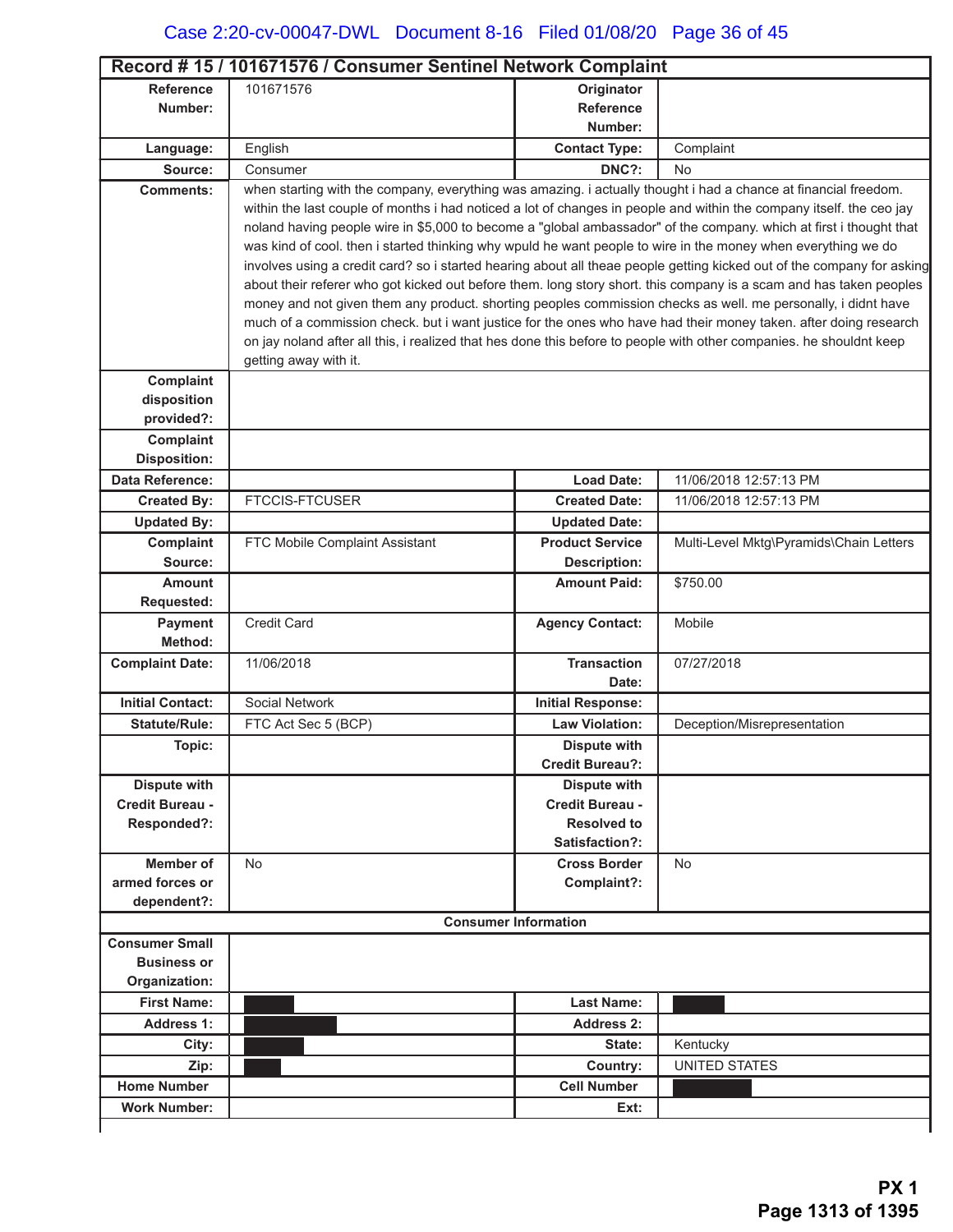| <b>Reference</b><br>101671576<br>Originator<br><b>Reference</b><br>Number:<br>Number:<br>English<br><b>Contact Type:</b><br>Complaint<br>Language:<br>DNC?:<br>Source:<br>Consumer<br>No.<br>when starting with the company, everything was amazing. i actually thought i had a chance at financial freedom.<br><b>Comments:</b><br>within the last couple of months i had noticed a lot of changes in people and within the company itself. the ceo jay<br>noland having people wire in \$5,000 to become a "global ambassador" of the company. which at first i thought that<br>was kind of cool. then i started thinking why wpuld he want people to wire in the money when everything we do<br>involves using a credit card? so i started hearing about all theae people getting kicked out of the company for asking<br>about their referer who got kicked out before them. long story short. this company is a scam and has taken peoples<br>money and not given them any product. shorting peoples commission checks as well. me personally, i didnt have<br>much of a commission check. but i want justice for the ones who have had their money taken. after doing research<br>on jay noland after all this, i realized that hes done this before to people with other companies. he shouldnt keep<br>getting away with it.<br>Complaint<br>disposition<br>provided?:<br>Complaint<br><b>Disposition:</b><br>Data Reference:<br><b>Load Date:</b><br>11/06/2018 12:57:13 PM<br><b>FTCCIS-FTCUSER</b><br><b>Created By:</b><br><b>Created Date:</b><br>11/06/2018 12:57:13 PM<br><b>Updated By:</b><br><b>Updated Date:</b><br>Multi-Level Mktg\Pyramids\Chain Letters<br>Complaint<br>FTC Mobile Complaint Assistant<br><b>Product Service</b><br>Source:<br><b>Description:</b><br><b>Amount Paid:</b><br>\$750.00<br><b>Amount</b><br>Requested:<br><b>Credit Card</b><br><b>Agency Contact:</b><br>Mobile<br>Payment<br>Method:<br><b>Complaint Date:</b><br>11/06/2018<br><b>Transaction</b><br>07/27/2018<br>Date:<br><b>Initial Contact:</b><br>Social Network<br><b>Initial Response:</b><br><b>Statute/Rule:</b><br>FTC Act Sec 5 (BCP)<br><b>Law Violation:</b><br>Deception/Misrepresentation<br>Topic:<br><b>Dispute with</b><br><b>Credit Bureau?:</b><br><b>Dispute with</b><br><b>Dispute with</b><br>Credit Bureau -<br>Credit Bureau -<br><b>Resolved to</b><br>Responded?:<br>Satisfaction?:<br><b>Member of</b><br><b>No</b><br><b>Cross Border</b><br>No<br>armed forces or<br>Complaint?:<br>dependent?:<br><b>Consumer Information</b><br><b>Consumer Small</b><br><b>Business or</b><br>Organization:<br><b>First Name:</b><br><b>Last Name:</b><br><b>Address 1:</b><br><b>Address 2:</b><br>Kentucky<br>City:<br>State:<br><b>UNITED STATES</b><br>Zip:<br>Country:<br><b>Cell Number</b><br><b>Home Number</b><br><b>Work Number:</b><br>Ext: | Record #15 / 101671576 / Consumer Sentinel Network Complaint |  |  |  |  |  |
|---------------------------------------------------------------------------------------------------------------------------------------------------------------------------------------------------------------------------------------------------------------------------------------------------------------------------------------------------------------------------------------------------------------------------------------------------------------------------------------------------------------------------------------------------------------------------------------------------------------------------------------------------------------------------------------------------------------------------------------------------------------------------------------------------------------------------------------------------------------------------------------------------------------------------------------------------------------------------------------------------------------------------------------------------------------------------------------------------------------------------------------------------------------------------------------------------------------------------------------------------------------------------------------------------------------------------------------------------------------------------------------------------------------------------------------------------------------------------------------------------------------------------------------------------------------------------------------------------------------------------------------------------------------------------------------------------------------------------------------------------------------------------------------------------------------------------------------------------------------------------------------------------------------------------------------------------------------------------------------------------------------------------------------------------------------------------------------------------------------------------------------------------------------------------------------------------------------------------------------------------------------------------------------------------------------------------------------------------------------------------------------------------------------------------------------------------------------------------------------------------------------------------------------------------------------------------------------------------------------------------------------------------------------------------------------------------------------------------------------------------------------------------------------------------------------------------------------------------------------------------------|--------------------------------------------------------------|--|--|--|--|--|
|                                                                                                                                                                                                                                                                                                                                                                                                                                                                                                                                                                                                                                                                                                                                                                                                                                                                                                                                                                                                                                                                                                                                                                                                                                                                                                                                                                                                                                                                                                                                                                                                                                                                                                                                                                                                                                                                                                                                                                                                                                                                                                                                                                                                                                                                                                                                                                                                                                                                                                                                                                                                                                                                                                                                                                                                                                                                                 |                                                              |  |  |  |  |  |
|                                                                                                                                                                                                                                                                                                                                                                                                                                                                                                                                                                                                                                                                                                                                                                                                                                                                                                                                                                                                                                                                                                                                                                                                                                                                                                                                                                                                                                                                                                                                                                                                                                                                                                                                                                                                                                                                                                                                                                                                                                                                                                                                                                                                                                                                                                                                                                                                                                                                                                                                                                                                                                                                                                                                                                                                                                                                                 |                                                              |  |  |  |  |  |
|                                                                                                                                                                                                                                                                                                                                                                                                                                                                                                                                                                                                                                                                                                                                                                                                                                                                                                                                                                                                                                                                                                                                                                                                                                                                                                                                                                                                                                                                                                                                                                                                                                                                                                                                                                                                                                                                                                                                                                                                                                                                                                                                                                                                                                                                                                                                                                                                                                                                                                                                                                                                                                                                                                                                                                                                                                                                                 |                                                              |  |  |  |  |  |
|                                                                                                                                                                                                                                                                                                                                                                                                                                                                                                                                                                                                                                                                                                                                                                                                                                                                                                                                                                                                                                                                                                                                                                                                                                                                                                                                                                                                                                                                                                                                                                                                                                                                                                                                                                                                                                                                                                                                                                                                                                                                                                                                                                                                                                                                                                                                                                                                                                                                                                                                                                                                                                                                                                                                                                                                                                                                                 |                                                              |  |  |  |  |  |
|                                                                                                                                                                                                                                                                                                                                                                                                                                                                                                                                                                                                                                                                                                                                                                                                                                                                                                                                                                                                                                                                                                                                                                                                                                                                                                                                                                                                                                                                                                                                                                                                                                                                                                                                                                                                                                                                                                                                                                                                                                                                                                                                                                                                                                                                                                                                                                                                                                                                                                                                                                                                                                                                                                                                                                                                                                                                                 |                                                              |  |  |  |  |  |
|                                                                                                                                                                                                                                                                                                                                                                                                                                                                                                                                                                                                                                                                                                                                                                                                                                                                                                                                                                                                                                                                                                                                                                                                                                                                                                                                                                                                                                                                                                                                                                                                                                                                                                                                                                                                                                                                                                                                                                                                                                                                                                                                                                                                                                                                                                                                                                                                                                                                                                                                                                                                                                                                                                                                                                                                                                                                                 |                                                              |  |  |  |  |  |
|                                                                                                                                                                                                                                                                                                                                                                                                                                                                                                                                                                                                                                                                                                                                                                                                                                                                                                                                                                                                                                                                                                                                                                                                                                                                                                                                                                                                                                                                                                                                                                                                                                                                                                                                                                                                                                                                                                                                                                                                                                                                                                                                                                                                                                                                                                                                                                                                                                                                                                                                                                                                                                                                                                                                                                                                                                                                                 |                                                              |  |  |  |  |  |
|                                                                                                                                                                                                                                                                                                                                                                                                                                                                                                                                                                                                                                                                                                                                                                                                                                                                                                                                                                                                                                                                                                                                                                                                                                                                                                                                                                                                                                                                                                                                                                                                                                                                                                                                                                                                                                                                                                                                                                                                                                                                                                                                                                                                                                                                                                                                                                                                                                                                                                                                                                                                                                                                                                                                                                                                                                                                                 |                                                              |  |  |  |  |  |
|                                                                                                                                                                                                                                                                                                                                                                                                                                                                                                                                                                                                                                                                                                                                                                                                                                                                                                                                                                                                                                                                                                                                                                                                                                                                                                                                                                                                                                                                                                                                                                                                                                                                                                                                                                                                                                                                                                                                                                                                                                                                                                                                                                                                                                                                                                                                                                                                                                                                                                                                                                                                                                                                                                                                                                                                                                                                                 |                                                              |  |  |  |  |  |
|                                                                                                                                                                                                                                                                                                                                                                                                                                                                                                                                                                                                                                                                                                                                                                                                                                                                                                                                                                                                                                                                                                                                                                                                                                                                                                                                                                                                                                                                                                                                                                                                                                                                                                                                                                                                                                                                                                                                                                                                                                                                                                                                                                                                                                                                                                                                                                                                                                                                                                                                                                                                                                                                                                                                                                                                                                                                                 |                                                              |  |  |  |  |  |
|                                                                                                                                                                                                                                                                                                                                                                                                                                                                                                                                                                                                                                                                                                                                                                                                                                                                                                                                                                                                                                                                                                                                                                                                                                                                                                                                                                                                                                                                                                                                                                                                                                                                                                                                                                                                                                                                                                                                                                                                                                                                                                                                                                                                                                                                                                                                                                                                                                                                                                                                                                                                                                                                                                                                                                                                                                                                                 |                                                              |  |  |  |  |  |
|                                                                                                                                                                                                                                                                                                                                                                                                                                                                                                                                                                                                                                                                                                                                                                                                                                                                                                                                                                                                                                                                                                                                                                                                                                                                                                                                                                                                                                                                                                                                                                                                                                                                                                                                                                                                                                                                                                                                                                                                                                                                                                                                                                                                                                                                                                                                                                                                                                                                                                                                                                                                                                                                                                                                                                                                                                                                                 |                                                              |  |  |  |  |  |
|                                                                                                                                                                                                                                                                                                                                                                                                                                                                                                                                                                                                                                                                                                                                                                                                                                                                                                                                                                                                                                                                                                                                                                                                                                                                                                                                                                                                                                                                                                                                                                                                                                                                                                                                                                                                                                                                                                                                                                                                                                                                                                                                                                                                                                                                                                                                                                                                                                                                                                                                                                                                                                                                                                                                                                                                                                                                                 |                                                              |  |  |  |  |  |
|                                                                                                                                                                                                                                                                                                                                                                                                                                                                                                                                                                                                                                                                                                                                                                                                                                                                                                                                                                                                                                                                                                                                                                                                                                                                                                                                                                                                                                                                                                                                                                                                                                                                                                                                                                                                                                                                                                                                                                                                                                                                                                                                                                                                                                                                                                                                                                                                                                                                                                                                                                                                                                                                                                                                                                                                                                                                                 |                                                              |  |  |  |  |  |
|                                                                                                                                                                                                                                                                                                                                                                                                                                                                                                                                                                                                                                                                                                                                                                                                                                                                                                                                                                                                                                                                                                                                                                                                                                                                                                                                                                                                                                                                                                                                                                                                                                                                                                                                                                                                                                                                                                                                                                                                                                                                                                                                                                                                                                                                                                                                                                                                                                                                                                                                                                                                                                                                                                                                                                                                                                                                                 |                                                              |  |  |  |  |  |
|                                                                                                                                                                                                                                                                                                                                                                                                                                                                                                                                                                                                                                                                                                                                                                                                                                                                                                                                                                                                                                                                                                                                                                                                                                                                                                                                                                                                                                                                                                                                                                                                                                                                                                                                                                                                                                                                                                                                                                                                                                                                                                                                                                                                                                                                                                                                                                                                                                                                                                                                                                                                                                                                                                                                                                                                                                                                                 |                                                              |  |  |  |  |  |
|                                                                                                                                                                                                                                                                                                                                                                                                                                                                                                                                                                                                                                                                                                                                                                                                                                                                                                                                                                                                                                                                                                                                                                                                                                                                                                                                                                                                                                                                                                                                                                                                                                                                                                                                                                                                                                                                                                                                                                                                                                                                                                                                                                                                                                                                                                                                                                                                                                                                                                                                                                                                                                                                                                                                                                                                                                                                                 |                                                              |  |  |  |  |  |
|                                                                                                                                                                                                                                                                                                                                                                                                                                                                                                                                                                                                                                                                                                                                                                                                                                                                                                                                                                                                                                                                                                                                                                                                                                                                                                                                                                                                                                                                                                                                                                                                                                                                                                                                                                                                                                                                                                                                                                                                                                                                                                                                                                                                                                                                                                                                                                                                                                                                                                                                                                                                                                                                                                                                                                                                                                                                                 |                                                              |  |  |  |  |  |
|                                                                                                                                                                                                                                                                                                                                                                                                                                                                                                                                                                                                                                                                                                                                                                                                                                                                                                                                                                                                                                                                                                                                                                                                                                                                                                                                                                                                                                                                                                                                                                                                                                                                                                                                                                                                                                                                                                                                                                                                                                                                                                                                                                                                                                                                                                                                                                                                                                                                                                                                                                                                                                                                                                                                                                                                                                                                                 |                                                              |  |  |  |  |  |
|                                                                                                                                                                                                                                                                                                                                                                                                                                                                                                                                                                                                                                                                                                                                                                                                                                                                                                                                                                                                                                                                                                                                                                                                                                                                                                                                                                                                                                                                                                                                                                                                                                                                                                                                                                                                                                                                                                                                                                                                                                                                                                                                                                                                                                                                                                                                                                                                                                                                                                                                                                                                                                                                                                                                                                                                                                                                                 |                                                              |  |  |  |  |  |
|                                                                                                                                                                                                                                                                                                                                                                                                                                                                                                                                                                                                                                                                                                                                                                                                                                                                                                                                                                                                                                                                                                                                                                                                                                                                                                                                                                                                                                                                                                                                                                                                                                                                                                                                                                                                                                                                                                                                                                                                                                                                                                                                                                                                                                                                                                                                                                                                                                                                                                                                                                                                                                                                                                                                                                                                                                                                                 |                                                              |  |  |  |  |  |
|                                                                                                                                                                                                                                                                                                                                                                                                                                                                                                                                                                                                                                                                                                                                                                                                                                                                                                                                                                                                                                                                                                                                                                                                                                                                                                                                                                                                                                                                                                                                                                                                                                                                                                                                                                                                                                                                                                                                                                                                                                                                                                                                                                                                                                                                                                                                                                                                                                                                                                                                                                                                                                                                                                                                                                                                                                                                                 |                                                              |  |  |  |  |  |
|                                                                                                                                                                                                                                                                                                                                                                                                                                                                                                                                                                                                                                                                                                                                                                                                                                                                                                                                                                                                                                                                                                                                                                                                                                                                                                                                                                                                                                                                                                                                                                                                                                                                                                                                                                                                                                                                                                                                                                                                                                                                                                                                                                                                                                                                                                                                                                                                                                                                                                                                                                                                                                                                                                                                                                                                                                                                                 |                                                              |  |  |  |  |  |
|                                                                                                                                                                                                                                                                                                                                                                                                                                                                                                                                                                                                                                                                                                                                                                                                                                                                                                                                                                                                                                                                                                                                                                                                                                                                                                                                                                                                                                                                                                                                                                                                                                                                                                                                                                                                                                                                                                                                                                                                                                                                                                                                                                                                                                                                                                                                                                                                                                                                                                                                                                                                                                                                                                                                                                                                                                                                                 |                                                              |  |  |  |  |  |
|                                                                                                                                                                                                                                                                                                                                                                                                                                                                                                                                                                                                                                                                                                                                                                                                                                                                                                                                                                                                                                                                                                                                                                                                                                                                                                                                                                                                                                                                                                                                                                                                                                                                                                                                                                                                                                                                                                                                                                                                                                                                                                                                                                                                                                                                                                                                                                                                                                                                                                                                                                                                                                                                                                                                                                                                                                                                                 |                                                              |  |  |  |  |  |
|                                                                                                                                                                                                                                                                                                                                                                                                                                                                                                                                                                                                                                                                                                                                                                                                                                                                                                                                                                                                                                                                                                                                                                                                                                                                                                                                                                                                                                                                                                                                                                                                                                                                                                                                                                                                                                                                                                                                                                                                                                                                                                                                                                                                                                                                                                                                                                                                                                                                                                                                                                                                                                                                                                                                                                                                                                                                                 |                                                              |  |  |  |  |  |
|                                                                                                                                                                                                                                                                                                                                                                                                                                                                                                                                                                                                                                                                                                                                                                                                                                                                                                                                                                                                                                                                                                                                                                                                                                                                                                                                                                                                                                                                                                                                                                                                                                                                                                                                                                                                                                                                                                                                                                                                                                                                                                                                                                                                                                                                                                                                                                                                                                                                                                                                                                                                                                                                                                                                                                                                                                                                                 |                                                              |  |  |  |  |  |
|                                                                                                                                                                                                                                                                                                                                                                                                                                                                                                                                                                                                                                                                                                                                                                                                                                                                                                                                                                                                                                                                                                                                                                                                                                                                                                                                                                                                                                                                                                                                                                                                                                                                                                                                                                                                                                                                                                                                                                                                                                                                                                                                                                                                                                                                                                                                                                                                                                                                                                                                                                                                                                                                                                                                                                                                                                                                                 |                                                              |  |  |  |  |  |
|                                                                                                                                                                                                                                                                                                                                                                                                                                                                                                                                                                                                                                                                                                                                                                                                                                                                                                                                                                                                                                                                                                                                                                                                                                                                                                                                                                                                                                                                                                                                                                                                                                                                                                                                                                                                                                                                                                                                                                                                                                                                                                                                                                                                                                                                                                                                                                                                                                                                                                                                                                                                                                                                                                                                                                                                                                                                                 |                                                              |  |  |  |  |  |
|                                                                                                                                                                                                                                                                                                                                                                                                                                                                                                                                                                                                                                                                                                                                                                                                                                                                                                                                                                                                                                                                                                                                                                                                                                                                                                                                                                                                                                                                                                                                                                                                                                                                                                                                                                                                                                                                                                                                                                                                                                                                                                                                                                                                                                                                                                                                                                                                                                                                                                                                                                                                                                                                                                                                                                                                                                                                                 |                                                              |  |  |  |  |  |
|                                                                                                                                                                                                                                                                                                                                                                                                                                                                                                                                                                                                                                                                                                                                                                                                                                                                                                                                                                                                                                                                                                                                                                                                                                                                                                                                                                                                                                                                                                                                                                                                                                                                                                                                                                                                                                                                                                                                                                                                                                                                                                                                                                                                                                                                                                                                                                                                                                                                                                                                                                                                                                                                                                                                                                                                                                                                                 |                                                              |  |  |  |  |  |
|                                                                                                                                                                                                                                                                                                                                                                                                                                                                                                                                                                                                                                                                                                                                                                                                                                                                                                                                                                                                                                                                                                                                                                                                                                                                                                                                                                                                                                                                                                                                                                                                                                                                                                                                                                                                                                                                                                                                                                                                                                                                                                                                                                                                                                                                                                                                                                                                                                                                                                                                                                                                                                                                                                                                                                                                                                                                                 |                                                              |  |  |  |  |  |
|                                                                                                                                                                                                                                                                                                                                                                                                                                                                                                                                                                                                                                                                                                                                                                                                                                                                                                                                                                                                                                                                                                                                                                                                                                                                                                                                                                                                                                                                                                                                                                                                                                                                                                                                                                                                                                                                                                                                                                                                                                                                                                                                                                                                                                                                                                                                                                                                                                                                                                                                                                                                                                                                                                                                                                                                                                                                                 |                                                              |  |  |  |  |  |
|                                                                                                                                                                                                                                                                                                                                                                                                                                                                                                                                                                                                                                                                                                                                                                                                                                                                                                                                                                                                                                                                                                                                                                                                                                                                                                                                                                                                                                                                                                                                                                                                                                                                                                                                                                                                                                                                                                                                                                                                                                                                                                                                                                                                                                                                                                                                                                                                                                                                                                                                                                                                                                                                                                                                                                                                                                                                                 |                                                              |  |  |  |  |  |
|                                                                                                                                                                                                                                                                                                                                                                                                                                                                                                                                                                                                                                                                                                                                                                                                                                                                                                                                                                                                                                                                                                                                                                                                                                                                                                                                                                                                                                                                                                                                                                                                                                                                                                                                                                                                                                                                                                                                                                                                                                                                                                                                                                                                                                                                                                                                                                                                                                                                                                                                                                                                                                                                                                                                                                                                                                                                                 |                                                              |  |  |  |  |  |
|                                                                                                                                                                                                                                                                                                                                                                                                                                                                                                                                                                                                                                                                                                                                                                                                                                                                                                                                                                                                                                                                                                                                                                                                                                                                                                                                                                                                                                                                                                                                                                                                                                                                                                                                                                                                                                                                                                                                                                                                                                                                                                                                                                                                                                                                                                                                                                                                                                                                                                                                                                                                                                                                                                                                                                                                                                                                                 |                                                              |  |  |  |  |  |
|                                                                                                                                                                                                                                                                                                                                                                                                                                                                                                                                                                                                                                                                                                                                                                                                                                                                                                                                                                                                                                                                                                                                                                                                                                                                                                                                                                                                                                                                                                                                                                                                                                                                                                                                                                                                                                                                                                                                                                                                                                                                                                                                                                                                                                                                                                                                                                                                                                                                                                                                                                                                                                                                                                                                                                                                                                                                                 |                                                              |  |  |  |  |  |
|                                                                                                                                                                                                                                                                                                                                                                                                                                                                                                                                                                                                                                                                                                                                                                                                                                                                                                                                                                                                                                                                                                                                                                                                                                                                                                                                                                                                                                                                                                                                                                                                                                                                                                                                                                                                                                                                                                                                                                                                                                                                                                                                                                                                                                                                                                                                                                                                                                                                                                                                                                                                                                                                                                                                                                                                                                                                                 |                                                              |  |  |  |  |  |
|                                                                                                                                                                                                                                                                                                                                                                                                                                                                                                                                                                                                                                                                                                                                                                                                                                                                                                                                                                                                                                                                                                                                                                                                                                                                                                                                                                                                                                                                                                                                                                                                                                                                                                                                                                                                                                                                                                                                                                                                                                                                                                                                                                                                                                                                                                                                                                                                                                                                                                                                                                                                                                                                                                                                                                                                                                                                                 |                                                              |  |  |  |  |  |
|                                                                                                                                                                                                                                                                                                                                                                                                                                                                                                                                                                                                                                                                                                                                                                                                                                                                                                                                                                                                                                                                                                                                                                                                                                                                                                                                                                                                                                                                                                                                                                                                                                                                                                                                                                                                                                                                                                                                                                                                                                                                                                                                                                                                                                                                                                                                                                                                                                                                                                                                                                                                                                                                                                                                                                                                                                                                                 |                                                              |  |  |  |  |  |
|                                                                                                                                                                                                                                                                                                                                                                                                                                                                                                                                                                                                                                                                                                                                                                                                                                                                                                                                                                                                                                                                                                                                                                                                                                                                                                                                                                                                                                                                                                                                                                                                                                                                                                                                                                                                                                                                                                                                                                                                                                                                                                                                                                                                                                                                                                                                                                                                                                                                                                                                                                                                                                                                                                                                                                                                                                                                                 |                                                              |  |  |  |  |  |
|                                                                                                                                                                                                                                                                                                                                                                                                                                                                                                                                                                                                                                                                                                                                                                                                                                                                                                                                                                                                                                                                                                                                                                                                                                                                                                                                                                                                                                                                                                                                                                                                                                                                                                                                                                                                                                                                                                                                                                                                                                                                                                                                                                                                                                                                                                                                                                                                                                                                                                                                                                                                                                                                                                                                                                                                                                                                                 |                                                              |  |  |  |  |  |
|                                                                                                                                                                                                                                                                                                                                                                                                                                                                                                                                                                                                                                                                                                                                                                                                                                                                                                                                                                                                                                                                                                                                                                                                                                                                                                                                                                                                                                                                                                                                                                                                                                                                                                                                                                                                                                                                                                                                                                                                                                                                                                                                                                                                                                                                                                                                                                                                                                                                                                                                                                                                                                                                                                                                                                                                                                                                                 |                                                              |  |  |  |  |  |
|                                                                                                                                                                                                                                                                                                                                                                                                                                                                                                                                                                                                                                                                                                                                                                                                                                                                                                                                                                                                                                                                                                                                                                                                                                                                                                                                                                                                                                                                                                                                                                                                                                                                                                                                                                                                                                                                                                                                                                                                                                                                                                                                                                                                                                                                                                                                                                                                                                                                                                                                                                                                                                                                                                                                                                                                                                                                                 |                                                              |  |  |  |  |  |
|                                                                                                                                                                                                                                                                                                                                                                                                                                                                                                                                                                                                                                                                                                                                                                                                                                                                                                                                                                                                                                                                                                                                                                                                                                                                                                                                                                                                                                                                                                                                                                                                                                                                                                                                                                                                                                                                                                                                                                                                                                                                                                                                                                                                                                                                                                                                                                                                                                                                                                                                                                                                                                                                                                                                                                                                                                                                                 |                                                              |  |  |  |  |  |
|                                                                                                                                                                                                                                                                                                                                                                                                                                                                                                                                                                                                                                                                                                                                                                                                                                                                                                                                                                                                                                                                                                                                                                                                                                                                                                                                                                                                                                                                                                                                                                                                                                                                                                                                                                                                                                                                                                                                                                                                                                                                                                                                                                                                                                                                                                                                                                                                                                                                                                                                                                                                                                                                                                                                                                                                                                                                                 |                                                              |  |  |  |  |  |
|                                                                                                                                                                                                                                                                                                                                                                                                                                                                                                                                                                                                                                                                                                                                                                                                                                                                                                                                                                                                                                                                                                                                                                                                                                                                                                                                                                                                                                                                                                                                                                                                                                                                                                                                                                                                                                                                                                                                                                                                                                                                                                                                                                                                                                                                                                                                                                                                                                                                                                                                                                                                                                                                                                                                                                                                                                                                                 |                                                              |  |  |  |  |  |
|                                                                                                                                                                                                                                                                                                                                                                                                                                                                                                                                                                                                                                                                                                                                                                                                                                                                                                                                                                                                                                                                                                                                                                                                                                                                                                                                                                                                                                                                                                                                                                                                                                                                                                                                                                                                                                                                                                                                                                                                                                                                                                                                                                                                                                                                                                                                                                                                                                                                                                                                                                                                                                                                                                                                                                                                                                                                                 |                                                              |  |  |  |  |  |
|                                                                                                                                                                                                                                                                                                                                                                                                                                                                                                                                                                                                                                                                                                                                                                                                                                                                                                                                                                                                                                                                                                                                                                                                                                                                                                                                                                                                                                                                                                                                                                                                                                                                                                                                                                                                                                                                                                                                                                                                                                                                                                                                                                                                                                                                                                                                                                                                                                                                                                                                                                                                                                                                                                                                                                                                                                                                                 |                                                              |  |  |  |  |  |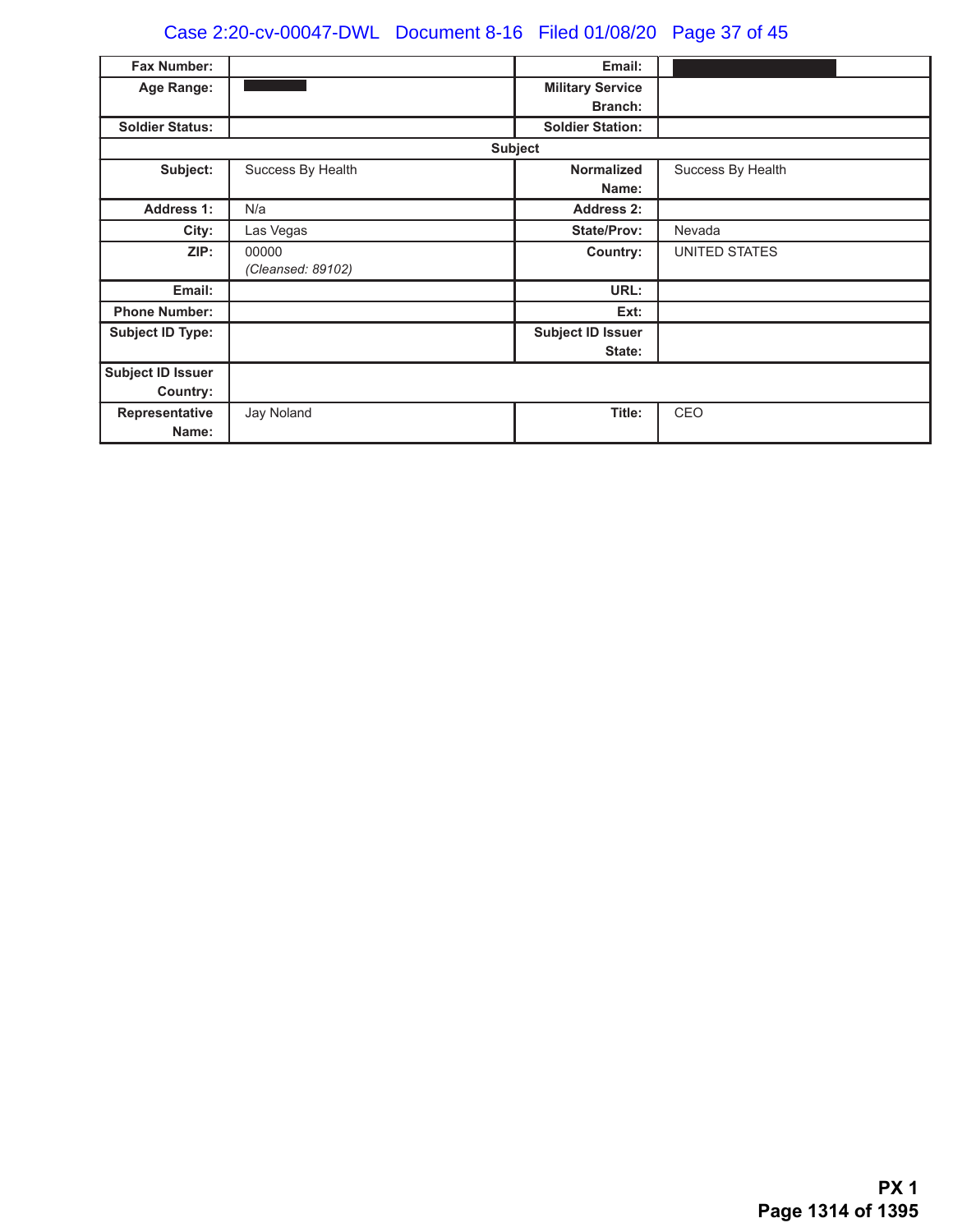# Case 2:20-cv-00047-DWL Document 8-16 Filed 01/08/20 Page 37 of 45

| Fax Number:              |                   | Email:                   |                   |
|--------------------------|-------------------|--------------------------|-------------------|
| Age Range:               |                   | <b>Military Service</b>  |                   |
|                          |                   | <b>Branch:</b>           |                   |
| <b>Soldier Status:</b>   |                   | <b>Soldier Station:</b>  |                   |
|                          |                   | <b>Subject</b>           |                   |
| Subject:                 | Success By Health | <b>Normalized</b>        | Success By Health |
|                          |                   | Name:                    |                   |
| <b>Address 1:</b>        | N/a               | <b>Address 2:</b>        |                   |
| City:                    | Las Vegas         | <b>State/Prov:</b>       | Nevada            |
| ZIP:                     | 00000             | Country:                 | UNITED STATES     |
|                          | (Cleansed: 89102) |                          |                   |
| Email:                   |                   | URL:                     |                   |
| <b>Phone Number:</b>     |                   | Ext:                     |                   |
| <b>Subject ID Type:</b>  |                   | <b>Subject ID Issuer</b> |                   |
|                          |                   | State:                   |                   |
| <b>Subject ID Issuer</b> |                   |                          |                   |
| Country:                 |                   |                          |                   |
| Representative           | Jay Noland        | Title:                   | CEO               |
| Name:                    |                   |                          |                   |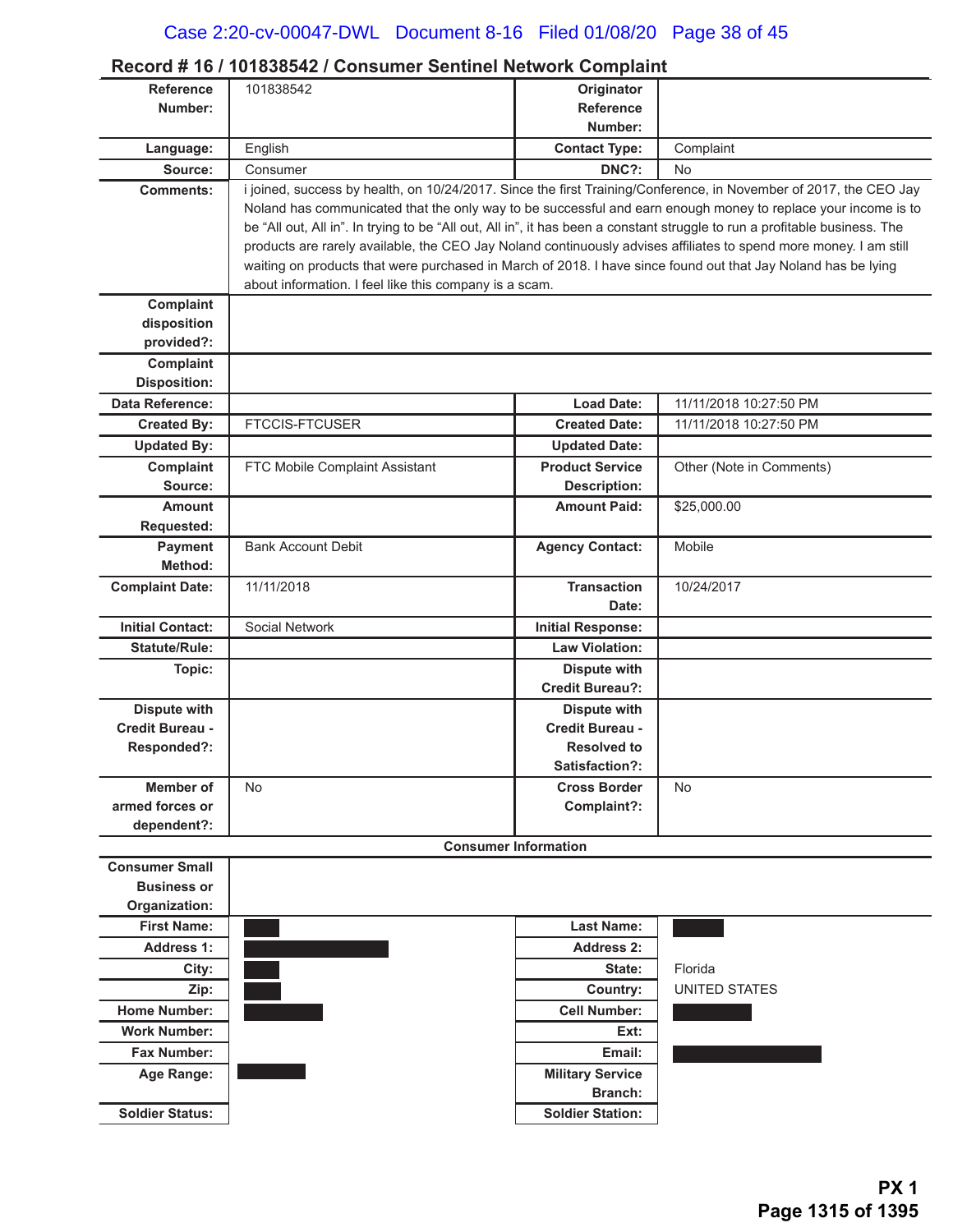| <b>Reference</b>          | 101838542                                                                                                                  | Originator                  |                          |
|---------------------------|----------------------------------------------------------------------------------------------------------------------------|-----------------------------|--------------------------|
| Number:                   |                                                                                                                            | <b>Reference</b>            |                          |
|                           |                                                                                                                            | Number:                     |                          |
| Language:                 | English                                                                                                                    | <b>Contact Type:</b>        | Complaint                |
| Source:                   | Consumer                                                                                                                   | DNC?:                       | <b>No</b>                |
| <b>Comments:</b>          | i joined, success by health, on 10/24/2017. Since the first Training/Conference, in November of 2017, the CEO Jay          |                             |                          |
|                           | Noland has communicated that the only way to be successful and earn enough money to replace your income is to              |                             |                          |
|                           | be "All out, All in". In trying to be "All out, All in", it has been a constant struggle to run a profitable business. The |                             |                          |
|                           | products are rarely available, the CEO Jay Noland continuously advises affiliates to spend more money. I am still          |                             |                          |
|                           | waiting on products that were purchased in March of 2018. I have since found out that Jay Noland has be lying              |                             |                          |
|                           | about information. I feel like this company is a scam.                                                                     |                             |                          |
| Complaint                 |                                                                                                                            |                             |                          |
| disposition<br>provided?: |                                                                                                                            |                             |                          |
| Complaint                 |                                                                                                                            |                             |                          |
| <b>Disposition:</b>       |                                                                                                                            |                             |                          |
| <b>Data Reference:</b>    |                                                                                                                            | <b>Load Date:</b>           | 11/11/2018 10:27:50 PM   |
| <b>Created By:</b>        | <b>FTCCIS-FTCUSER</b>                                                                                                      | <b>Created Date:</b>        | 11/11/2018 10:27:50 PM   |
| <b>Updated By:</b>        |                                                                                                                            | <b>Updated Date:</b>        |                          |
| Complaint                 | FTC Mobile Complaint Assistant                                                                                             | <b>Product Service</b>      | Other (Note in Comments) |
| Source:                   |                                                                                                                            | <b>Description:</b>         |                          |
| <b>Amount</b>             |                                                                                                                            | <b>Amount Paid:</b>         | \$25,000.00              |
| Requested:                |                                                                                                                            |                             |                          |
| <b>Payment</b>            | <b>Bank Account Debit</b>                                                                                                  | <b>Agency Contact:</b>      | Mobile                   |
| Method:                   |                                                                                                                            |                             |                          |
| <b>Complaint Date:</b>    | 11/11/2018                                                                                                                 | <b>Transaction</b>          | 10/24/2017               |
|                           |                                                                                                                            | Date:                       |                          |
| <b>Initial Contact:</b>   | Social Network                                                                                                             | <b>Initial Response:</b>    |                          |
| <b>Statute/Rule:</b>      |                                                                                                                            | <b>Law Violation:</b>       |                          |
| Topic:                    |                                                                                                                            | Dispute with                |                          |
|                           |                                                                                                                            | <b>Credit Bureau?:</b>      |                          |
| <b>Dispute with</b>       |                                                                                                                            | <b>Dispute with</b>         |                          |
| Credit Bureau -           |                                                                                                                            | Credit Bureau -             |                          |
| Responded?:               |                                                                                                                            | <b>Resolved to</b>          |                          |
|                           |                                                                                                                            | Satisfaction?:              |                          |
| Member of                 | No.                                                                                                                        | <b>Cross Border</b>         | <b>No</b>                |
| armed forces or           |                                                                                                                            | Complaint?:                 |                          |
| dependent?:               |                                                                                                                            |                             |                          |
|                           |                                                                                                                            | <b>Consumer Information</b> |                          |
| <b>Consumer Small</b>     |                                                                                                                            |                             |                          |
| <b>Business or</b>        |                                                                                                                            |                             |                          |
| Organization:             |                                                                                                                            |                             |                          |
| <b>First Name:</b>        |                                                                                                                            | <b>Last Name:</b>           |                          |
| <b>Address 1:</b>         |                                                                                                                            | Address 2:                  |                          |
| City:                     |                                                                                                                            | State:                      | Florida                  |
| Zip:                      |                                                                                                                            | Country:                    | <b>UNITED STATES</b>     |
| <b>Home Number:</b>       |                                                                                                                            | <b>Cell Number:</b>         |                          |
| <b>Work Number:</b>       |                                                                                                                            | Ext:                        |                          |
| <b>Fax Number:</b>        |                                                                                                                            | Email:                      |                          |
| Age Range:                |                                                                                                                            | <b>Military Service</b>     |                          |
|                           |                                                                                                                            | <b>Branch:</b>              |                          |
| <b>Soldier Status:</b>    |                                                                                                                            | <b>Soldier Station:</b>     |                          |

### **Record # 16 / 101838542 / Consumer Sentinel Network Complaint**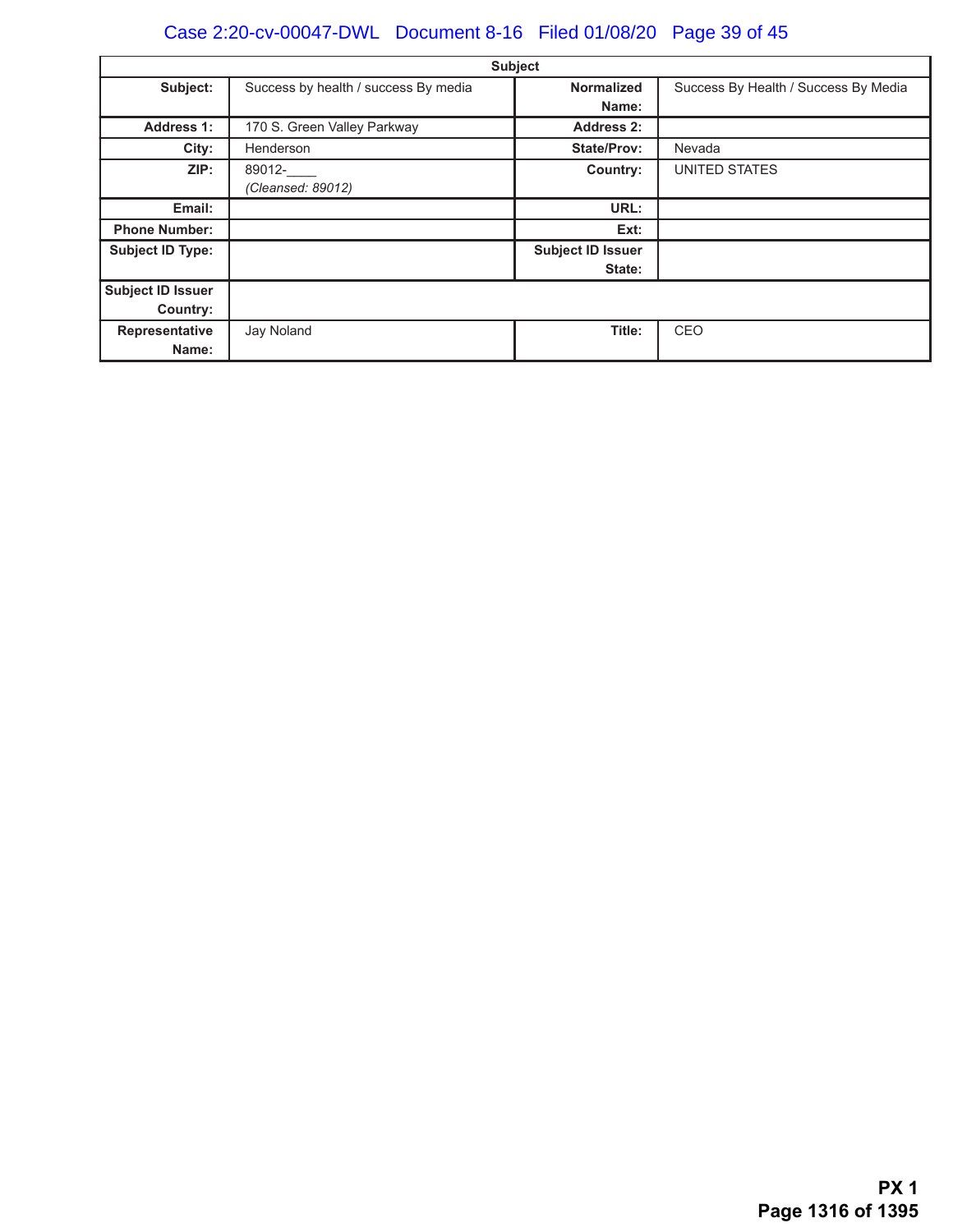# Case 2:20-cv-00047-DWL Document 8-16 Filed 01/08/20 Page 39 of 45

| Subject                  |                                      |                          |                                      |  |
|--------------------------|--------------------------------------|--------------------------|--------------------------------------|--|
| Subject:                 | Success by health / success By media | Normalized               | Success By Health / Success By Media |  |
|                          |                                      | Name:                    |                                      |  |
| <b>Address 1:</b>        | 170 S. Green Valley Parkway          | <b>Address 2:</b>        |                                      |  |
| City:                    | Henderson                            | <b>State/Prov:</b>       | Nevada                               |  |
| ZIP:                     | 89012-                               | Country:                 | UNITED STATES                        |  |
|                          | (Cleansed: 89012)                    |                          |                                      |  |
| Email:                   |                                      | URL:                     |                                      |  |
| <b>Phone Number:</b>     |                                      | Ext:                     |                                      |  |
| <b>Subject ID Type:</b>  |                                      | <b>Subject ID Issuer</b> |                                      |  |
|                          |                                      | State:                   |                                      |  |
| <b>Subject ID Issuer</b> |                                      |                          |                                      |  |
| Country:                 |                                      |                          |                                      |  |
| Representative           | Jay Noland                           | Title:                   | CEO                                  |  |
| Name:                    |                                      |                          |                                      |  |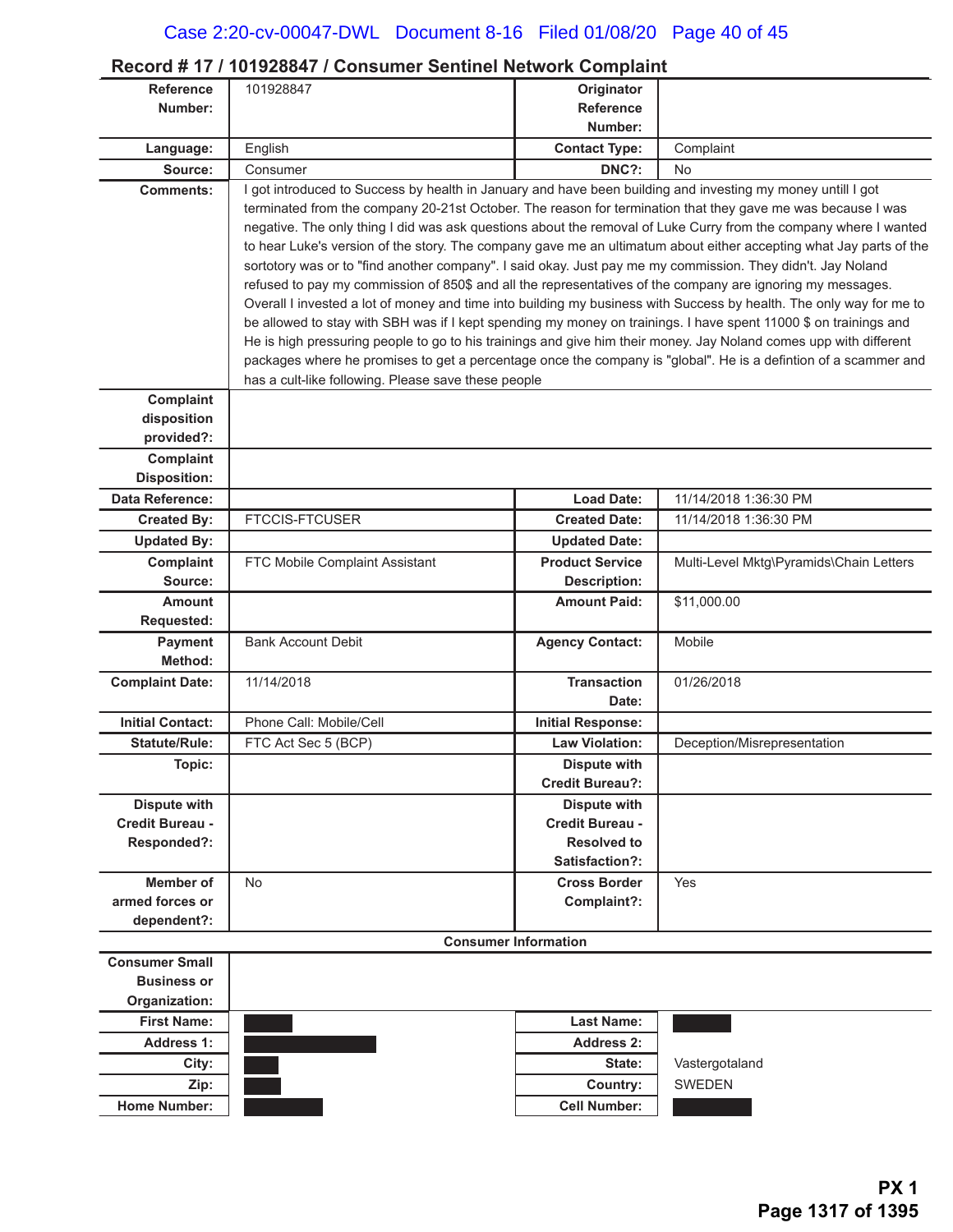### **Record # 17 / 101928847 / Consumer Sentinel Network Complaint**

| <b>Reference</b>        | 101928847                                                                                                                                                                                                                             | Originator                                    |                                                                                                                    |
|-------------------------|---------------------------------------------------------------------------------------------------------------------------------------------------------------------------------------------------------------------------------------|-----------------------------------------------|--------------------------------------------------------------------------------------------------------------------|
| Number:                 |                                                                                                                                                                                                                                       | <b>Reference</b>                              |                                                                                                                    |
|                         |                                                                                                                                                                                                                                       | Number:                                       |                                                                                                                    |
| Language:               | English                                                                                                                                                                                                                               | <b>Contact Type:</b>                          | Complaint                                                                                                          |
| Source:                 | Consumer                                                                                                                                                                                                                              | DNC?:                                         | No                                                                                                                 |
| <b>Comments:</b>        | I got introduced to Success by health in January and have been building and investing my money untill I got                                                                                                                           |                                               |                                                                                                                    |
|                         | terminated from the company 20-21st October. The reason for termination that they gave me was because I was                                                                                                                           |                                               |                                                                                                                    |
|                         |                                                                                                                                                                                                                                       |                                               | negative. The only thing I did was ask questions about the removal of Luke Curry from the company where I wanted   |
|                         |                                                                                                                                                                                                                                       |                                               | to hear Luke's version of the story. The company gave me an ultimatum about either accepting what Jay parts of the |
|                         | sortotory was or to "find another company". I said okay. Just pay me my commission. They didn't. Jay Noland                                                                                                                           |                                               |                                                                                                                    |
|                         | refused to pay my commission of 850\$ and all the representatives of the company are ignoring my messages.                                                                                                                            |                                               |                                                                                                                    |
|                         | Overall I invested a lot of money and time into building my business with Success by health. The only way for me to                                                                                                                   |                                               |                                                                                                                    |
|                         | be allowed to stay with SBH was if I kept spending my money on trainings. I have spent 11000 \$ on trainings and<br>He is high pressuring people to go to his trainings and give him their money. Jay Noland comes upp with different |                                               |                                                                                                                    |
|                         | packages where he promises to get a percentage once the company is "global". He is a defintion of a scammer and                                                                                                                       |                                               |                                                                                                                    |
|                         | has a cult-like following. Please save these people                                                                                                                                                                                   |                                               |                                                                                                                    |
| Complaint               |                                                                                                                                                                                                                                       |                                               |                                                                                                                    |
| disposition             |                                                                                                                                                                                                                                       |                                               |                                                                                                                    |
| provided?:              |                                                                                                                                                                                                                                       |                                               |                                                                                                                    |
| Complaint               |                                                                                                                                                                                                                                       |                                               |                                                                                                                    |
| <b>Disposition:</b>     |                                                                                                                                                                                                                                       |                                               |                                                                                                                    |
| <b>Data Reference:</b>  |                                                                                                                                                                                                                                       | <b>Load Date:</b>                             | 11/14/2018 1:36:30 PM                                                                                              |
| <b>Created By:</b>      | <b>FTCCIS-FTCUSER</b>                                                                                                                                                                                                                 | <b>Created Date:</b>                          | 11/14/2018 1:36:30 PM                                                                                              |
| <b>Updated By:</b>      |                                                                                                                                                                                                                                       | <b>Updated Date:</b>                          |                                                                                                                    |
| Complaint               | FTC Mobile Complaint Assistant                                                                                                                                                                                                        | <b>Product Service</b>                        | Multi-Level Mktg\Pyramids\Chain Letters                                                                            |
| Source:                 |                                                                                                                                                                                                                                       | <b>Description:</b>                           |                                                                                                                    |
| <b>Amount</b>           |                                                                                                                                                                                                                                       | <b>Amount Paid:</b>                           | \$11,000.00                                                                                                        |
| Requested:              |                                                                                                                                                                                                                                       |                                               |                                                                                                                    |
| <b>Payment</b>          | <b>Bank Account Debit</b>                                                                                                                                                                                                             | <b>Agency Contact:</b>                        | Mobile                                                                                                             |
| Method:                 |                                                                                                                                                                                                                                       |                                               |                                                                                                                    |
| <b>Complaint Date:</b>  | 11/14/2018                                                                                                                                                                                                                            | <b>Transaction</b>                            | 01/26/2018                                                                                                         |
|                         |                                                                                                                                                                                                                                       | Date:                                         |                                                                                                                    |
| <b>Initial Contact:</b> | Phone Call: Mobile/Cell                                                                                                                                                                                                               | <b>Initial Response:</b>                      |                                                                                                                    |
| <b>Statute/Rule:</b>    | FTC Act Sec 5 (BCP)                                                                                                                                                                                                                   | <b>Law Violation:</b>                         | Deception/Misrepresentation                                                                                        |
| Topic:                  |                                                                                                                                                                                                                                       | <b>Dispute with</b><br><b>Credit Bureau?:</b> |                                                                                                                    |
| <b>Dispute with</b>     |                                                                                                                                                                                                                                       | <b>Dispute with</b>                           |                                                                                                                    |
| Credit Bureau -         |                                                                                                                                                                                                                                       | Credit Bureau -                               |                                                                                                                    |
| Responded?:             |                                                                                                                                                                                                                                       | <b>Resolved to</b>                            |                                                                                                                    |
|                         |                                                                                                                                                                                                                                       | Satisfaction?:                                |                                                                                                                    |
| <b>Member of</b>        | <b>No</b>                                                                                                                                                                                                                             | <b>Cross Border</b>                           | Yes                                                                                                                |
| armed forces or         |                                                                                                                                                                                                                                       | Complaint?:                                   |                                                                                                                    |
| dependent?:             |                                                                                                                                                                                                                                       |                                               |                                                                                                                    |
|                         |                                                                                                                                                                                                                                       | <b>Consumer Information</b>                   |                                                                                                                    |
| <b>Consumer Small</b>   |                                                                                                                                                                                                                                       |                                               |                                                                                                                    |
| <b>Business or</b>      |                                                                                                                                                                                                                                       |                                               |                                                                                                                    |
| Organization:           |                                                                                                                                                                                                                                       |                                               |                                                                                                                    |
| <b>First Name:</b>      |                                                                                                                                                                                                                                       | <b>Last Name:</b>                             |                                                                                                                    |
| <b>Address 1:</b>       |                                                                                                                                                                                                                                       | <b>Address 2:</b>                             |                                                                                                                    |
| City:                   |                                                                                                                                                                                                                                       | State:                                        | Vastergotaland                                                                                                     |
| Zip:                    |                                                                                                                                                                                                                                       | Country:                                      | <b>SWEDEN</b>                                                                                                      |
| <b>Home Number:</b>     |                                                                                                                                                                                                                                       | <b>Cell Number:</b>                           |                                                                                                                    |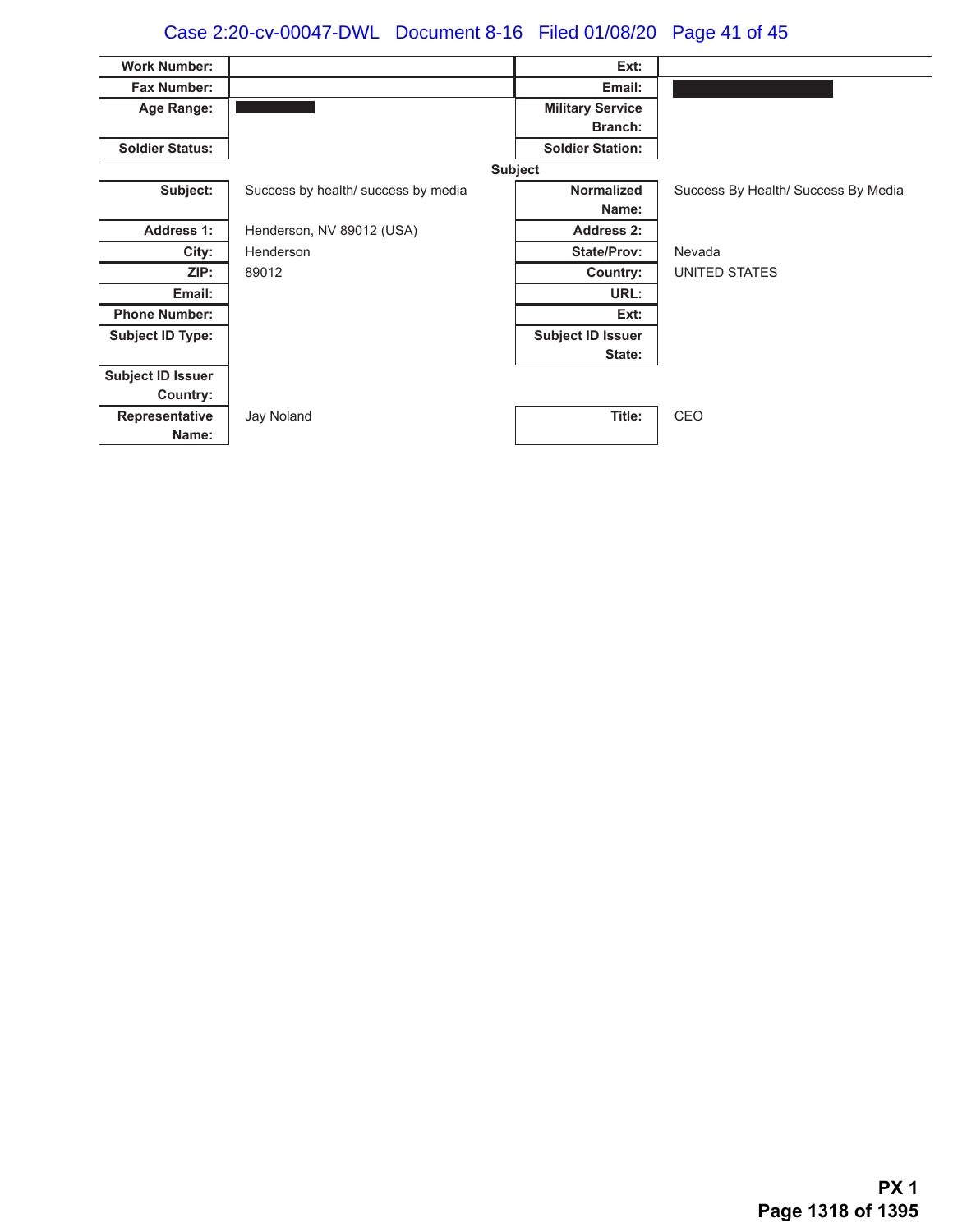# Case 2:20-cv-00047-DWL Document 8-16 Filed 01/08/20 Page 41 of 45

| <b>Work Number:</b>      |                                     | Ext:                     |                                     |
|--------------------------|-------------------------------------|--------------------------|-------------------------------------|
| <b>Fax Number:</b>       |                                     | Email:                   |                                     |
| Age Range:               |                                     | <b>Military Service</b>  |                                     |
|                          |                                     | <b>Branch:</b>           |                                     |
| <b>Soldier Status:</b>   |                                     | <b>Soldier Station:</b>  |                                     |
|                          |                                     | <b>Subject</b>           |                                     |
| Subject:                 | Success by health/ success by media | <b>Normalized</b>        | Success By Health/ Success By Media |
|                          |                                     | Name:                    |                                     |
| <b>Address 1:</b>        | Henderson, NV 89012 (USA)           | Address 2:               |                                     |
| City:                    | Henderson                           | <b>State/Prov:</b>       | Nevada                              |
| ZIP:                     | 89012                               | Country:                 | UNITED STATES                       |
| Email:                   |                                     | URL:                     |                                     |
| <b>Phone Number:</b>     |                                     | Ext:                     |                                     |
| <b>Subject ID Type:</b>  |                                     | <b>Subject ID Issuer</b> |                                     |
|                          |                                     | State:                   |                                     |
| <b>Subject ID Issuer</b> |                                     |                          |                                     |
| Country:                 |                                     |                          |                                     |
| Representative           | Jay Noland                          | Title:                   | CEO                                 |
| Name:                    |                                     |                          |                                     |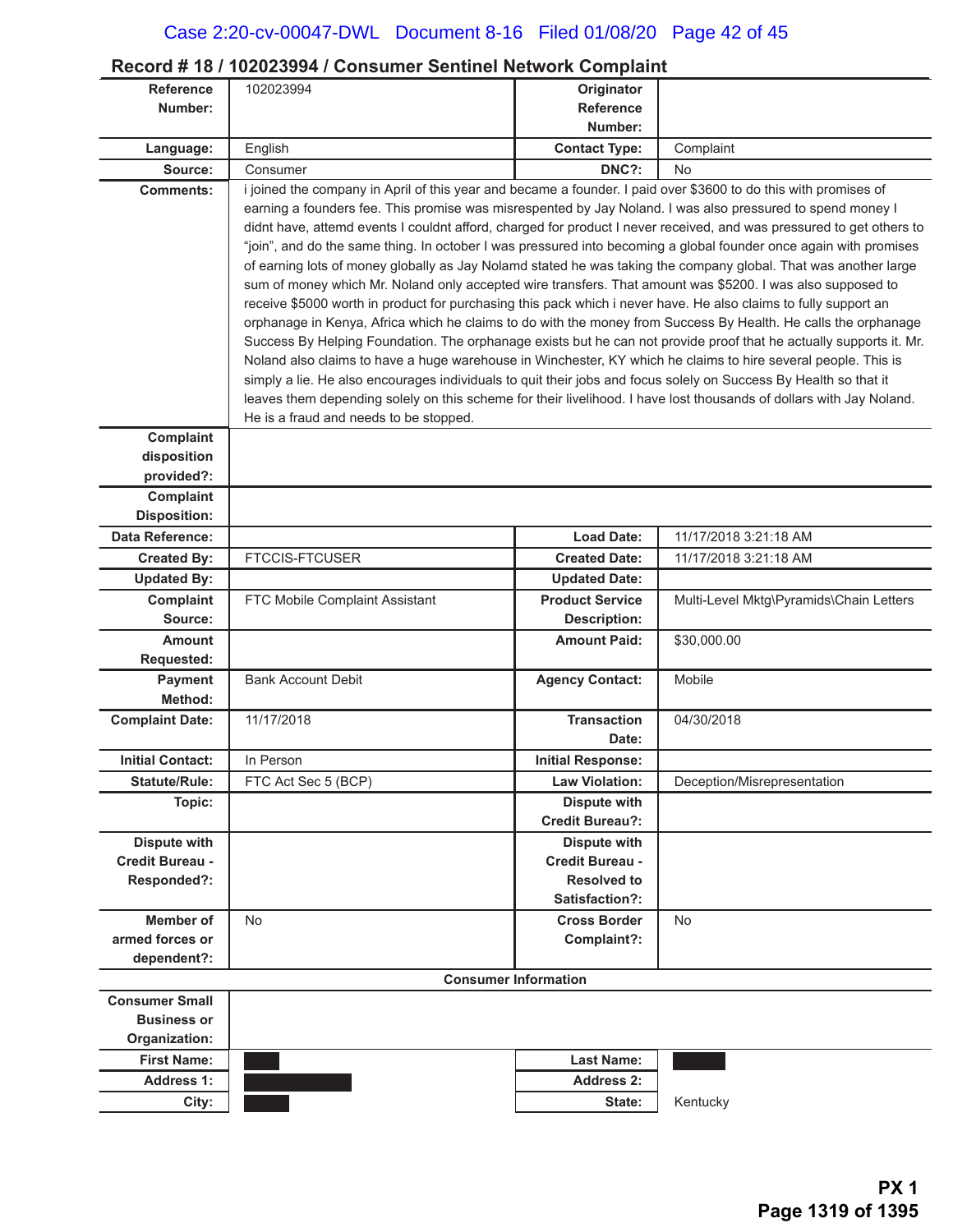### **Record # 18 / 102023994 / Consumer Sentinel Network Complaint**

| <b>Reference</b>                       | 102023994                                                                                                                                                                                                                            | Originator                             |                                         |
|----------------------------------------|--------------------------------------------------------------------------------------------------------------------------------------------------------------------------------------------------------------------------------------|----------------------------------------|-----------------------------------------|
| Number:                                |                                                                                                                                                                                                                                      | <b>Reference</b>                       |                                         |
|                                        |                                                                                                                                                                                                                                      | Number:                                |                                         |
| Language:                              | English                                                                                                                                                                                                                              | <b>Contact Type:</b>                   | Complaint                               |
| Source:                                | Consumer                                                                                                                                                                                                                             | DNC?:                                  | <b>No</b>                               |
| <b>Comments:</b>                       | i joined the company in April of this year and became a founder. I paid over \$3600 to do this with promises of                                                                                                                      |                                        |                                         |
|                                        | earning a founders fee. This promise was misrespented by Jay Noland. I was also pressured to spend money I                                                                                                                           |                                        |                                         |
|                                        | didnt have, attemd events I couldnt afford, charged for product I never received, and was pressured to get others to                                                                                                                 |                                        |                                         |
|                                        | "join", and do the same thing. In october I was pressured into becoming a global founder once again with promises<br>of earning lots of money globally as Jay Nolamd stated he was taking the company global. That was another large |                                        |                                         |
|                                        | sum of money which Mr. Noland only accepted wire transfers. That amount was \$5200. I was also supposed to                                                                                                                           |                                        |                                         |
|                                        | receive \$5000 worth in product for purchasing this pack which i never have. He also claims to fully support an                                                                                                                      |                                        |                                         |
|                                        | orphanage in Kenya, Africa which he claims to do with the money from Success By Health. He calls the orphanage                                                                                                                       |                                        |                                         |
|                                        | Success By Helping Foundation. The orphanage exists but he can not provide proof that he actually supports it. Mr.                                                                                                                   |                                        |                                         |
|                                        | Noland also claims to have a huge warehouse in Winchester, KY which he claims to hire several people. This is                                                                                                                        |                                        |                                         |
|                                        | simply a lie. He also encourages individuals to quit their jobs and focus solely on Success By Health so that it                                                                                                                     |                                        |                                         |
|                                        | leaves them depending solely on this scheme for their livelihood. I have lost thousands of dollars with Jay Noland.                                                                                                                  |                                        |                                         |
|                                        | He is a fraud and needs to be stopped.                                                                                                                                                                                               |                                        |                                         |
| Complaint                              |                                                                                                                                                                                                                                      |                                        |                                         |
| disposition<br>provided?:              |                                                                                                                                                                                                                                      |                                        |                                         |
| Complaint                              |                                                                                                                                                                                                                                      |                                        |                                         |
| <b>Disposition:</b>                    |                                                                                                                                                                                                                                      |                                        |                                         |
| Data Reference:                        |                                                                                                                                                                                                                                      | <b>Load Date:</b>                      | 11/17/2018 3:21:18 AM                   |
| <b>Created By:</b>                     | <b>FTCCIS-FTCUSER</b>                                                                                                                                                                                                                | <b>Created Date:</b>                   | 11/17/2018 3:21:18 AM                   |
| <b>Updated By:</b>                     |                                                                                                                                                                                                                                      | <b>Updated Date:</b>                   |                                         |
| Complaint                              | FTC Mobile Complaint Assistant                                                                                                                                                                                                       | <b>Product Service</b>                 | Multi-Level Mktg\Pyramids\Chain Letters |
| Source:                                |                                                                                                                                                                                                                                      | <b>Description:</b>                    |                                         |
| <b>Amount</b>                          |                                                                                                                                                                                                                                      | <b>Amount Paid:</b>                    | \$30,000.00                             |
| Requested:                             |                                                                                                                                                                                                                                      |                                        |                                         |
| Payment                                | <b>Bank Account Debit</b>                                                                                                                                                                                                            | <b>Agency Contact:</b>                 | Mobile                                  |
| Method:                                |                                                                                                                                                                                                                                      |                                        |                                         |
| <b>Complaint Date:</b>                 | 11/17/2018                                                                                                                                                                                                                           | <b>Transaction</b>                     | 04/30/2018                              |
|                                        |                                                                                                                                                                                                                                      | Date:                                  |                                         |
| <b>Initial Contact:</b>                | In Person                                                                                                                                                                                                                            | <b>Initial Response:</b>               |                                         |
| <b>Statute/Rule:</b>                   | FTC Act Sec 5 (BCP)                                                                                                                                                                                                                  | <b>Law Violation:</b>                  | Deception/Misrepresentation             |
| Topic:                                 |                                                                                                                                                                                                                                      | <b>Dispute with</b>                    |                                         |
|                                        |                                                                                                                                                                                                                                      | <b>Credit Bureau?:</b>                 |                                         |
| <b>Dispute with</b><br>Credit Bureau - |                                                                                                                                                                                                                                      | <b>Dispute with</b><br>Credit Bureau - |                                         |
| Responded?:                            |                                                                                                                                                                                                                                      | <b>Resolved to</b>                     |                                         |
|                                        |                                                                                                                                                                                                                                      | Satisfaction?:                         |                                         |
| Member of                              | <b>No</b>                                                                                                                                                                                                                            | <b>Cross Border</b>                    | <b>No</b>                               |
| armed forces or                        |                                                                                                                                                                                                                                      | Complaint?:                            |                                         |
| dependent?:                            |                                                                                                                                                                                                                                      |                                        |                                         |
|                                        |                                                                                                                                                                                                                                      | <b>Consumer Information</b>            |                                         |
| <b>Consumer Small</b>                  |                                                                                                                                                                                                                                      |                                        |                                         |
| <b>Business or</b>                     |                                                                                                                                                                                                                                      |                                        |                                         |
| Organization:                          |                                                                                                                                                                                                                                      |                                        |                                         |
| <b>First Name:</b>                     |                                                                                                                                                                                                                                      | <b>Last Name:</b>                      |                                         |
| <b>Address 1:</b>                      |                                                                                                                                                                                                                                      | <b>Address 2:</b>                      |                                         |
| City:                                  |                                                                                                                                                                                                                                      | State:                                 | Kentucky                                |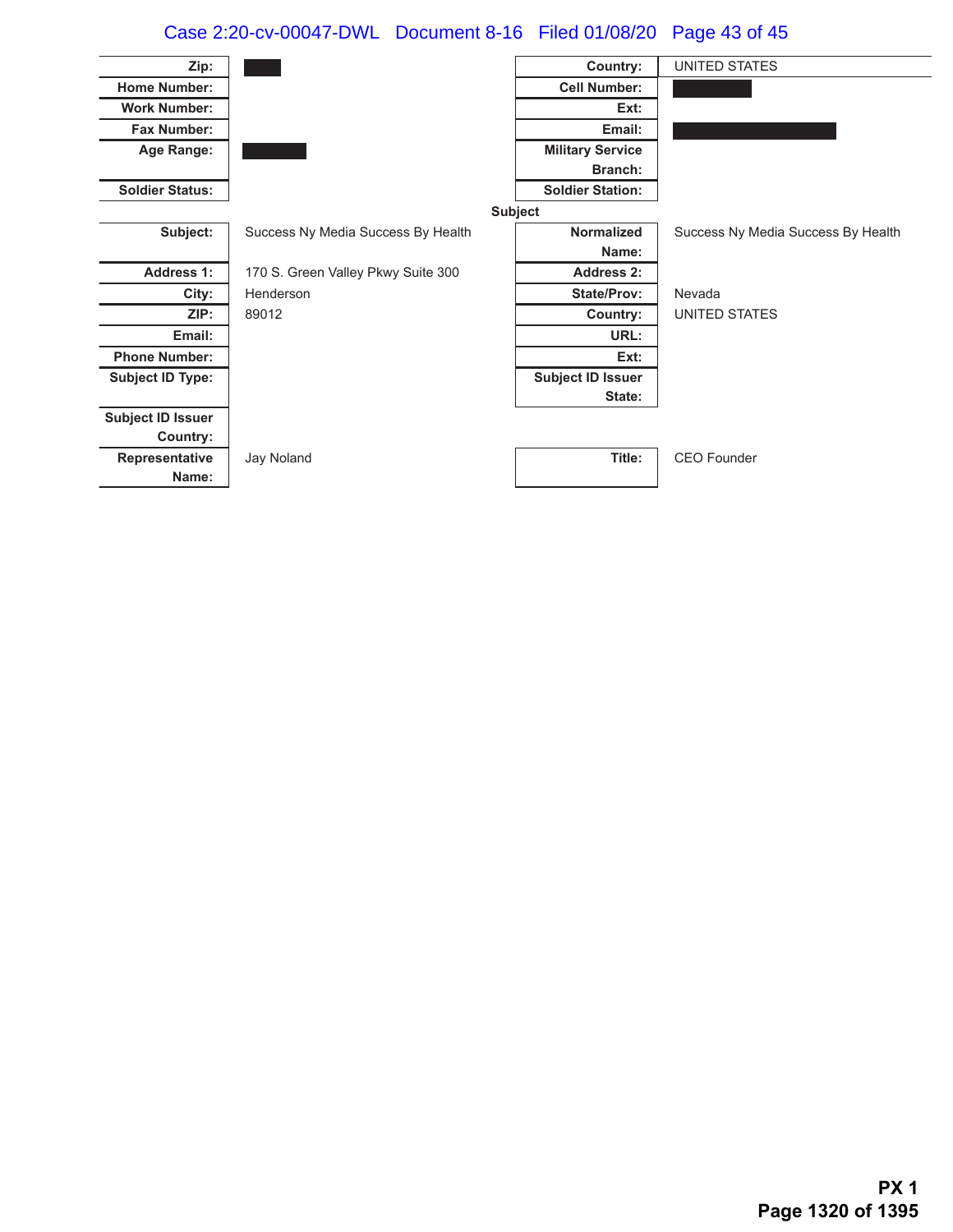# Case 2:20-cv-00047-DWL Document 8-16 Filed 01/08/20 Page 43 of 45

| Zip:                     |                                    | Country:                 | <b>UNITED STATES</b>               |
|--------------------------|------------------------------------|--------------------------|------------------------------------|
| <b>Home Number:</b>      |                                    | <b>Cell Number:</b>      |                                    |
| <b>Work Number:</b>      |                                    | Ext:                     |                                    |
| <b>Fax Number:</b>       |                                    | Email:                   |                                    |
| Age Range:               |                                    | <b>Military Service</b>  |                                    |
|                          |                                    | Branch:                  |                                    |
| <b>Soldier Status:</b>   |                                    | <b>Soldier Station:</b>  |                                    |
|                          |                                    | <b>Subject</b>           |                                    |
| Subject:                 | Success Ny Media Success By Health | <b>Normalized</b>        | Success Ny Media Success By Health |
|                          |                                    | Name:                    |                                    |
| <b>Address 1:</b>        | 170 S. Green Valley Pkwy Suite 300 | <b>Address 2:</b>        |                                    |
| City:                    | Henderson                          | <b>State/Prov:</b>       | Nevada                             |
| ZIP:                     | 89012                              | Country:                 | UNITED STATES                      |
| Email:                   |                                    | URL:                     |                                    |
| <b>Phone Number:</b>     |                                    | Ext:                     |                                    |
| <b>Subject ID Type:</b>  |                                    | <b>Subject ID Issuer</b> |                                    |
|                          |                                    | State:                   |                                    |
| <b>Subject ID Issuer</b> |                                    |                          |                                    |
| Country:                 |                                    |                          |                                    |
| Representative           | Jay Noland                         | Title:                   | <b>CEO</b> Founder                 |
| Name:                    |                                    |                          |                                    |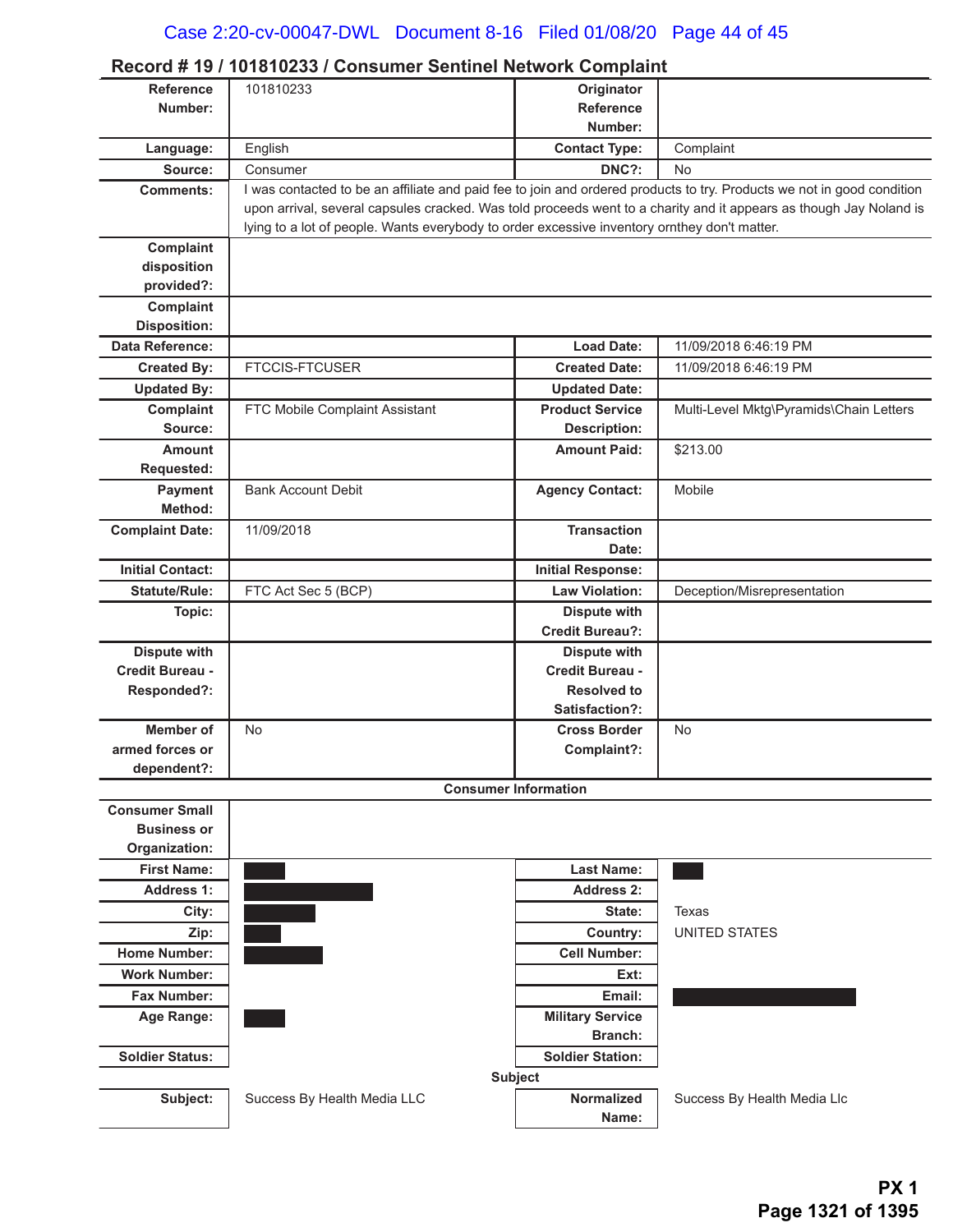|                                  | Record # 19 / 101010233 / Consumer Sentiner Network Complaint                                                          |                          |                                         |
|----------------------------------|------------------------------------------------------------------------------------------------------------------------|--------------------------|-----------------------------------------|
| <b>Reference</b>                 | 101810233                                                                                                              | Originator               |                                         |
| Number:                          |                                                                                                                        | Reference                |                                         |
|                                  |                                                                                                                        | Number:                  |                                         |
| Language:                        | English                                                                                                                | <b>Contact Type:</b>     | Complaint                               |
| Source:                          | Consumer                                                                                                               | DNC?:                    | No                                      |
| <b>Comments:</b>                 | I was contacted to be an affiliate and paid fee to join and ordered products to try. Products we not in good condition |                          |                                         |
|                                  | upon arrival, several capsules cracked. Was told proceeds went to a charity and it appears as though Jay Noland is     |                          |                                         |
|                                  | lying to a lot of people. Wants everybody to order excessive inventory ornthey don't matter.                           |                          |                                         |
| Complaint                        |                                                                                                                        |                          |                                         |
| disposition<br>provided?:        |                                                                                                                        |                          |                                         |
|                                  |                                                                                                                        |                          |                                         |
| Complaint<br><b>Disposition:</b> |                                                                                                                        |                          |                                         |
| <b>Data Reference:</b>           |                                                                                                                        | <b>Load Date:</b>        | 11/09/2018 6:46:19 PM                   |
| <b>Created By:</b>               | <b>FTCCIS-FTCUSER</b>                                                                                                  | <b>Created Date:</b>     | 11/09/2018 6:46:19 PM                   |
|                                  |                                                                                                                        | <b>Updated Date:</b>     |                                         |
| <b>Updated By:</b>               |                                                                                                                        | <b>Product Service</b>   |                                         |
| Complaint<br>Source:             | FTC Mobile Complaint Assistant                                                                                         | <b>Description:</b>      | Multi-Level Mktg\Pyramids\Chain Letters |
| <b>Amount</b>                    |                                                                                                                        | <b>Amount Paid:</b>      | \$213.00                                |
| Requested:                       |                                                                                                                        |                          |                                         |
| Payment                          | <b>Bank Account Debit</b>                                                                                              | <b>Agency Contact:</b>   | Mobile                                  |
| Method:                          |                                                                                                                        |                          |                                         |
| <b>Complaint Date:</b>           | 11/09/2018                                                                                                             | <b>Transaction</b>       |                                         |
|                                  |                                                                                                                        | Date:                    |                                         |
| <b>Initial Contact:</b>          |                                                                                                                        | <b>Initial Response:</b> |                                         |
| <b>Statute/Rule:</b>             | FTC Act Sec 5 (BCP)                                                                                                    | <b>Law Violation:</b>    | Deception/Misrepresentation             |
| Topic:                           |                                                                                                                        | <b>Dispute with</b>      |                                         |
|                                  |                                                                                                                        | <b>Credit Bureau?:</b>   |                                         |
| <b>Dispute with</b>              |                                                                                                                        | <b>Dispute with</b>      |                                         |
| Credit Bureau -                  |                                                                                                                        | Credit Bureau -          |                                         |
| Responded?:                      |                                                                                                                        | <b>Resolved to</b>       |                                         |
|                                  |                                                                                                                        | Satisfaction?:           |                                         |
| <b>Member of</b>                 | <b>No</b>                                                                                                              | <b>Cross Border</b>      | <b>No</b>                               |
| armed forces or                  |                                                                                                                        | Complaint?:              |                                         |
| dependent?:                      |                                                                                                                        |                          |                                         |
|                                  | <b>Consumer Information</b>                                                                                            |                          |                                         |
| <b>Consumer Small</b>            |                                                                                                                        |                          |                                         |
| <b>Business or</b>               |                                                                                                                        |                          |                                         |
| Organization:                    |                                                                                                                        |                          |                                         |
| <b>First Name:</b>               |                                                                                                                        | <b>Last Name:</b>        |                                         |
| <b>Address 1:</b>                |                                                                                                                        | <b>Address 2:</b>        |                                         |
| City:                            |                                                                                                                        | State:                   | Texas                                   |
| Zip:                             |                                                                                                                        | Country:                 | <b>UNITED STATES</b>                    |
| <b>Home Number:</b>              |                                                                                                                        | <b>Cell Number:</b>      |                                         |
| <b>Work Number:</b>              |                                                                                                                        | Ext:                     |                                         |
| Fax Number:                      |                                                                                                                        | Email:                   |                                         |
| Age Range:                       |                                                                                                                        | <b>Military Service</b>  |                                         |
|                                  |                                                                                                                        | <b>Branch:</b>           |                                         |
| <b>Soldier Status:</b>           |                                                                                                                        | <b>Soldier Station:</b>  |                                         |
|                                  |                                                                                                                        | <b>Subject</b>           |                                         |
| Subject:                         | Success By Health Media LLC                                                                                            | <b>Normalized</b>        | Success By Health Media Llc             |
|                                  |                                                                                                                        | Name:                    |                                         |

### **Record # 19 / 101810233 / Consumer Sentinel Network Complaint**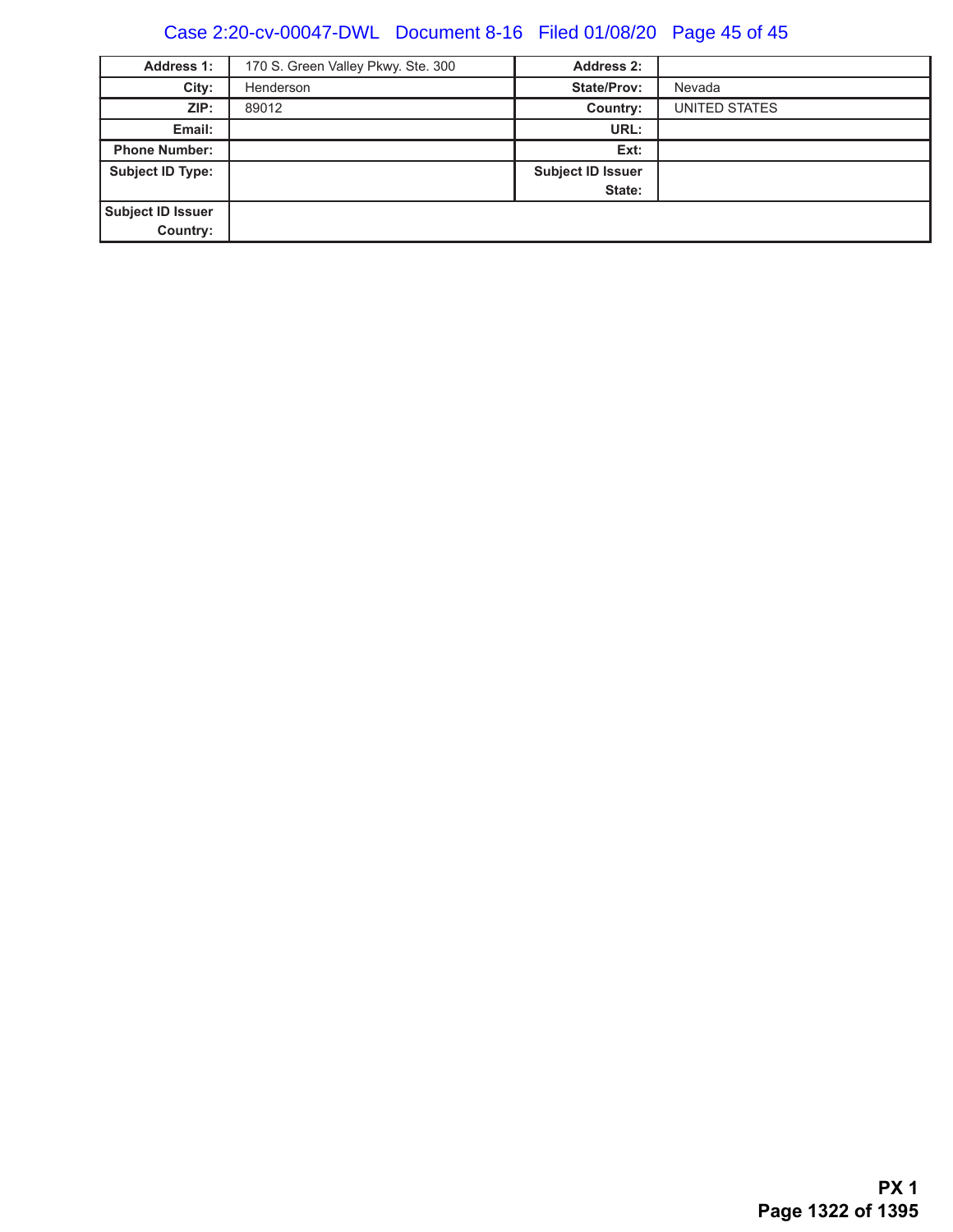# Case 2:20-cv-00047-DWL Document 8-16 Filed 01/08/20 Page 45 of 45

| <b>Address 1:</b>       | 170 S. Green Valley Pkwy. Ste. 300 | <b>Address 2:</b>        |               |
|-------------------------|------------------------------------|--------------------------|---------------|
| City:                   | Henderson                          | <b>State/Prov:</b>       | Nevada        |
| ZIP:                    | 89012                              | Country:                 | UNITED STATES |
| Email:                  |                                    | URL:                     |               |
| <b>Phone Number:</b>    |                                    | Ext:                     |               |
| <b>Subject ID Type:</b> |                                    | <b>Subject ID Issuer</b> |               |
|                         |                                    | State:                   |               |
| Subject ID Issuer       |                                    |                          |               |
| Country:                |                                    |                          |               |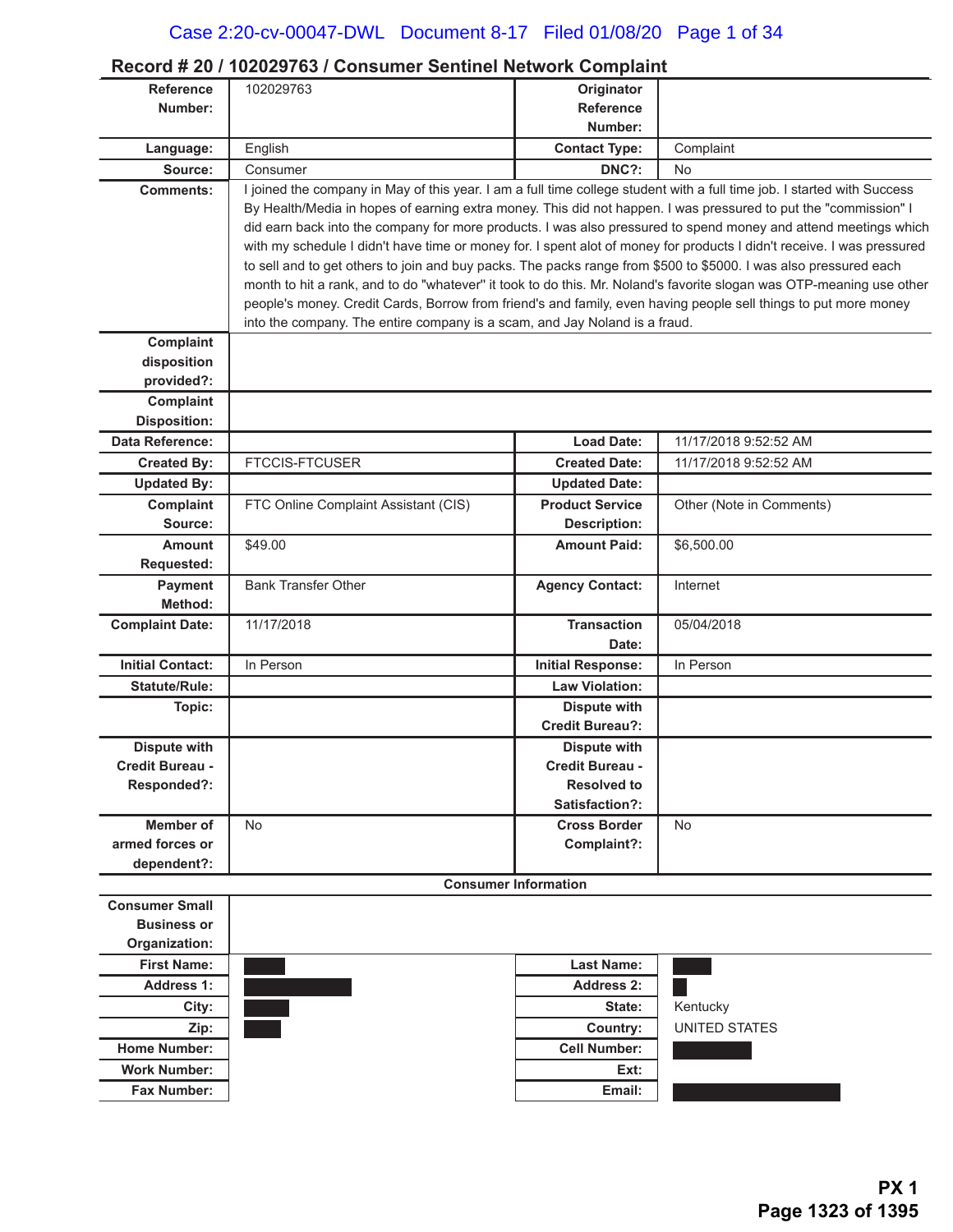### **Record # 20 / 102029763 / Consumer Sentinel Network Complaint**

| Reference<br>102029763<br>Originator<br>Number:<br><b>Reference</b><br>Number:<br>English<br><b>Contact Type:</b><br>Complaint<br>Language:<br>DNC?:<br>Source:<br><b>No</b><br>Consumer<br>I joined the company in May of this year. I am a full time college student with a full time job. I started with Success<br><b>Comments:</b><br>By Health/Media in hopes of earning extra money. This did not happen. I was pressured to put the "commission" I<br>did earn back into the company for more products. I was also pressured to spend money and attend meetings which<br>with my schedule I didn't have time or money for. I spent alot of money for products I didn't receive. I was pressured<br>to sell and to get others to join and buy packs. The packs range from \$500 to \$5000. I was also pressured each<br>month to hit a rank, and to do "whatever" it took to do this. Mr. Noland's favorite slogan was OTP-meaning use other<br>people's money. Credit Cards, Borrow from friend's and family, even having people sell things to put more money<br>into the company. The entire company is a scam, and Jay Noland is a fraud.<br>Complaint<br>disposition<br>provided?:<br><b>Complaint</b><br><b>Disposition:</b><br>Data Reference:<br><b>Load Date:</b><br>11/17/2018 9:52:52 AM<br><b>Created By:</b><br><b>FTCCIS-FTCUSER</b><br><b>Created Date:</b><br>11/17/2018 9:52:52 AM<br><b>Updated By:</b><br><b>Updated Date:</b><br>Complaint<br>FTC Online Complaint Assistant (CIS)<br><b>Product Service</b><br>Other (Note in Comments)<br><b>Description:</b><br>Source:<br><b>Amount</b><br>\$49.00<br><b>Amount Paid:</b><br>\$6,500.00<br><b>Requested:</b><br><b>Payment</b><br><b>Bank Transfer Other</b><br><b>Agency Contact:</b><br>Internet<br>Method:<br><b>Complaint Date:</b><br>11/17/2018<br><b>Transaction</b><br>05/04/2018<br>Date:<br><b>Initial Contact:</b><br>In Person<br>In Person<br><b>Initial Response:</b><br><b>Statute/Rule:</b><br><b>Law Violation:</b><br><b>Dispute with</b><br>Topic:<br><b>Credit Bureau?:</b><br>Dispute with<br><b>Dispute with</b><br><b>Credit Bureau -</b><br><b>Credit Bureau -</b><br>Responded?:<br><b>Resolved to</b><br>Satisfaction?:<br>Member of<br><b>No</b><br><b>Cross Border</b><br><b>No</b><br>armed forces or<br>Complaint?:<br>dependent?:<br><b>Consumer Information</b><br><b>Consumer Small</b><br><b>Business or</b><br>Organization:<br><b>First Name:</b><br><b>Last Name:</b><br><b>Address 1:</b><br><b>Address 2:</b><br>Kentucky<br>City:<br>State:<br><b>UNITED STATES</b><br>Country:<br>Zip:<br><b>Cell Number:</b><br><b>Home Number:</b><br><b>Work Number:</b><br>Ext:<br><b>Fax Number:</b><br>Email: |  |  |
|-----------------------------------------------------------------------------------------------------------------------------------------------------------------------------------------------------------------------------------------------------------------------------------------------------------------------------------------------------------------------------------------------------------------------------------------------------------------------------------------------------------------------------------------------------------------------------------------------------------------------------------------------------------------------------------------------------------------------------------------------------------------------------------------------------------------------------------------------------------------------------------------------------------------------------------------------------------------------------------------------------------------------------------------------------------------------------------------------------------------------------------------------------------------------------------------------------------------------------------------------------------------------------------------------------------------------------------------------------------------------------------------------------------------------------------------------------------------------------------------------------------------------------------------------------------------------------------------------------------------------------------------------------------------------------------------------------------------------------------------------------------------------------------------------------------------------------------------------------------------------------------------------------------------------------------------------------------------------------------------------------------------------------------------------------------------------------------------------------------------------------------------------------------------------------------------------------------------------------------------------------------------------------------------------------------------------------------------------------------------------------------------------------------------------------------------------------------------------------------------------------------------------------------------------------------------------------------------------------------------------------------------------------------------------------------------------------------------------------|--|--|
|                                                                                                                                                                                                                                                                                                                                                                                                                                                                                                                                                                                                                                                                                                                                                                                                                                                                                                                                                                                                                                                                                                                                                                                                                                                                                                                                                                                                                                                                                                                                                                                                                                                                                                                                                                                                                                                                                                                                                                                                                                                                                                                                                                                                                                                                                                                                                                                                                                                                                                                                                                                                                                                                                                                             |  |  |
|                                                                                                                                                                                                                                                                                                                                                                                                                                                                                                                                                                                                                                                                                                                                                                                                                                                                                                                                                                                                                                                                                                                                                                                                                                                                                                                                                                                                                                                                                                                                                                                                                                                                                                                                                                                                                                                                                                                                                                                                                                                                                                                                                                                                                                                                                                                                                                                                                                                                                                                                                                                                                                                                                                                             |  |  |
|                                                                                                                                                                                                                                                                                                                                                                                                                                                                                                                                                                                                                                                                                                                                                                                                                                                                                                                                                                                                                                                                                                                                                                                                                                                                                                                                                                                                                                                                                                                                                                                                                                                                                                                                                                                                                                                                                                                                                                                                                                                                                                                                                                                                                                                                                                                                                                                                                                                                                                                                                                                                                                                                                                                             |  |  |
|                                                                                                                                                                                                                                                                                                                                                                                                                                                                                                                                                                                                                                                                                                                                                                                                                                                                                                                                                                                                                                                                                                                                                                                                                                                                                                                                                                                                                                                                                                                                                                                                                                                                                                                                                                                                                                                                                                                                                                                                                                                                                                                                                                                                                                                                                                                                                                                                                                                                                                                                                                                                                                                                                                                             |  |  |
|                                                                                                                                                                                                                                                                                                                                                                                                                                                                                                                                                                                                                                                                                                                                                                                                                                                                                                                                                                                                                                                                                                                                                                                                                                                                                                                                                                                                                                                                                                                                                                                                                                                                                                                                                                                                                                                                                                                                                                                                                                                                                                                                                                                                                                                                                                                                                                                                                                                                                                                                                                                                                                                                                                                             |  |  |
|                                                                                                                                                                                                                                                                                                                                                                                                                                                                                                                                                                                                                                                                                                                                                                                                                                                                                                                                                                                                                                                                                                                                                                                                                                                                                                                                                                                                                                                                                                                                                                                                                                                                                                                                                                                                                                                                                                                                                                                                                                                                                                                                                                                                                                                                                                                                                                                                                                                                                                                                                                                                                                                                                                                             |  |  |
|                                                                                                                                                                                                                                                                                                                                                                                                                                                                                                                                                                                                                                                                                                                                                                                                                                                                                                                                                                                                                                                                                                                                                                                                                                                                                                                                                                                                                                                                                                                                                                                                                                                                                                                                                                                                                                                                                                                                                                                                                                                                                                                                                                                                                                                                                                                                                                                                                                                                                                                                                                                                                                                                                                                             |  |  |
|                                                                                                                                                                                                                                                                                                                                                                                                                                                                                                                                                                                                                                                                                                                                                                                                                                                                                                                                                                                                                                                                                                                                                                                                                                                                                                                                                                                                                                                                                                                                                                                                                                                                                                                                                                                                                                                                                                                                                                                                                                                                                                                                                                                                                                                                                                                                                                                                                                                                                                                                                                                                                                                                                                                             |  |  |
|                                                                                                                                                                                                                                                                                                                                                                                                                                                                                                                                                                                                                                                                                                                                                                                                                                                                                                                                                                                                                                                                                                                                                                                                                                                                                                                                                                                                                                                                                                                                                                                                                                                                                                                                                                                                                                                                                                                                                                                                                                                                                                                                                                                                                                                                                                                                                                                                                                                                                                                                                                                                                                                                                                                             |  |  |
|                                                                                                                                                                                                                                                                                                                                                                                                                                                                                                                                                                                                                                                                                                                                                                                                                                                                                                                                                                                                                                                                                                                                                                                                                                                                                                                                                                                                                                                                                                                                                                                                                                                                                                                                                                                                                                                                                                                                                                                                                                                                                                                                                                                                                                                                                                                                                                                                                                                                                                                                                                                                                                                                                                                             |  |  |
|                                                                                                                                                                                                                                                                                                                                                                                                                                                                                                                                                                                                                                                                                                                                                                                                                                                                                                                                                                                                                                                                                                                                                                                                                                                                                                                                                                                                                                                                                                                                                                                                                                                                                                                                                                                                                                                                                                                                                                                                                                                                                                                                                                                                                                                                                                                                                                                                                                                                                                                                                                                                                                                                                                                             |  |  |
|                                                                                                                                                                                                                                                                                                                                                                                                                                                                                                                                                                                                                                                                                                                                                                                                                                                                                                                                                                                                                                                                                                                                                                                                                                                                                                                                                                                                                                                                                                                                                                                                                                                                                                                                                                                                                                                                                                                                                                                                                                                                                                                                                                                                                                                                                                                                                                                                                                                                                                                                                                                                                                                                                                                             |  |  |
|                                                                                                                                                                                                                                                                                                                                                                                                                                                                                                                                                                                                                                                                                                                                                                                                                                                                                                                                                                                                                                                                                                                                                                                                                                                                                                                                                                                                                                                                                                                                                                                                                                                                                                                                                                                                                                                                                                                                                                                                                                                                                                                                                                                                                                                                                                                                                                                                                                                                                                                                                                                                                                                                                                                             |  |  |
|                                                                                                                                                                                                                                                                                                                                                                                                                                                                                                                                                                                                                                                                                                                                                                                                                                                                                                                                                                                                                                                                                                                                                                                                                                                                                                                                                                                                                                                                                                                                                                                                                                                                                                                                                                                                                                                                                                                                                                                                                                                                                                                                                                                                                                                                                                                                                                                                                                                                                                                                                                                                                                                                                                                             |  |  |
|                                                                                                                                                                                                                                                                                                                                                                                                                                                                                                                                                                                                                                                                                                                                                                                                                                                                                                                                                                                                                                                                                                                                                                                                                                                                                                                                                                                                                                                                                                                                                                                                                                                                                                                                                                                                                                                                                                                                                                                                                                                                                                                                                                                                                                                                                                                                                                                                                                                                                                                                                                                                                                                                                                                             |  |  |
|                                                                                                                                                                                                                                                                                                                                                                                                                                                                                                                                                                                                                                                                                                                                                                                                                                                                                                                                                                                                                                                                                                                                                                                                                                                                                                                                                                                                                                                                                                                                                                                                                                                                                                                                                                                                                                                                                                                                                                                                                                                                                                                                                                                                                                                                                                                                                                                                                                                                                                                                                                                                                                                                                                                             |  |  |
|                                                                                                                                                                                                                                                                                                                                                                                                                                                                                                                                                                                                                                                                                                                                                                                                                                                                                                                                                                                                                                                                                                                                                                                                                                                                                                                                                                                                                                                                                                                                                                                                                                                                                                                                                                                                                                                                                                                                                                                                                                                                                                                                                                                                                                                                                                                                                                                                                                                                                                                                                                                                                                                                                                                             |  |  |
|                                                                                                                                                                                                                                                                                                                                                                                                                                                                                                                                                                                                                                                                                                                                                                                                                                                                                                                                                                                                                                                                                                                                                                                                                                                                                                                                                                                                                                                                                                                                                                                                                                                                                                                                                                                                                                                                                                                                                                                                                                                                                                                                                                                                                                                                                                                                                                                                                                                                                                                                                                                                                                                                                                                             |  |  |
|                                                                                                                                                                                                                                                                                                                                                                                                                                                                                                                                                                                                                                                                                                                                                                                                                                                                                                                                                                                                                                                                                                                                                                                                                                                                                                                                                                                                                                                                                                                                                                                                                                                                                                                                                                                                                                                                                                                                                                                                                                                                                                                                                                                                                                                                                                                                                                                                                                                                                                                                                                                                                                                                                                                             |  |  |
|                                                                                                                                                                                                                                                                                                                                                                                                                                                                                                                                                                                                                                                                                                                                                                                                                                                                                                                                                                                                                                                                                                                                                                                                                                                                                                                                                                                                                                                                                                                                                                                                                                                                                                                                                                                                                                                                                                                                                                                                                                                                                                                                                                                                                                                                                                                                                                                                                                                                                                                                                                                                                                                                                                                             |  |  |
|                                                                                                                                                                                                                                                                                                                                                                                                                                                                                                                                                                                                                                                                                                                                                                                                                                                                                                                                                                                                                                                                                                                                                                                                                                                                                                                                                                                                                                                                                                                                                                                                                                                                                                                                                                                                                                                                                                                                                                                                                                                                                                                                                                                                                                                                                                                                                                                                                                                                                                                                                                                                                                                                                                                             |  |  |
|                                                                                                                                                                                                                                                                                                                                                                                                                                                                                                                                                                                                                                                                                                                                                                                                                                                                                                                                                                                                                                                                                                                                                                                                                                                                                                                                                                                                                                                                                                                                                                                                                                                                                                                                                                                                                                                                                                                                                                                                                                                                                                                                                                                                                                                                                                                                                                                                                                                                                                                                                                                                                                                                                                                             |  |  |
|                                                                                                                                                                                                                                                                                                                                                                                                                                                                                                                                                                                                                                                                                                                                                                                                                                                                                                                                                                                                                                                                                                                                                                                                                                                                                                                                                                                                                                                                                                                                                                                                                                                                                                                                                                                                                                                                                                                                                                                                                                                                                                                                                                                                                                                                                                                                                                                                                                                                                                                                                                                                                                                                                                                             |  |  |
|                                                                                                                                                                                                                                                                                                                                                                                                                                                                                                                                                                                                                                                                                                                                                                                                                                                                                                                                                                                                                                                                                                                                                                                                                                                                                                                                                                                                                                                                                                                                                                                                                                                                                                                                                                                                                                                                                                                                                                                                                                                                                                                                                                                                                                                                                                                                                                                                                                                                                                                                                                                                                                                                                                                             |  |  |
|                                                                                                                                                                                                                                                                                                                                                                                                                                                                                                                                                                                                                                                                                                                                                                                                                                                                                                                                                                                                                                                                                                                                                                                                                                                                                                                                                                                                                                                                                                                                                                                                                                                                                                                                                                                                                                                                                                                                                                                                                                                                                                                                                                                                                                                                                                                                                                                                                                                                                                                                                                                                                                                                                                                             |  |  |
|                                                                                                                                                                                                                                                                                                                                                                                                                                                                                                                                                                                                                                                                                                                                                                                                                                                                                                                                                                                                                                                                                                                                                                                                                                                                                                                                                                                                                                                                                                                                                                                                                                                                                                                                                                                                                                                                                                                                                                                                                                                                                                                                                                                                                                                                                                                                                                                                                                                                                                                                                                                                                                                                                                                             |  |  |
|                                                                                                                                                                                                                                                                                                                                                                                                                                                                                                                                                                                                                                                                                                                                                                                                                                                                                                                                                                                                                                                                                                                                                                                                                                                                                                                                                                                                                                                                                                                                                                                                                                                                                                                                                                                                                                                                                                                                                                                                                                                                                                                                                                                                                                                                                                                                                                                                                                                                                                                                                                                                                                                                                                                             |  |  |
|                                                                                                                                                                                                                                                                                                                                                                                                                                                                                                                                                                                                                                                                                                                                                                                                                                                                                                                                                                                                                                                                                                                                                                                                                                                                                                                                                                                                                                                                                                                                                                                                                                                                                                                                                                                                                                                                                                                                                                                                                                                                                                                                                                                                                                                                                                                                                                                                                                                                                                                                                                                                                                                                                                                             |  |  |
|                                                                                                                                                                                                                                                                                                                                                                                                                                                                                                                                                                                                                                                                                                                                                                                                                                                                                                                                                                                                                                                                                                                                                                                                                                                                                                                                                                                                                                                                                                                                                                                                                                                                                                                                                                                                                                                                                                                                                                                                                                                                                                                                                                                                                                                                                                                                                                                                                                                                                                                                                                                                                                                                                                                             |  |  |
|                                                                                                                                                                                                                                                                                                                                                                                                                                                                                                                                                                                                                                                                                                                                                                                                                                                                                                                                                                                                                                                                                                                                                                                                                                                                                                                                                                                                                                                                                                                                                                                                                                                                                                                                                                                                                                                                                                                                                                                                                                                                                                                                                                                                                                                                                                                                                                                                                                                                                                                                                                                                                                                                                                                             |  |  |
|                                                                                                                                                                                                                                                                                                                                                                                                                                                                                                                                                                                                                                                                                                                                                                                                                                                                                                                                                                                                                                                                                                                                                                                                                                                                                                                                                                                                                                                                                                                                                                                                                                                                                                                                                                                                                                                                                                                                                                                                                                                                                                                                                                                                                                                                                                                                                                                                                                                                                                                                                                                                                                                                                                                             |  |  |
|                                                                                                                                                                                                                                                                                                                                                                                                                                                                                                                                                                                                                                                                                                                                                                                                                                                                                                                                                                                                                                                                                                                                                                                                                                                                                                                                                                                                                                                                                                                                                                                                                                                                                                                                                                                                                                                                                                                                                                                                                                                                                                                                                                                                                                                                                                                                                                                                                                                                                                                                                                                                                                                                                                                             |  |  |
|                                                                                                                                                                                                                                                                                                                                                                                                                                                                                                                                                                                                                                                                                                                                                                                                                                                                                                                                                                                                                                                                                                                                                                                                                                                                                                                                                                                                                                                                                                                                                                                                                                                                                                                                                                                                                                                                                                                                                                                                                                                                                                                                                                                                                                                                                                                                                                                                                                                                                                                                                                                                                                                                                                                             |  |  |
|                                                                                                                                                                                                                                                                                                                                                                                                                                                                                                                                                                                                                                                                                                                                                                                                                                                                                                                                                                                                                                                                                                                                                                                                                                                                                                                                                                                                                                                                                                                                                                                                                                                                                                                                                                                                                                                                                                                                                                                                                                                                                                                                                                                                                                                                                                                                                                                                                                                                                                                                                                                                                                                                                                                             |  |  |
|                                                                                                                                                                                                                                                                                                                                                                                                                                                                                                                                                                                                                                                                                                                                                                                                                                                                                                                                                                                                                                                                                                                                                                                                                                                                                                                                                                                                                                                                                                                                                                                                                                                                                                                                                                                                                                                                                                                                                                                                                                                                                                                                                                                                                                                                                                                                                                                                                                                                                                                                                                                                                                                                                                                             |  |  |
|                                                                                                                                                                                                                                                                                                                                                                                                                                                                                                                                                                                                                                                                                                                                                                                                                                                                                                                                                                                                                                                                                                                                                                                                                                                                                                                                                                                                                                                                                                                                                                                                                                                                                                                                                                                                                                                                                                                                                                                                                                                                                                                                                                                                                                                                                                                                                                                                                                                                                                                                                                                                                                                                                                                             |  |  |
|                                                                                                                                                                                                                                                                                                                                                                                                                                                                                                                                                                                                                                                                                                                                                                                                                                                                                                                                                                                                                                                                                                                                                                                                                                                                                                                                                                                                                                                                                                                                                                                                                                                                                                                                                                                                                                                                                                                                                                                                                                                                                                                                                                                                                                                                                                                                                                                                                                                                                                                                                                                                                                                                                                                             |  |  |
|                                                                                                                                                                                                                                                                                                                                                                                                                                                                                                                                                                                                                                                                                                                                                                                                                                                                                                                                                                                                                                                                                                                                                                                                                                                                                                                                                                                                                                                                                                                                                                                                                                                                                                                                                                                                                                                                                                                                                                                                                                                                                                                                                                                                                                                                                                                                                                                                                                                                                                                                                                                                                                                                                                                             |  |  |
|                                                                                                                                                                                                                                                                                                                                                                                                                                                                                                                                                                                                                                                                                                                                                                                                                                                                                                                                                                                                                                                                                                                                                                                                                                                                                                                                                                                                                                                                                                                                                                                                                                                                                                                                                                                                                                                                                                                                                                                                                                                                                                                                                                                                                                                                                                                                                                                                                                                                                                                                                                                                                                                                                                                             |  |  |
|                                                                                                                                                                                                                                                                                                                                                                                                                                                                                                                                                                                                                                                                                                                                                                                                                                                                                                                                                                                                                                                                                                                                                                                                                                                                                                                                                                                                                                                                                                                                                                                                                                                                                                                                                                                                                                                                                                                                                                                                                                                                                                                                                                                                                                                                                                                                                                                                                                                                                                                                                                                                                                                                                                                             |  |  |
|                                                                                                                                                                                                                                                                                                                                                                                                                                                                                                                                                                                                                                                                                                                                                                                                                                                                                                                                                                                                                                                                                                                                                                                                                                                                                                                                                                                                                                                                                                                                                                                                                                                                                                                                                                                                                                                                                                                                                                                                                                                                                                                                                                                                                                                                                                                                                                                                                                                                                                                                                                                                                                                                                                                             |  |  |
|                                                                                                                                                                                                                                                                                                                                                                                                                                                                                                                                                                                                                                                                                                                                                                                                                                                                                                                                                                                                                                                                                                                                                                                                                                                                                                                                                                                                                                                                                                                                                                                                                                                                                                                                                                                                                                                                                                                                                                                                                                                                                                                                                                                                                                                                                                                                                                                                                                                                                                                                                                                                                                                                                                                             |  |  |
|                                                                                                                                                                                                                                                                                                                                                                                                                                                                                                                                                                                                                                                                                                                                                                                                                                                                                                                                                                                                                                                                                                                                                                                                                                                                                                                                                                                                                                                                                                                                                                                                                                                                                                                                                                                                                                                                                                                                                                                                                                                                                                                                                                                                                                                                                                                                                                                                                                                                                                                                                                                                                                                                                                                             |  |  |
|                                                                                                                                                                                                                                                                                                                                                                                                                                                                                                                                                                                                                                                                                                                                                                                                                                                                                                                                                                                                                                                                                                                                                                                                                                                                                                                                                                                                                                                                                                                                                                                                                                                                                                                                                                                                                                                                                                                                                                                                                                                                                                                                                                                                                                                                                                                                                                                                                                                                                                                                                                                                                                                                                                                             |  |  |
|                                                                                                                                                                                                                                                                                                                                                                                                                                                                                                                                                                                                                                                                                                                                                                                                                                                                                                                                                                                                                                                                                                                                                                                                                                                                                                                                                                                                                                                                                                                                                                                                                                                                                                                                                                                                                                                                                                                                                                                                                                                                                                                                                                                                                                                                                                                                                                                                                                                                                                                                                                                                                                                                                                                             |  |  |
|                                                                                                                                                                                                                                                                                                                                                                                                                                                                                                                                                                                                                                                                                                                                                                                                                                                                                                                                                                                                                                                                                                                                                                                                                                                                                                                                                                                                                                                                                                                                                                                                                                                                                                                                                                                                                                                                                                                                                                                                                                                                                                                                                                                                                                                                                                                                                                                                                                                                                                                                                                                                                                                                                                                             |  |  |
|                                                                                                                                                                                                                                                                                                                                                                                                                                                                                                                                                                                                                                                                                                                                                                                                                                                                                                                                                                                                                                                                                                                                                                                                                                                                                                                                                                                                                                                                                                                                                                                                                                                                                                                                                                                                                                                                                                                                                                                                                                                                                                                                                                                                                                                                                                                                                                                                                                                                                                                                                                                                                                                                                                                             |  |  |
|                                                                                                                                                                                                                                                                                                                                                                                                                                                                                                                                                                                                                                                                                                                                                                                                                                                                                                                                                                                                                                                                                                                                                                                                                                                                                                                                                                                                                                                                                                                                                                                                                                                                                                                                                                                                                                                                                                                                                                                                                                                                                                                                                                                                                                                                                                                                                                                                                                                                                                                                                                                                                                                                                                                             |  |  |
|                                                                                                                                                                                                                                                                                                                                                                                                                                                                                                                                                                                                                                                                                                                                                                                                                                                                                                                                                                                                                                                                                                                                                                                                                                                                                                                                                                                                                                                                                                                                                                                                                                                                                                                                                                                                                                                                                                                                                                                                                                                                                                                                                                                                                                                                                                                                                                                                                                                                                                                                                                                                                                                                                                                             |  |  |
|                                                                                                                                                                                                                                                                                                                                                                                                                                                                                                                                                                                                                                                                                                                                                                                                                                                                                                                                                                                                                                                                                                                                                                                                                                                                                                                                                                                                                                                                                                                                                                                                                                                                                                                                                                                                                                                                                                                                                                                                                                                                                                                                                                                                                                                                                                                                                                                                                                                                                                                                                                                                                                                                                                                             |  |  |
|                                                                                                                                                                                                                                                                                                                                                                                                                                                                                                                                                                                                                                                                                                                                                                                                                                                                                                                                                                                                                                                                                                                                                                                                                                                                                                                                                                                                                                                                                                                                                                                                                                                                                                                                                                                                                                                                                                                                                                                                                                                                                                                                                                                                                                                                                                                                                                                                                                                                                                                                                                                                                                                                                                                             |  |  |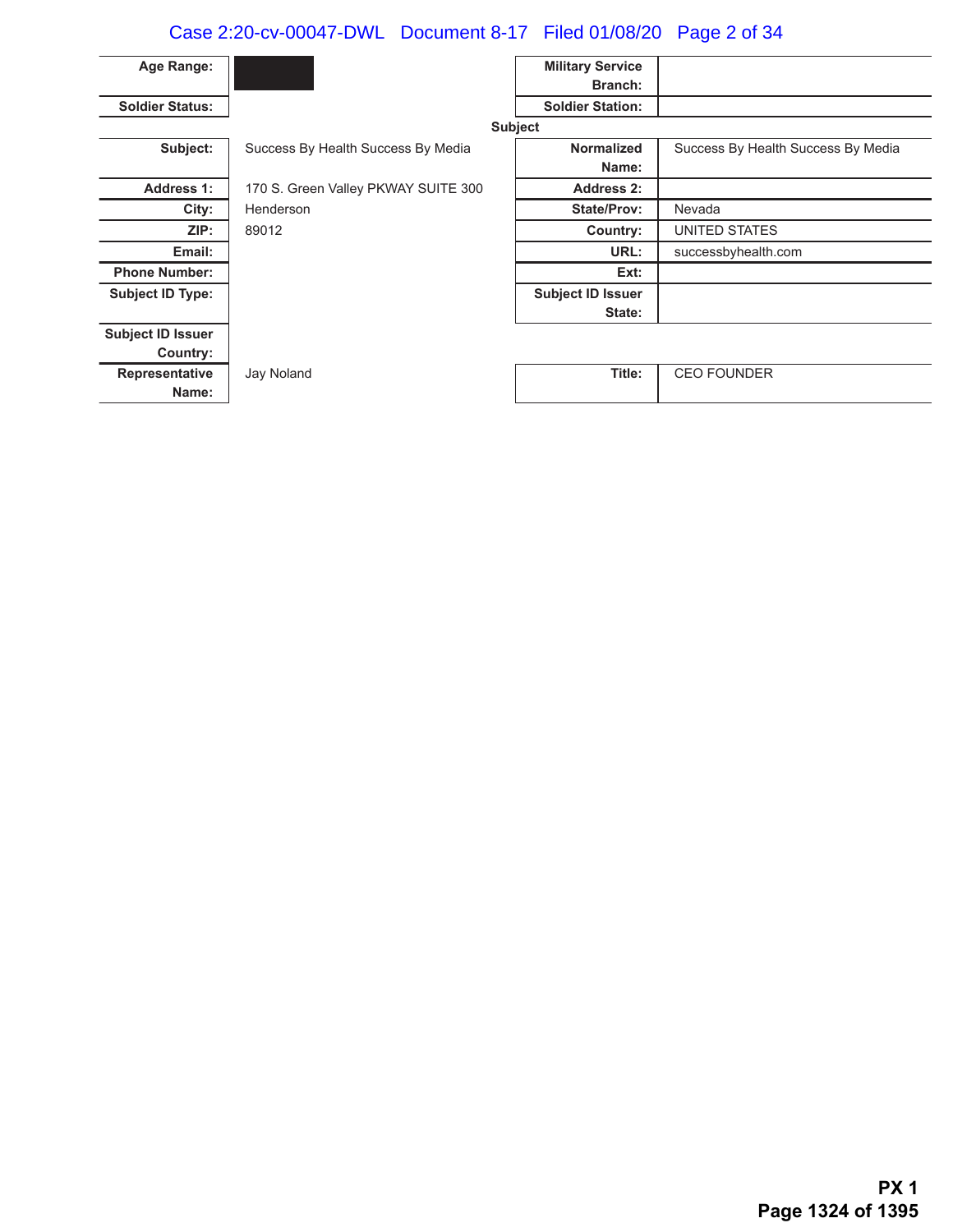# Case 2:20-cv-00047-DWL Document 8-17 Filed 01/08/20 Page 2 of 34

| Age Range:               |                                     | <b>Military Service</b>  |                                    |
|--------------------------|-------------------------------------|--------------------------|------------------------------------|
|                          |                                     | Branch:                  |                                    |
| <b>Soldier Status:</b>   |                                     | <b>Soldier Station:</b>  |                                    |
|                          |                                     | <b>Subject</b>           |                                    |
| Subject:                 | Success By Health Success By Media  | <b>Normalized</b>        | Success By Health Success By Media |
|                          |                                     | Name:                    |                                    |
| <b>Address 1:</b>        | 170 S. Green Valley PKWAY SUITE 300 | <b>Address 2:</b>        |                                    |
| City:                    | Henderson                           | <b>State/Prov:</b>       | Nevada                             |
| ZIP:                     | 89012                               | Country:                 | UNITED STATES                      |
| Email:                   |                                     | URL:                     | successbyhealth.com                |
| <b>Phone Number:</b>     |                                     | Ext:                     |                                    |
| <b>Subject ID Type:</b>  |                                     | <b>Subject ID Issuer</b> |                                    |
|                          |                                     | State:                   |                                    |
| <b>Subject ID Issuer</b> |                                     |                          |                                    |
| Country:                 |                                     |                          |                                    |
| Representative           | Jay Noland                          | Title:                   | <b>CEO FOUNDER</b>                 |
| Name:                    |                                     |                          |                                    |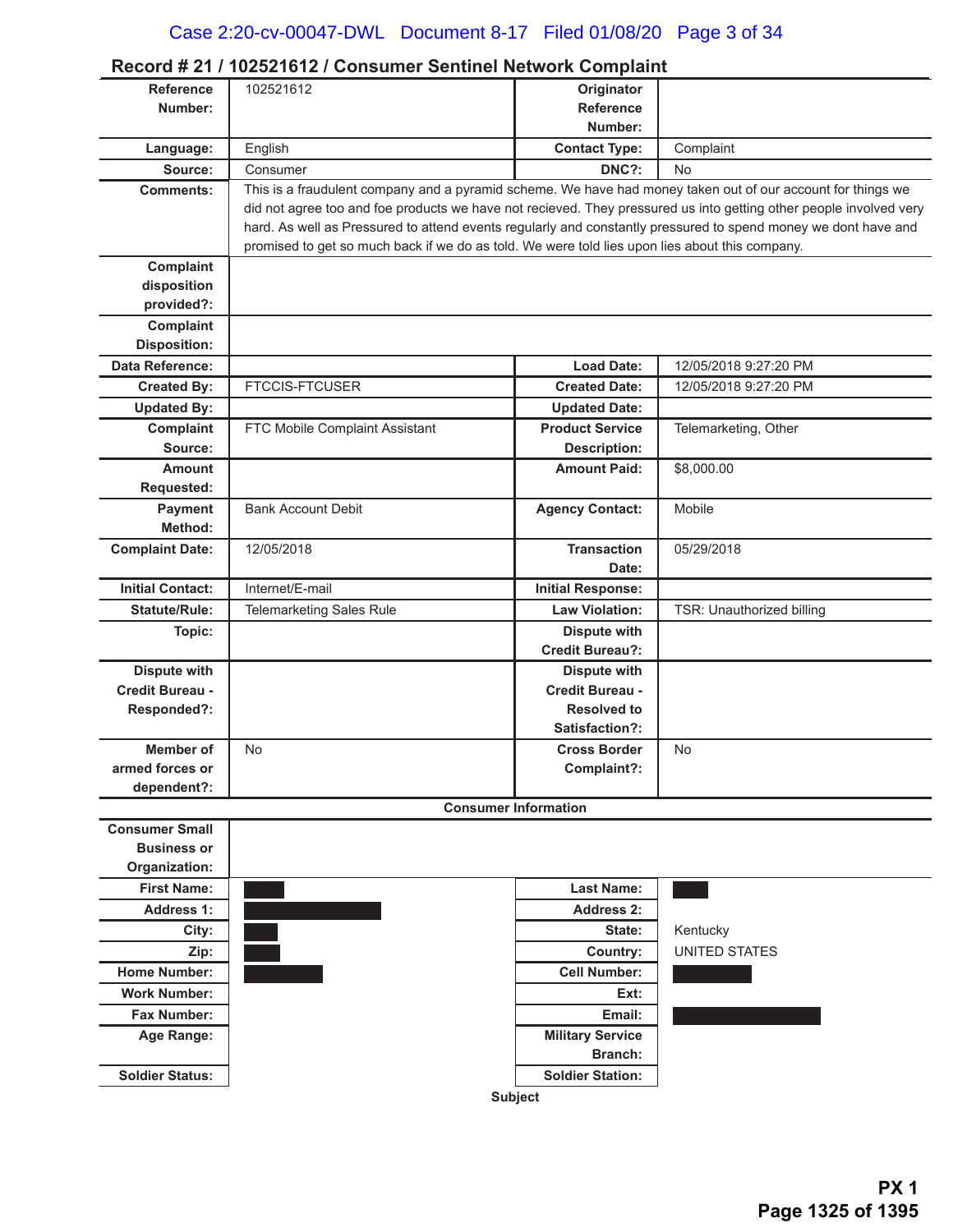|                         | Record # 21 / 102521612 / Consumer Sentinel Network Complaint                                                      |                                               |                           |
|-------------------------|--------------------------------------------------------------------------------------------------------------------|-----------------------------------------------|---------------------------|
| <b>Reference</b>        | 102521612                                                                                                          | Originator                                    |                           |
| Number:                 |                                                                                                                    | <b>Reference</b>                              |                           |
|                         |                                                                                                                    | Number:                                       |                           |
| Language:               | English                                                                                                            | <b>Contact Type:</b>                          | Complaint                 |
| Source:                 | Consumer                                                                                                           | DNC?:                                         | No                        |
| <b>Comments:</b>        | This is a fraudulent company and a pyramid scheme. We have had money taken out of our account for things we        |                                               |                           |
|                         | did not agree too and foe products we have not recieved. They pressured us into getting other people involved very |                                               |                           |
|                         | hard. As well as Pressured to attend events regularly and constantly pressured to spend money we dont have and     |                                               |                           |
|                         | promised to get so much back if we do as told. We were told lies upon lies about this company.                     |                                               |                           |
| Complaint               |                                                                                                                    |                                               |                           |
| disposition             |                                                                                                                    |                                               |                           |
| provided?:              |                                                                                                                    |                                               |                           |
| Complaint               |                                                                                                                    |                                               |                           |
| <b>Disposition:</b>     |                                                                                                                    |                                               |                           |
| Data Reference:         |                                                                                                                    | <b>Load Date:</b>                             | 12/05/2018 9:27:20 PM     |
| <b>Created By:</b>      | <b>FTCCIS-FTCUSER</b>                                                                                              | <b>Created Date:</b>                          | 12/05/2018 9:27:20 PM     |
| <b>Updated By:</b>      |                                                                                                                    | <b>Updated Date:</b>                          |                           |
| Complaint               | FTC Mobile Complaint Assistant                                                                                     | <b>Product Service</b>                        | Telemarketing, Other      |
| Source:                 |                                                                                                                    | <b>Description:</b>                           |                           |
| <b>Amount</b>           |                                                                                                                    | <b>Amount Paid:</b>                           | \$8,000.00                |
| Requested:              |                                                                                                                    |                                               |                           |
| Payment                 | <b>Bank Account Debit</b>                                                                                          | <b>Agency Contact:</b>                        | Mobile                    |
| Method:                 |                                                                                                                    |                                               |                           |
| <b>Complaint Date:</b>  | 12/05/2018                                                                                                         | <b>Transaction</b>                            | 05/29/2018                |
|                         | Internet/E-mail                                                                                                    | Date:                                         |                           |
| <b>Initial Contact:</b> |                                                                                                                    | <b>Initial Response:</b>                      |                           |
| <b>Statute/Rule:</b>    | <b>Telemarketing Sales Rule</b>                                                                                    | <b>Law Violation:</b>                         | TSR: Unauthorized billing |
| Topic:                  |                                                                                                                    | <b>Dispute with</b><br><b>Credit Bureau?:</b> |                           |
| <b>Dispute with</b>     |                                                                                                                    |                                               |                           |
| Credit Bureau -         |                                                                                                                    | <b>Dispute with</b><br>Credit Bureau -        |                           |
| Responded?:             |                                                                                                                    | <b>Resolved to</b>                            |                           |
|                         |                                                                                                                    | Satisfaction?:                                |                           |
| <b>Member of</b>        | No                                                                                                                 | <b>Cross Border</b>                           | No                        |
| armed forces or         |                                                                                                                    | Complaint?:                                   |                           |
| dependent?:             |                                                                                                                    |                                               |                           |
|                         |                                                                                                                    | <b>Consumer Information</b>                   |                           |
| <b>Consumer Small</b>   |                                                                                                                    |                                               |                           |
| <b>Business or</b>      |                                                                                                                    |                                               |                           |
| Organization:           |                                                                                                                    |                                               |                           |
| <b>First Name:</b>      |                                                                                                                    | <b>Last Name:</b>                             |                           |
| <b>Address 1:</b>       |                                                                                                                    | <b>Address 2:</b>                             |                           |
| City:                   |                                                                                                                    | State:                                        | Kentucky                  |
| Zip:                    |                                                                                                                    | Country:                                      | <b>UNITED STATES</b>      |
| <b>Home Number:</b>     |                                                                                                                    | <b>Cell Number:</b>                           |                           |
| <b>Work Number:</b>     |                                                                                                                    | Ext:                                          |                           |
| Fax Number:             |                                                                                                                    | Email:                                        |                           |
| Age Range:              |                                                                                                                    | <b>Military Service</b>                       |                           |
|                         |                                                                                                                    | <b>Branch:</b>                                |                           |
| <b>Soldier Status:</b>  |                                                                                                                    | <b>Soldier Station:</b>                       |                           |
|                         |                                                                                                                    | <b>Subject</b>                                |                           |
|                         |                                                                                                                    |                                               |                           |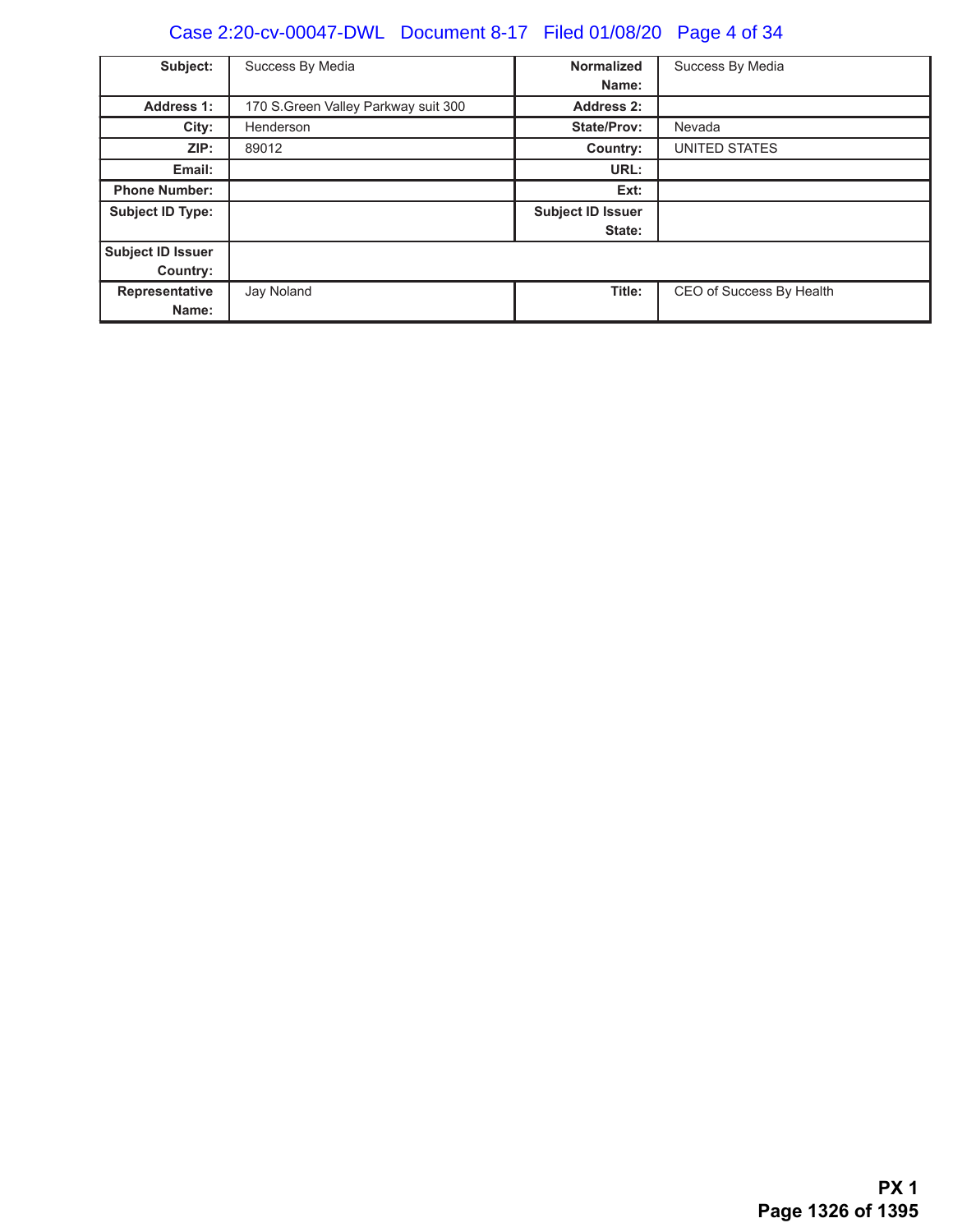# Case 2:20-cv-00047-DWL Document 8-17 Filed 01/08/20 Page 4 of 34

| Subject:                      | Success By Media                     | <b>Normalized</b><br>Name:         | Success By Media         |
|-------------------------------|--------------------------------------|------------------------------------|--------------------------|
| <b>Address 1:</b>             | 170 S. Green Valley Parkway suit 300 | Address 2:                         |                          |
| City:                         | Henderson                            | <b>State/Prov:</b>                 | Nevada                   |
| ZIP:                          | 89012                                | Country:                           | UNITED STATES            |
| Email:                        |                                      | URL:                               |                          |
| <b>Phone Number:</b>          |                                      | Ext:                               |                          |
| <b>Subject ID Type:</b>       |                                      | <b>Subject ID Issuer</b><br>State: |                          |
| Subject ID Issuer<br>Country: |                                      |                                    |                          |
| Representative<br>Name:       | Jay Noland                           | Title:                             | CEO of Success By Health |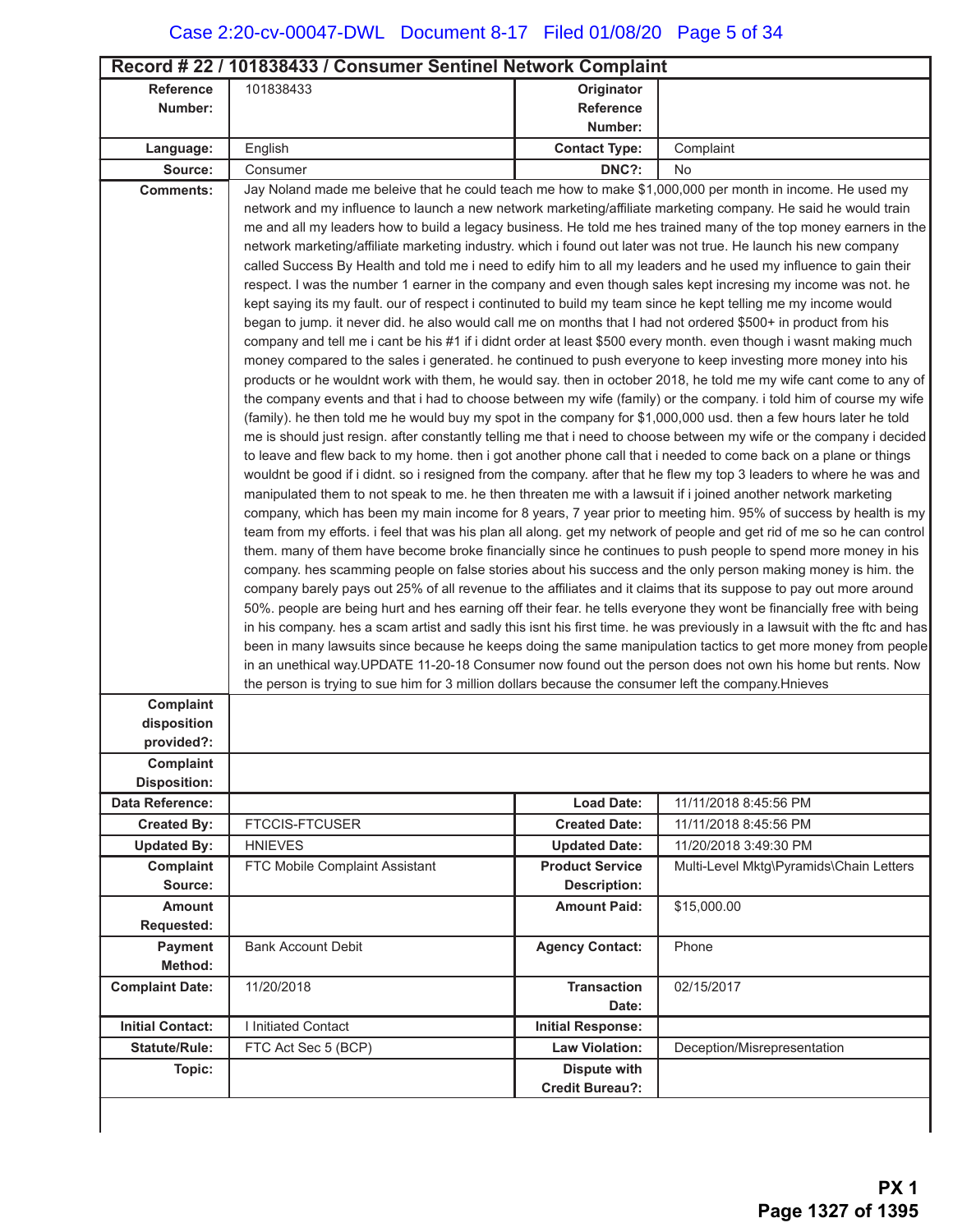| Record #22 / 101838433 / Consumer Sentinel Network Complaint |                                                                                                                                                                                                                                         |                                            |                                         |  |
|--------------------------------------------------------------|-----------------------------------------------------------------------------------------------------------------------------------------------------------------------------------------------------------------------------------------|--------------------------------------------|-----------------------------------------|--|
| <b>Reference</b>                                             | 101838433                                                                                                                                                                                                                               | Originator                                 |                                         |  |
| Number:                                                      |                                                                                                                                                                                                                                         | Reference                                  |                                         |  |
|                                                              |                                                                                                                                                                                                                                         | Number:                                    |                                         |  |
| Language:                                                    | English                                                                                                                                                                                                                                 | <b>Contact Type:</b>                       | Complaint                               |  |
| Source:                                                      | Consumer                                                                                                                                                                                                                                | DNC?:                                      | No                                      |  |
| <b>Comments:</b>                                             | Jay Noland made me beleive that he could teach me how to make \$1,000,000 per month in income. He used my                                                                                                                               |                                            |                                         |  |
|                                                              | network and my influence to launch a new network marketing/affiliate marketing company. He said he would train                                                                                                                          |                                            |                                         |  |
|                                                              | me and all my leaders how to build a legacy business. He told me hes trained many of the top money earners in the                                                                                                                       |                                            |                                         |  |
|                                                              | network marketing/affiliate marketing industry. which i found out later was not true. He launch his new company                                                                                                                         |                                            |                                         |  |
|                                                              | called Success By Health and told me i need to edify him to all my leaders and he used my influence to gain their<br>respect. I was the number 1 earner in the company and even though sales kept incresing my income was not. he       |                                            |                                         |  |
|                                                              | kept saying its my fault. our of respect i continuted to build my team since he kept telling me my income would                                                                                                                         |                                            |                                         |  |
|                                                              | began to jump. it never did. he also would call me on months that I had not ordered \$500+ in product from his                                                                                                                          |                                            |                                         |  |
|                                                              | company and tell me i cant be his #1 if i didnt order at least \$500 every month. even though i wasnt making much                                                                                                                       |                                            |                                         |  |
|                                                              | money compared to the sales i generated. he continued to push everyone to keep investing more money into his                                                                                                                            |                                            |                                         |  |
|                                                              | products or he wouldnt work with them, he would say. then in october 2018, he told me my wife cant come to any of                                                                                                                       |                                            |                                         |  |
|                                                              | the company events and that i had to choose between my wife (family) or the company. i told him of course my wife                                                                                                                       |                                            |                                         |  |
|                                                              | (family). he then told me he would buy my spot in the company for \$1,000,000 usd. then a few hours later he told                                                                                                                       |                                            |                                         |  |
|                                                              | me is should just resign. after constantly telling me that i need to choose between my wife or the company i decided                                                                                                                    |                                            |                                         |  |
|                                                              | to leave and flew back to my home. then i got another phone call that i needed to come back on a plane or things<br>wouldnt be good if i didnt. so i resigned from the company. after that he flew my top 3 leaders to where he was and |                                            |                                         |  |
|                                                              | manipulated them to not speak to me. he then threaten me with a lawsuit if i joined another network marketing                                                                                                                           |                                            |                                         |  |
|                                                              | company, which has been my main income for 8 years, 7 year prior to meeting him. 95% of success by health is my                                                                                                                         |                                            |                                         |  |
|                                                              | team from my efforts. i feel that was his plan all along. get my network of people and get rid of me so he can control                                                                                                                  |                                            |                                         |  |
|                                                              | them. many of them have become broke financially since he continues to push people to spend more money in his                                                                                                                           |                                            |                                         |  |
|                                                              | company. hes scamming people on false stories about his success and the only person making money is him. the                                                                                                                            |                                            |                                         |  |
|                                                              | company barely pays out 25% of all revenue to the affiliates and it claims that its suppose to pay out more around                                                                                                                      |                                            |                                         |  |
|                                                              | 50%. people are being hurt and hes earning off their fear. he tells everyone they wont be financially free with being                                                                                                                   |                                            |                                         |  |
|                                                              | in his company. hes a scam artist and sadly this isnt his first time. he was previously in a lawsuit with the ftc and has                                                                                                               |                                            |                                         |  |
|                                                              | been in many lawsuits since because he keeps doing the same manipulation tactics to get more money from people<br>in an unethical way. UPDATE 11-20-18 Consumer now found out the person does not own his home but rents. Now           |                                            |                                         |  |
|                                                              | the person is trying to sue him for 3 million dollars because the consumer left the company. Hnieves                                                                                                                                    |                                            |                                         |  |
| Complaint                                                    |                                                                                                                                                                                                                                         |                                            |                                         |  |
| disposition                                                  |                                                                                                                                                                                                                                         |                                            |                                         |  |
| provided?:                                                   |                                                                                                                                                                                                                                         |                                            |                                         |  |
| Complaint                                                    |                                                                                                                                                                                                                                         |                                            |                                         |  |
| <b>Disposition:</b>                                          |                                                                                                                                                                                                                                         |                                            |                                         |  |
| <b>Data Reference:</b>                                       |                                                                                                                                                                                                                                         | <b>Load Date:</b>                          | 11/11/2018 8:45:56 PM                   |  |
| <b>Created By:</b>                                           | <b>FTCCIS-FTCUSER</b>                                                                                                                                                                                                                   | <b>Created Date:</b>                       | 11/11/2018 8:45:56 PM                   |  |
| <b>Updated By:</b>                                           | <b>HNIEVES</b>                                                                                                                                                                                                                          | <b>Updated Date:</b>                       | 11/20/2018 3:49:30 PM                   |  |
| Complaint<br>Source:                                         | FTC Mobile Complaint Assistant                                                                                                                                                                                                          | <b>Product Service</b>                     | Multi-Level Mktg\Pyramids\Chain Letters |  |
| Amount                                                       |                                                                                                                                                                                                                                         | <b>Description:</b><br><b>Amount Paid:</b> | \$15,000.00                             |  |
| Requested:                                                   |                                                                                                                                                                                                                                         |                                            |                                         |  |
| <b>Payment</b>                                               | <b>Bank Account Debit</b>                                                                                                                                                                                                               | <b>Agency Contact:</b>                     | Phone                                   |  |
| Method:                                                      |                                                                                                                                                                                                                                         |                                            |                                         |  |
| <b>Complaint Date:</b>                                       | 11/20/2018                                                                                                                                                                                                                              | <b>Transaction</b>                         | 02/15/2017                              |  |
|                                                              |                                                                                                                                                                                                                                         | Date:                                      |                                         |  |
| <b>Initial Contact:</b>                                      | I Initiated Contact                                                                                                                                                                                                                     | <b>Initial Response:</b>                   |                                         |  |
| <b>Statute/Rule:</b>                                         | FTC Act Sec 5 (BCP)                                                                                                                                                                                                                     | <b>Law Violation:</b>                      | Deception/Misrepresentation             |  |
| Topic:                                                       |                                                                                                                                                                                                                                         | <b>Dispute with</b>                        |                                         |  |
|                                                              |                                                                                                                                                                                                                                         | <b>Credit Bureau?:</b>                     |                                         |  |
|                                                              |                                                                                                                                                                                                                                         |                                            |                                         |  |

J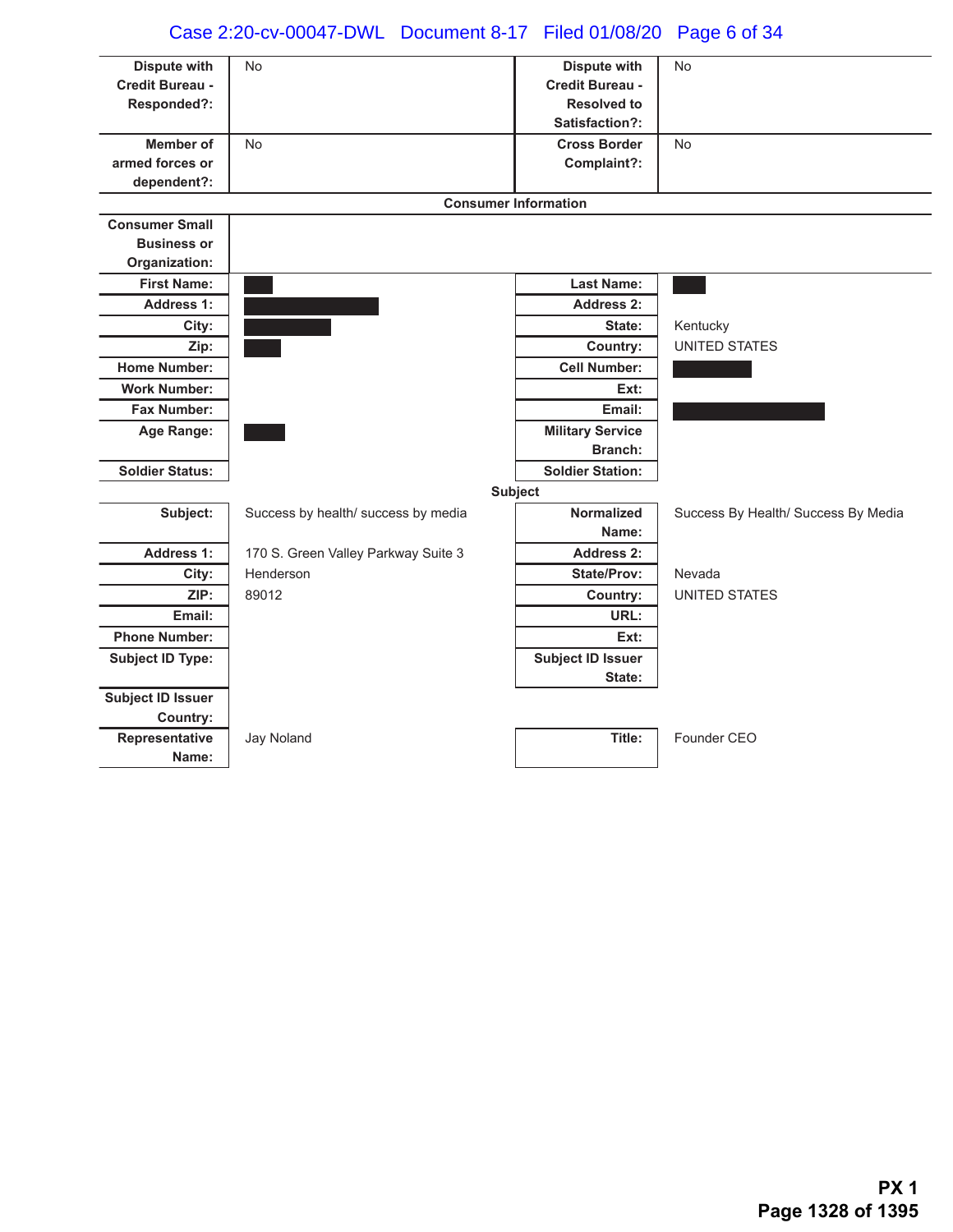# Case 2:20-cv-00047-DWL Document 8-17 Filed 01/08/20 Page 6 of 34

| <b>Dispute with</b>          | <b>No</b>                           | <b>Dispute with</b>                  | <b>No</b>                           |
|------------------------------|-------------------------------------|--------------------------------------|-------------------------------------|
| Credit Bureau -              |                                     | Credit Bureau -                      |                                     |
| Responded?:                  |                                     | <b>Resolved to</b><br>Satisfaction?: |                                     |
|                              |                                     |                                      |                                     |
| Member of<br>armed forces or | <b>No</b>                           | <b>Cross Border</b>                  | <b>No</b>                           |
| dependent?:                  |                                     | Complaint?:                          |                                     |
|                              | <b>Consumer Information</b>         |                                      |                                     |
| <b>Consumer Small</b>        |                                     |                                      |                                     |
| <b>Business or</b>           |                                     |                                      |                                     |
| Organization:                |                                     |                                      |                                     |
| <b>First Name:</b>           |                                     | <b>Last Name:</b>                    |                                     |
| <b>Address 1:</b>            |                                     | <b>Address 2:</b>                    |                                     |
| City:                        |                                     | State:                               | Kentucky                            |
| Zip:                         |                                     | Country:                             | <b>UNITED STATES</b>                |
| <b>Home Number:</b>          |                                     | <b>Cell Number:</b>                  |                                     |
| <b>Work Number:</b>          |                                     | Ext:                                 |                                     |
| Fax Number:                  |                                     | Email:                               |                                     |
| Age Range:                   |                                     | <b>Military Service</b>              |                                     |
|                              |                                     | <b>Branch:</b>                       |                                     |
| <b>Soldier Status:</b>       |                                     | <b>Soldier Station:</b>              |                                     |
|                              |                                     | <b>Subject</b>                       |                                     |
| Subject:                     | Success by health/ success by media | <b>Normalized</b>                    | Success By Health/ Success By Media |
|                              |                                     | Name:                                |                                     |
| <b>Address 1:</b>            | 170 S. Green Valley Parkway Suite 3 | <b>Address 2:</b>                    |                                     |
| City:                        | Henderson                           | State/Prov:                          | Nevada                              |
| ZIP:                         | 89012                               | Country:                             | UNITED STATES                       |
| Email:                       |                                     | URL:                                 |                                     |
| <b>Phone Number:</b>         |                                     | Ext:                                 |                                     |
| <b>Subject ID Type:</b>      |                                     | <b>Subject ID Issuer</b>             |                                     |
|                              |                                     | State:                               |                                     |
| <b>Subject ID Issuer</b>     |                                     |                                      |                                     |
| Country:                     |                                     |                                      |                                     |
| Representative               | Jay Noland                          | Title:                               | Founder CEO                         |
| Name:                        |                                     |                                      |                                     |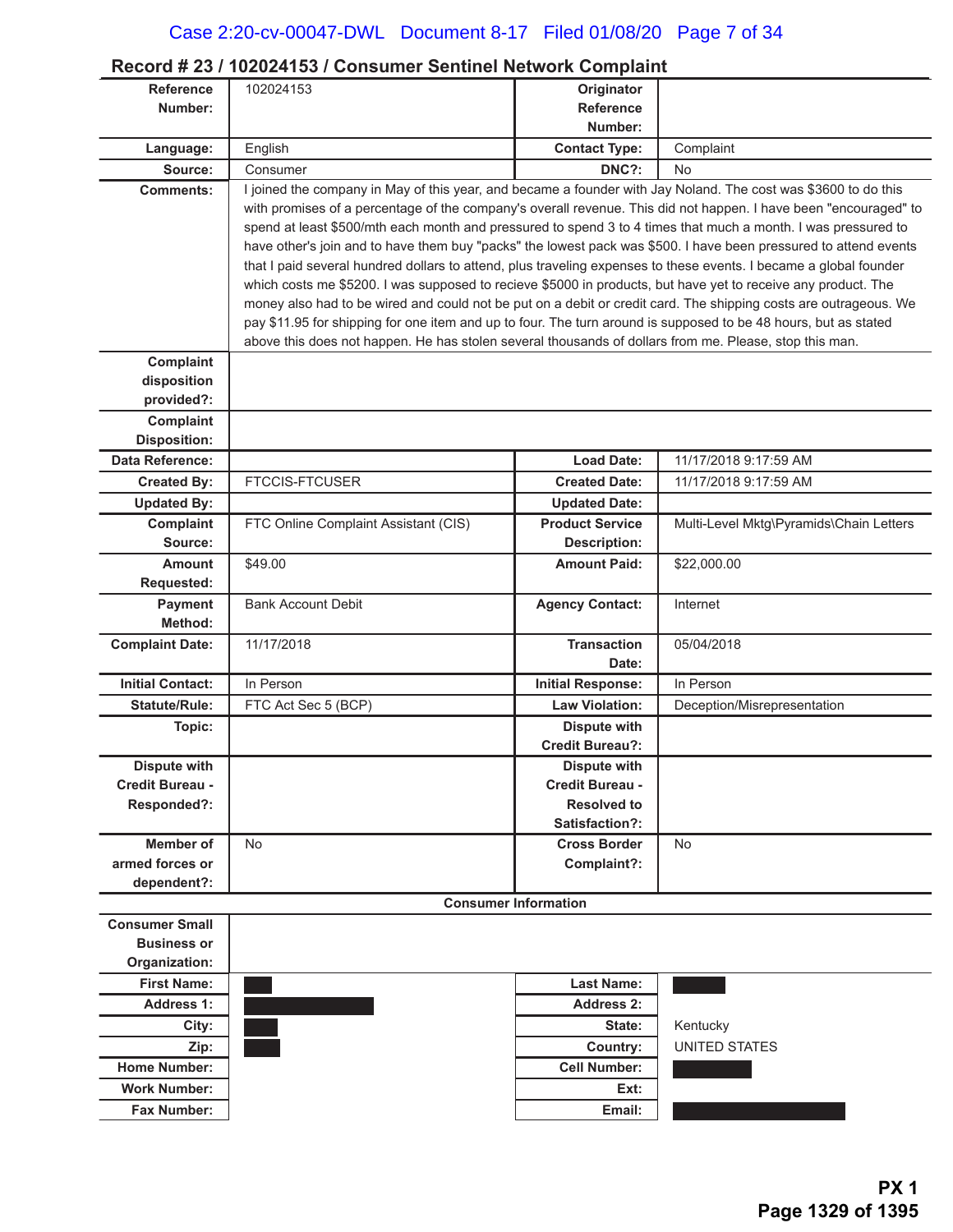### **Record # 23 / 102024153 / Consumer Sentinel Network Complaint**

| <b>Reference</b>                | 102024153                                                                                                         | Originator                                    |                                         |
|---------------------------------|-------------------------------------------------------------------------------------------------------------------|-----------------------------------------------|-----------------------------------------|
| Number:                         |                                                                                                                   | <b>Reference</b>                              |                                         |
|                                 |                                                                                                                   | Number:                                       |                                         |
| Language:                       | English                                                                                                           | <b>Contact Type:</b>                          | Complaint                               |
| Source:                         | Consumer                                                                                                          | DNC?:                                         | No                                      |
| <b>Comments:</b>                | I joined the company in May of this year, and became a founder with Jay Noland. The cost was \$3600 to do this    |                                               |                                         |
|                                 | with promises of a percentage of the company's overall revenue. This did not happen. I have been "encouraged" to  |                                               |                                         |
|                                 | spend at least \$500/mth each month and pressured to spend 3 to 4 times that much a month. I was pressured to     |                                               |                                         |
|                                 | have other's join and to have them buy "packs" the lowest pack was \$500. I have been pressured to attend events  |                                               |                                         |
|                                 | that I paid several hundred dollars to attend, plus traveling expenses to these events. I became a global founder |                                               |                                         |
|                                 | which costs me \$5200. I was supposed to recieve \$5000 in products, but have yet to receive any product. The     |                                               |                                         |
|                                 | money also had to be wired and could not be put on a debit or credit card. The shipping costs are outrageous. We  |                                               |                                         |
|                                 | pay \$11.95 for shipping for one item and up to four. The turn around is supposed to be 48 hours, but as stated   |                                               |                                         |
|                                 | above this does not happen. He has stolen several thousands of dollars from me. Please, stop this man.            |                                               |                                         |
| Complaint                       |                                                                                                                   |                                               |                                         |
| disposition                     |                                                                                                                   |                                               |                                         |
| provided?:                      |                                                                                                                   |                                               |                                         |
| Complaint                       |                                                                                                                   |                                               |                                         |
| <b>Disposition:</b>             |                                                                                                                   |                                               |                                         |
| Data Reference:                 |                                                                                                                   | <b>Load Date:</b>                             | 11/17/2018 9:17:59 AM                   |
| <b>Created By:</b>              | <b>FTCCIS-FTCUSER</b>                                                                                             | <b>Created Date:</b>                          | 11/17/2018 9:17:59 AM                   |
| <b>Updated By:</b>              |                                                                                                                   | <b>Updated Date:</b>                          |                                         |
| Complaint                       | FTC Online Complaint Assistant (CIS)                                                                              | <b>Product Service</b>                        | Multi-Level Mktg\Pyramids\Chain Letters |
| Source:                         |                                                                                                                   | <b>Description:</b>                           |                                         |
| <b>Amount</b>                   | \$49.00                                                                                                           | <b>Amount Paid:</b>                           | \$22,000.00                             |
| Requested:                      |                                                                                                                   |                                               |                                         |
| Payment                         | <b>Bank Account Debit</b>                                                                                         | <b>Agency Contact:</b>                        | Internet                                |
| Method:                         |                                                                                                                   |                                               |                                         |
| <b>Complaint Date:</b>          | 11/17/2018                                                                                                        | <b>Transaction</b>                            | 05/04/2018                              |
|                                 |                                                                                                                   | Date:                                         |                                         |
| <b>Initial Contact:</b>         | In Person                                                                                                         | <b>Initial Response:</b>                      | In Person                               |
| <b>Statute/Rule:</b>            | FTC Act Sec 5 (BCP)                                                                                               | <b>Law Violation:</b>                         | Deception/Misrepresentation             |
| Topic:                          |                                                                                                                   | <b>Dispute with</b><br><b>Credit Bureau?:</b> |                                         |
|                                 |                                                                                                                   |                                               |                                         |
| Dispute with<br>Credit Bureau - |                                                                                                                   | Dispute with<br>Credit Bureau -               |                                         |
| Responded?:                     |                                                                                                                   | <b>Resolved to</b>                            |                                         |
|                                 |                                                                                                                   | Satisfaction?:                                |                                         |
| Member of                       | No                                                                                                                | <b>Cross Border</b>                           | No                                      |
| armed forces or                 |                                                                                                                   | Complaint?:                                   |                                         |
| dependent?:                     |                                                                                                                   |                                               |                                         |
|                                 |                                                                                                                   | <b>Consumer Information</b>                   |                                         |
| <b>Consumer Small</b>           |                                                                                                                   |                                               |                                         |
| <b>Business or</b>              |                                                                                                                   |                                               |                                         |
| Organization:                   |                                                                                                                   |                                               |                                         |
| <b>First Name:</b>              |                                                                                                                   | <b>Last Name:</b>                             |                                         |
| <b>Address 1:</b>               |                                                                                                                   | <b>Address 2:</b>                             |                                         |
| City:                           |                                                                                                                   | State:                                        | Kentucky                                |
| Zip:                            |                                                                                                                   | Country:                                      | <b>UNITED STATES</b>                    |
| <b>Home Number:</b>             |                                                                                                                   | <b>Cell Number:</b>                           |                                         |
| <b>Work Number:</b>             |                                                                                                                   | Ext:                                          |                                         |
| <b>Fax Number:</b>              |                                                                                                                   | Email:                                        |                                         |
|                                 |                                                                                                                   |                                               |                                         |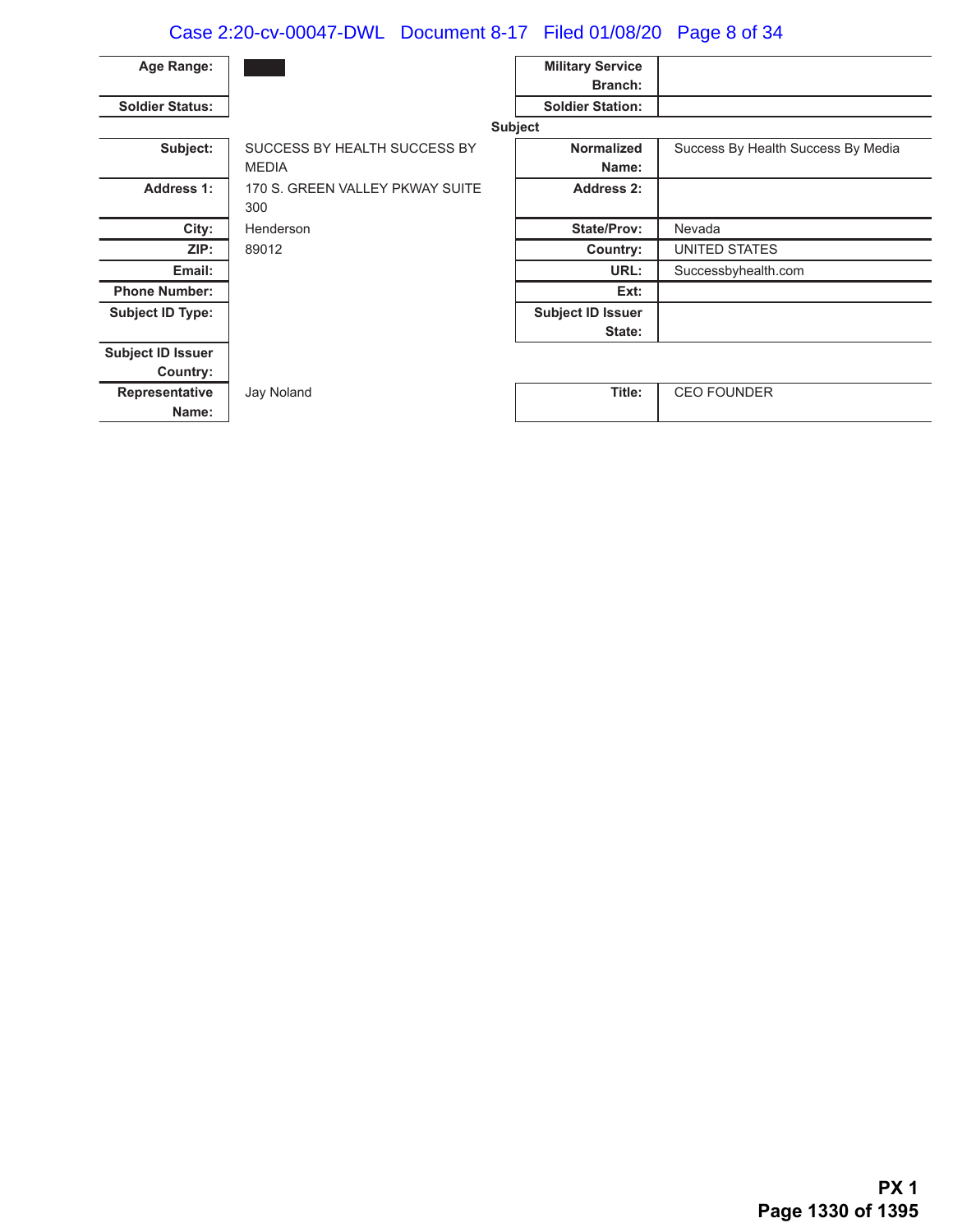# Case 2:20-cv-00047-DWL Document 8-17 Filed 01/08/20 Page 8 of 34

| Age Range:               |                                 | <b>Military Service</b>  |                                    |
|--------------------------|---------------------------------|--------------------------|------------------------------------|
|                          |                                 | <b>Branch:</b>           |                                    |
| <b>Soldier Status:</b>   |                                 | <b>Soldier Station:</b>  |                                    |
|                          |                                 | <b>Subject</b>           |                                    |
| Subject:                 | SUCCESS BY HEALTH SUCCESS BY    | <b>Normalized</b>        | Success By Health Success By Media |
|                          | <b>MEDIA</b>                    | Name:                    |                                    |
| <b>Address 1:</b>        | 170 S. GREEN VALLEY PKWAY SUITE | Address 2:               |                                    |
|                          | 300                             |                          |                                    |
| City:                    | Henderson                       | <b>State/Prov:</b>       | Nevada                             |
| ZIP:                     | 89012                           | Country:                 | UNITED STATES                      |
| Email:                   |                                 | URL:                     | Successbyhealth.com                |
| <b>Phone Number:</b>     |                                 | Ext:                     |                                    |
| <b>Subject ID Type:</b>  |                                 | <b>Subject ID Issuer</b> |                                    |
|                          |                                 | State:                   |                                    |
| <b>Subject ID Issuer</b> |                                 |                          |                                    |
| Country:                 |                                 |                          |                                    |
| Representative           | Jay Noland                      | Title:                   | <b>CEO FOUNDER</b>                 |
| Name:                    |                                 |                          |                                    |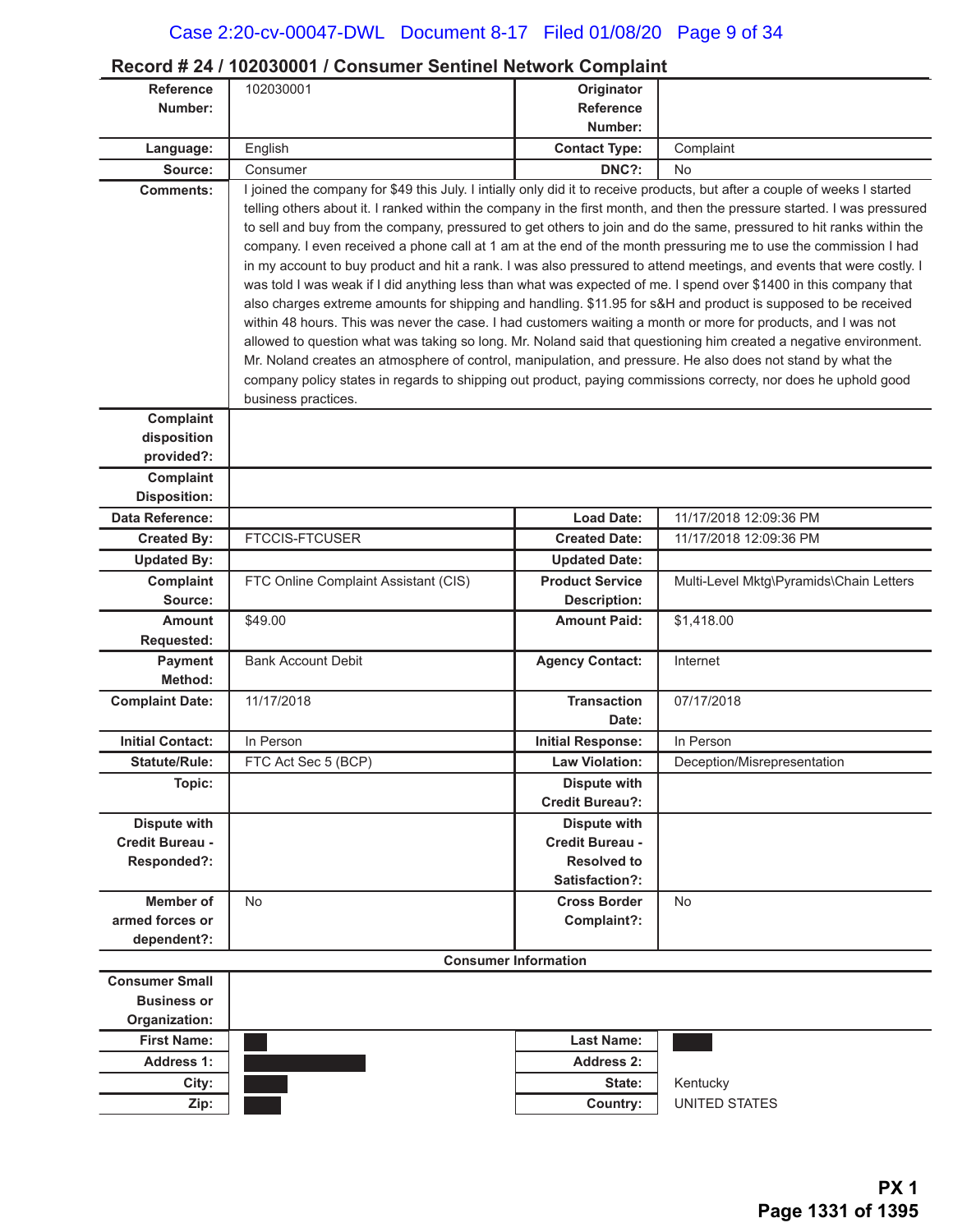### **Record # 24 / 102030001 / Consumer Sentinel Network Complaint**

| Number:<br><b>Reference</b><br>Number:<br><b>Contact Type:</b><br>English<br>Complaint<br>Language:<br>DNC?:<br>Source:<br>Consumer<br><b>No</b><br>I joined the company for \$49 this July. I intially only did it to receive products, but after a couple of weeks I started<br><b>Comments:</b><br>telling others about it. I ranked within the company in the first month, and then the pressure started. I was pressured<br>to sell and buy from the company, pressured to get others to join and do the same, pressured to hit ranks within the<br>company. I even received a phone call at 1 am at the end of the month pressuring me to use the commission I had<br>in my account to buy product and hit a rank. I was also pressured to attend meetings, and events that were costly. I<br>was told I was weak if I did anything less than what was expected of me. I spend over \$1400 in this company that<br>also charges extreme amounts for shipping and handling. \$11.95 for s&H and product is supposed to be received<br>within 48 hours. This was never the case. I had customers waiting a month or more for products, and I was not<br>allowed to question what was taking so long. Mr. Noland said that questioning him created a negative environment.<br>Mr. Noland creates an atmosphere of control, manipulation, and pressure. He also does not stand by what the<br>company policy states in regards to shipping out product, paying commissions correcty, nor does he uphold good<br>business practices.<br>Complaint<br>disposition<br>provided?:<br>Complaint<br><b>Disposition:</b><br>Data Reference:<br><b>Load Date:</b><br>11/17/2018 12:09:36 PM<br><b>FTCCIS-FTCUSER</b><br><b>Created Date:</b><br><b>Created By:</b><br>11/17/2018 12:09:36 PM<br><b>Updated By:</b><br><b>Updated Date:</b><br>Complaint<br>FTC Online Complaint Assistant (CIS)<br><b>Product Service</b><br>Multi-Level Mktg\Pyramids\Chain Letters<br>Source:<br><b>Description:</b><br>\$49.00<br><b>Amount Paid:</b><br>\$1,418.00<br><b>Amount</b><br><b>Requested:</b><br>Payment<br><b>Bank Account Debit</b><br><b>Agency Contact:</b><br>Internet<br>Method:<br>11/17/2018<br>07/17/2018<br><b>Transaction</b><br><b>Complaint Date:</b><br>Date:<br><b>Initial Contact:</b><br>In Person<br><b>Initial Response:</b><br>In Person<br><b>Law Violation:</b><br><b>Statute/Rule:</b><br>FTC Act Sec 5 (BCP)<br>Deception/Misrepresentation<br><b>Dispute with</b><br>Topic:<br><b>Credit Bureau?:</b><br><b>Dispute with</b><br><b>Dispute with</b><br>Credit Bureau -<br>Credit Bureau -<br><b>Resolved to</b><br>Responded?:<br>Satisfaction?:<br><b>Member of</b><br><b>Cross Border</b><br>No<br>No<br>armed forces or<br>Complaint?:<br>dependent?:<br><b>Consumer Information</b><br><b>Consumer Small</b><br><b>Business or</b><br>Organization:<br><b>First Name:</b><br><b>Last Name:</b><br><b>Address 1:</b><br><b>Address 2:</b><br>City:<br>State:<br>Kentucky<br>Country:<br><b>UNITED STATES</b><br>Zip: | <b>Reference</b> | 102030001 | Originator |  |
|-------------------------------------------------------------------------------------------------------------------------------------------------------------------------------------------------------------------------------------------------------------------------------------------------------------------------------------------------------------------------------------------------------------------------------------------------------------------------------------------------------------------------------------------------------------------------------------------------------------------------------------------------------------------------------------------------------------------------------------------------------------------------------------------------------------------------------------------------------------------------------------------------------------------------------------------------------------------------------------------------------------------------------------------------------------------------------------------------------------------------------------------------------------------------------------------------------------------------------------------------------------------------------------------------------------------------------------------------------------------------------------------------------------------------------------------------------------------------------------------------------------------------------------------------------------------------------------------------------------------------------------------------------------------------------------------------------------------------------------------------------------------------------------------------------------------------------------------------------------------------------------------------------------------------------------------------------------------------------------------------------------------------------------------------------------------------------------------------------------------------------------------------------------------------------------------------------------------------------------------------------------------------------------------------------------------------------------------------------------------------------------------------------------------------------------------------------------------------------------------------------------------------------------------------------------------------------------------------------------------------------------------------------------------------------------------------------------------------------------------------------------------------------------------------------------------------------------------------------------------------------------------------------------------------------------------------------------------------------------------------------------------------------------------|------------------|-----------|------------|--|
|                                                                                                                                                                                                                                                                                                                                                                                                                                                                                                                                                                                                                                                                                                                                                                                                                                                                                                                                                                                                                                                                                                                                                                                                                                                                                                                                                                                                                                                                                                                                                                                                                                                                                                                                                                                                                                                                                                                                                                                                                                                                                                                                                                                                                                                                                                                                                                                                                                                                                                                                                                                                                                                                                                                                                                                                                                                                                                                                                                                                                                           |                  |           |            |  |
|                                                                                                                                                                                                                                                                                                                                                                                                                                                                                                                                                                                                                                                                                                                                                                                                                                                                                                                                                                                                                                                                                                                                                                                                                                                                                                                                                                                                                                                                                                                                                                                                                                                                                                                                                                                                                                                                                                                                                                                                                                                                                                                                                                                                                                                                                                                                                                                                                                                                                                                                                                                                                                                                                                                                                                                                                                                                                                                                                                                                                                           |                  |           |            |  |
|                                                                                                                                                                                                                                                                                                                                                                                                                                                                                                                                                                                                                                                                                                                                                                                                                                                                                                                                                                                                                                                                                                                                                                                                                                                                                                                                                                                                                                                                                                                                                                                                                                                                                                                                                                                                                                                                                                                                                                                                                                                                                                                                                                                                                                                                                                                                                                                                                                                                                                                                                                                                                                                                                                                                                                                                                                                                                                                                                                                                                                           |                  |           |            |  |
|                                                                                                                                                                                                                                                                                                                                                                                                                                                                                                                                                                                                                                                                                                                                                                                                                                                                                                                                                                                                                                                                                                                                                                                                                                                                                                                                                                                                                                                                                                                                                                                                                                                                                                                                                                                                                                                                                                                                                                                                                                                                                                                                                                                                                                                                                                                                                                                                                                                                                                                                                                                                                                                                                                                                                                                                                                                                                                                                                                                                                                           |                  |           |            |  |
|                                                                                                                                                                                                                                                                                                                                                                                                                                                                                                                                                                                                                                                                                                                                                                                                                                                                                                                                                                                                                                                                                                                                                                                                                                                                                                                                                                                                                                                                                                                                                                                                                                                                                                                                                                                                                                                                                                                                                                                                                                                                                                                                                                                                                                                                                                                                                                                                                                                                                                                                                                                                                                                                                                                                                                                                                                                                                                                                                                                                                                           |                  |           |            |  |
|                                                                                                                                                                                                                                                                                                                                                                                                                                                                                                                                                                                                                                                                                                                                                                                                                                                                                                                                                                                                                                                                                                                                                                                                                                                                                                                                                                                                                                                                                                                                                                                                                                                                                                                                                                                                                                                                                                                                                                                                                                                                                                                                                                                                                                                                                                                                                                                                                                                                                                                                                                                                                                                                                                                                                                                                                                                                                                                                                                                                                                           |                  |           |            |  |
|                                                                                                                                                                                                                                                                                                                                                                                                                                                                                                                                                                                                                                                                                                                                                                                                                                                                                                                                                                                                                                                                                                                                                                                                                                                                                                                                                                                                                                                                                                                                                                                                                                                                                                                                                                                                                                                                                                                                                                                                                                                                                                                                                                                                                                                                                                                                                                                                                                                                                                                                                                                                                                                                                                                                                                                                                                                                                                                                                                                                                                           |                  |           |            |  |
|                                                                                                                                                                                                                                                                                                                                                                                                                                                                                                                                                                                                                                                                                                                                                                                                                                                                                                                                                                                                                                                                                                                                                                                                                                                                                                                                                                                                                                                                                                                                                                                                                                                                                                                                                                                                                                                                                                                                                                                                                                                                                                                                                                                                                                                                                                                                                                                                                                                                                                                                                                                                                                                                                                                                                                                                                                                                                                                                                                                                                                           |                  |           |            |  |
|                                                                                                                                                                                                                                                                                                                                                                                                                                                                                                                                                                                                                                                                                                                                                                                                                                                                                                                                                                                                                                                                                                                                                                                                                                                                                                                                                                                                                                                                                                                                                                                                                                                                                                                                                                                                                                                                                                                                                                                                                                                                                                                                                                                                                                                                                                                                                                                                                                                                                                                                                                                                                                                                                                                                                                                                                                                                                                                                                                                                                                           |                  |           |            |  |
|                                                                                                                                                                                                                                                                                                                                                                                                                                                                                                                                                                                                                                                                                                                                                                                                                                                                                                                                                                                                                                                                                                                                                                                                                                                                                                                                                                                                                                                                                                                                                                                                                                                                                                                                                                                                                                                                                                                                                                                                                                                                                                                                                                                                                                                                                                                                                                                                                                                                                                                                                                                                                                                                                                                                                                                                                                                                                                                                                                                                                                           |                  |           |            |  |
|                                                                                                                                                                                                                                                                                                                                                                                                                                                                                                                                                                                                                                                                                                                                                                                                                                                                                                                                                                                                                                                                                                                                                                                                                                                                                                                                                                                                                                                                                                                                                                                                                                                                                                                                                                                                                                                                                                                                                                                                                                                                                                                                                                                                                                                                                                                                                                                                                                                                                                                                                                                                                                                                                                                                                                                                                                                                                                                                                                                                                                           |                  |           |            |  |
|                                                                                                                                                                                                                                                                                                                                                                                                                                                                                                                                                                                                                                                                                                                                                                                                                                                                                                                                                                                                                                                                                                                                                                                                                                                                                                                                                                                                                                                                                                                                                                                                                                                                                                                                                                                                                                                                                                                                                                                                                                                                                                                                                                                                                                                                                                                                                                                                                                                                                                                                                                                                                                                                                                                                                                                                                                                                                                                                                                                                                                           |                  |           |            |  |
|                                                                                                                                                                                                                                                                                                                                                                                                                                                                                                                                                                                                                                                                                                                                                                                                                                                                                                                                                                                                                                                                                                                                                                                                                                                                                                                                                                                                                                                                                                                                                                                                                                                                                                                                                                                                                                                                                                                                                                                                                                                                                                                                                                                                                                                                                                                                                                                                                                                                                                                                                                                                                                                                                                                                                                                                                                                                                                                                                                                                                                           |                  |           |            |  |
|                                                                                                                                                                                                                                                                                                                                                                                                                                                                                                                                                                                                                                                                                                                                                                                                                                                                                                                                                                                                                                                                                                                                                                                                                                                                                                                                                                                                                                                                                                                                                                                                                                                                                                                                                                                                                                                                                                                                                                                                                                                                                                                                                                                                                                                                                                                                                                                                                                                                                                                                                                                                                                                                                                                                                                                                                                                                                                                                                                                                                                           |                  |           |            |  |
|                                                                                                                                                                                                                                                                                                                                                                                                                                                                                                                                                                                                                                                                                                                                                                                                                                                                                                                                                                                                                                                                                                                                                                                                                                                                                                                                                                                                                                                                                                                                                                                                                                                                                                                                                                                                                                                                                                                                                                                                                                                                                                                                                                                                                                                                                                                                                                                                                                                                                                                                                                                                                                                                                                                                                                                                                                                                                                                                                                                                                                           |                  |           |            |  |
|                                                                                                                                                                                                                                                                                                                                                                                                                                                                                                                                                                                                                                                                                                                                                                                                                                                                                                                                                                                                                                                                                                                                                                                                                                                                                                                                                                                                                                                                                                                                                                                                                                                                                                                                                                                                                                                                                                                                                                                                                                                                                                                                                                                                                                                                                                                                                                                                                                                                                                                                                                                                                                                                                                                                                                                                                                                                                                                                                                                                                                           |                  |           |            |  |
|                                                                                                                                                                                                                                                                                                                                                                                                                                                                                                                                                                                                                                                                                                                                                                                                                                                                                                                                                                                                                                                                                                                                                                                                                                                                                                                                                                                                                                                                                                                                                                                                                                                                                                                                                                                                                                                                                                                                                                                                                                                                                                                                                                                                                                                                                                                                                                                                                                                                                                                                                                                                                                                                                                                                                                                                                                                                                                                                                                                                                                           |                  |           |            |  |
|                                                                                                                                                                                                                                                                                                                                                                                                                                                                                                                                                                                                                                                                                                                                                                                                                                                                                                                                                                                                                                                                                                                                                                                                                                                                                                                                                                                                                                                                                                                                                                                                                                                                                                                                                                                                                                                                                                                                                                                                                                                                                                                                                                                                                                                                                                                                                                                                                                                                                                                                                                                                                                                                                                                                                                                                                                                                                                                                                                                                                                           |                  |           |            |  |
|                                                                                                                                                                                                                                                                                                                                                                                                                                                                                                                                                                                                                                                                                                                                                                                                                                                                                                                                                                                                                                                                                                                                                                                                                                                                                                                                                                                                                                                                                                                                                                                                                                                                                                                                                                                                                                                                                                                                                                                                                                                                                                                                                                                                                                                                                                                                                                                                                                                                                                                                                                                                                                                                                                                                                                                                                                                                                                                                                                                                                                           |                  |           |            |  |
|                                                                                                                                                                                                                                                                                                                                                                                                                                                                                                                                                                                                                                                                                                                                                                                                                                                                                                                                                                                                                                                                                                                                                                                                                                                                                                                                                                                                                                                                                                                                                                                                                                                                                                                                                                                                                                                                                                                                                                                                                                                                                                                                                                                                                                                                                                                                                                                                                                                                                                                                                                                                                                                                                                                                                                                                                                                                                                                                                                                                                                           |                  |           |            |  |
|                                                                                                                                                                                                                                                                                                                                                                                                                                                                                                                                                                                                                                                                                                                                                                                                                                                                                                                                                                                                                                                                                                                                                                                                                                                                                                                                                                                                                                                                                                                                                                                                                                                                                                                                                                                                                                                                                                                                                                                                                                                                                                                                                                                                                                                                                                                                                                                                                                                                                                                                                                                                                                                                                                                                                                                                                                                                                                                                                                                                                                           |                  |           |            |  |
|                                                                                                                                                                                                                                                                                                                                                                                                                                                                                                                                                                                                                                                                                                                                                                                                                                                                                                                                                                                                                                                                                                                                                                                                                                                                                                                                                                                                                                                                                                                                                                                                                                                                                                                                                                                                                                                                                                                                                                                                                                                                                                                                                                                                                                                                                                                                                                                                                                                                                                                                                                                                                                                                                                                                                                                                                                                                                                                                                                                                                                           |                  |           |            |  |
|                                                                                                                                                                                                                                                                                                                                                                                                                                                                                                                                                                                                                                                                                                                                                                                                                                                                                                                                                                                                                                                                                                                                                                                                                                                                                                                                                                                                                                                                                                                                                                                                                                                                                                                                                                                                                                                                                                                                                                                                                                                                                                                                                                                                                                                                                                                                                                                                                                                                                                                                                                                                                                                                                                                                                                                                                                                                                                                                                                                                                                           |                  |           |            |  |
|                                                                                                                                                                                                                                                                                                                                                                                                                                                                                                                                                                                                                                                                                                                                                                                                                                                                                                                                                                                                                                                                                                                                                                                                                                                                                                                                                                                                                                                                                                                                                                                                                                                                                                                                                                                                                                                                                                                                                                                                                                                                                                                                                                                                                                                                                                                                                                                                                                                                                                                                                                                                                                                                                                                                                                                                                                                                                                                                                                                                                                           |                  |           |            |  |
|                                                                                                                                                                                                                                                                                                                                                                                                                                                                                                                                                                                                                                                                                                                                                                                                                                                                                                                                                                                                                                                                                                                                                                                                                                                                                                                                                                                                                                                                                                                                                                                                                                                                                                                                                                                                                                                                                                                                                                                                                                                                                                                                                                                                                                                                                                                                                                                                                                                                                                                                                                                                                                                                                                                                                                                                                                                                                                                                                                                                                                           |                  |           |            |  |
|                                                                                                                                                                                                                                                                                                                                                                                                                                                                                                                                                                                                                                                                                                                                                                                                                                                                                                                                                                                                                                                                                                                                                                                                                                                                                                                                                                                                                                                                                                                                                                                                                                                                                                                                                                                                                                                                                                                                                                                                                                                                                                                                                                                                                                                                                                                                                                                                                                                                                                                                                                                                                                                                                                                                                                                                                                                                                                                                                                                                                                           |                  |           |            |  |
|                                                                                                                                                                                                                                                                                                                                                                                                                                                                                                                                                                                                                                                                                                                                                                                                                                                                                                                                                                                                                                                                                                                                                                                                                                                                                                                                                                                                                                                                                                                                                                                                                                                                                                                                                                                                                                                                                                                                                                                                                                                                                                                                                                                                                                                                                                                                                                                                                                                                                                                                                                                                                                                                                                                                                                                                                                                                                                                                                                                                                                           |                  |           |            |  |
|                                                                                                                                                                                                                                                                                                                                                                                                                                                                                                                                                                                                                                                                                                                                                                                                                                                                                                                                                                                                                                                                                                                                                                                                                                                                                                                                                                                                                                                                                                                                                                                                                                                                                                                                                                                                                                                                                                                                                                                                                                                                                                                                                                                                                                                                                                                                                                                                                                                                                                                                                                                                                                                                                                                                                                                                                                                                                                                                                                                                                                           |                  |           |            |  |
|                                                                                                                                                                                                                                                                                                                                                                                                                                                                                                                                                                                                                                                                                                                                                                                                                                                                                                                                                                                                                                                                                                                                                                                                                                                                                                                                                                                                                                                                                                                                                                                                                                                                                                                                                                                                                                                                                                                                                                                                                                                                                                                                                                                                                                                                                                                                                                                                                                                                                                                                                                                                                                                                                                                                                                                                                                                                                                                                                                                                                                           |                  |           |            |  |
|                                                                                                                                                                                                                                                                                                                                                                                                                                                                                                                                                                                                                                                                                                                                                                                                                                                                                                                                                                                                                                                                                                                                                                                                                                                                                                                                                                                                                                                                                                                                                                                                                                                                                                                                                                                                                                                                                                                                                                                                                                                                                                                                                                                                                                                                                                                                                                                                                                                                                                                                                                                                                                                                                                                                                                                                                                                                                                                                                                                                                                           |                  |           |            |  |
|                                                                                                                                                                                                                                                                                                                                                                                                                                                                                                                                                                                                                                                                                                                                                                                                                                                                                                                                                                                                                                                                                                                                                                                                                                                                                                                                                                                                                                                                                                                                                                                                                                                                                                                                                                                                                                                                                                                                                                                                                                                                                                                                                                                                                                                                                                                                                                                                                                                                                                                                                                                                                                                                                                                                                                                                                                                                                                                                                                                                                                           |                  |           |            |  |
|                                                                                                                                                                                                                                                                                                                                                                                                                                                                                                                                                                                                                                                                                                                                                                                                                                                                                                                                                                                                                                                                                                                                                                                                                                                                                                                                                                                                                                                                                                                                                                                                                                                                                                                                                                                                                                                                                                                                                                                                                                                                                                                                                                                                                                                                                                                                                                                                                                                                                                                                                                                                                                                                                                                                                                                                                                                                                                                                                                                                                                           |                  |           |            |  |
|                                                                                                                                                                                                                                                                                                                                                                                                                                                                                                                                                                                                                                                                                                                                                                                                                                                                                                                                                                                                                                                                                                                                                                                                                                                                                                                                                                                                                                                                                                                                                                                                                                                                                                                                                                                                                                                                                                                                                                                                                                                                                                                                                                                                                                                                                                                                                                                                                                                                                                                                                                                                                                                                                                                                                                                                                                                                                                                                                                                                                                           |                  |           |            |  |
|                                                                                                                                                                                                                                                                                                                                                                                                                                                                                                                                                                                                                                                                                                                                                                                                                                                                                                                                                                                                                                                                                                                                                                                                                                                                                                                                                                                                                                                                                                                                                                                                                                                                                                                                                                                                                                                                                                                                                                                                                                                                                                                                                                                                                                                                                                                                                                                                                                                                                                                                                                                                                                                                                                                                                                                                                                                                                                                                                                                                                                           |                  |           |            |  |
|                                                                                                                                                                                                                                                                                                                                                                                                                                                                                                                                                                                                                                                                                                                                                                                                                                                                                                                                                                                                                                                                                                                                                                                                                                                                                                                                                                                                                                                                                                                                                                                                                                                                                                                                                                                                                                                                                                                                                                                                                                                                                                                                                                                                                                                                                                                                                                                                                                                                                                                                                                                                                                                                                                                                                                                                                                                                                                                                                                                                                                           |                  |           |            |  |
|                                                                                                                                                                                                                                                                                                                                                                                                                                                                                                                                                                                                                                                                                                                                                                                                                                                                                                                                                                                                                                                                                                                                                                                                                                                                                                                                                                                                                                                                                                                                                                                                                                                                                                                                                                                                                                                                                                                                                                                                                                                                                                                                                                                                                                                                                                                                                                                                                                                                                                                                                                                                                                                                                                                                                                                                                                                                                                                                                                                                                                           |                  |           |            |  |
|                                                                                                                                                                                                                                                                                                                                                                                                                                                                                                                                                                                                                                                                                                                                                                                                                                                                                                                                                                                                                                                                                                                                                                                                                                                                                                                                                                                                                                                                                                                                                                                                                                                                                                                                                                                                                                                                                                                                                                                                                                                                                                                                                                                                                                                                                                                                                                                                                                                                                                                                                                                                                                                                                                                                                                                                                                                                                                                                                                                                                                           |                  |           |            |  |
|                                                                                                                                                                                                                                                                                                                                                                                                                                                                                                                                                                                                                                                                                                                                                                                                                                                                                                                                                                                                                                                                                                                                                                                                                                                                                                                                                                                                                                                                                                                                                                                                                                                                                                                                                                                                                                                                                                                                                                                                                                                                                                                                                                                                                                                                                                                                                                                                                                                                                                                                                                                                                                                                                                                                                                                                                                                                                                                                                                                                                                           |                  |           |            |  |
|                                                                                                                                                                                                                                                                                                                                                                                                                                                                                                                                                                                                                                                                                                                                                                                                                                                                                                                                                                                                                                                                                                                                                                                                                                                                                                                                                                                                                                                                                                                                                                                                                                                                                                                                                                                                                                                                                                                                                                                                                                                                                                                                                                                                                                                                                                                                                                                                                                                                                                                                                                                                                                                                                                                                                                                                                                                                                                                                                                                                                                           |                  |           |            |  |
|                                                                                                                                                                                                                                                                                                                                                                                                                                                                                                                                                                                                                                                                                                                                                                                                                                                                                                                                                                                                                                                                                                                                                                                                                                                                                                                                                                                                                                                                                                                                                                                                                                                                                                                                                                                                                                                                                                                                                                                                                                                                                                                                                                                                                                                                                                                                                                                                                                                                                                                                                                                                                                                                                                                                                                                                                                                                                                                                                                                                                                           |                  |           |            |  |
|                                                                                                                                                                                                                                                                                                                                                                                                                                                                                                                                                                                                                                                                                                                                                                                                                                                                                                                                                                                                                                                                                                                                                                                                                                                                                                                                                                                                                                                                                                                                                                                                                                                                                                                                                                                                                                                                                                                                                                                                                                                                                                                                                                                                                                                                                                                                                                                                                                                                                                                                                                                                                                                                                                                                                                                                                                                                                                                                                                                                                                           |                  |           |            |  |
|                                                                                                                                                                                                                                                                                                                                                                                                                                                                                                                                                                                                                                                                                                                                                                                                                                                                                                                                                                                                                                                                                                                                                                                                                                                                                                                                                                                                                                                                                                                                                                                                                                                                                                                                                                                                                                                                                                                                                                                                                                                                                                                                                                                                                                                                                                                                                                                                                                                                                                                                                                                                                                                                                                                                                                                                                                                                                                                                                                                                                                           |                  |           |            |  |
|                                                                                                                                                                                                                                                                                                                                                                                                                                                                                                                                                                                                                                                                                                                                                                                                                                                                                                                                                                                                                                                                                                                                                                                                                                                                                                                                                                                                                                                                                                                                                                                                                                                                                                                                                                                                                                                                                                                                                                                                                                                                                                                                                                                                                                                                                                                                                                                                                                                                                                                                                                                                                                                                                                                                                                                                                                                                                                                                                                                                                                           |                  |           |            |  |
|                                                                                                                                                                                                                                                                                                                                                                                                                                                                                                                                                                                                                                                                                                                                                                                                                                                                                                                                                                                                                                                                                                                                                                                                                                                                                                                                                                                                                                                                                                                                                                                                                                                                                                                                                                                                                                                                                                                                                                                                                                                                                                                                                                                                                                                                                                                                                                                                                                                                                                                                                                                                                                                                                                                                                                                                                                                                                                                                                                                                                                           |                  |           |            |  |
|                                                                                                                                                                                                                                                                                                                                                                                                                                                                                                                                                                                                                                                                                                                                                                                                                                                                                                                                                                                                                                                                                                                                                                                                                                                                                                                                                                                                                                                                                                                                                                                                                                                                                                                                                                                                                                                                                                                                                                                                                                                                                                                                                                                                                                                                                                                                                                                                                                                                                                                                                                                                                                                                                                                                                                                                                                                                                                                                                                                                                                           |                  |           |            |  |
|                                                                                                                                                                                                                                                                                                                                                                                                                                                                                                                                                                                                                                                                                                                                                                                                                                                                                                                                                                                                                                                                                                                                                                                                                                                                                                                                                                                                                                                                                                                                                                                                                                                                                                                                                                                                                                                                                                                                                                                                                                                                                                                                                                                                                                                                                                                                                                                                                                                                                                                                                                                                                                                                                                                                                                                                                                                                                                                                                                                                                                           |                  |           |            |  |
|                                                                                                                                                                                                                                                                                                                                                                                                                                                                                                                                                                                                                                                                                                                                                                                                                                                                                                                                                                                                                                                                                                                                                                                                                                                                                                                                                                                                                                                                                                                                                                                                                                                                                                                                                                                                                                                                                                                                                                                                                                                                                                                                                                                                                                                                                                                                                                                                                                                                                                                                                                                                                                                                                                                                                                                                                                                                                                                                                                                                                                           |                  |           |            |  |
|                                                                                                                                                                                                                                                                                                                                                                                                                                                                                                                                                                                                                                                                                                                                                                                                                                                                                                                                                                                                                                                                                                                                                                                                                                                                                                                                                                                                                                                                                                                                                                                                                                                                                                                                                                                                                                                                                                                                                                                                                                                                                                                                                                                                                                                                                                                                                                                                                                                                                                                                                                                                                                                                                                                                                                                                                                                                                                                                                                                                                                           |                  |           |            |  |
|                                                                                                                                                                                                                                                                                                                                                                                                                                                                                                                                                                                                                                                                                                                                                                                                                                                                                                                                                                                                                                                                                                                                                                                                                                                                                                                                                                                                                                                                                                                                                                                                                                                                                                                                                                                                                                                                                                                                                                                                                                                                                                                                                                                                                                                                                                                                                                                                                                                                                                                                                                                                                                                                                                                                                                                                                                                                                                                                                                                                                                           |                  |           |            |  |
|                                                                                                                                                                                                                                                                                                                                                                                                                                                                                                                                                                                                                                                                                                                                                                                                                                                                                                                                                                                                                                                                                                                                                                                                                                                                                                                                                                                                                                                                                                                                                                                                                                                                                                                                                                                                                                                                                                                                                                                                                                                                                                                                                                                                                                                                                                                                                                                                                                                                                                                                                                                                                                                                                                                                                                                                                                                                                                                                                                                                                                           |                  |           |            |  |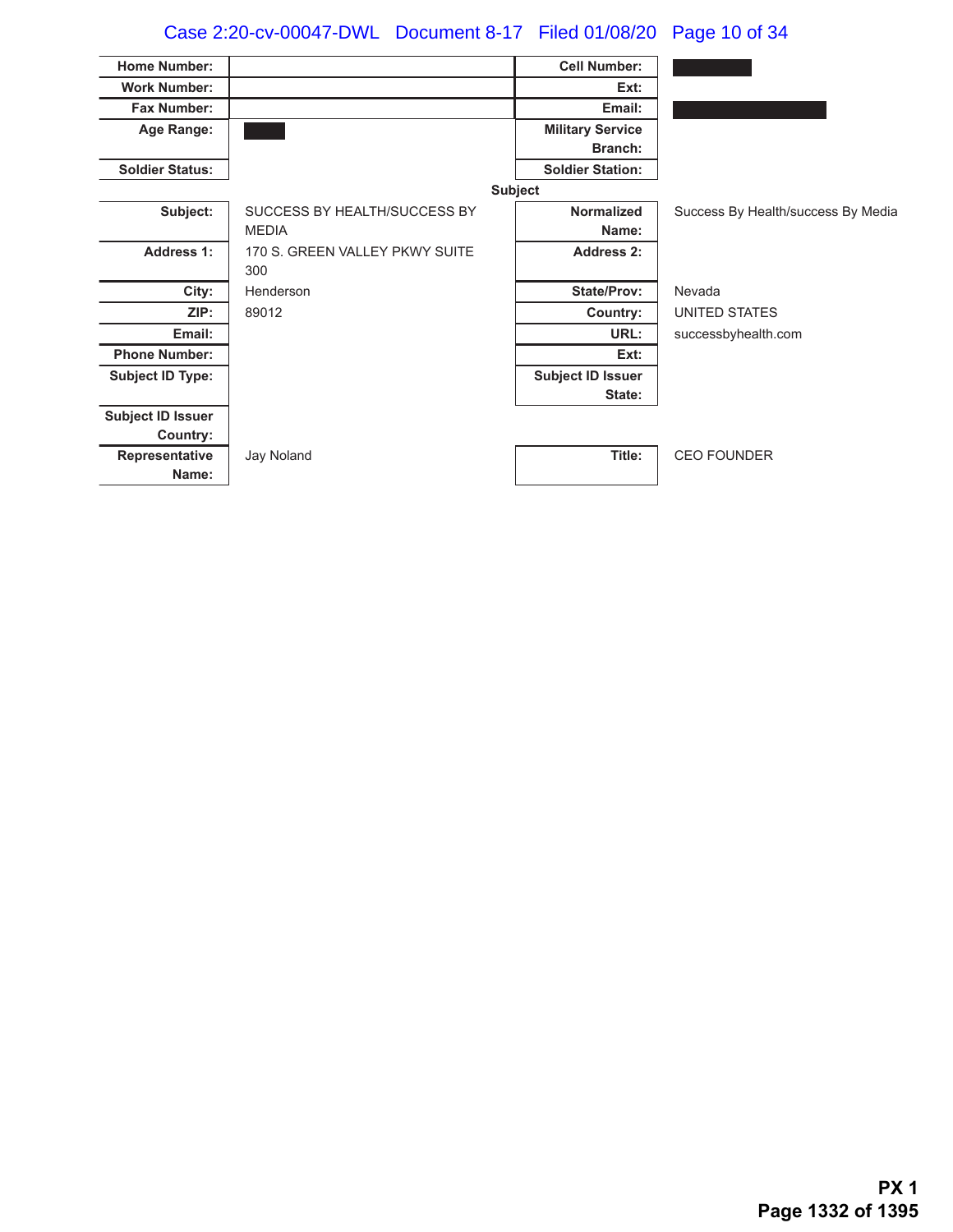# Case 2:20-cv-00047-DWL Document 8-17 Filed 01/08/20 Page 10 of 34

| <b>Home Number:</b>      |                                | <b>Cell Number:</b>      |                                    |
|--------------------------|--------------------------------|--------------------------|------------------------------------|
| <b>Work Number:</b>      |                                | Ext:                     |                                    |
| <b>Fax Number:</b>       |                                | Email:                   |                                    |
| Age Range:               |                                | <b>Military Service</b>  |                                    |
|                          |                                | <b>Branch:</b>           |                                    |
| <b>Soldier Status:</b>   |                                | <b>Soldier Station:</b>  |                                    |
|                          |                                | <b>Subject</b>           |                                    |
| Subject:                 | SUCCESS BY HEALTH/SUCCESS BY   | <b>Normalized</b>        | Success By Health/success By Media |
|                          | <b>MEDIA</b>                   | Name:                    |                                    |
| <b>Address 1:</b>        | 170 S. GREEN VALLEY PKWY SUITE | <b>Address 2:</b>        |                                    |
|                          | 300                            |                          |                                    |
| City:                    | Henderson                      | <b>State/Prov:</b>       | Nevada                             |
| ZIP:                     | 89012                          | Country:                 | UNITED STATES                      |
| Email:                   |                                | URL:                     | successbyhealth.com                |
| <b>Phone Number:</b>     |                                | Ext:                     |                                    |
| <b>Subject ID Type:</b>  |                                | <b>Subject ID Issuer</b> |                                    |
|                          |                                | State:                   |                                    |
| <b>Subject ID Issuer</b> |                                |                          |                                    |
| Country:                 |                                |                          |                                    |
| Representative           | Jay Noland                     | Title:                   | <b>CEO FOUNDER</b>                 |
| Name:                    |                                |                          |                                    |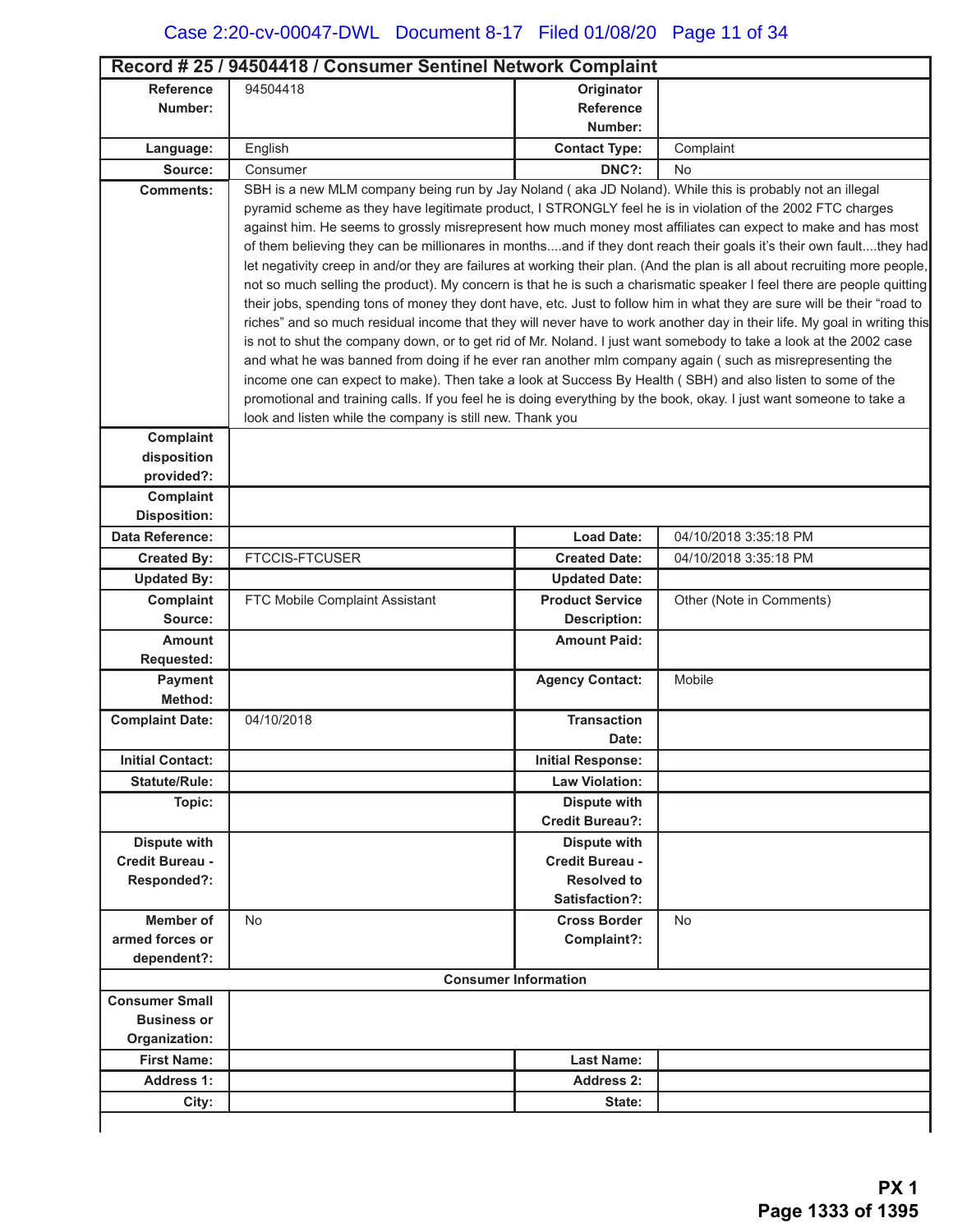|                         | Record # 25 / 94504418 / Consumer Sentinel Network Complaint                                                               |                             |                          |  |
|-------------------------|----------------------------------------------------------------------------------------------------------------------------|-----------------------------|--------------------------|--|
| <b>Reference</b>        | 94504418                                                                                                                   | Originator                  |                          |  |
| Number:                 |                                                                                                                            | Reference                   |                          |  |
|                         |                                                                                                                            | Number:                     |                          |  |
| Language:               | English                                                                                                                    | <b>Contact Type:</b>        | Complaint                |  |
| Source:                 | Consumer                                                                                                                   | DNC?:                       | <b>No</b>                |  |
| <b>Comments:</b>        | SBH is a new MLM company being run by Jay Noland (aka JD Noland). While this is probably not an illegal                    |                             |                          |  |
|                         | pyramid scheme as they have legitimate product, I STRONGLY feel he is in violation of the 2002 FTC charges                 |                             |                          |  |
|                         | against him. He seems to grossly misrepresent how much money most affiliates can expect to make and has most               |                             |                          |  |
|                         | of them believing they can be millionares in monthsand if they dont reach their goals it's their own faultthey had         |                             |                          |  |
|                         | let negativity creep in and/or they are failures at working their plan. (And the plan is all about recruiting more people, |                             |                          |  |
|                         | not so much selling the product). My concern is that he is such a charismatic speaker I feel there are people quitting     |                             |                          |  |
|                         | their jobs, spending tons of money they dont have, etc. Just to follow him in what they are sure will be their "road to    |                             |                          |  |
|                         | riches" and so much residual income that they will never have to work another day in their life. My goal in writing this   |                             |                          |  |
|                         | is not to shut the company down, or to get rid of Mr. Noland. I just want somebody to take a look at the 2002 case         |                             |                          |  |
|                         | and what he was banned from doing if he ever ran another mlm company again (such as misrepresenting the                    |                             |                          |  |
|                         | income one can expect to make). Then take a look at Success By Health (SBH) and also listen to some of the                 |                             |                          |  |
|                         | promotional and training calls. If you feel he is doing everything by the book, okay. I just want someone to take a        |                             |                          |  |
| Complaint               | look and listen while the company is still new. Thank you                                                                  |                             |                          |  |
| disposition             |                                                                                                                            |                             |                          |  |
| provided?:              |                                                                                                                            |                             |                          |  |
| Complaint               |                                                                                                                            |                             |                          |  |
| <b>Disposition:</b>     |                                                                                                                            |                             |                          |  |
| <b>Data Reference:</b>  |                                                                                                                            | <b>Load Date:</b>           | 04/10/2018 3:35:18 PM    |  |
| <b>Created By:</b>      | <b>FTCCIS-FTCUSER</b>                                                                                                      | <b>Created Date:</b>        | 04/10/2018 3:35:18 PM    |  |
| <b>Updated By:</b>      |                                                                                                                            | <b>Updated Date:</b>        |                          |  |
| Complaint               | FTC Mobile Complaint Assistant                                                                                             | <b>Product Service</b>      | Other (Note in Comments) |  |
| Source:                 |                                                                                                                            | <b>Description:</b>         |                          |  |
| <b>Amount</b>           |                                                                                                                            | <b>Amount Paid:</b>         |                          |  |
| <b>Requested:</b>       |                                                                                                                            |                             |                          |  |
| Payment                 |                                                                                                                            | <b>Agency Contact:</b>      | Mobile                   |  |
| Method:                 |                                                                                                                            |                             |                          |  |
| <b>Complaint Date:</b>  | 04/10/2018                                                                                                                 | <b>Transaction</b>          |                          |  |
|                         |                                                                                                                            | Date:                       |                          |  |
| <b>Initial Contact:</b> |                                                                                                                            | <b>Initial Response:</b>    |                          |  |
| <b>Statute/Rule:</b>    |                                                                                                                            | <b>Law Violation:</b>       |                          |  |
| Topic:                  |                                                                                                                            | <b>Dispute with</b>         |                          |  |
|                         |                                                                                                                            | <b>Credit Bureau?:</b>      |                          |  |
| <b>Dispute with</b>     |                                                                                                                            | <b>Dispute with</b>         |                          |  |
| Credit Bureau -         |                                                                                                                            | Credit Bureau -             |                          |  |
| Responded?:             |                                                                                                                            | <b>Resolved to</b>          |                          |  |
|                         |                                                                                                                            | Satisfaction?:              |                          |  |
| <b>Member of</b>        | <b>No</b>                                                                                                                  | <b>Cross Border</b>         | <b>No</b>                |  |
| armed forces or         |                                                                                                                            | Complaint?:                 |                          |  |
| dependent?:             |                                                                                                                            |                             |                          |  |
|                         |                                                                                                                            | <b>Consumer Information</b> |                          |  |
| <b>Consumer Small</b>   |                                                                                                                            |                             |                          |  |
| <b>Business or</b>      |                                                                                                                            |                             |                          |  |
| Organization:           |                                                                                                                            |                             |                          |  |
| <b>First Name:</b>      |                                                                                                                            | <b>Last Name:</b>           |                          |  |
| <b>Address 1:</b>       |                                                                                                                            | <b>Address 2:</b>           |                          |  |
| City:                   |                                                                                                                            | State:                      |                          |  |
|                         |                                                                                                                            |                             |                          |  |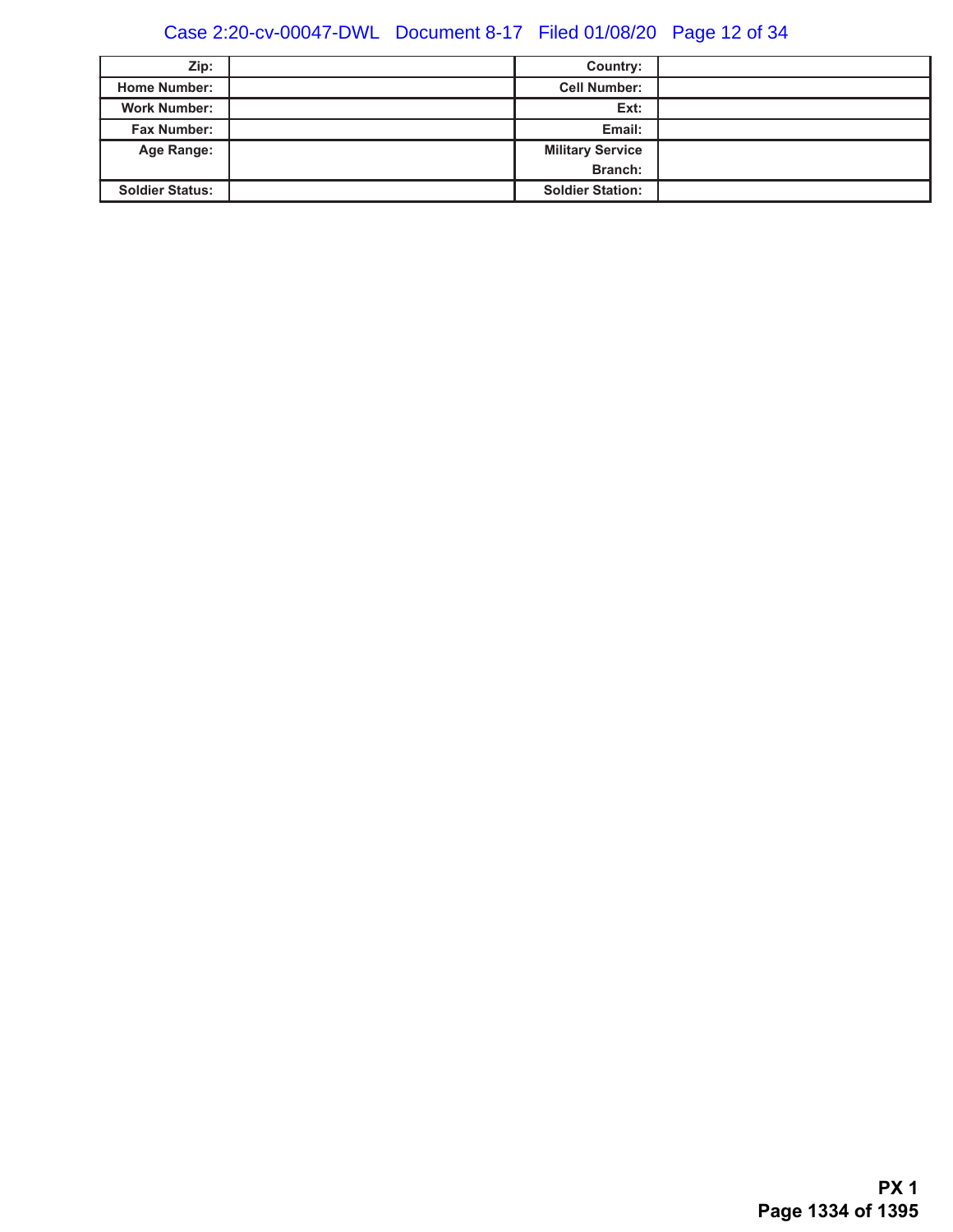# Case 2:20-cv-00047-DWL Document 8-17 Filed 01/08/20 Page 12 of 34

| Zip:                   | Country:                |  |
|------------------------|-------------------------|--|
| <b>Home Number:</b>    | <b>Cell Number:</b>     |  |
| <b>Work Number:</b>    | Ext:                    |  |
| <b>Fax Number:</b>     | Email:                  |  |
| Age Range:             | <b>Military Service</b> |  |
|                        | Branch:                 |  |
| <b>Soldier Status:</b> | <b>Soldier Station:</b> |  |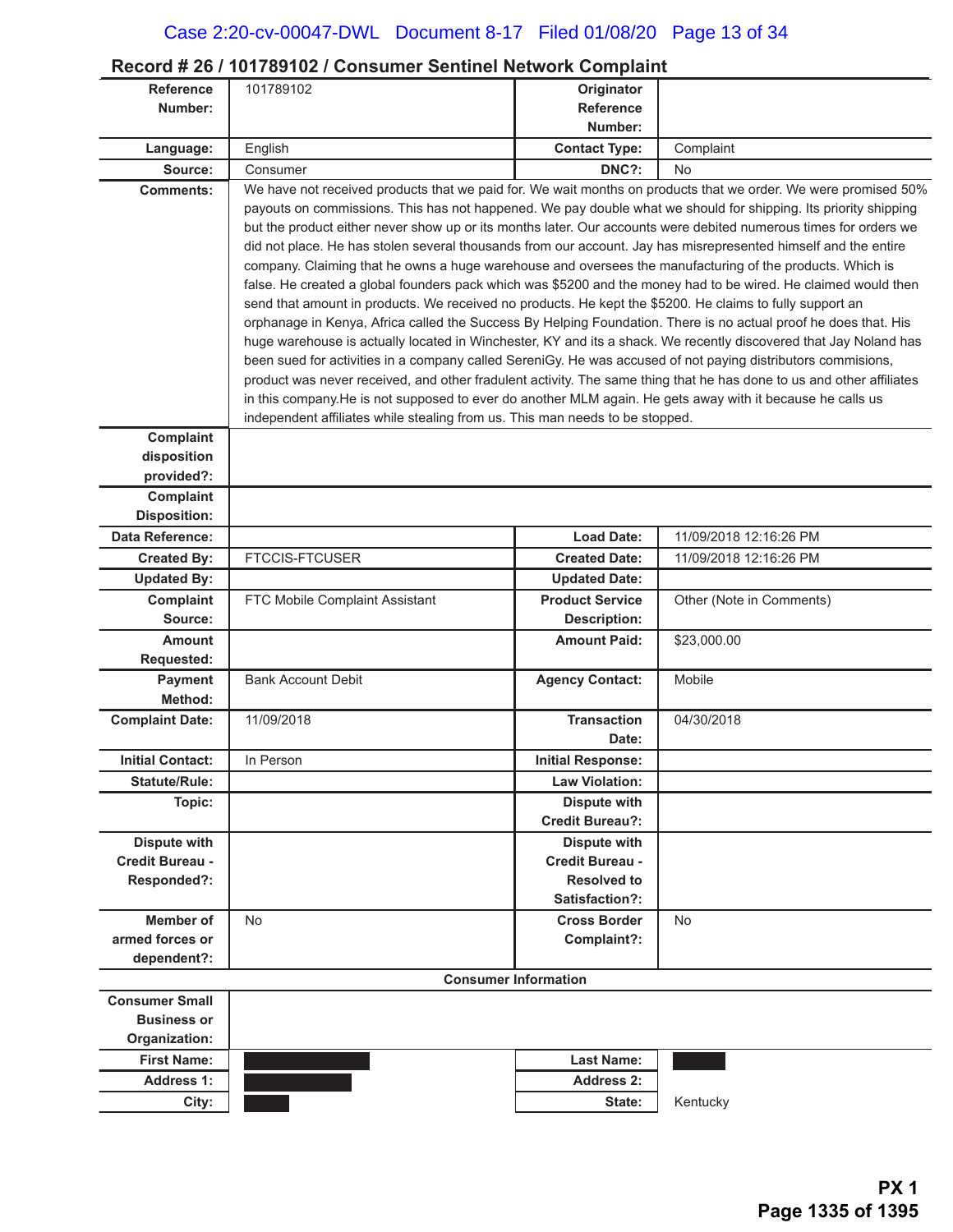### **Record # 26 / 101789102 / Consumer Sentinel Network Complaint**

| <b>Reference</b>                       | 101789102                                                                                                                                                                                                                  | Originator                                                                                                                                                                                                                          |                                                                                                                |  |
|----------------------------------------|----------------------------------------------------------------------------------------------------------------------------------------------------------------------------------------------------------------------------|-------------------------------------------------------------------------------------------------------------------------------------------------------------------------------------------------------------------------------------|----------------------------------------------------------------------------------------------------------------|--|
| Number:                                |                                                                                                                                                                                                                            | <b>Reference</b><br>Number:                                                                                                                                                                                                         |                                                                                                                |  |
| Language:                              | English                                                                                                                                                                                                                    | <b>Contact Type:</b>                                                                                                                                                                                                                | Complaint                                                                                                      |  |
| Source:                                | Consumer                                                                                                                                                                                                                   | DNC?:                                                                                                                                                                                                                               | No                                                                                                             |  |
| <b>Comments:</b>                       |                                                                                                                                                                                                                            |                                                                                                                                                                                                                                     | We have not received products that we paid for. We wait months on products that we order. We were promised 50% |  |
|                                        | payouts on commissions. This has not happened. We pay double what we should for shipping. Its priority shipping                                                                                                            |                                                                                                                                                                                                                                     |                                                                                                                |  |
|                                        | but the product either never show up or its months later. Our accounts were debited numerous times for orders we                                                                                                           |                                                                                                                                                                                                                                     |                                                                                                                |  |
|                                        |                                                                                                                                                                                                                            | did not place. He has stolen several thousands from our account. Jay has misrepresented himself and the entire                                                                                                                      |                                                                                                                |  |
|                                        | company. Claiming that he owns a huge warehouse and oversees the manufacturing of the products. Which is<br>false. He created a global founders pack which was \$5200 and the money had to be wired. He claimed would then |                                                                                                                                                                                                                                     |                                                                                                                |  |
|                                        | send that amount in products. We received no products. He kept the \$5200. He claims to fully support an                                                                                                                   |                                                                                                                                                                                                                                     |                                                                                                                |  |
|                                        |                                                                                                                                                                                                                            |                                                                                                                                                                                                                                     |                                                                                                                |  |
|                                        |                                                                                                                                                                                                                            | orphanage in Kenya, Africa called the Success By Helping Foundation. There is no actual proof he does that. His<br>huge warehouse is actually located in Winchester, KY and its a shack. We recently discovered that Jay Noland has |                                                                                                                |  |
|                                        | been sued for activities in a company called SereniGy. He was accused of not paying distributors commisions,                                                                                                               |                                                                                                                                                                                                                                     |                                                                                                                |  |
|                                        | product was never received, and other fradulent activity. The same thing that he has done to us and other affiliates                                                                                                       |                                                                                                                                                                                                                                     |                                                                                                                |  |
|                                        | in this company. He is not supposed to ever do another MLM again. He gets away with it because he calls us                                                                                                                 |                                                                                                                                                                                                                                     |                                                                                                                |  |
|                                        | independent affiliates while stealing from us. This man needs to be stopped.                                                                                                                                               |                                                                                                                                                                                                                                     |                                                                                                                |  |
| Complaint                              |                                                                                                                                                                                                                            |                                                                                                                                                                                                                                     |                                                                                                                |  |
| disposition                            |                                                                                                                                                                                                                            |                                                                                                                                                                                                                                     |                                                                                                                |  |
| provided?:<br><b>Complaint</b>         |                                                                                                                                                                                                                            |                                                                                                                                                                                                                                     |                                                                                                                |  |
| <b>Disposition:</b>                    |                                                                                                                                                                                                                            |                                                                                                                                                                                                                                     |                                                                                                                |  |
| Data Reference:                        |                                                                                                                                                                                                                            | <b>Load Date:</b>                                                                                                                                                                                                                   | 11/09/2018 12:16:26 PM                                                                                         |  |
| <b>Created By:</b>                     | <b>FTCCIS-FTCUSER</b>                                                                                                                                                                                                      | <b>Created Date:</b>                                                                                                                                                                                                                | 11/09/2018 12:16:26 PM                                                                                         |  |
| <b>Updated By:</b>                     |                                                                                                                                                                                                                            | <b>Updated Date:</b>                                                                                                                                                                                                                |                                                                                                                |  |
| Complaint                              | FTC Mobile Complaint Assistant                                                                                                                                                                                             | <b>Product Service</b>                                                                                                                                                                                                              | Other (Note in Comments)                                                                                       |  |
| Source:                                |                                                                                                                                                                                                                            | <b>Description:</b>                                                                                                                                                                                                                 |                                                                                                                |  |
| <b>Amount</b>                          |                                                                                                                                                                                                                            | <b>Amount Paid:</b>                                                                                                                                                                                                                 | \$23,000.00                                                                                                    |  |
| Requested:<br><b>Payment</b>           | <b>Bank Account Debit</b>                                                                                                                                                                                                  | <b>Agency Contact:</b>                                                                                                                                                                                                              | Mobile                                                                                                         |  |
| Method:                                |                                                                                                                                                                                                                            |                                                                                                                                                                                                                                     |                                                                                                                |  |
| <b>Complaint Date:</b>                 | 11/09/2018                                                                                                                                                                                                                 | <b>Transaction</b>                                                                                                                                                                                                                  | 04/30/2018                                                                                                     |  |
|                                        |                                                                                                                                                                                                                            | Date:                                                                                                                                                                                                                               |                                                                                                                |  |
| <b>Initial Contact:</b>                | In Person                                                                                                                                                                                                                  | <b>Initial Response:</b>                                                                                                                                                                                                            |                                                                                                                |  |
| <b>Statute/Rule:</b>                   |                                                                                                                                                                                                                            | <b>Law Violation:</b>                                                                                                                                                                                                               |                                                                                                                |  |
| Topic:                                 |                                                                                                                                                                                                                            | <b>Dispute with</b>                                                                                                                                                                                                                 |                                                                                                                |  |
|                                        |                                                                                                                                                                                                                            | <b>Credit Bureau?:</b>                                                                                                                                                                                                              |                                                                                                                |  |
| <b>Dispute with</b><br>Credit Bureau - |                                                                                                                                                                                                                            | <b>Dispute with</b><br>Credit Bureau -                                                                                                                                                                                              |                                                                                                                |  |
| Responded?:                            |                                                                                                                                                                                                                            | <b>Resolved to</b>                                                                                                                                                                                                                  |                                                                                                                |  |
|                                        |                                                                                                                                                                                                                            | Satisfaction?:                                                                                                                                                                                                                      |                                                                                                                |  |
| Member of                              | <b>No</b>                                                                                                                                                                                                                  | <b>Cross Border</b>                                                                                                                                                                                                                 | <b>No</b>                                                                                                      |  |
| armed forces or                        |                                                                                                                                                                                                                            | Complaint?:                                                                                                                                                                                                                         |                                                                                                                |  |
| dependent?:                            |                                                                                                                                                                                                                            |                                                                                                                                                                                                                                     |                                                                                                                |  |
|                                        |                                                                                                                                                                                                                            | <b>Consumer Information</b>                                                                                                                                                                                                         |                                                                                                                |  |
| <b>Consumer Small</b>                  |                                                                                                                                                                                                                            |                                                                                                                                                                                                                                     |                                                                                                                |  |
| <b>Business or</b>                     |                                                                                                                                                                                                                            |                                                                                                                                                                                                                                     |                                                                                                                |  |
| Organization:                          |                                                                                                                                                                                                                            |                                                                                                                                                                                                                                     |                                                                                                                |  |
| <b>First Name:</b>                     |                                                                                                                                                                                                                            | <b>Last Name:</b>                                                                                                                                                                                                                   |                                                                                                                |  |
| <b>Address 1:</b>                      |                                                                                                                                                                                                                            | <b>Address 2:</b>                                                                                                                                                                                                                   |                                                                                                                |  |
| City:                                  |                                                                                                                                                                                                                            | State:                                                                                                                                                                                                                              | Kentucky                                                                                                       |  |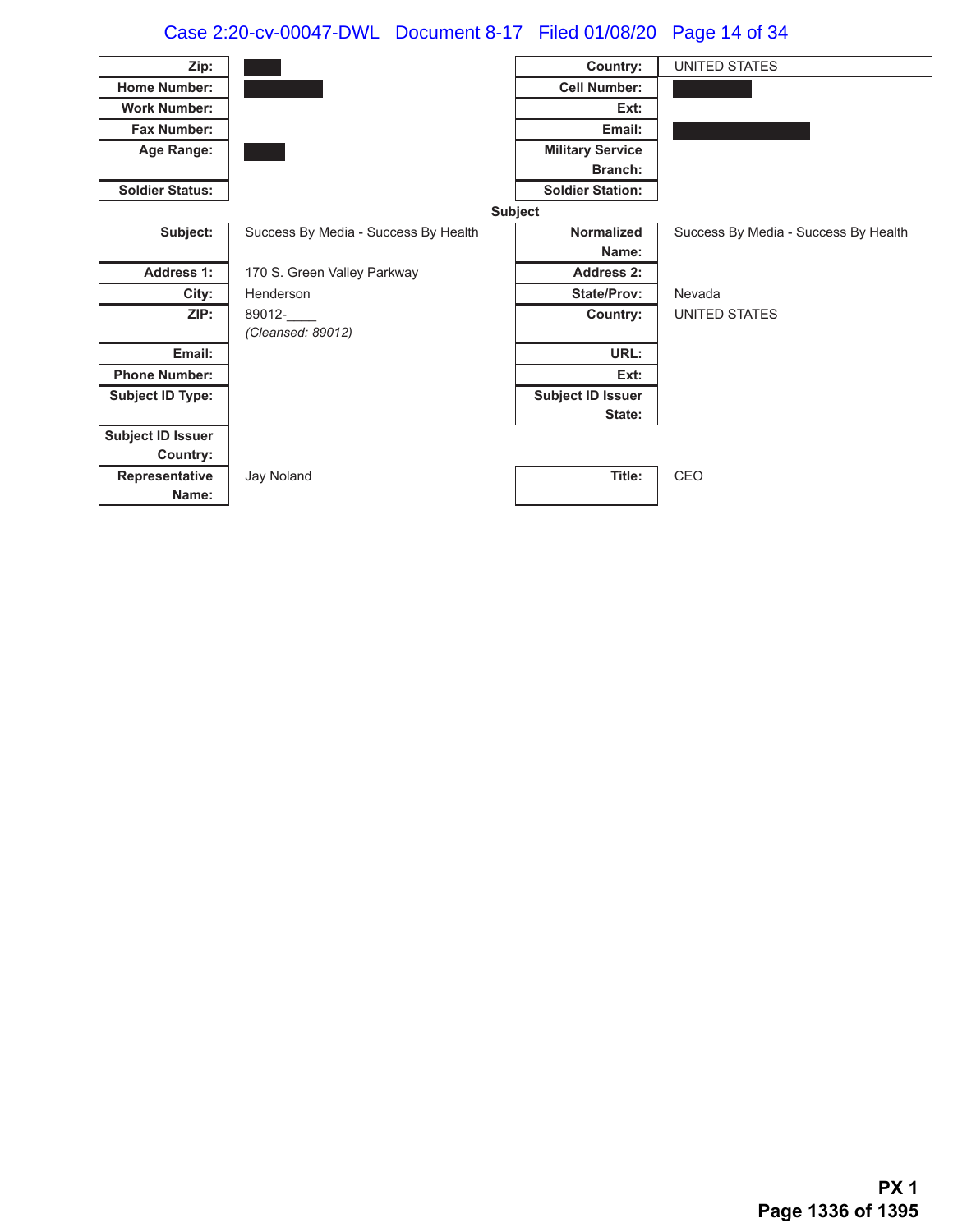# Case 2:20-cv-00047-DWL Document 8-17 Filed 01/08/20 Page 14 of 34

| Zip:                     |                                      | Country:                 | UNITED STATES                        |
|--------------------------|--------------------------------------|--------------------------|--------------------------------------|
| <b>Home Number:</b>      |                                      | <b>Cell Number:</b>      |                                      |
| <b>Work Number:</b>      |                                      | Ext:                     |                                      |
| <b>Fax Number:</b>       |                                      | Email:                   |                                      |
| Age Range:               |                                      | <b>Military Service</b>  |                                      |
|                          |                                      | <b>Branch:</b>           |                                      |
| <b>Soldier Status:</b>   |                                      | <b>Soldier Station:</b>  |                                      |
|                          |                                      | Subject                  |                                      |
| Subject:                 | Success By Media - Success By Health | <b>Normalized</b>        | Success By Media - Success By Health |
|                          |                                      | Name:                    |                                      |
| <b>Address 1:</b>        | 170 S. Green Valley Parkway          | Address 2:               |                                      |
| City:                    | Henderson                            | <b>State/Prov:</b>       | Nevada                               |
| ZIP:                     | 89012-                               | Country:                 | UNITED STATES                        |
|                          | (Cleansed: 89012)                    |                          |                                      |
| Email:                   |                                      | URL:                     |                                      |
| <b>Phone Number:</b>     |                                      | Ext:                     |                                      |
| <b>Subject ID Type:</b>  |                                      | <b>Subject ID Issuer</b> |                                      |
|                          |                                      | State:                   |                                      |
| <b>Subject ID Issuer</b> |                                      |                          |                                      |
| Country:                 |                                      |                          |                                      |
| Representative           | Jay Noland                           | Title:                   | CEO                                  |
| Name:                    |                                      |                          |                                      |
|                          |                                      |                          |                                      |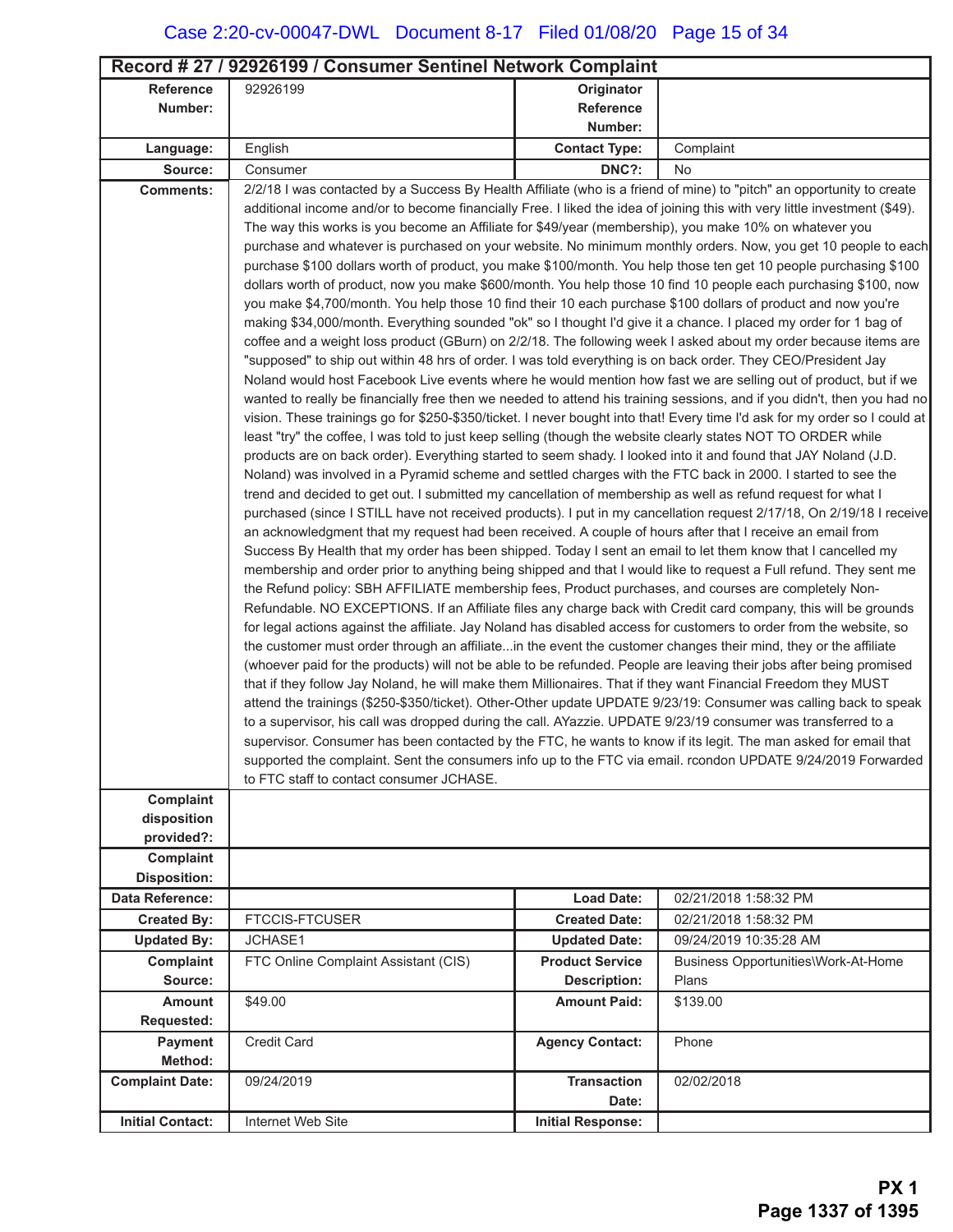| Record # 27 / 92926199 / Consumer Sentinel Network Complaint |                                                                                                                                                                                                                                             |                          |                                     |  |
|--------------------------------------------------------------|---------------------------------------------------------------------------------------------------------------------------------------------------------------------------------------------------------------------------------------------|--------------------------|-------------------------------------|--|
| <b>Reference</b>                                             | 92926199                                                                                                                                                                                                                                    | Originator               |                                     |  |
| Number:                                                      |                                                                                                                                                                                                                                             | <b>Reference</b>         |                                     |  |
|                                                              |                                                                                                                                                                                                                                             | Number:                  |                                     |  |
| Language:                                                    | English                                                                                                                                                                                                                                     | <b>Contact Type:</b>     | Complaint                           |  |
| Source:                                                      | Consumer                                                                                                                                                                                                                                    | DNC?:                    | No                                  |  |
| <b>Comments:</b>                                             | 2/2/18 I was contacted by a Success By Health Affiliate (who is a friend of mine) to "pitch" an opportunity to create                                                                                                                       |                          |                                     |  |
|                                                              | additional income and/or to become financially Free. I liked the idea of joining this with very little investment (\$49).                                                                                                                   |                          |                                     |  |
|                                                              | The way this works is you become an Affiliate for \$49/year (membership), you make 10% on whatever you                                                                                                                                      |                          |                                     |  |
|                                                              | purchase and whatever is purchased on your website. No minimum monthly orders. Now, you get 10 people to each<br>purchase \$100 dollars worth of product, you make \$100/month. You help those ten get 10 people purchasing \$100           |                          |                                     |  |
|                                                              |                                                                                                                                                                                                                                             |                          |                                     |  |
|                                                              | dollars worth of product, now you make \$600/month. You help those 10 find 10 people each purchasing \$100, now<br>you make \$4,700/month. You help those 10 find their 10 each purchase \$100 dollars of product and now you're            |                          |                                     |  |
|                                                              | making \$34,000/month. Everything sounded "ok" so I thought I'd give it a chance. I placed my order for 1 bag of                                                                                                                            |                          |                                     |  |
|                                                              | coffee and a weight loss product (GBurn) on 2/2/18. The following week I asked about my order because items are                                                                                                                             |                          |                                     |  |
|                                                              | "supposed" to ship out within 48 hrs of order. I was told everything is on back order. They CEO/President Jay                                                                                                                               |                          |                                     |  |
|                                                              | Noland would host Facebook Live events where he would mention how fast we are selling out of product, but if we                                                                                                                             |                          |                                     |  |
|                                                              | wanted to really be financially free then we needed to attend his training sessions, and if you didn't, then you had no                                                                                                                     |                          |                                     |  |
|                                                              | vision. These trainings go for \$250-\$350/ticket. I never bought into that! Every time I'd ask for my order so I could at<br>least "try" the coffee, I was told to just keep selling (though the website clearly states NOT TO ORDER while |                          |                                     |  |
|                                                              | products are on back order). Everything started to seem shady. I looked into it and found that JAY Noland (J.D.                                                                                                                             |                          |                                     |  |
|                                                              | Noland) was involved in a Pyramid scheme and settled charges with the FTC back in 2000. I started to see the                                                                                                                                |                          |                                     |  |
|                                                              | trend and decided to get out. I submitted my cancellation of membership as well as refund request for what I                                                                                                                                |                          |                                     |  |
|                                                              | purchased (since I STILL have not received products). I put in my cancellation request 2/17/18, On 2/19/18 I receive                                                                                                                        |                          |                                     |  |
|                                                              | an acknowledgment that my request had been received. A couple of hours after that I receive an email from                                                                                                                                   |                          |                                     |  |
|                                                              | Success By Health that my order has been shipped. Today I sent an email to let them know that I cancelled my                                                                                                                                |                          |                                     |  |
|                                                              | membership and order prior to anything being shipped and that I would like to request a Full refund. They sent me                                                                                                                           |                          |                                     |  |
|                                                              | the Refund policy: SBH AFFILIATE membership fees, Product purchases, and courses are completely Non-<br>Refundable. NO EXCEPTIONS. If an Affiliate files any charge back with Credit card company, this will be grounds                     |                          |                                     |  |
|                                                              | for legal actions against the affiliate. Jay Noland has disabled access for customers to order from the website, so                                                                                                                         |                          |                                     |  |
|                                                              | the customer must order through an affiliatein the event the customer changes their mind, they or the affiliate                                                                                                                             |                          |                                     |  |
|                                                              | (whoever paid for the products) will not be able to be refunded. People are leaving their jobs after being promised                                                                                                                         |                          |                                     |  |
|                                                              | that if they follow Jay Noland, he will make them Millionaires. That if they want Financial Freedom they MUST                                                                                                                               |                          |                                     |  |
|                                                              | attend the trainings (\$250-\$350/ticket). Other-Other update UPDATE 9/23/19: Consumer was calling back to speak                                                                                                                            |                          |                                     |  |
|                                                              | to a supervisor, his call was dropped during the call. AYazzie. UPDATE 9/23/19 consumer was transferred to a                                                                                                                                |                          |                                     |  |
|                                                              | supervisor. Consumer has been contacted by the FTC, he wants to know if its legit. The man asked for email that<br>supported the complaint. Sent the consumers info up to the FTC via email. rcondon UPDATE 9/24/2019 Forwarded             |                          |                                     |  |
|                                                              | to FTC staff to contact consumer JCHASE.                                                                                                                                                                                                    |                          |                                     |  |
| Complaint                                                    |                                                                                                                                                                                                                                             |                          |                                     |  |
| disposition                                                  |                                                                                                                                                                                                                                             |                          |                                     |  |
| provided?:                                                   |                                                                                                                                                                                                                                             |                          |                                     |  |
| Complaint                                                    |                                                                                                                                                                                                                                             |                          |                                     |  |
| <b>Disposition:</b>                                          |                                                                                                                                                                                                                                             |                          |                                     |  |
| Data Reference:                                              |                                                                                                                                                                                                                                             | <b>Load Date:</b>        | 02/21/2018 1:58:32 PM               |  |
| <b>Created By:</b>                                           | <b>FTCCIS-FTCUSER</b>                                                                                                                                                                                                                       | <b>Created Date:</b>     | 02/21/2018 1:58:32 PM               |  |
| <b>Updated By:</b>                                           | JCHASE1                                                                                                                                                                                                                                     | <b>Updated Date:</b>     | 09/24/2019 10:35:28 AM              |  |
| Complaint                                                    | FTC Online Complaint Assistant (CIS)                                                                                                                                                                                                        | <b>Product Service</b>   | Business Opportunities\Work-At-Home |  |
| Source:                                                      |                                                                                                                                                                                                                                             | <b>Description:</b>      | Plans                               |  |
| <b>Amount</b>                                                | \$49.00                                                                                                                                                                                                                                     | <b>Amount Paid:</b>      | \$139.00                            |  |
| Requested:                                                   |                                                                                                                                                                                                                                             |                          |                                     |  |
| Payment<br>Method:                                           | Credit Card                                                                                                                                                                                                                                 | <b>Agency Contact:</b>   | Phone                               |  |
| <b>Complaint Date:</b>                                       | 09/24/2019                                                                                                                                                                                                                                  | <b>Transaction</b>       | 02/02/2018                          |  |
|                                                              |                                                                                                                                                                                                                                             | Date:                    |                                     |  |
| <b>Initial Contact:</b>                                      | Internet Web Site                                                                                                                                                                                                                           | <b>Initial Response:</b> |                                     |  |
|                                                              |                                                                                                                                                                                                                                             |                          |                                     |  |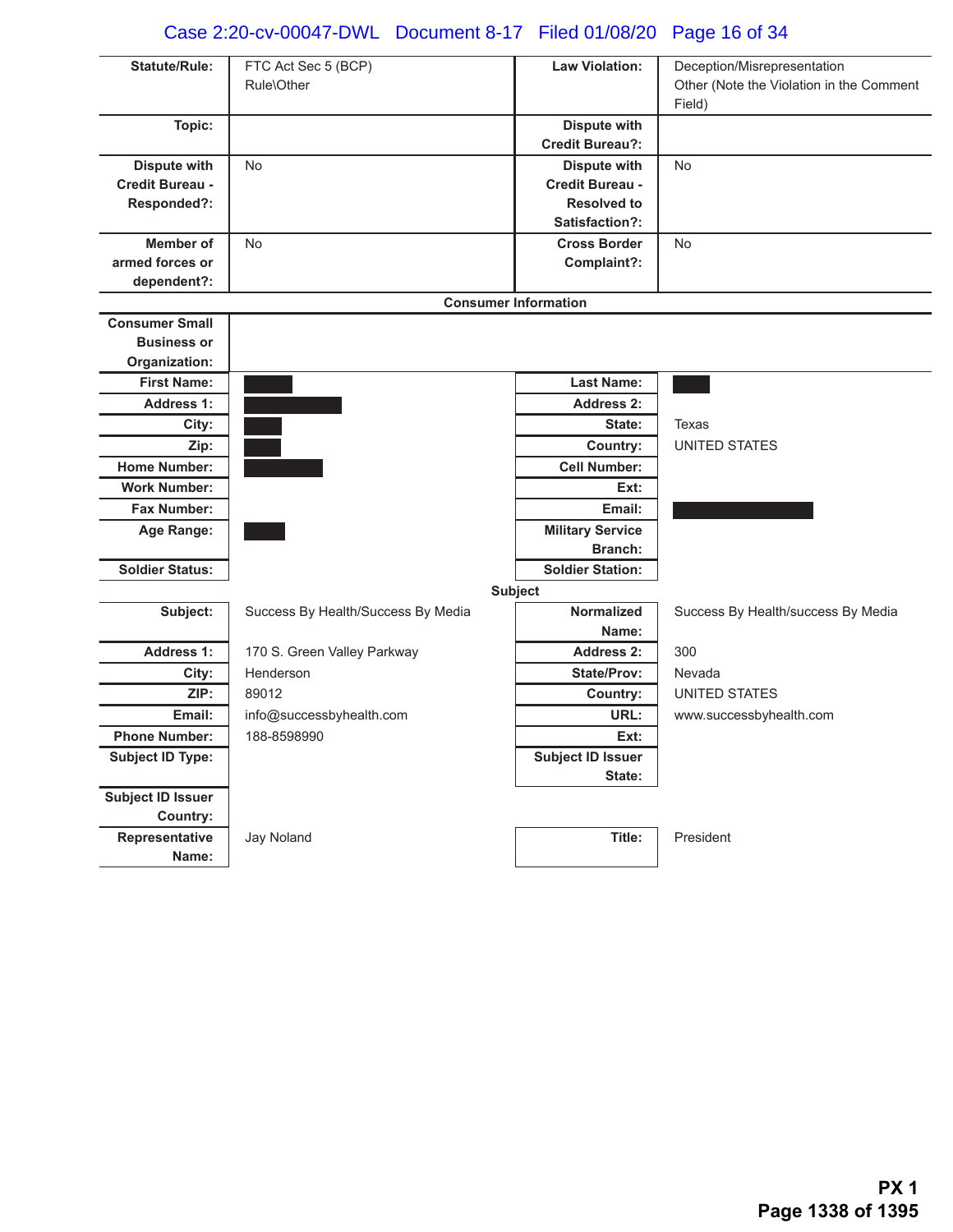# Case 2:20-cv-00047-DWL Document 8-17 Filed 01/08/20 Page 16 of 34

| <b>Statute/Rule:</b>                | FTC Act Sec 5 (BCP)<br>Rule\Other  | <b>Law Violation:</b>       | Deception/Misrepresentation<br>Other (Note the Violation in the Comment |
|-------------------------------------|------------------------------------|-----------------------------|-------------------------------------------------------------------------|
|                                     |                                    |                             | Field)                                                                  |
| Topic:                              |                                    | <b>Dispute with</b>         |                                                                         |
|                                     |                                    | <b>Credit Bureau?:</b>      |                                                                         |
| <b>Dispute with</b>                 | <b>No</b>                          | <b>Dispute with</b>         | <b>No</b>                                                               |
| Credit Bureau -                     |                                    | <b>Credit Bureau -</b>      |                                                                         |
| Responded?:                         |                                    | <b>Resolved to</b>          |                                                                         |
|                                     |                                    | Satisfaction?:              |                                                                         |
| <b>Member of</b>                    | <b>No</b>                          | <b>Cross Border</b>         | <b>No</b>                                                               |
| armed forces or                     |                                    | Complaint?:                 |                                                                         |
| dependent?:                         |                                    |                             |                                                                         |
|                                     |                                    | <b>Consumer Information</b> |                                                                         |
| <b>Consumer Small</b>               |                                    |                             |                                                                         |
| <b>Business or</b><br>Organization: |                                    |                             |                                                                         |
| <b>First Name:</b>                  |                                    | <b>Last Name:</b>           |                                                                         |
| <b>Address 1:</b>                   |                                    | <b>Address 2:</b>           |                                                                         |
| City:                               |                                    | State:                      | Texas                                                                   |
| Zip:                                |                                    | Country:                    | <b>UNITED STATES</b>                                                    |
| <b>Home Number:</b>                 |                                    | <b>Cell Number:</b>         |                                                                         |
| <b>Work Number:</b>                 |                                    | Ext:                        |                                                                         |
| <b>Fax Number:</b>                  |                                    | Email:                      |                                                                         |
| Age Range:                          |                                    | <b>Military Service</b>     |                                                                         |
|                                     |                                    | <b>Branch:</b>              |                                                                         |
| <b>Soldier Status:</b>              |                                    | <b>Soldier Station:</b>     |                                                                         |
|                                     |                                    | <b>Subject</b>              |                                                                         |
| Subject:                            | Success By Health/Success By Media | <b>Normalized</b>           | Success By Health/success By Media                                      |
|                                     |                                    | Name:                       |                                                                         |
| <b>Address 1:</b>                   | 170 S. Green Valley Parkway        | <b>Address 2:</b>           | 300                                                                     |
| City:                               | Henderson                          | <b>State/Prov:</b>          | Nevada                                                                  |
| ZIP:                                | 89012                              | Country:                    | <b>UNITED STATES</b>                                                    |
| Email:                              | info@successbyhealth.com           | URL:                        | www.successbyhealth.com                                                 |
| <b>Phone Number:</b>                | 188-8598990                        | Ext:                        |                                                                         |
| <b>Subject ID Type:</b>             |                                    | <b>Subject ID Issuer</b>    |                                                                         |
|                                     |                                    | State:                      |                                                                         |
| <b>Subject ID Issuer</b>            |                                    |                             |                                                                         |
| Country:                            |                                    |                             |                                                                         |
| Representative                      | Jay Noland                         | Title:                      | President                                                               |
| Name:                               |                                    |                             |                                                                         |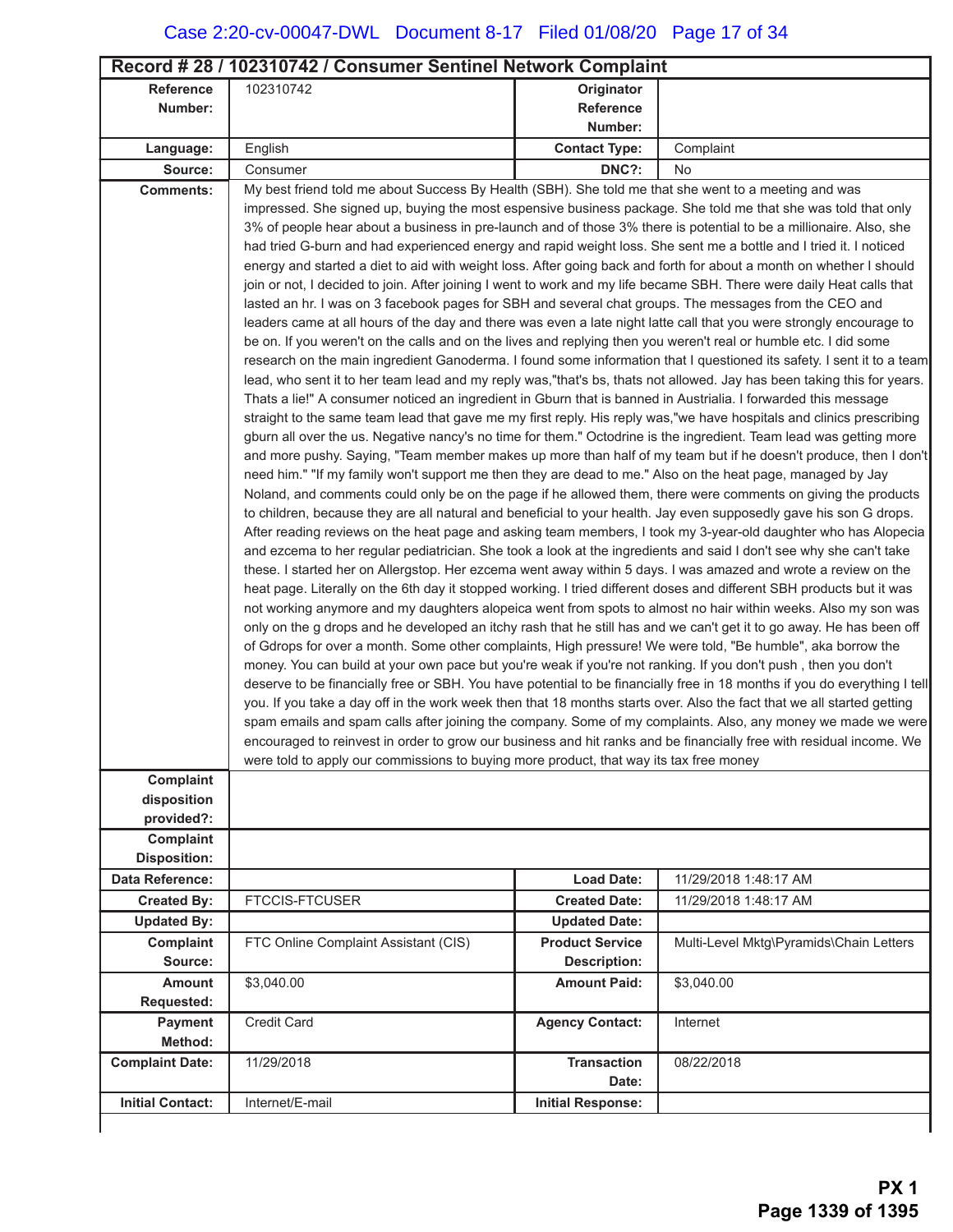|                              | Record #28 / 102310742 / Consumer Sentinel Network Complaint                                                                                                                                                                               |                          |                                                                                                                           |  |
|------------------------------|--------------------------------------------------------------------------------------------------------------------------------------------------------------------------------------------------------------------------------------------|--------------------------|---------------------------------------------------------------------------------------------------------------------------|--|
| <b>Reference</b>             | 102310742                                                                                                                                                                                                                                  | Originator               |                                                                                                                           |  |
| Number:                      |                                                                                                                                                                                                                                            | Reference                |                                                                                                                           |  |
|                              |                                                                                                                                                                                                                                            | Number:                  |                                                                                                                           |  |
| Language:                    | English                                                                                                                                                                                                                                    | <b>Contact Type:</b>     | Complaint                                                                                                                 |  |
| Source:                      | Consumer                                                                                                                                                                                                                                   | DNC?:                    | No                                                                                                                        |  |
| <b>Comments:</b>             | My best friend told me about Success By Health (SBH). She told me that she went to a meeting and was                                                                                                                                       |                          |                                                                                                                           |  |
|                              | impressed. She signed up, buying the most espensive business package. She told me that she was told that only                                                                                                                              |                          |                                                                                                                           |  |
|                              | 3% of people hear about a business in pre-launch and of those 3% there is potential to be a millionaire. Also, she                                                                                                                         |                          |                                                                                                                           |  |
|                              | had tried G-burn and had experienced energy and rapid weight loss. She sent me a bottle and I tried it. I noticed<br>energy and started a diet to aid with weight loss. After going back and forth for about a month on whether I should   |                          |                                                                                                                           |  |
|                              | join or not, I decided to join. After joining I went to work and my life became SBH. There were daily Heat calls that                                                                                                                      |                          |                                                                                                                           |  |
|                              | lasted an hr. I was on 3 facebook pages for SBH and several chat groups. The messages from the CEO and                                                                                                                                     |                          |                                                                                                                           |  |
|                              | leaders came at all hours of the day and there was even a late night latte call that you were strongly encourage to                                                                                                                        |                          |                                                                                                                           |  |
|                              | be on. If you weren't on the calls and on the lives and replying then you weren't real or humble etc. I did some                                                                                                                           |                          |                                                                                                                           |  |
|                              | research on the main ingredient Ganoderma. I found some information that I questioned its safety. I sent it to a team                                                                                                                      |                          |                                                                                                                           |  |
|                              | lead, who sent it to her team lead and my reply was,"that's bs, thats not allowed. Jay has been taking this for years.                                                                                                                     |                          |                                                                                                                           |  |
|                              | Thats a lie!" A consumer noticed an ingredient in Gburn that is banned in Austrialia. I forwarded this message                                                                                                                             |                          |                                                                                                                           |  |
|                              | straight to the same team lead that gave me my first reply. His reply was,"we have hospitals and clinics prescribing<br>gburn all over the us. Negative nancy's no time for them." Octodrine is the ingredient. Team lead was getting more |                          |                                                                                                                           |  |
|                              | and more pushy. Saying, "Team member makes up more than half of my team but if he doesn't produce, then I don't                                                                                                                            |                          |                                                                                                                           |  |
|                              | need him." "If my family won't support me then they are dead to me." Also on the heat page, managed by Jay                                                                                                                                 |                          |                                                                                                                           |  |
|                              | Noland, and comments could only be on the page if he allowed them, there were comments on giving the products                                                                                                                              |                          |                                                                                                                           |  |
|                              | to children, because they are all natural and beneficial to your health. Jay even supposedly gave his son G drops.                                                                                                                         |                          |                                                                                                                           |  |
|                              | After reading reviews on the heat page and asking team members, I took my 3-year-old daughter who has Alopecia                                                                                                                             |                          |                                                                                                                           |  |
|                              | and ezcema to her regular pediatrician. She took a look at the ingredients and said I don't see why she can't take                                                                                                                         |                          |                                                                                                                           |  |
|                              | these. I started her on Allergstop. Her ezcema went away within 5 days. I was amazed and wrote a review on the<br>heat page. Literally on the 6th day it stopped working. I tried different doses and different SBH products but it was    |                          |                                                                                                                           |  |
|                              | not working anymore and my daughters alopeica went from spots to almost no hair within weeks. Also my son was                                                                                                                              |                          |                                                                                                                           |  |
|                              | only on the g drops and he developed an itchy rash that he still has and we can't get it to go away. He has been off                                                                                                                       |                          |                                                                                                                           |  |
|                              | of Gdrops for over a month. Some other complaints, High pressure! We were told, "Be humble", aka borrow the                                                                                                                                |                          |                                                                                                                           |  |
|                              | money. You can build at your own pace but you're weak if you're not ranking. If you don't push, then you don't                                                                                                                             |                          |                                                                                                                           |  |
|                              |                                                                                                                                                                                                                                            |                          | deserve to be financially free or SBH. You have potential to be financially free in 18 months if you do everything I tell |  |
|                              | you. If you take a day off in the work week then that 18 months starts over. Also the fact that we all started getting                                                                                                                     |                          |                                                                                                                           |  |
|                              | spam emails and spam calls after joining the company. Some of my complaints. Also, any money we made we were<br>encouraged to reinvest in order to grow our business and hit ranks and be financially free with residual income. We        |                          |                                                                                                                           |  |
|                              | were told to apply our commissions to buying more product, that way its tax free money                                                                                                                                                     |                          |                                                                                                                           |  |
| Complaint                    |                                                                                                                                                                                                                                            |                          |                                                                                                                           |  |
| disposition                  |                                                                                                                                                                                                                                            |                          |                                                                                                                           |  |
| provided?:                   |                                                                                                                                                                                                                                            |                          |                                                                                                                           |  |
| Complaint                    |                                                                                                                                                                                                                                            |                          |                                                                                                                           |  |
| <b>Disposition:</b>          |                                                                                                                                                                                                                                            |                          |                                                                                                                           |  |
| Data Reference:              |                                                                                                                                                                                                                                            | <b>Load Date:</b>        | 11/29/2018 1:48:17 AM                                                                                                     |  |
| <b>Created By:</b>           | <b>FTCCIS-FTCUSER</b>                                                                                                                                                                                                                      | <b>Created Date:</b>     | 11/29/2018 1:48:17 AM                                                                                                     |  |
| <b>Updated By:</b>           |                                                                                                                                                                                                                                            | <b>Updated Date:</b>     |                                                                                                                           |  |
| Complaint                    | FTC Online Complaint Assistant (CIS)                                                                                                                                                                                                       | <b>Product Service</b>   | Multi-Level Mktg\Pyramids\Chain Letters                                                                                   |  |
| Source:                      |                                                                                                                                                                                                                                            | <b>Description:</b>      |                                                                                                                           |  |
| <b>Amount</b>                | \$3,040.00                                                                                                                                                                                                                                 | <b>Amount Paid:</b>      | \$3,040.00                                                                                                                |  |
| <b>Requested:</b><br>Payment | Credit Card                                                                                                                                                                                                                                | <b>Agency Contact:</b>   |                                                                                                                           |  |
| Method:                      |                                                                                                                                                                                                                                            |                          | Internet                                                                                                                  |  |
| <b>Complaint Date:</b>       | 11/29/2018                                                                                                                                                                                                                                 | <b>Transaction</b>       | 08/22/2018                                                                                                                |  |
|                              |                                                                                                                                                                                                                                            | Date:                    |                                                                                                                           |  |
| <b>Initial Contact:</b>      | Internet/E-mail                                                                                                                                                                                                                            | <b>Initial Response:</b> |                                                                                                                           |  |

 $\mathbf{I}$ 

ı